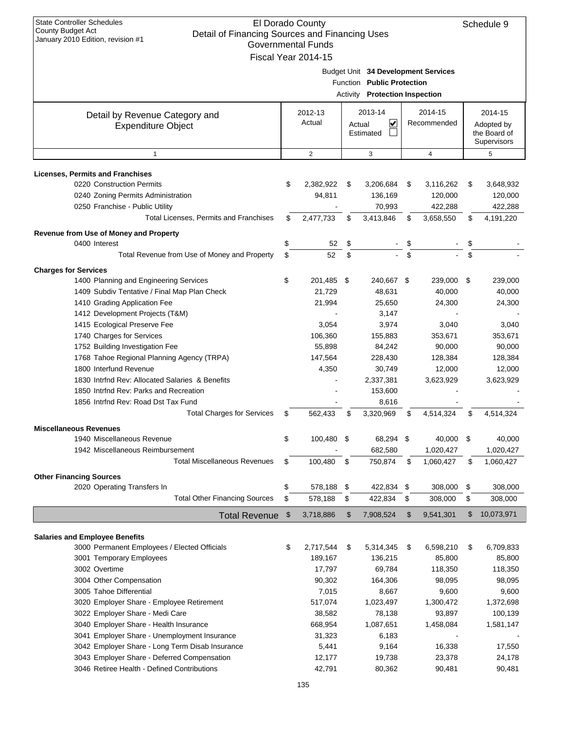| <b>State Controller Schedules</b><br>El Dorado County<br>Schedule 9<br><b>County Budget Act</b><br>Detail of Financing Sources and Financing Uses<br>January 2010 Edition, revision #1<br><b>Governmental Funds</b><br>Fiscal Year 2014-15 |          |                    |          |                                     |          |                        |    |                        |  |  |  |                                                      |
|--------------------------------------------------------------------------------------------------------------------------------------------------------------------------------------------------------------------------------------------|----------|--------------------|----------|-------------------------------------|----------|------------------------|----|------------------------|--|--|--|------------------------------------------------------|
| Budget Unit 34 Development Services<br>Function Public Protection<br>Activity Protection Inspection                                                                                                                                        |          |                    |          |                                     |          |                        |    |                        |  |  |  |                                                      |
| Detail by Revenue Category and<br><b>Expenditure Object</b>                                                                                                                                                                                |          | 2012-13<br>Actual  |          | 2013-14<br>⊻<br>Actual<br>Estimated |          |                        |    | 2014-15<br>Recommended |  |  |  | 2014-15<br>Adopted by<br>the Board of<br>Supervisors |
| $\mathbf{1}$                                                                                                                                                                                                                               |          | 2                  |          | 3                                   |          | $\overline{4}$         |    | 5                      |  |  |  |                                                      |
| <b>Licenses, Permits and Franchises</b>                                                                                                                                                                                                    |          |                    |          |                                     |          |                        |    |                        |  |  |  |                                                      |
| 0220 Construction Permits                                                                                                                                                                                                                  | \$       | 2,382,922          | \$       | 3,206,684                           | \$       | 3,116,262              | \$ | 3,648,932              |  |  |  |                                                      |
| 0240 Zoning Permits Administration                                                                                                                                                                                                         |          | 94,811             |          | 136,169                             |          | 120,000                |    | 120,000                |  |  |  |                                                      |
| 0250 Franchise - Public Utility                                                                                                                                                                                                            |          |                    |          | 70,993                              |          | 422,288                |    | 422,288                |  |  |  |                                                      |
| Total Licenses, Permits and Franchises                                                                                                                                                                                                     | \$       | 2,477,733          | \$       | 3,413,846                           | \$       | 3,658,550              | \$ | 4,191,220              |  |  |  |                                                      |
| Revenue from Use of Money and Property                                                                                                                                                                                                     |          |                    |          |                                     |          |                        |    |                        |  |  |  |                                                      |
| 0400 Interest                                                                                                                                                                                                                              | \$       | 52                 | \$       |                                     | \$       |                        | \$ |                        |  |  |  |                                                      |
| Total Revenue from Use of Money and Property                                                                                                                                                                                               | \$       | 52                 | \$       |                                     | \$       |                        |    |                        |  |  |  |                                                      |
| <b>Charges for Services</b>                                                                                                                                                                                                                |          |                    |          |                                     |          |                        |    |                        |  |  |  |                                                      |
| 1400 Planning and Engineering Services                                                                                                                                                                                                     | \$       | 201,485 \$         |          | 240,667 \$                          |          | 239,000                | \$ | 239,000                |  |  |  |                                                      |
| 1409 Subdiv Tentative / Final Map Plan Check                                                                                                                                                                                               |          | 21,729             |          | 48,631                              |          | 40,000                 |    | 40,000                 |  |  |  |                                                      |
| 1410 Grading Application Fee                                                                                                                                                                                                               |          | 21,994             |          | 25,650                              |          | 24,300                 |    | 24,300                 |  |  |  |                                                      |
| 1412 Development Projects (T&M)                                                                                                                                                                                                            |          |                    |          | 3,147                               |          |                        |    |                        |  |  |  |                                                      |
| 1415 Ecological Preserve Fee                                                                                                                                                                                                               |          | 3,054              |          | 3,974                               |          | 3,040                  |    | 3,040                  |  |  |  |                                                      |
| 1740 Charges for Services                                                                                                                                                                                                                  |          | 106,360            |          | 155,883                             |          | 353,671                |    | 353,671                |  |  |  |                                                      |
| 1752 Building Investigation Fee                                                                                                                                                                                                            |          | 55,898             |          | 84,242                              |          | 90,000                 |    | 90,000                 |  |  |  |                                                      |
| 1768 Tahoe Regional Planning Agency (TRPA)                                                                                                                                                                                                 |          | 147,564            |          | 228,430                             |          | 128,384                |    | 128,384                |  |  |  |                                                      |
| 1800 Interfund Revenue                                                                                                                                                                                                                     |          | 4,350              |          | 30,749                              |          | 12,000                 |    | 12,000                 |  |  |  |                                                      |
| 1830 Intrind Rev: Allocated Salaries & Benefits                                                                                                                                                                                            |          |                    |          | 2,337,381                           |          | 3,623,929              |    | 3,623,929              |  |  |  |                                                      |
| 1850 Intrind Rev: Parks and Recreation<br>1856 Intrfnd Rev: Road Dst Tax Fund                                                                                                                                                              |          |                    |          | 153,600<br>8,616                    |          |                        |    |                        |  |  |  |                                                      |
| <b>Total Charges for Services</b>                                                                                                                                                                                                          | S        |                    | \$       | 3,320,969                           | S        | 4,514,324              | S  | 4,514,324              |  |  |  |                                                      |
|                                                                                                                                                                                                                                            |          | 562,433            |          |                                     |          |                        |    |                        |  |  |  |                                                      |
| <b>Miscellaneous Revenues</b>                                                                                                                                                                                                              |          |                    |          |                                     |          |                        |    |                        |  |  |  |                                                      |
| 1940 Miscellaneous Revenue<br>1942 Miscellaneous Reimbursement                                                                                                                                                                             | \$       | 100,480 \$         |          | 68,294 \$<br>682,580                |          | 40,000 \$<br>1,020,427 |    | 40,000                 |  |  |  |                                                      |
| <b>Total Miscellaneous Revenues</b>                                                                                                                                                                                                        | \$       | 100,480            | -\$      | 750,874                             |          | 1,060,427              |    | 1,020,427<br>1,060,427 |  |  |  |                                                      |
|                                                                                                                                                                                                                                            |          |                    |          |                                     | \$       |                        | \$ |                        |  |  |  |                                                      |
| <b>Other Financing Sources</b>                                                                                                                                                                                                             |          |                    |          |                                     |          |                        |    |                        |  |  |  |                                                      |
| 2020 Operating Transfers In<br><b>Total Other Financing Sources</b>                                                                                                                                                                        | \$<br>\$ | 578,188<br>578,188 | \$<br>\$ | 422,834<br>422,834                  | \$<br>\$ | 308,000<br>308,000     | \$ | 308,000<br>308,000     |  |  |  |                                                      |
|                                                                                                                                                                                                                                            |          |                    |          |                                     |          |                        | \$ |                        |  |  |  |                                                      |
| <b>Total Revenue</b>                                                                                                                                                                                                                       | \$       | 3,718,886          | \$       | 7,908,524                           | \$       | 9,541,301              | \$ | 10,073,971             |  |  |  |                                                      |
|                                                                                                                                                                                                                                            |          |                    |          |                                     |          |                        |    |                        |  |  |  |                                                      |
| <b>Salaries and Employee Benefits</b><br>3000 Permanent Employees / Elected Officials                                                                                                                                                      | \$       | 2,717,544          | \$       | 5,314,345                           | \$       | 6,598,210              | \$ | 6,709,833              |  |  |  |                                                      |
| 3001 Temporary Employees                                                                                                                                                                                                                   |          | 189,167            |          | 136,215                             |          | 85,800                 |    | 85,800                 |  |  |  |                                                      |
| 3002 Overtime                                                                                                                                                                                                                              |          | 17,797             |          | 69,784                              |          | 118,350                |    | 118,350                |  |  |  |                                                      |
| 3004 Other Compensation                                                                                                                                                                                                                    |          | 90,302             |          | 164,306                             |          | 98,095                 |    | 98,095                 |  |  |  |                                                      |
| 3005 Tahoe Differential                                                                                                                                                                                                                    |          | 7,015              |          | 8,667                               |          | 9,600                  |    | 9,600                  |  |  |  |                                                      |
| 3020 Employer Share - Employee Retirement                                                                                                                                                                                                  |          | 517,074            |          | 1,023,497                           |          | 1,300,472              |    | 1,372,698              |  |  |  |                                                      |
| 3022 Employer Share - Medi Care                                                                                                                                                                                                            |          | 38,582             |          | 78,138                              |          | 93,897                 |    | 100,139                |  |  |  |                                                      |
| 3040 Employer Share - Health Insurance                                                                                                                                                                                                     |          | 668,954            |          | 1,087,651                           |          | 1,458,084              |    | 1,581,147              |  |  |  |                                                      |
| 3041 Employer Share - Unemployment Insurance                                                                                                                                                                                               |          | 31,323             |          | 6,183                               |          |                        |    |                        |  |  |  |                                                      |
| 3042 Employer Share - Long Term Disab Insurance                                                                                                                                                                                            |          | 5,441              |          | 9,164                               |          | 16,338                 |    | 17,550                 |  |  |  |                                                      |
| 3043 Employer Share - Deferred Compensation                                                                                                                                                                                                |          | 12,177             |          | 19,738                              |          | 23,378                 |    | 24,178                 |  |  |  |                                                      |
| 3046 Retiree Health - Defined Contributions                                                                                                                                                                                                |          | 42,791             |          | 80,362                              |          | 90,481                 |    | 90,481                 |  |  |  |                                                      |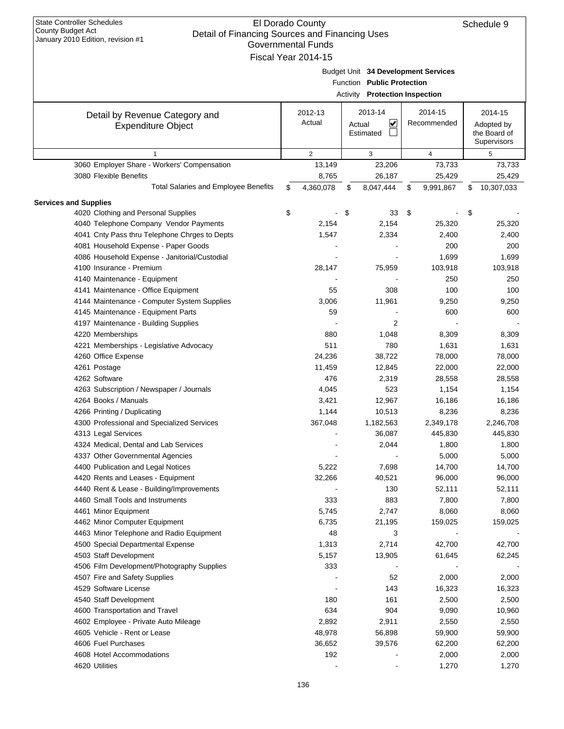| <b>State Controller Schedules</b> |
|-----------------------------------|
| County Budget Act                 |
| January 2010 Edition, revision #1 |

| $\frac{1}{2}$ of $\frac{1}{2}$ and $\frac{1}{2}$ controller, it consider $\pi$ is | Governmental Funds  |                                       |             |           |    |              |
|-----------------------------------------------------------------------------------|---------------------|---------------------------------------|-------------|-----------|----|--------------|
|                                                                                   | Fiscal Year 2014-15 |                                       |             |           |    |              |
|                                                                                   |                     | Budget Unit 34 Development Services   |             |           |    |              |
|                                                                                   |                     | Function Public Protection            |             |           |    |              |
|                                                                                   |                     |                                       |             |           |    |              |
|                                                                                   |                     | <b>Activity Protection Inspection</b> |             |           |    |              |
|                                                                                   | 2012-13             | 2013-14                               | 2014-15     |           |    | 2014-15      |
| Detail by Revenue Category and                                                    | Actual              | V<br>Actual                           | Recommended |           |    | Adopted by   |
| <b>Expenditure Object</b>                                                         |                     | Estimated                             |             |           |    | the Board of |
|                                                                                   |                     |                                       |             |           |    | Supervisors  |
| $\mathbf{1}$                                                                      | $\overline{2}$      | 3                                     |             | 4         |    | 5            |
| 3060 Employer Share - Workers' Compensation                                       | 13,149              | 23,206                                |             | 73,733    |    | 73,733       |
| 3080 Flexible Benefits                                                            | 8,765               | 26,187                                |             | 25,429    |    | 25,429       |
| <b>Total Salaries and Employee Benefits</b>                                       | \$<br>4,360,078     | \$<br>8,047,444                       | \$          | 9,991,867 | \$ | 10,307,033   |
|                                                                                   |                     |                                       |             |           |    |              |
| <b>Services and Supplies</b>                                                      |                     |                                       |             |           |    |              |
| 4020 Clothing and Personal Supplies                                               | \$                  | \$<br>33                              | \$          |           | \$ |              |
| 4040 Telephone Company Vendor Payments                                            | 2,154               | 2,154                                 |             | 25,320    |    | 25,320       |
| 4041 Cnty Pass thru Telephone Chrges to Depts                                     | 1,547               | 2,334                                 |             | 2,400     |    | 2,400        |
| 4081 Household Expense - Paper Goods                                              |                     |                                       |             | 200       |    | 200          |
| 4086 Household Expense - Janitorial/Custodial                                     |                     |                                       |             | 1,699     |    | 1,699        |
| 4100 Insurance - Premium                                                          | 28,147              | 75,959                                |             | 103,918   |    | 103,918      |
| 4140 Maintenance - Equipment                                                      |                     |                                       |             | 250       |    | 250          |
| 4141 Maintenance - Office Equipment                                               | 55                  | 308                                   |             | 100       |    | 100          |
| 4144 Maintenance - Computer System Supplies                                       | 3,006               | 11,961                                |             | 9,250     |    | 9,250        |
| 4145 Maintenance - Equipment Parts                                                | 59                  |                                       |             | 600       |    | 600          |
| 4197 Maintenance - Building Supplies                                              |                     | 2                                     |             |           |    |              |
| 4220 Memberships                                                                  | 880                 | 1,048                                 |             | 8,309     |    | 8,309        |
| 4221 Memberships - Legislative Advocacy                                           | 511                 | 780                                   |             | 1,631     |    | 1,631        |
| 4260 Office Expense                                                               | 24,236              | 38,722                                |             | 78,000    |    | 78,000       |
| 4261 Postage                                                                      | 11,459              | 12,845                                |             | 22,000    |    | 22,000       |
| 4262 Software                                                                     | 476                 | 2,319                                 |             | 28,558    |    | 28,558       |
| 4263 Subscription / Newspaper / Journals                                          | 4,045               | 523                                   |             | 1,154     |    | 1,154        |
| 4264 Books / Manuals                                                              | 3,421               | 12,967                                |             | 16,186    |    | 16,186       |
| 4266 Printing / Duplicating                                                       | 1,144               | 10,513                                |             | 8,236     |    | 8,236        |
| 4300 Professional and Specialized Services                                        | 367,048             | 1,182,563                             |             | 2,349,178 |    | 2,246,708    |
| 4313 Legal Services                                                               |                     | 36,087                                |             | 445,830   |    | 445,830      |
| 4324 Medical, Dental and Lab Services                                             |                     | 2,044                                 |             | 1,800     |    | 1,800        |
| 4337 Other Governmental Agencies                                                  |                     |                                       |             | 5,000     |    | 5,000        |
| 4400 Publication and Legal Notices                                                | 5,222               | 7,698                                 |             | 14,700    |    | 14,700       |
| 4420 Rents and Leases - Equipment                                                 | 32,266              | 40,521                                |             | 96,000    |    | 96,000       |
| 4440 Rent & Lease - Building/Improvements                                         |                     | 130                                   |             | 52,111    |    | 52,111       |
| 4460 Small Tools and Instruments                                                  | 333                 | 883                                   |             | 7,800     |    | 7,800        |
| 4461 Minor Equipment                                                              | 5,745               | 2,747                                 |             | 8,060     |    | 8,060        |
| 4462 Minor Computer Equipment                                                     | 6,735               | 21,195                                |             | 159,025   |    | 159,025      |
| 4463 Minor Telephone and Radio Equipment                                          | 48                  | 3                                     |             |           |    |              |
| 4500 Special Departmental Expense                                                 |                     |                                       |             |           |    |              |
|                                                                                   | 1,313               | 2,714                                 |             | 42,700    |    | 42,700       |
| 4503 Staff Development                                                            | 5,157               | 13,905                                |             | 61,645    |    | 62,245       |
| 4506 Film Development/Photography Supplies                                        | 333                 |                                       |             |           |    |              |
| 4507 Fire and Safety Supplies                                                     |                     | 52                                    |             | 2,000     |    | 2,000        |
| 4529 Software License                                                             |                     | 143                                   |             | 16,323    |    | 16,323       |
| 4540 Staff Development                                                            | 180                 | 161                                   |             | 2,500     |    | 2,500        |
| 4600 Transportation and Travel                                                    | 634                 | 904                                   |             | 9,090     |    | 10,960       |
| 4602 Employee - Private Auto Mileage                                              | 2,892               | 2,911                                 |             | 2,550     |    | 2,550        |
| 4605 Vehicle - Rent or Lease                                                      | 48,978              | 56,898                                |             | 59,900    |    | 59,900       |
| 4606 Fuel Purchases                                                               | 36,652              | 39,576                                |             | 62,200    |    | 62,200       |
| 4608 Hotel Accommodations                                                         | 192                 |                                       |             | 2,000     |    | 2,000        |
| 4620 Utilities                                                                    |                     |                                       |             | 1,270     |    | 1,270        |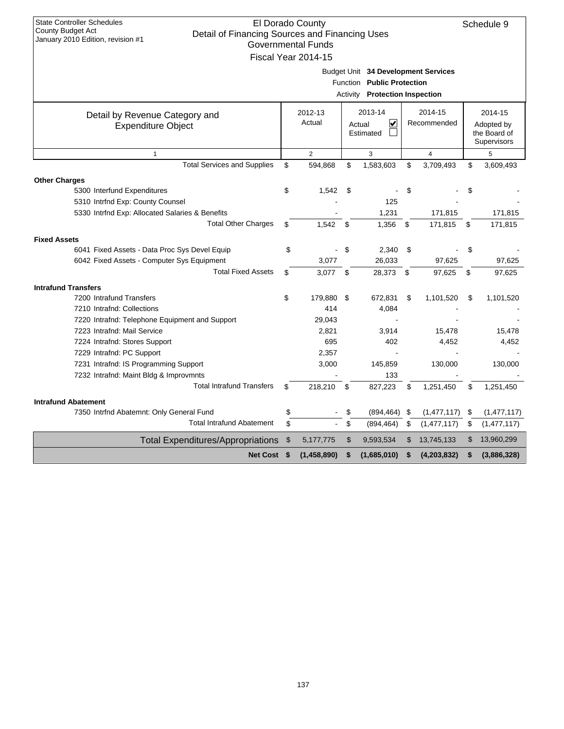| <b>State Controller Schedules</b><br>County Budget Act                              |                                       | El Dorado County          |    |                                     |    |             |    | Schedule 9   |  |
|-------------------------------------------------------------------------------------|---------------------------------------|---------------------------|----|-------------------------------------|----|-------------|----|--------------|--|
| Detail of Financing Sources and Financing Uses<br>January 2010 Edition, revision #1 |                                       |                           |    |                                     |    |             |    |              |  |
|                                                                                     |                                       | <b>Governmental Funds</b> |    |                                     |    |             |    |              |  |
|                                                                                     |                                       | Fiscal Year 2014-15       |    |                                     |    |             |    |              |  |
|                                                                                     |                                       |                           |    | Budget Unit 34 Development Services |    |             |    |              |  |
|                                                                                     |                                       |                           |    | Function Public Protection          |    |             |    |              |  |
|                                                                                     | <b>Activity</b> Protection Inspection |                           |    |                                     |    |             |    |              |  |
| Detail by Revenue Category and                                                      |                                       | 2012-13                   |    | 2013-14                             |    | 2014-15     |    | 2014-15      |  |
| <b>Expenditure Object</b>                                                           |                                       | Actual                    |    | $\overline{\mathbf{v}}$<br>Actual   |    | Recommended |    | Adopted by   |  |
|                                                                                     |                                       |                           |    | Estimated                           |    |             |    | the Board of |  |
|                                                                                     |                                       |                           |    |                                     |    |             |    | Supervisors  |  |
| $\mathbf{1}$                                                                        |                                       | $\overline{2}$            |    | 3                                   |    | 4           |    | 5            |  |
| <b>Total Services and Supplies</b>                                                  | \$                                    | 594,868                   | \$ | 1,583,603                           | \$ | 3,709,493   | \$ | 3,609,493    |  |
| <b>Other Charges</b>                                                                |                                       |                           |    |                                     |    |             |    |              |  |
| 5300 Interfund Expenditures                                                         | \$                                    | 1,542                     | \$ |                                     | \$ |             | \$ |              |  |
| 5310 Intrfnd Exp: County Counsel                                                    |                                       |                           |    | 125                                 |    |             |    |              |  |
| 5330 Intrfnd Exp: Allocated Salaries & Benefits                                     |                                       |                           |    | 1,231                               |    | 171,815     |    | 171,815      |  |
| <b>Total Other Charges</b>                                                          | \$                                    | 1,542                     | \$ | 1,356                               | \$ | 171,815     | \$ | 171,815      |  |
| <b>Fixed Assets</b>                                                                 |                                       |                           |    |                                     |    |             |    |              |  |
| 6041 Fixed Assets - Data Proc Sys Devel Equip                                       | \$                                    | $\overline{a}$            | \$ | 2,340                               | \$ |             | \$ |              |  |
| 6042 Fixed Assets - Computer Sys Equipment                                          |                                       | 3,077                     |    | 26,033                              |    | 97,625      |    | 97,625       |  |
| <b>Total Fixed Assets</b>                                                           | \$                                    | 3,077                     | \$ | 28,373                              | \$ | 97,625      | \$ | 97,625       |  |
| <b>Intrafund Transfers</b>                                                          |                                       |                           |    |                                     |    |             |    |              |  |
| 7200 Intrafund Transfers                                                            | \$                                    | 179,880 \$                |    | 672,831                             | \$ | 1,101,520   | \$ | 1,101,520    |  |
| 7210 Intrafnd: Collections                                                          |                                       | 414                       |    | 4,084                               |    |             |    |              |  |
| 7220 Intrafnd: Telephone Equipment and Support                                      |                                       | 29,043                    |    |                                     |    |             |    |              |  |
| 7223 Intrafnd: Mail Service                                                         |                                       | 2.821                     |    | 3.914                               |    | 15,478      |    | 15,478       |  |
| 7224 Intrafnd: Stores Support                                                       |                                       | 695                       |    | 402                                 |    | 4,452       |    | 4,452        |  |
| 7229 Intrafnd: PC Support                                                           |                                       | 2,357                     |    |                                     |    |             |    |              |  |
| 7231 Intrafnd: IS Programming Support                                               |                                       | 3,000                     |    | 145,859                             |    | 130,000     |    | 130,000      |  |
| 7232 Intrafnd: Maint Bldg & Improvmnts                                              |                                       |                           |    | 133                                 |    |             |    |              |  |
| <b>Total Intrafund Transfers</b>                                                    | \$                                    | 218,210                   | \$ | 827,223                             | \$ | 1,251,450   | \$ | 1,251,450    |  |
| <b>Intrafund Abatement</b>                                                          |                                       |                           |    |                                     |    |             |    |              |  |
| 7350 Intrfnd Abatemnt: Only General Fund                                            | \$                                    |                           | \$ | (894,464)                           | \$ | (1,477,117) | \$ | (1,477,117)  |  |
| <b>Total Intrafund Abatement</b>                                                    | \$                                    | $\blacksquare$            | \$ | (894, 464)                          | \$ | (1,477,117) | \$ | (1,477,117)  |  |
| <b>Total Expenditures/Appropriations</b>                                            | \$                                    | 5,177,775                 | \$ | 9,593,534                           | \$ | 13,745,133  | \$ | 13,960,299   |  |
| <b>Net Cost</b>                                                                     | \$                                    | (1,458,890)               | \$ | (1,685,010)                         | \$ | (4,203,832) | \$ | (3,886,328)  |  |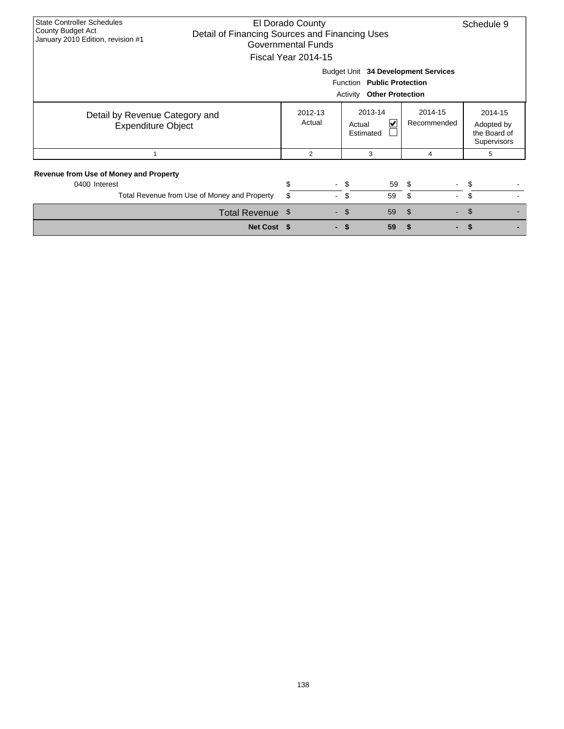| <b>State Controller Schedules</b><br>County Budget Act<br>January 2010 Edition, revision #1              | El Dorado County<br>Detail of Financing Sources and Financing Uses<br>Governmental Funds<br>Fiscal Year 2014-15 |                                     |                               |         |  |  |  |  |  |  |  |
|----------------------------------------------------------------------------------------------------------|-----------------------------------------------------------------------------------------------------------------|-------------------------------------|-------------------------------|---------|--|--|--|--|--|--|--|
| Budget Unit 34 Development Services<br>Function Public Protection<br><b>Other Protection</b><br>Activity |                                                                                                                 |                                     |                               |         |  |  |  |  |  |  |  |
| Detail by Revenue Category and<br><b>Expenditure Object</b>                                              | 2012-13<br>Actual                                                                                               | 2013-14<br>V<br>Actual<br>Estimated | 2014-15<br>Recommended        |         |  |  |  |  |  |  |  |
| 1                                                                                                        | 2                                                                                                               | 3                                   | 4                             | 5       |  |  |  |  |  |  |  |
| Revenue from Use of Money and Property<br>0400 Interest<br>Total Revenue from Use of Money and Property  | \$<br>\$<br>$\mathcal{L}^{\pm}$                                                                                 | - \$<br>59<br>\$<br>59              | -\$<br>$\sim$<br>\$<br>$\sim$ | S<br>\$ |  |  |  |  |  |  |  |
| Total Revenue \$                                                                                         | $\overline{\phantom{0}}$                                                                                        | 59<br><b>S</b>                      | \$<br>۰.                      | \$.     |  |  |  |  |  |  |  |
| Net Cost \$                                                                                              |                                                                                                                 | 59<br>\$.                           | -                             |         |  |  |  |  |  |  |  |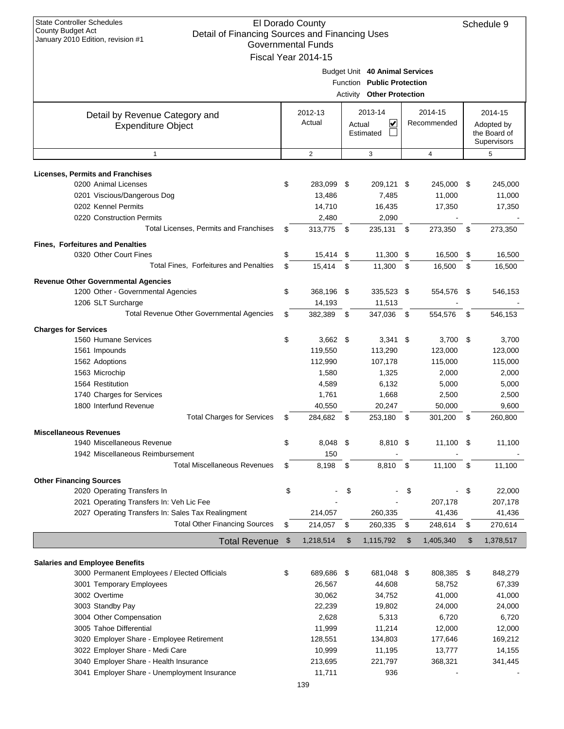| January 2010 Edition, revision #1                             |                   | Governmental Funds  |            |                                                                                                  |                        |                |                |                                                             |
|---------------------------------------------------------------|-------------------|---------------------|------------|--------------------------------------------------------------------------------------------------|------------------------|----------------|----------------|-------------------------------------------------------------|
|                                                               |                   | Fiscal Year 2014-15 |            |                                                                                                  |                        |                |                |                                                             |
|                                                               |                   |                     |            | Budget Unit 40 Animal Services<br>Function Public Protection<br><b>Activity Other Protection</b> |                        |                |                |                                                             |
| Detail by Revenue Category and<br><b>Expenditure Object</b>   | 2012-13<br>Actual |                     | Actual     | 2013-14<br>$\overline{\mathbf{v}}$<br>Estimated                                                  | 2014-15<br>Recommended |                |                | 2014-15<br>Adopted by<br>the Board of<br><b>Supervisors</b> |
| $\mathbf{1}$                                                  |                   | $\overline{2}$      |            | 3                                                                                                |                        | $\overline{4}$ |                | 5                                                           |
| <b>Licenses, Permits and Franchises</b>                       |                   |                     |            |                                                                                                  |                        |                |                |                                                             |
| 0200 Animal Licenses                                          | \$                | 283,099 \$          |            | 209,121 \$                                                                                       |                        | 245,000 \$     |                | 245,000                                                     |
| 0201 Viscious/Dangerous Dog                                   |                   | 13,486              |            | 7,485                                                                                            |                        | 11,000         |                | 11,000                                                      |
| 0202 Kennel Permits                                           |                   | 14,710              |            | 16,435                                                                                           |                        | 17,350         |                | 17,350                                                      |
| 0220 Construction Permits                                     |                   | 2,480               |            | 2,090                                                                                            |                        |                |                |                                                             |
| Total Licenses, Permits and Franchises                        | \$                | 313,775             | $^{\circ}$ | 235,131 \$                                                                                       |                        | 273,350        | \$             | 273,350                                                     |
| <b>Fines, Forfeitures and Penalties</b>                       |                   |                     |            |                                                                                                  |                        |                |                |                                                             |
| 0320 Other Court Fines                                        | \$                | 15,414 \$           |            | 11,300 \$                                                                                        |                        | 16,500         | \$             | 16,500                                                      |
| Total Fines, Forfeitures and Penalties                        | \$                | 15,414              | \$         | 11,300                                                                                           | \$                     | 16,500         | \$             | 16,500                                                      |
| <b>Revenue Other Governmental Agencies</b>                    |                   |                     |            |                                                                                                  |                        |                |                |                                                             |
| 1200 Other - Governmental Agencies                            | \$                | 368,196 \$          |            | 335,523 \$                                                                                       |                        | 554,576        | - \$           | 546,153                                                     |
| 1206 SLT Surcharge                                            |                   | 14,193              |            | 11,513                                                                                           |                        |                |                |                                                             |
| Total Revenue Other Governmental Agencies                     | \$                | 382,389             | \$         | 347,036                                                                                          | -\$                    | 554,576        | \$             | 546,153                                                     |
| <b>Charges for Services</b>                                   |                   |                     |            |                                                                                                  |                        |                |                |                                                             |
| 1560 Humane Services                                          | \$                | $3,662$ \$          |            | $3,341$ \$                                                                                       |                        | $3,700$ \$     |                | 3,700                                                       |
| 1561 Impounds                                                 |                   | 119,550             |            | 113,290                                                                                          |                        | 123,000        |                | 123,000                                                     |
| 1562 Adoptions                                                |                   | 112,990             |            | 107,178                                                                                          |                        | 115,000        |                | 115,000                                                     |
| 1563 Microchip                                                |                   | 1,580               |            | 1,325                                                                                            |                        | 2,000          |                | 2,000                                                       |
| 1564 Restitution                                              |                   | 4,589               |            | 6,132                                                                                            |                        | 5,000          |                | 5,000                                                       |
| 1740 Charges for Services                                     |                   | 1,761               |            | 1,668                                                                                            |                        | 2,500          |                | 2,500                                                       |
| 1800 Interfund Revenue                                        |                   | 40,550              |            | 20,247                                                                                           |                        | 50,000         |                | 9,600                                                       |
| <b>Total Charges for Services</b>                             | \$                | 284,682 \$          |            | 253,180                                                                                          | - \$                   | 301,200        | \$             | 260,800                                                     |
| <b>Miscellaneous Revenues</b>                                 |                   |                     |            |                                                                                                  |                        |                |                |                                                             |
| 1940 Miscellaneous Revenue                                    | \$                | 8,048 \$            |            | 8,810 \$                                                                                         |                        | $11,100$ \$    |                | 11,100                                                      |
| 1942 Miscellaneous Reimbursement                              |                   | 150                 |            |                                                                                                  |                        |                |                |                                                             |
| <b>Total Miscellaneous Revenues</b>                           | \$                | 8,198               | \$         | 8,810                                                                                            | - \$                   | 11,100         | \$             | 11,100                                                      |
|                                                               |                   |                     |            |                                                                                                  |                        |                |                |                                                             |
| <b>Other Financing Sources</b><br>2020 Operating Transfers In | \$                |                     | \$         |                                                                                                  | \$                     |                | \$             | 22,000                                                      |
| 2021 Operating Transfers In: Veh Lic Fee                      |                   |                     |            |                                                                                                  |                        | 207,178        |                | 207,178                                                     |
| 2027 Operating Transfers In: Sales Tax Realingment            |                   | 214,057             |            | 260,335                                                                                          |                        | 41,436         |                | 41,436                                                      |
| <b>Total Other Financing Sources</b>                          | \$                | 214,057             | \$         | 260,335                                                                                          | \$                     | 248,614        | \$             | 270,614                                                     |
| <b>Total Revenue</b>                                          | \$                | 1,218,514           | \$         | 1,115,792                                                                                        | \$                     | 1,405,340      | $\mathfrak{F}$ | 1,378,517                                                   |
|                                                               |                   |                     |            |                                                                                                  |                        |                |                |                                                             |
| <b>Salaries and Employee Benefits</b>                         |                   |                     |            |                                                                                                  |                        |                |                |                                                             |
| 3000 Permanent Employees / Elected Officials                  | \$                | 689,686 \$          |            | 681,048 \$                                                                                       |                        | 808,385        | \$             | 848,279                                                     |
| 3001 Temporary Employees                                      |                   | 26,567              |            | 44,608                                                                                           |                        | 58,752         |                | 67,339                                                      |
| 3002 Overtime                                                 |                   | 30,062              |            | 34,752                                                                                           |                        | 41,000         |                | 41,000                                                      |
| 3003 Standby Pay                                              |                   | 22,239              |            | 19,802                                                                                           |                        | 24,000         |                | 24,000                                                      |
| 3004 Other Compensation                                       |                   | 2,628               |            | 5,313                                                                                            |                        | 6,720          |                | 6,720                                                       |
| 3005 Tahoe Differential                                       |                   | 11,999              |            | 11,214                                                                                           |                        | 12,000         |                | 12,000                                                      |
| 3020 Employer Share - Employee Retirement                     |                   | 128,551             |            | 134,803                                                                                          |                        | 177,646        |                | 169,212                                                     |
| 3022 Employer Share - Medi Care                               |                   | 10,999              |            | 11,195                                                                                           |                        | 13,777         |                | 14,155                                                      |
| 3040 Employer Share - Health Insurance                        |                   | 213,695             |            | 221,797                                                                                          |                        | 368,321        |                | 341,445                                                     |
| 3041 Employer Share - Unemployment Insurance                  |                   | 11,711              |            | 936                                                                                              |                        |                |                |                                                             |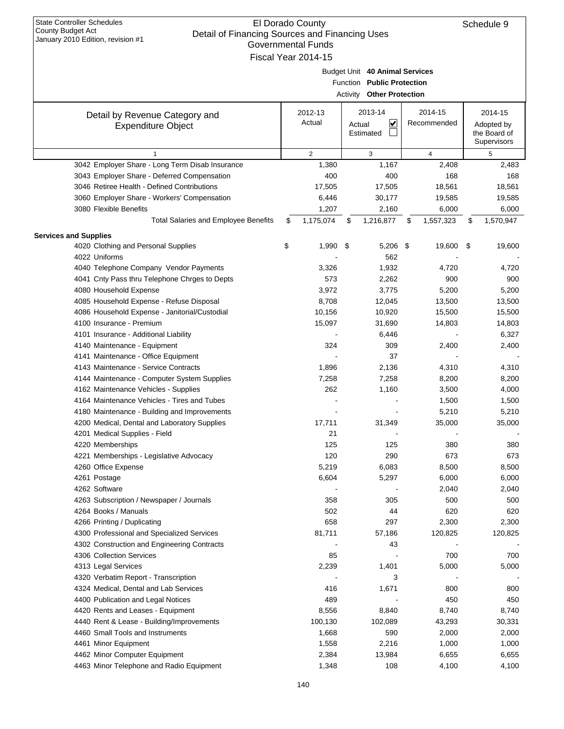| $0.0011001$ , $0.0101011$ , $0.0101011$ $\mu$ is | Governmental Funds  |    |                                |                 |     |                            |
|--------------------------------------------------|---------------------|----|--------------------------------|-----------------|-----|----------------------------|
|                                                  | Fiscal Year 2014-15 |    |                                |                 |     |                            |
|                                                  |                     |    | Budget Unit 40 Animal Services |                 |     |                            |
|                                                  |                     |    | Function Public Protection     |                 |     |                            |
|                                                  |                     |    | Activity Other Protection      |                 |     |                            |
|                                                  |                     |    |                                | 2014-15         |     |                            |
| Detail by Revenue Category and                   | 2012-13<br>Actual   |    | 2013-14<br>⊻                   | Recommended     |     | 2014-15                    |
| <b>Expenditure Object</b>                        |                     |    | Actual<br>Estimated            |                 |     | Adopted by<br>the Board of |
|                                                  |                     |    |                                |                 |     | Supervisors                |
| $\mathbf{1}$                                     | $\overline{2}$      |    | 3                              | 4               |     | 5                          |
| 3042 Employer Share - Long Term Disab Insurance  | 1,380               |    | 1,167                          | 2,408           |     | 2,483                      |
| 3043 Employer Share - Deferred Compensation      | 400                 |    | 400                            | 168             |     | 168                        |
| 3046 Retiree Health - Defined Contributions      | 17,505              |    | 17,505                         | 18,561          |     | 18,561                     |
| 3060 Employer Share - Workers' Compensation      | 6,446               |    | 30,177                         | 19,585          |     | 19,585                     |
| 3080 Flexible Benefits                           | 1,207               |    | 2,160                          | 6,000           |     | 6,000                      |
| <b>Total Salaries and Employee Benefits</b>      | \$<br>1,175,074     | \$ | 1,216,877                      | \$<br>1,557,323 | \$  | 1,570,947                  |
| <b>Services and Supplies</b>                     |                     |    |                                |                 |     |                            |
| 4020 Clothing and Personal Supplies              | \$<br>1,990         | \$ | 5,206 \$                       | 19,600          | -\$ | 19,600                     |
| 4022 Uniforms                                    |                     |    | 562                            |                 |     |                            |
| 4040 Telephone Company Vendor Payments           | 3,326               |    | 1,932                          | 4,720           |     | 4,720                      |
| 4041 Cnty Pass thru Telephone Chrges to Depts    | 573                 |    | 2,262                          | 900             |     | 900                        |
| 4080 Household Expense                           | 3,972               |    | 3,775                          | 5,200           |     | 5,200                      |
| 4085 Household Expense - Refuse Disposal         | 8,708               |    | 12,045                         | 13,500          |     | 13,500                     |
| 4086 Household Expense - Janitorial/Custodial    | 10,156              |    | 10,920                         | 15,500          |     | 15,500                     |
| 4100 Insurance - Premium                         | 15,097              |    | 31,690                         | 14,803          |     | 14,803                     |
| 4101 Insurance - Additional Liability            |                     |    | 6,446                          |                 |     | 6,327                      |
| 4140 Maintenance - Equipment                     | 324                 |    | 309                            | 2,400           |     | 2,400                      |
| 4141 Maintenance - Office Equipment              |                     |    | 37                             |                 |     |                            |
| 4143 Maintenance - Service Contracts             | 1,896               |    | 2,136                          | 4,310           |     | 4,310                      |
| 4144 Maintenance - Computer System Supplies      | 7,258               |    | 7,258                          | 8,200           |     | 8,200                      |
| 4162 Maintenance Vehicles - Supplies             | 262                 |    | 1,160                          | 3,500           |     | 4,000                      |
| 4164 Maintenance Vehicles - Tires and Tubes      |                     |    |                                | 1,500           |     | 1,500                      |
| 4180 Maintenance - Building and Improvements     |                     |    |                                | 5,210           |     | 5,210                      |
| 4200 Medical, Dental and Laboratory Supplies     | 17,711              |    | 31,349                         | 35,000          |     | 35,000                     |
| 4201 Medical Supplies - Field                    | 21                  |    |                                |                 |     |                            |
| 4220 Memberships                                 | 125                 |    | 125                            | 380             |     | 380                        |
| 4221 Memberships - Legislative Advocacy          | 120                 |    | 290                            | 673             |     | 673                        |
| 4260 Office Expense                              | 5,219               |    | 6,083                          | 8,500           |     | 8,500                      |
| 4261 Postage                                     | 6,604               |    | 5,297                          | 6,000           |     | 6,000                      |
| 4262 Software                                    |                     |    |                                | 2,040           |     | 2,040                      |
| 4263 Subscription / Newspaper / Journals         | 358                 |    | 305                            | 500             |     | 500                        |
| 4264 Books / Manuals                             | 502                 |    | 44                             | 620             |     | 620                        |
| 4266 Printing / Duplicating                      | 658                 |    | 297                            | 2,300           |     | 2,300                      |
| 4300 Professional and Specialized Services       | 81,711              |    | 57,186                         | 120,825         |     | 120,825                    |
| 4302 Construction and Engineering Contracts      |                     |    | 43                             |                 |     |                            |
| 4306 Collection Services                         | 85                  |    |                                | 700             |     | 700                        |
| 4313 Legal Services                              | 2,239               |    | 1,401                          | 5,000           |     | 5,000                      |
| 4320 Verbatim Report - Transcription             |                     |    | 3                              |                 |     |                            |
| 4324 Medical, Dental and Lab Services            | 416                 |    | 1,671                          | 800             |     | 800                        |
| 4400 Publication and Legal Notices               | 489                 |    |                                | 450             |     | 450                        |
| 4420 Rents and Leases - Equipment                | 8,556               |    | 8,840                          | 8,740           |     | 8,740                      |
| 4440 Rent & Lease - Building/Improvements        | 100,130             |    | 102,089                        | 43,293          |     | 30,331                     |
| 4460 Small Tools and Instruments                 | 1,668               |    | 590                            | 2,000           |     | 2,000                      |
| 4461 Minor Equipment                             | 1,558               |    | 2,216                          | 1,000           |     | 1,000                      |
| 4462 Minor Computer Equipment                    | 2,384               |    | 13,984                         | 6,655           |     | 6,655                      |
| 4463 Minor Telephone and Radio Equipment         | 1,348               |    | 108                            | 4,100           |     | 4,100                      |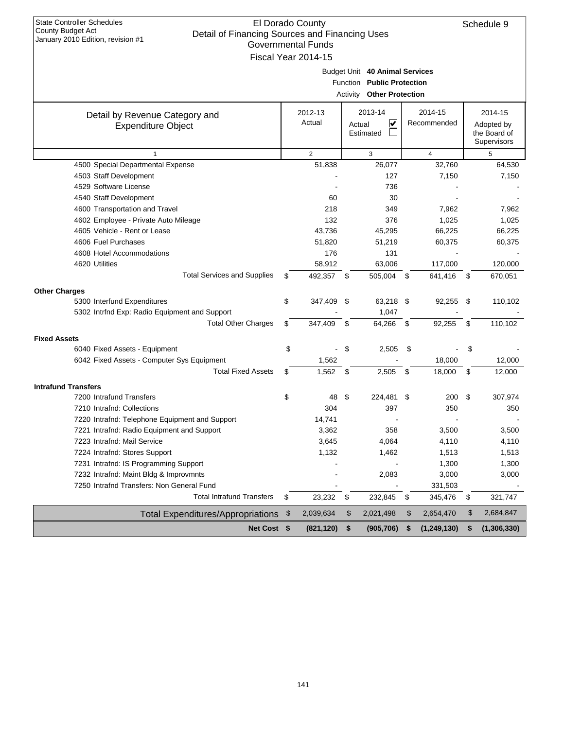| <b>State Controller Schedules</b><br>County Budget Act                              | El Dorado County     |        |                                  |                    |                |     | Schedule 9     |
|-------------------------------------------------------------------------------------|----------------------|--------|----------------------------------|--------------------|----------------|-----|----------------|
| Detail of Financing Sources and Financing Uses<br>January 2010 Edition, revision #1 |                      |        |                                  |                    |                |     |                |
|                                                                                     | Governmental Funds   |        |                                  |                    |                |     |                |
|                                                                                     | Fiscal Year 2014-15  |        |                                  |                    |                |     |                |
|                                                                                     |                      |        | Budget Unit 40 Animal Services   |                    |                |     |                |
|                                                                                     |                      |        | Function Public Protection       |                    |                |     |                |
|                                                                                     |                      |        | <b>Activity Other Protection</b> |                    |                |     |                |
|                                                                                     | 2012-13              |        | 2013-14                          |                    | 2014-15        |     | 2014-15        |
| Detail by Revenue Category and<br><b>Expenditure Object</b>                         | Actual               | Actual | V                                |                    | Recommended    |     | Adopted by     |
|                                                                                     |                      |        | Estimated                        |                    |                |     | the Board of   |
|                                                                                     |                      |        |                                  |                    |                |     | Supervisors    |
| $\mathbf{1}$                                                                        | $\overline{2}$       |        | 3                                |                    | $\overline{4}$ |     | 5              |
| 4500 Special Departmental Expense                                                   | 51,838               |        | 26,077                           |                    | 32,760         |     | 64,530         |
| 4503 Staff Development                                                              |                      |        | 127                              |                    | 7,150          |     | 7,150          |
| 4529 Software License                                                               |                      |        | 736                              |                    |                |     |                |
| 4540 Staff Development                                                              | 60                   |        | 30                               |                    |                |     |                |
| 4600 Transportation and Travel                                                      | 218                  |        | 349                              |                    | 7,962          |     | 7,962          |
| 4602 Employee - Private Auto Mileage                                                | 132                  |        | 376                              |                    | 1,025          |     | 1,025          |
| 4605 Vehicle - Rent or Lease                                                        | 43,736               |        | 45,295                           |                    | 66,225         |     | 66,225         |
| 4606 Fuel Purchases                                                                 | 51,820               |        | 51,219                           |                    | 60,375         |     | 60,375         |
| 4608 Hotel Accommodations                                                           | 176                  |        | 131                              |                    |                |     |                |
| 4620 Utilities                                                                      | 58.912               |        | 63,006                           |                    | 117,000        |     | 120,000        |
| <b>Total Services and Supplies</b>                                                  | \$<br>492,357        | - \$   | 505,004                          | \$                 | 641,416        | \$  | 670,051        |
| <b>Other Charges</b>                                                                |                      |        |                                  |                    |                |     |                |
| 5300 Interfund Expenditures                                                         | \$<br>347,409        | -\$    | 63,218 \$                        |                    | 92,255         | -\$ | 110,102        |
| 5302 Intrfnd Exp: Radio Equipment and Support                                       |                      |        | 1,047                            |                    |                |     |                |
| <b>Total Other Charges</b>                                                          | \$<br>347,409        | \$     | 64,266                           | \$                 | 92,255         | \$  | 110,102        |
| <b>Fixed Assets</b>                                                                 |                      |        |                                  |                    |                |     |                |
| 6040 Fixed Assets - Equipment                                                       | \$<br>$\blacksquare$ | \$     | 2,505                            | \$                 |                | \$  |                |
| 6042 Fixed Assets - Computer Sys Equipment                                          | 1,562                |        |                                  |                    | 18,000         |     | 12,000         |
| <b>Total Fixed Assets</b>                                                           | \$<br>1,562          | \$     | 2,505                            | $\mathbf{\hat{S}}$ | 18,000         | \$  | 12,000         |
|                                                                                     |                      |        |                                  |                    |                |     |                |
| <b>Intrafund Transfers</b>                                                          |                      |        |                                  |                    |                |     |                |
| 7200 Intrafund Transfers<br>7210 Intrafnd: Collections                              | \$<br>48             | \$     | 224,481<br>397                   | \$                 | 200<br>350     | \$  | 307,974        |
| 7220 Intrafnd: Telephone Equipment and Support                                      | 304<br>14,741        |        |                                  |                    |                |     | 350            |
| 7221 Intrafnd: Radio Equipment and Support                                          | 3,362                |        | 358                              |                    |                |     | 3,500          |
| 7223 Intrafnd: Mail Service                                                         | 3,645                |        | 4,064                            |                    | 3,500<br>4,110 |     | 4,110          |
| 7224 Intrafnd: Stores Support                                                       | 1,132                |        | 1,462                            |                    | 1,513          |     |                |
| 7231 Intrafnd: IS Programming Support                                               |                      |        |                                  |                    | 1,300          |     | 1,513<br>1,300 |
| 7232 Intrafnd: Maint Bldg & Improvmnts                                              |                      |        | 2,083                            |                    | 3,000          |     | 3,000          |
| 7250 Intrafnd Transfers: Non General Fund                                           |                      |        |                                  |                    | 331,503        |     |                |
| <b>Total Intrafund Transfers</b>                                                    | \$<br>23,232         | \$     | 232,845                          | \$                 | 345,476        | \$  | 321,747        |
|                                                                                     | 2,039,634            |        | 2,021,498                        | \$                 | 2,654,470      | \$  | 2,684,847      |
| <b>Total Expenditures/Appropriations</b>                                            | \$                   | \$     |                                  |                    |                |     |                |
| Net Cost \$                                                                         | (821, 120)           | \$     | (905, 706)                       | \$                 | (1, 249, 130)  | \$  | (1,306,330)    |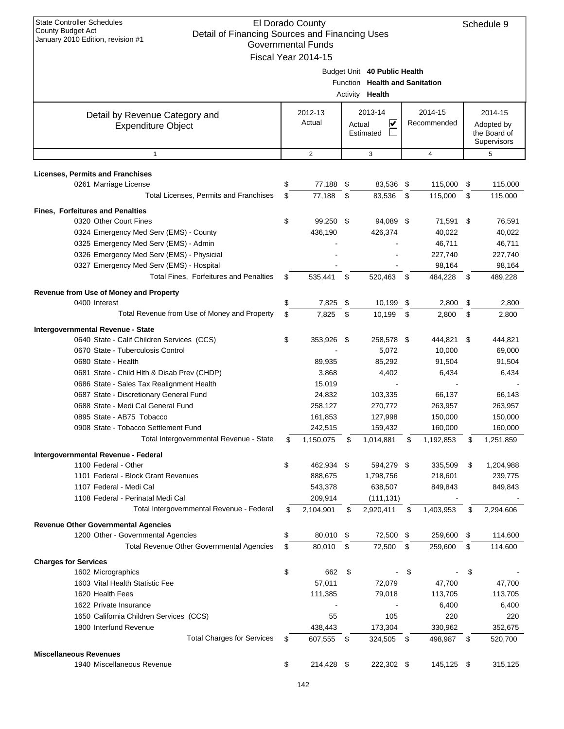| <b>State Controller Schedules</b> |
|-----------------------------------|
| County Budget Act                 |
| January 2010 Edition, revision #1 |

| botan or milanonig obditood and milanonig obod<br>January 2010 Edition, revision #1 |                                                                                          | <b>Governmental Funds</b><br>Fiscal Year 2014-15 |            |                          |      |             |    |                                           |
|-------------------------------------------------------------------------------------|------------------------------------------------------------------------------------------|--------------------------------------------------|------------|--------------------------|------|-------------|----|-------------------------------------------|
|                                                                                     | Budget Unit 40 Public Health<br>Function Health and Sanitation<br>Activity <b>Health</b> |                                                  |            |                          |      |             |    |                                           |
| Detail by Revenue Category and                                                      |                                                                                          | 2012-13                                          |            | 2013-14                  |      | 2014-15     |    | 2014-15                                   |
| <b>Expenditure Object</b>                                                           |                                                                                          | Actual                                           |            | V<br>Actual<br>Estimated |      | Recommended |    | Adopted by<br>the Board of<br>Supervisors |
| $\mathbf{1}$                                                                        |                                                                                          | $\overline{2}$                                   |            | 3                        |      | 4           |    | 5                                         |
| <b>Licenses, Permits and Franchises</b>                                             |                                                                                          |                                                  |            |                          |      |             |    |                                           |
| 0261 Marriage License                                                               | \$                                                                                       | 77,188 \$                                        |            | 83,536 \$                |      | 115,000     | \$ | 115,000                                   |
| Total Licenses, Permits and Franchises                                              | \$                                                                                       | 77,188                                           | \$         | 83,536                   | \$   | 115,000     | \$ | 115,000                                   |
| Fines, Forfeitures and Penalties                                                    |                                                                                          |                                                  |            |                          |      |             |    |                                           |
| 0320 Other Court Fines                                                              | \$                                                                                       | 99,250 \$                                        |            | 94,089 \$                |      | 71,591      | \$ | 76,591                                    |
| 0324 Emergency Med Serv (EMS) - County                                              |                                                                                          | 436,190                                          |            | 426,374                  |      | 40,022      |    | 40,022                                    |
| 0325 Emergency Med Serv (EMS) - Admin                                               |                                                                                          |                                                  |            |                          |      | 46,711      |    | 46,711                                    |
| 0326 Emergency Med Serv (EMS) - Physicial                                           |                                                                                          |                                                  |            |                          |      | 227,740     |    | 227,740                                   |
| 0327 Emergency Med Serv (EMS) - Hospital                                            |                                                                                          |                                                  |            |                          |      | 98,164      |    | 98,164                                    |
| Total Fines, Forfeitures and Penalties                                              | \$                                                                                       | 535,441                                          | \$         | 520,463                  | \$   | 484,228     | \$ | 489,228                                   |
| Revenue from Use of Money and Property                                              |                                                                                          |                                                  |            |                          |      |             |    |                                           |
| 0400 Interest                                                                       | \$                                                                                       | 7,825                                            | \$         | 10,199 \$                |      | 2,800       | \$ | 2,800                                     |
| Total Revenue from Use of Money and Property                                        | \$                                                                                       | 7,825                                            | $^{\circ}$ | 10,199                   | \$   | 2,800       | \$ | 2,800                                     |
| Intergovernmental Revenue - State                                                   |                                                                                          |                                                  |            |                          |      |             |    |                                           |
| 0640 State - Calif Children Services (CCS)                                          | \$                                                                                       | 353,926 \$                                       |            | 258,578 \$               |      | 444,821     | \$ | 444,821                                   |
| 0670 State - Tuberculosis Control                                                   |                                                                                          |                                                  |            | 5,072                    |      | 10,000      |    | 69,000                                    |
| 0680 State - Health                                                                 |                                                                                          | 89,935                                           |            | 85,292                   |      | 91,504      |    | 91,504                                    |
| 0681 State - Child Hith & Disab Prev (CHDP)                                         |                                                                                          | 3,868                                            |            | 4,402                    |      | 6,434       |    | 6,434                                     |
| 0686 State - Sales Tax Realignment Health                                           |                                                                                          | 15,019                                           |            |                          |      |             |    |                                           |
| 0687 State - Discretionary General Fund                                             |                                                                                          | 24,832                                           |            | 103,335                  |      | 66,137      |    | 66,143                                    |
| 0688 State - Medi Cal General Fund                                                  |                                                                                          | 258,127                                          |            | 270,772                  |      | 263,957     |    | 263,957                                   |
| 0895 State - AB75 Tobacco                                                           |                                                                                          | 161,853                                          |            | 127,998                  |      | 150,000     |    | 150,000                                   |
| 0908 State - Tobacco Settlement Fund                                                |                                                                                          | 242,515                                          |            | 159,432                  |      | 160,000     |    | 160,000                                   |
| Total Intergovernmental Revenue - State                                             | \$                                                                                       | 1,150,075                                        | \$         | 1,014,881                | \$   | 1,192,853   | \$ | 1,251,859                                 |
| Intergovernmental Revenue - Federal                                                 |                                                                                          |                                                  |            |                          |      |             |    |                                           |
| 1100 Federal - Other                                                                | \$                                                                                       | 462,934 \$                                       |            | 594,279 \$               |      | 335,509     | S  | 1,204,988                                 |
| 1101 Federal - Block Grant Revenues                                                 |                                                                                          | 888,675                                          |            | 1,798,756                |      | 218,601     |    | 239,775                                   |
| 1107 Federal - Medi Cal                                                             |                                                                                          | 543,378                                          |            | 638,507                  |      | 849,843     |    | 849,843                                   |
| 1108 Federal - Perinatal Medi Cal                                                   |                                                                                          | 209,914                                          |            | (111, 131)               |      |             |    |                                           |
| Total Intergovernmental Revenue - Federal                                           | \$                                                                                       | 2,104,901                                        | \$         | 2,920,411                | \$   | 1,403,953   | \$ | 2,294,606                                 |
| <b>Revenue Other Governmental Agencies</b>                                          |                                                                                          |                                                  |            |                          |      |             |    |                                           |
| 1200 Other - Governmental Agencies                                                  | \$                                                                                       | 80,010 \$                                        |            | 72,500 \$                |      | 259,600     | \$ | 114,600                                   |
| Total Revenue Other Governmental Agencies                                           | \$                                                                                       | 80,010                                           | - \$       | 72,500                   | \$   | 259,600     | \$ | 114,600                                   |
| <b>Charges for Services</b>                                                         |                                                                                          |                                                  |            |                          |      |             |    |                                           |
| 1602 Micrographics                                                                  | \$                                                                                       | 662                                              | \$         |                          | - \$ |             | \$ |                                           |
| 1603 Vital Health Statistic Fee                                                     |                                                                                          | 57,011                                           |            | 72,079                   |      | 47,700      |    | 47,700                                    |
| 1620 Health Fees                                                                    |                                                                                          | 111,385                                          |            | 79,018                   |      | 113,705     |    | 113,705                                   |
| 1622 Private Insurance                                                              |                                                                                          |                                                  |            |                          |      | 6,400       |    | 6,400                                     |
| 1650 California Children Services (CCS)                                             |                                                                                          | 55                                               |            | 105                      |      | 220         |    | 220                                       |
| 1800 Interfund Revenue                                                              |                                                                                          | 438,443                                          |            | 173,304                  |      | 330,962     |    | 352,675                                   |
| <b>Total Charges for Services</b>                                                   | \$                                                                                       | 607,555                                          | - \$       | 324,505 \$               |      | 498,987     | \$ | 520,700                                   |
| <b>Miscellaneous Revenues</b>                                                       |                                                                                          |                                                  |            |                          |      |             |    |                                           |
| 1940 Miscellaneous Revenue                                                          | \$                                                                                       | 214,428 \$                                       |            | 222,302 \$               |      | 145,125 \$  |    | 315,125                                   |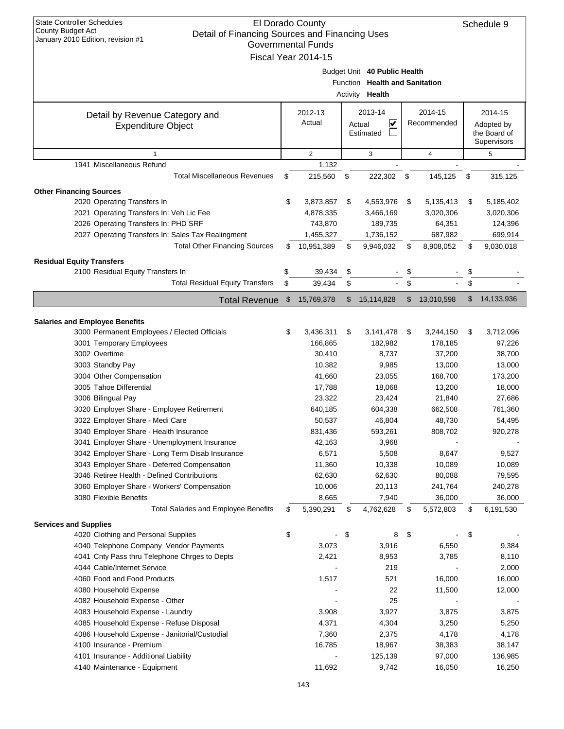| <b>State Controller Schedules</b><br>County Budget Act<br>Detail of Financing Sources and Financing Uses | El Dorado County          |                                |     |             | Schedule 9       |
|----------------------------------------------------------------------------------------------------------|---------------------------|--------------------------------|-----|-------------|------------------|
| January 2010 Edition, revision #1                                                                        | <b>Governmental Funds</b> |                                |     |             |                  |
|                                                                                                          | Fiscal Year 2014-15       |                                |     |             |                  |
|                                                                                                          |                           | Budget Unit 40 Public Health   |     |             |                  |
|                                                                                                          |                           | Function Health and Sanitation |     |             |                  |
|                                                                                                          |                           | Activity Health                |     |             |                  |
|                                                                                                          | 2012-13                   | 2013-14                        |     | 2014-15     | 2014-15          |
| Detail by Revenue Category and                                                                           | Actual                    | V<br>Actual                    |     | Recommended | Adopted by       |
| <b>Expenditure Object</b>                                                                                |                           | Estimated                      |     |             | the Board of     |
|                                                                                                          |                           |                                |     |             | Supervisors      |
| 1                                                                                                        | 2                         | 3                              |     | 4           | 5                |
| 1941 Miscellaneous Refund                                                                                | 1,132                     |                                |     |             |                  |
| <b>Total Miscellaneous Revenues</b>                                                                      | \$<br>215,560             | \$<br>222,302                  | \$  | 145,125     | \$<br>315,125    |
| <b>Other Financing Sources</b>                                                                           |                           |                                |     |             |                  |
| 2020 Operating Transfers In                                                                              | \$<br>3,873,857           | \$<br>4,553,976                | \$  | 5,135,413   | \$<br>5,185,402  |
| 2021 Operating Transfers In: Veh Lic Fee                                                                 | 4,878,335                 | 3,466,169                      |     | 3,020,306   | 3,020,306        |
| 2026 Operating Transfers In: PHD SRF                                                                     | 743,870                   | 189,735                        |     | 64,351      | 124,396          |
| 2027 Operating Transfers In: Sales Tax Realingment                                                       | 1,455,327                 | 1,736,152                      |     | 687,982     | 699,914          |
| <b>Total Other Financing Sources</b>                                                                     | \$<br>10,951,389          | \$<br>9,946,032                | \$  | 8,908,052   | \$<br>9,030,018  |
| <b>Residual Equity Transfers</b>                                                                         |                           |                                |     |             |                  |
| 2100 Residual Equity Transfers In                                                                        | \$<br>39,434              | \$                             | \$  |             | \$               |
| <b>Total Residual Equity Transfers</b>                                                                   | \$<br>39,434              | \$<br>$\blacksquare$           | \$  |             | \$               |
| <b>Total Revenue</b>                                                                                     | \$<br>15,769,378          | \$<br>15,114,828               | \$  | 13,010,598  | \$<br>14,133,936 |
|                                                                                                          |                           |                                |     |             |                  |
| <b>Salaries and Employee Benefits</b><br>3000 Permanent Employees / Elected Officials                    | \$<br>3,436,311           | \$<br>3,141,478                | \$  | 3,244,150   | \$<br>3,712,096  |
| 3001 Temporary Employees                                                                                 | 166,865                   | 182,982                        |     | 178,185     | 97,226           |
| 3002 Overtime                                                                                            | 30,410                    | 8,737                          |     | 37,200      | 38,700           |
| 3003 Standby Pay                                                                                         | 10,382                    | 9,985                          |     | 13,000      | 13,000           |
| 3004 Other Compensation                                                                                  | 41,660                    | 23,055                         |     | 168,700     | 173,200          |
| 3005 Tahoe Differential                                                                                  | 17,788                    | 18,068                         |     | 13,200      | 18,000           |
| 3006 Bilingual Pay                                                                                       | 23,322                    | 23,424                         |     | 21,840      | 27,686           |
| 3020 Employer Share - Employee Retirement                                                                | 640,185                   | 604,338                        |     | 662,508     | 761,360          |
| 3022 Employer Share - Medi Care                                                                          | 50,537                    | 46,804                         |     | 48,730      | 54,495           |
| 3040 Employer Share - Health Insurance                                                                   | 831,436                   | 593,261                        |     | 808,702     | 920,278          |
| 3041 Employer Share - Unemployment Insurance                                                             | 42,163                    | 3,968                          |     |             |                  |
| 3042 Employer Share - Long Term Disab Insurance                                                          | 6,571                     | 5,508                          |     | 8,647       | 9,527            |
| 3043 Employer Share - Deferred Compensation                                                              | 11,360                    | 10,338                         |     | 10,089      | 10,089           |
| 3046 Retiree Health - Defined Contributions                                                              | 62,630                    | 62,630                         |     | 80,088      | 79,595           |
| 3060 Employer Share - Workers' Compensation                                                              | 10,006                    | 20,113                         |     | 241,764     | 240,278          |
| 3080 Flexible Benefits                                                                                   | 8,665                     | 7,940                          |     | 36,000      | 36,000           |
| <b>Total Salaries and Employee Benefits</b>                                                              | \$<br>5,390,291           | \$<br>4,762,628                | \$  | 5,572,803   | \$<br>6,191,530  |
| <b>Services and Supplies</b>                                                                             |                           |                                |     |             |                  |
| 4020 Clothing and Personal Supplies                                                                      | \$                        | \$<br>8                        | -\$ |             | \$               |
| 4040 Telephone Company Vendor Payments                                                                   | 3,073                     | 3,916                          |     | 6,550       | 9,384            |
| 4041 Cnty Pass thru Telephone Chrges to Depts                                                            | 2,421                     | 8,953                          |     | 3,785       | 8,110            |
| 4044 Cable/Internet Service                                                                              |                           | 219                            |     |             | 2,000            |
| 4060 Food and Food Products                                                                              | 1,517                     | 521                            |     | 16,000      | 16,000           |
| 4080 Household Expense                                                                                   |                           | 22                             |     | 11,500      | 12,000           |
| 4082 Household Expense - Other                                                                           |                           | 25                             |     |             |                  |
| 4083 Household Expense - Laundry                                                                         | 3,908                     | 3,927                          |     | 3,875       | 3,875            |
| 4085 Household Expense - Refuse Disposal                                                                 | 4,371                     | 4,304                          |     | 3,250       | 5,250            |
| 4086 Household Expense - Janitorial/Custodial                                                            | 7,360                     | 2,375                          |     | 4,178       | 4,178            |
| 4100 Insurance - Premium                                                                                 | 16,785                    | 18,967                         |     | 38,383      | 38,147           |
| 4101 Insurance - Additional Liability                                                                    |                           | 125,139                        |     | 97,000      | 136,985          |
| 4140 Maintenance - Equipment                                                                             | 11,692                    | 9,742                          |     | 16,050      | 16,250           |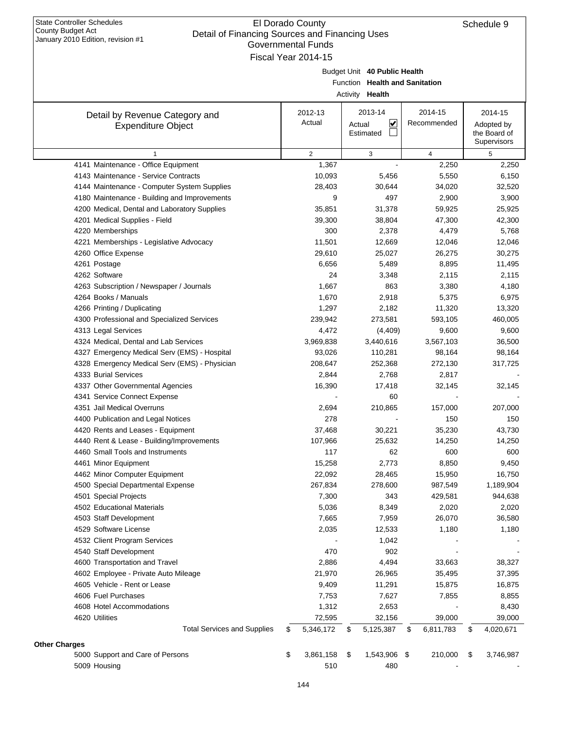|                                               | Governmental Funds  |         |                                |                 |                 |
|-----------------------------------------------|---------------------|---------|--------------------------------|-----------------|-----------------|
|                                               | Fiscal Year 2014-15 |         |                                |                 |                 |
|                                               |                     |         | Budget Unit 40 Public Health   |                 |                 |
|                                               |                     |         | Function Health and Sanitation |                 |                 |
|                                               |                     |         | Activity <b>Health</b>         |                 |                 |
|                                               | 2012-13             | 2013-14 |                                | 2014-15         | 2014-15         |
| Detail by Revenue Category and                | Actual              |         | $\blacktriangledown$<br>Actual | Recommended     | Adopted by      |
| <b>Expenditure Object</b>                     |                     |         | Estimated                      |                 | the Board of    |
|                                               |                     |         |                                |                 | Supervisors     |
| $\mathbf{1}$                                  | $\overline{2}$      |         | 3                              | 4               | 5               |
| 4141 Maintenance - Office Equipment           | 1,367               |         |                                | 2,250           | 2,250           |
| 4143 Maintenance - Service Contracts          | 10,093              |         | 5,456                          | 5,550           | 6,150           |
| 4144 Maintenance - Computer System Supplies   | 28,403              |         | 30,644                         | 34,020          | 32,520          |
| 4180 Maintenance - Building and Improvements  | 9                   |         | 497                            | 2,900           | 3,900           |
| 4200 Medical, Dental and Laboratory Supplies  | 35,851              |         | 31,378                         | 59,925          | 25,925          |
| 4201 Medical Supplies - Field                 | 39,300              |         | 38,804                         | 47,300          | 42,300          |
| 4220 Memberships                              | 300                 |         | 2,378                          | 4,479           | 5,768           |
| 4221 Memberships - Legislative Advocacy       | 11,501              |         | 12,669                         | 12,046          | 12,046          |
| 4260 Office Expense                           | 29,610              |         | 25,027                         | 26,275          | 30,275          |
| 4261 Postage                                  | 6,656               |         | 5,489                          | 8,895           | 11,495          |
| 4262 Software                                 | 24                  |         | 3,348                          | 2,115           | 2,115           |
| 4263 Subscription / Newspaper / Journals      | 1,667               |         | 863                            | 3,380           | 4,180           |
| 4264 Books / Manuals                          | 1,670               |         | 2,918                          | 5,375           | 6,975           |
| 4266 Printing / Duplicating                   | 1,297               |         | 2,182                          | 11,320          | 13,320          |
| 4300 Professional and Specialized Services    | 239,942             |         | 273,581                        | 593,105         | 460,005         |
| 4313 Legal Services                           | 4,472               |         | (4, 409)                       | 9,600           | 9,600           |
| 4324 Medical, Dental and Lab Services         | 3,969,838           |         | 3,440,616                      | 3,567,103       | 36,500          |
| 4327 Emergency Medical Serv (EMS) - Hospital  | 93,026              |         | 110,281                        | 98,164          | 98,164          |
| 4328 Emergency Medical Serv (EMS) - Physician | 208,647             |         | 252,368                        | 272,130         | 317,725         |
| 4333 Burial Services                          | 2,844               |         | 2,768                          | 2,817           |                 |
| 4337 Other Governmental Agencies              | 16,390              |         | 17,418                         | 32,145          | 32,145          |
| 4341 Service Connect Expense                  |                     |         | 60                             |                 |                 |
| 4351 Jail Medical Overruns                    | 2,694               |         | 210,865                        | 157,000         | 207,000         |
| 4400 Publication and Legal Notices            | 278                 |         |                                | 150             | 150             |
| 4420 Rents and Leases - Equipment             | 37,468              |         | 30,221                         | 35,230          | 43,730          |
| 4440 Rent & Lease - Building/Improvements     | 107,966             |         | 25,632                         | 14,250          | 14,250          |
| 4460 Small Tools and Instruments              | 117                 |         | 62                             | 600             | 600             |
| 4461 Minor Equipment                          | 15,258              |         | 2,773                          | 8,850           | 9,450           |
| 4462 Minor Computer Equipment                 | 22,092              |         | 28,465                         | 15,950          | 16,750          |
| 4500 Special Departmental Expense             | 267,834             |         | 278,600                        | 987,549         | 1,189,904       |
| 4501 Special Projects                         | 7,300               |         | 343                            | 429,581         | 944,638         |
| 4502 Educational Materials                    | 5,036               |         | 8,349                          | 2,020           | 2,020           |
| 4503 Staff Development                        | 7,665               |         | 7,959                          | 26,070          | 36,580          |
| 4529 Software License                         | 2,035               |         | 12,533                         | 1,180           | 1,180           |
| 4532 Client Program Services                  |                     |         | 1,042                          |                 |                 |
| 4540 Staff Development                        | 470                 |         | 902                            |                 |                 |
| 4600 Transportation and Travel                | 2,886               |         | 4,494                          | 33,663          | 38,327          |
| 4602 Employee - Private Auto Mileage          | 21,970              |         | 26,965                         | 35,495          | 37,395          |
| 4605 Vehicle - Rent or Lease                  | 9,409               |         | 11,291                         | 15,875          | 16,875          |
| 4606 Fuel Purchases                           | 7,753               |         | 7,627                          | 7,855           | 8,855           |
| 4608 Hotel Accommodations                     | 1,312               |         | 2,653                          |                 | 8,430           |
| 4620 Utilities                                | 72,595              |         | 32,156                         | 39,000          | 39,000          |
| <b>Total Services and Supplies</b>            | \$<br>5,346,172     | \$      | 5,125,387                      | \$<br>6,811,783 | \$<br>4,020,671 |
| <b>Other Charges</b>                          |                     |         |                                |                 |                 |
| 5000 Support and Care of Persons              | \$<br>3,861,158     | \$      | 1,543,906 \$                   | 210,000         | \$<br>3,746,987 |
| 5009 Housing                                  | 510                 |         | 480                            |                 |                 |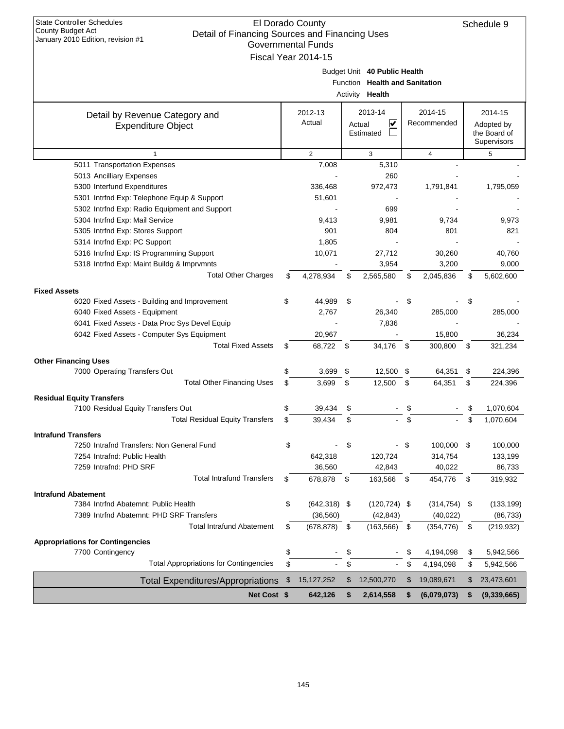| <b>State Controller Schedules</b><br>El Dorado County<br>Schedule 9<br><b>County Budget Act</b><br>Detail of Financing Sources and Financing Uses<br>January 2010 Edition, revision #1<br><b>Governmental Funds</b><br>Fiscal Year 2014-15 |    |                   |                    |                                                                                   |      |                        |            |                                                      |  |  |
|--------------------------------------------------------------------------------------------------------------------------------------------------------------------------------------------------------------------------------------------|----|-------------------|--------------------|-----------------------------------------------------------------------------------|------|------------------------|------------|------------------------------------------------------|--|--|
|                                                                                                                                                                                                                                            |    |                   |                    | Budget Unit 40 Public Health<br>Function Health and Sanitation<br>Activity Health |      |                        |            |                                                      |  |  |
| Detail by Revenue Category and<br><b>Expenditure Object</b>                                                                                                                                                                                |    | 2012-13<br>Actual |                    | 2013-14<br>V<br>Actual<br>Estimated                                               |      | 2014-15<br>Recommended |            | 2014-15<br>Adopted by<br>the Board of<br>Supervisors |  |  |
| 1                                                                                                                                                                                                                                          |    | $\overline{2}$    |                    | 3                                                                                 |      | $\overline{4}$         |            | 5                                                    |  |  |
| 5011 Transportation Expenses                                                                                                                                                                                                               |    | 7,008             |                    | 5,310                                                                             |      |                        |            |                                                      |  |  |
| 5013 Ancilliary Expenses                                                                                                                                                                                                                   |    |                   |                    | 260                                                                               |      |                        |            |                                                      |  |  |
| 5300 Interfund Expenditures                                                                                                                                                                                                                |    | 336,468           |                    | 972,473                                                                           |      | 1,791,841              |            | 1,795,059                                            |  |  |
| 5301 Intrfnd Exp: Telephone Equip & Support                                                                                                                                                                                                |    | 51,601            |                    |                                                                                   |      |                        |            |                                                      |  |  |
| 5302 Intrfnd Exp: Radio Equipment and Support                                                                                                                                                                                              |    |                   |                    | 699                                                                               |      |                        |            |                                                      |  |  |
| 5304 Intrfnd Exp: Mail Service                                                                                                                                                                                                             |    | 9,413             |                    | 9,981                                                                             |      | 9,734                  |            | 9,973                                                |  |  |
| 5305 Intrfnd Exp: Stores Support                                                                                                                                                                                                           |    | 901               |                    | 804                                                                               |      | 801                    |            | 821                                                  |  |  |
| 5314 Intrfnd Exp: PC Support                                                                                                                                                                                                               |    | 1,805             |                    |                                                                                   |      |                        |            |                                                      |  |  |
| 5316 Intrfnd Exp: IS Programming Support<br>5318 Intrfnd Exp: Maint Buildg & Imprvmnts                                                                                                                                                     |    | 10,071            |                    | 27,712<br>3,954                                                                   |      | 30,260<br>3,200        |            | 40,760<br>9,000                                      |  |  |
| <b>Total Other Charges</b>                                                                                                                                                                                                                 | \$ | 4,278,934         |                    |                                                                                   |      | 2,045,836              |            | 5,602,600                                            |  |  |
|                                                                                                                                                                                                                                            |    |                   | \$                 | 2,565,580                                                                         | \$   |                        | \$         |                                                      |  |  |
| <b>Fixed Assets</b>                                                                                                                                                                                                                        |    |                   |                    |                                                                                   |      |                        |            |                                                      |  |  |
| 6020 Fixed Assets - Building and Improvement                                                                                                                                                                                               | \$ | 44,989            | \$                 |                                                                                   | \$   |                        |            |                                                      |  |  |
| 6040 Fixed Assets - Equipment                                                                                                                                                                                                              |    | 2,767             |                    | 26,340                                                                            |      | 285,000                |            | 285,000                                              |  |  |
| 6041 Fixed Assets - Data Proc Sys Devel Equip                                                                                                                                                                                              |    |                   |                    | 7,836                                                                             |      |                        |            |                                                      |  |  |
| 6042 Fixed Assets - Computer Sys Equipment<br><b>Total Fixed Assets</b>                                                                                                                                                                    |    | 20,967            |                    |                                                                                   |      | 15,800                 |            | 36,234                                               |  |  |
|                                                                                                                                                                                                                                            | \$ | 68,722            | $\mathbf{\hat{S}}$ | 34,176                                                                            | \$   | 300,800                | \$         | 321,234                                              |  |  |
| <b>Other Financing Uses</b>                                                                                                                                                                                                                |    |                   |                    |                                                                                   |      |                        |            |                                                      |  |  |
| 7000 Operating Transfers Out                                                                                                                                                                                                               | \$ | 3,699             | \$                 | 12,500                                                                            | \$   | 64,351                 | \$         | 224,396                                              |  |  |
| <b>Total Other Financing Uses</b>                                                                                                                                                                                                          | \$ | 3,699             | \$                 | 12,500                                                                            | \$   | 64,351                 | \$         | 224,396                                              |  |  |
| <b>Residual Equity Transfers</b>                                                                                                                                                                                                           |    |                   |                    |                                                                                   |      |                        |            |                                                      |  |  |
| 7100 Residual Equity Transfers Out                                                                                                                                                                                                         | \$ | 39,434            | \$                 |                                                                                   | \$   |                        |            | 1,070,604                                            |  |  |
| <b>Total Residual Equity Transfers</b>                                                                                                                                                                                                     | \$ | 39,434            | \$                 |                                                                                   | \$   |                        | \$         | 1,070,604                                            |  |  |
| <b>Intrafund Transfers</b>                                                                                                                                                                                                                 |    |                   |                    |                                                                                   |      |                        |            |                                                      |  |  |
| 7250 Intrafnd Transfers: Non General Fund                                                                                                                                                                                                  | \$ |                   | \$                 |                                                                                   | - \$ | 100,000 \$             |            | 100,000                                              |  |  |
| 7254 Intrafnd: Public Health                                                                                                                                                                                                               |    | 642,318           |                    | 120,724                                                                           |      | 314,754                |            | 133,199                                              |  |  |
| 7259 Intrafnd: PHD SRF                                                                                                                                                                                                                     |    | 36,560            |                    | 42,843                                                                            |      | 40,022                 |            | 86,733                                               |  |  |
| <b>Total Intrafund Transfers</b>                                                                                                                                                                                                           | \$ | 678,878 \$        |                    | 163,566                                                                           | \$   | 454,776                | $^{\circ}$ | 319,932                                              |  |  |
| <b>Intrafund Abatement</b>                                                                                                                                                                                                                 |    |                   |                    |                                                                                   |      |                        |            |                                                      |  |  |
| 7384 Intrfnd Abatemnt: Public Health                                                                                                                                                                                                       | \$ | $(642, 318)$ \$   |                    | $(120, 724)$ \$                                                                   |      | $(314, 754)$ \$        |            | (133, 199)                                           |  |  |
| 7389 Intrind Abatemnt: PHD SRF Transfers                                                                                                                                                                                                   |    | (36, 560)         |                    | (42, 843)                                                                         |      | (40, 022)              |            | (86, 733)                                            |  |  |
| <b>Total Intrafund Abatement</b>                                                                                                                                                                                                           | \$ | (678, 878)        | \$                 | (163, 566)                                                                        | \$   | (354, 776)             | \$         | (219, 932)                                           |  |  |
| <b>Appropriations for Contingencies</b>                                                                                                                                                                                                    |    |                   |                    |                                                                                   |      |                        |            |                                                      |  |  |
| 7700 Contingency                                                                                                                                                                                                                           | \$ |                   | \$                 |                                                                                   | \$   | 4,194,098              | \$         | 5,942,566                                            |  |  |
| <b>Total Appropriations for Contingencies</b>                                                                                                                                                                                              | \$ |                   | \$                 |                                                                                   | \$   | 4,194,098              | \$         | 5,942,566                                            |  |  |
| <b>Total Expenditures/Appropriations</b>                                                                                                                                                                                                   | \$ | 15, 127, 252      | \$                 | 12,500,270                                                                        | \$   | 19,089,671             | \$         | 23,473,601                                           |  |  |
| Net Cost \$                                                                                                                                                                                                                                |    | 642,126           | \$                 | 2,614,558                                                                         | \$   | (6,079,073)            | \$         | (9,339,665)                                          |  |  |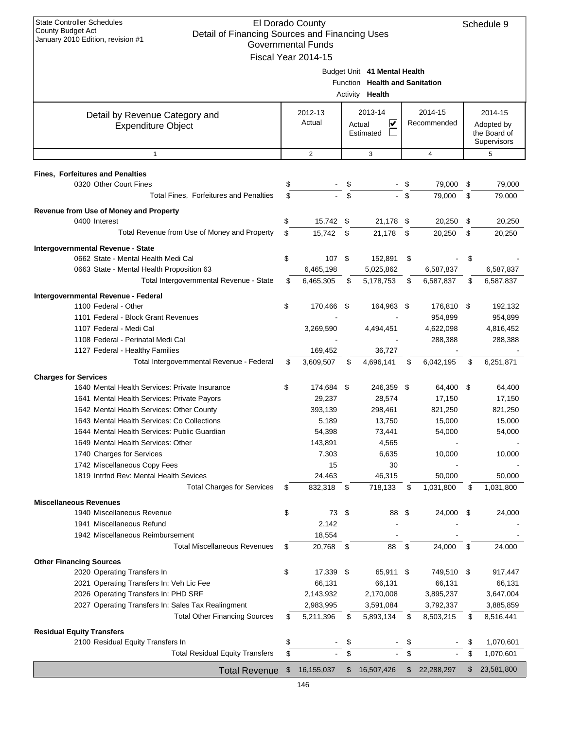| <b>State Controller Schedules</b>                                                                               |          | El Dorado County          |          |                                |          |                  |          | Schedule 9             |
|-----------------------------------------------------------------------------------------------------------------|----------|---------------------------|----------|--------------------------------|----------|------------------|----------|------------------------|
| <b>County Budget Act</b><br>Detail of Financing Sources and Financing Uses<br>January 2010 Edition, revision #1 |          |                           |          |                                |          |                  |          |                        |
|                                                                                                                 |          | <b>Governmental Funds</b> |          |                                |          |                  |          |                        |
|                                                                                                                 |          | Fiscal Year 2014-15       |          |                                |          |                  |          |                        |
|                                                                                                                 |          |                           |          | Budget Unit 41 Mental Health   |          |                  |          |                        |
|                                                                                                                 |          |                           |          | Function Health and Sanitation |          |                  |          |                        |
|                                                                                                                 |          |                           |          | Activity Health                |          |                  |          |                        |
|                                                                                                                 |          | 2012-13                   |          | 2013-14                        |          | 2014-15          |          | 2014-15                |
| Detail by Revenue Category and<br><b>Expenditure Object</b>                                                     |          | Actual                    |          | V<br>Actual                    |          | Recommended      |          | Adopted by             |
|                                                                                                                 |          |                           |          | Estimated                      |          |                  |          | the Board of           |
|                                                                                                                 |          |                           |          |                                |          |                  |          | Supervisors            |
| $\mathbf{1}$                                                                                                    |          | 2                         |          | 3                              |          | $\overline{4}$   |          | 5                      |
| <b>Fines, Forfeitures and Penalties</b>                                                                         |          |                           |          |                                |          |                  |          |                        |
| 0320 Other Court Fines                                                                                          | \$       |                           | \$       |                                |          | 79,000           | \$       | 79,000                 |
| Total Fines, Forfeitures and Penalties                                                                          | \$       |                           | \$       |                                | \$       | 79,000           | \$       | 79,000                 |
|                                                                                                                 |          |                           |          |                                |          |                  |          |                        |
| Revenue from Use of Money and Property<br>0400 Interest                                                         | \$       | 15,742                    | \$       | 21,178 \$                      |          | 20,250           | \$       | 20,250                 |
| Total Revenue from Use of Money and Property                                                                    | \$       | 15,742                    | \$       | 21,178                         | \$       | 20,250           | \$       | 20,250                 |
|                                                                                                                 |          |                           |          |                                |          |                  |          |                        |
| Intergovernmental Revenue - State                                                                               |          |                           |          |                                |          |                  |          |                        |
| 0662 State - Mental Health Medi Cal                                                                             | \$       | 107S                      |          | 152,891                        | - \$     |                  | \$       |                        |
| 0663 State - Mental Health Proposition 63                                                                       |          | 6,465,198                 |          | 5,025,862                      |          | 6,587,837        |          | 6,587,837              |
| Total Intergovernmental Revenue - State                                                                         | \$       | 6,465,305                 | \$       | 5,178,753                      | \$       | 6,587,837        | \$       | 6,587,837              |
| Intergovernmental Revenue - Federal                                                                             |          |                           |          |                                |          |                  |          |                        |
| 1100 Federal - Other                                                                                            | \$       | 170,466                   | - \$     | 164,963 \$                     |          | 176,810 \$       |          | 192,132                |
| 1101 Federal - Block Grant Revenues                                                                             |          |                           |          |                                |          | 954,899          |          | 954,899                |
| 1107 Federal - Medi Cal                                                                                         |          | 3,269,590                 |          | 4,494,451                      |          | 4,622,098        |          | 4,816,452              |
| 1108 Federal - Perinatal Medi Cal                                                                               |          |                           |          |                                |          | 288,388          |          | 288,388                |
| 1127 Federal - Healthy Families<br>Total Intergovernmental Revenue - Federal                                    | \$       | 169,452                   |          | 36,727                         |          |                  |          |                        |
|                                                                                                                 |          | 3,609,507                 | \$       | 4,696,141                      | \$       | 6,042,195        | \$       | 6,251,871              |
| <b>Charges for Services</b>                                                                                     |          |                           |          |                                |          |                  |          |                        |
| 1640 Mental Health Services: Private Insurance                                                                  | \$       | 174,684 \$                |          | 246,359 \$                     |          | 64,400 \$        |          | 64,400                 |
| 1641 Mental Health Services: Private Payors                                                                     |          | 29,237                    |          | 28,574                         |          | 17,150           |          | 17,150                 |
| 1642 Mental Health Services: Other County<br>1643 Mental Health Services: Co Collections                        |          | 393,139                   |          | 298,461                        |          | 821,250          |          | 821,250                |
| 1644 Mental Health Services: Public Guardian                                                                    |          | 5,189<br>54,398           |          | 13,750<br>73,441               |          | 15,000<br>54,000 |          | 15,000<br>54,000       |
| 1649 Mental Health Services: Other                                                                              |          | 143,891                   |          | 4,565                          |          |                  |          |                        |
| 1740 Charges for Services                                                                                       |          | 7,303                     |          | 6,635                          |          | 10,000           |          | 10,000                 |
| 1742 Miscellaneous Copy Fees                                                                                    |          | 15                        |          | 30                             |          |                  |          |                        |
| 1819 Intrfnd Rev: Mental Health Sevices                                                                         |          | 24,463                    |          | 46,315                         |          | 50,000           |          | 50,000                 |
| <b>Total Charges for Services</b>                                                                               | \$       | 832,318 \$                |          | 718,133                        | \$       | 1,031,800        | \$       | 1,031,800              |
|                                                                                                                 |          |                           |          |                                |          |                  |          |                        |
| <b>Miscellaneous Revenues</b><br>1940 Miscellaneous Revenue                                                     | \$       | 73                        | \$       | 88                             | -\$      | 24,000           | - \$     | 24,000                 |
| 1941 Miscellaneous Refund                                                                                       |          | 2,142                     |          |                                |          |                  |          |                        |
| 1942 Miscellaneous Reimbursement                                                                                |          | 18,554                    |          |                                |          |                  |          |                        |
| <b>Total Miscellaneous Revenues</b>                                                                             | \$       | 20,768                    | \$       | 88                             | \$       | 24,000           | \$       | 24,000                 |
|                                                                                                                 |          |                           |          |                                |          |                  |          |                        |
| <b>Other Financing Sources</b>                                                                                  | \$       | 17,339 \$                 |          | 65,911 \$                      |          | 749,510 \$       |          |                        |
| 2020 Operating Transfers In<br>2021 Operating Transfers In: Veh Lic Fee                                         |          | 66,131                    |          | 66,131                         |          | 66,131           |          | 917,447<br>66,131      |
| 2026 Operating Transfers In: PHD SRF                                                                            |          | 2,143,932                 |          | 2,170,008                      |          | 3,895,237        |          | 3,647,004              |
| 2027 Operating Transfers In: Sales Tax Realingment                                                              |          | 2,983,995                 |          | 3,591,084                      |          | 3,792,337        |          | 3,885,859              |
| <b>Total Other Financing Sources</b>                                                                            | S        | 5,211,396                 | \$       | 5,893,134                      | \$       | 8,503,215        | \$       | 8,516,441              |
|                                                                                                                 |          |                           |          |                                |          |                  |          |                        |
| <b>Residual Equity Transfers</b>                                                                                |          |                           |          |                                |          |                  |          |                        |
| 2100 Residual Equity Transfers In<br><b>Total Residual Equity Transfers</b>                                     | \$<br>\$ |                           | \$<br>\$ |                                | \$<br>\$ |                  | \$<br>\$ | 1,070,601<br>1,070,601 |
|                                                                                                                 |          |                           |          |                                |          |                  |          |                        |
| <b>Total Revenue</b>                                                                                            | \$       | 16,155,037                | \$       | 16,507,426                     | \$       | 22,288,297       | \$       | 23,581,800             |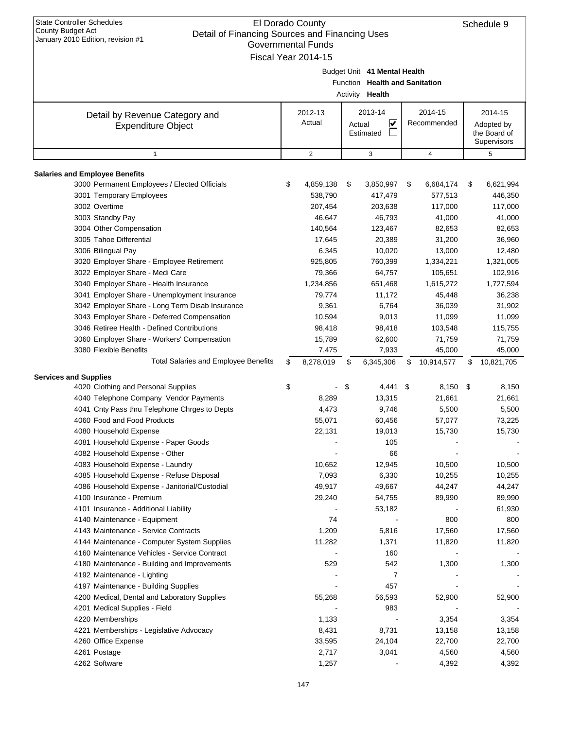| Detail of Financing Sources and Financing Uses<br>January 2010 Edition, revision #1<br><b>Governmental Funds</b> |    |                     |    |                                |      |             |    |              |  |  |  |
|------------------------------------------------------------------------------------------------------------------|----|---------------------|----|--------------------------------|------|-------------|----|--------------|--|--|--|
|                                                                                                                  |    |                     |    |                                |      |             |    |              |  |  |  |
|                                                                                                                  |    | Fiscal Year 2014-15 |    |                                |      |             |    |              |  |  |  |
|                                                                                                                  |    |                     |    | Budget Unit 41 Mental Health   |      |             |    |              |  |  |  |
|                                                                                                                  |    |                     |    | Function Health and Sanitation |      |             |    |              |  |  |  |
|                                                                                                                  |    |                     |    | Activity <b>Health</b>         |      |             |    |              |  |  |  |
| Detail by Revenue Category and                                                                                   |    | 2012-13             |    | 2013-14                        |      | 2014-15     |    | 2014-15      |  |  |  |
| <b>Expenditure Object</b>                                                                                        |    | Actual              |    | V<br>Actual                    |      | Recommended |    | Adopted by   |  |  |  |
|                                                                                                                  |    |                     |    | Estimated                      |      |             |    | the Board of |  |  |  |
|                                                                                                                  |    |                     |    |                                |      |             |    | Supervisors  |  |  |  |
| $\mathbf{1}$                                                                                                     |    | $\overline{2}$      |    | 3                              |      | 4           |    | 5            |  |  |  |
| <b>Salaries and Employee Benefits</b>                                                                            |    |                     |    |                                |      |             |    |              |  |  |  |
| 3000 Permanent Employees / Elected Officials                                                                     | \$ | 4,859,138           | \$ | 3,850,997                      | - \$ | 6,684,174   | \$ | 6,621,994    |  |  |  |
| 3001 Temporary Employees                                                                                         |    | 538,790             |    | 417,479                        |      | 577,513     |    | 446,350      |  |  |  |
| 3002 Overtime                                                                                                    |    | 207,454             |    | 203,638                        |      | 117,000     |    | 117,000      |  |  |  |
| 3003 Standby Pay                                                                                                 |    | 46,647              |    | 46,793                         |      | 41,000      |    | 41,000       |  |  |  |
| 3004 Other Compensation                                                                                          |    | 140,564             |    | 123,467                        |      | 82,653      |    | 82,653       |  |  |  |
| 3005 Tahoe Differential                                                                                          |    | 17,645              |    | 20,389                         |      | 31,200      |    | 36,960       |  |  |  |
| 3006 Bilingual Pay                                                                                               |    | 6,345               |    | 10,020                         |      | 13,000      |    | 12,480       |  |  |  |
| 3020 Employer Share - Employee Retirement                                                                        |    | 925,805             |    | 760,399                        |      | 1,334,221   |    | 1,321,005    |  |  |  |
| 3022 Employer Share - Medi Care                                                                                  |    | 79,366              |    | 64,757                         |      | 105,651     |    | 102,916      |  |  |  |
| 3040 Employer Share - Health Insurance                                                                           |    | 1,234,856           |    | 651,468                        |      | 1,615,272   |    | 1,727,594    |  |  |  |
| 3041 Employer Share - Unemployment Insurance                                                                     |    | 79,774              |    | 11,172                         |      | 45,448      |    | 36,238       |  |  |  |
| 3042 Employer Share - Long Term Disab Insurance                                                                  |    | 9,361               |    | 6,764                          |      | 36,039      |    | 31,902       |  |  |  |
| 3043 Employer Share - Deferred Compensation                                                                      |    | 10,594              |    | 9,013                          |      | 11,099      |    | 11,099       |  |  |  |
| 3046 Retiree Health - Defined Contributions                                                                      |    | 98,418              |    | 98,418                         |      | 103,548     |    | 115,755      |  |  |  |
| 3060 Employer Share - Workers' Compensation                                                                      |    | 15,789              |    | 62,600                         |      | 71,759      |    | 71,759       |  |  |  |
| 3080 Flexible Benefits                                                                                           |    | 7,475               |    | 7,933                          |      | 45,000      |    | 45,000       |  |  |  |
| <b>Total Salaries and Employee Benefits</b>                                                                      | \$ | 8,278,019           | \$ | 6,345,306                      | \$   | 10,914,577  | \$ | 10,821,705   |  |  |  |
| <b>Services and Supplies</b>                                                                                     |    |                     |    |                                |      |             |    |              |  |  |  |
| 4020 Clothing and Personal Supplies                                                                              | \$ |                     | \$ | $4,441$ \$                     |      | $8,150$ \$  |    | 8,150        |  |  |  |
| 4040 Telephone Company Vendor Payments                                                                           |    | 8,289               |    | 13,315                         |      | 21,661      |    | 21,661       |  |  |  |
| 4041 Cnty Pass thru Telephone Chrges to Depts                                                                    |    | 4,473               |    | 9,746                          |      | 5,500       |    | 5,500        |  |  |  |
| 4060 Food and Food Products                                                                                      |    | 55,071              |    | 60,456                         |      | 57,077      |    | 73,225       |  |  |  |
| 4080 Household Expense                                                                                           |    | 22,131              |    | 19,013                         |      | 15,730      |    | 15,730       |  |  |  |
| 4081 Household Expense - Paper Goods                                                                             |    |                     |    | 105                            |      |             |    |              |  |  |  |
| 4082 Household Expense - Other                                                                                   |    |                     |    | 66                             |      |             |    |              |  |  |  |
| 4083 Household Expense - Laundry                                                                                 |    | 10,652              |    | 12,945                         |      | 10,500      |    | 10,500       |  |  |  |
| 4085 Household Expense - Refuse Disposal                                                                         |    | 7,093               |    | 6,330                          |      | 10,255      |    | 10,255       |  |  |  |
| 4086 Household Expense - Janitorial/Custodial                                                                    |    | 49,917              |    | 49,667                         |      | 44,247      |    | 44,247       |  |  |  |
| 4100 Insurance - Premium                                                                                         |    | 29,240              |    | 54,755                         |      | 89,990      |    | 89,990       |  |  |  |
| 4101 Insurance - Additional Liability                                                                            |    |                     |    | 53,182                         |      |             |    | 61,930       |  |  |  |
| 4140 Maintenance - Equipment                                                                                     |    | 74                  |    |                                |      | 800         |    | 800          |  |  |  |
| 4143 Maintenance - Service Contracts                                                                             |    | 1,209               |    | 5,816                          |      | 17,560      |    | 17,560       |  |  |  |
| 4144 Maintenance - Computer System Supplies                                                                      |    | 11,282              |    | 1,371                          |      | 11,820      |    | 11,820       |  |  |  |
| 4160 Maintenance Vehicles - Service Contract                                                                     |    |                     |    | 160                            |      |             |    |              |  |  |  |
| 4180 Maintenance - Building and Improvements                                                                     |    | 529                 |    | 542                            |      | 1,300       |    | 1,300        |  |  |  |
| 4192 Maintenance - Lighting                                                                                      |    |                     |    | 7                              |      |             |    |              |  |  |  |
| 4197 Maintenance - Building Supplies                                                                             |    |                     |    | 457                            |      |             |    |              |  |  |  |
| 4200 Medical, Dental and Laboratory Supplies                                                                     |    | 55,268              |    | 56,593                         |      | 52,900      |    | 52,900       |  |  |  |
| 4201 Medical Supplies - Field                                                                                    |    |                     |    | 983                            |      |             |    |              |  |  |  |
| 4220 Memberships                                                                                                 |    | 1,133               |    |                                |      | 3,354       |    | 3,354        |  |  |  |
| 4221 Memberships - Legislative Advocacy                                                                          |    | 8,431               |    | 8,731                          |      | 13,158      |    | 13,158       |  |  |  |
| 4260 Office Expense                                                                                              |    | 33,595              |    | 24,104                         |      | 22,700      |    | 22,700       |  |  |  |
| 4261 Postage                                                                                                     |    | 2,717               |    | 3,041                          |      | 4,560       |    | 4,560        |  |  |  |
| 4262 Software                                                                                                    |    | 1,257               |    |                                |      | 4,392       |    | 4,392        |  |  |  |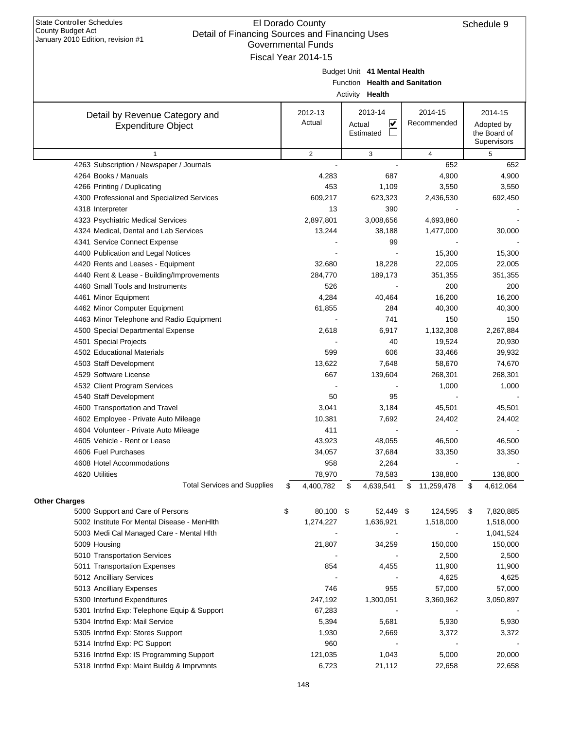| cial of Financing Obdices and Financing Oses<br>January 2010 Edition, revision #1 | Governmental Funds  |                                |                  |                             |
|-----------------------------------------------------------------------------------|---------------------|--------------------------------|------------------|-----------------------------|
|                                                                                   | Fiscal Year 2014-15 |                                |                  |                             |
|                                                                                   |                     | Budget Unit 41 Mental Health   |                  |                             |
|                                                                                   |                     | Function Health and Sanitation |                  |                             |
|                                                                                   |                     | Activity Health                |                  |                             |
|                                                                                   |                     |                                |                  |                             |
| Detail by Revenue Category and                                                    | 2012-13             | 2013-14                        | 2014-15          | 2014-15                     |
| <b>Expenditure Object</b>                                                         | Actual              | V<br>Actual                    | Recommended      | Adopted by                  |
|                                                                                   |                     | Estimated                      |                  | the Board of<br>Supervisors |
| $\mathbf{1}$                                                                      | $\overline{2}$      | 3                              | $\overline{4}$   | 5                           |
| 4263 Subscription / Newspaper / Journals                                          |                     |                                | 652              | 652                         |
| 4264 Books / Manuals                                                              | 4,283               | 687                            | 4,900            | 4,900                       |
| 4266 Printing / Duplicating                                                       | 453                 | 1,109                          | 3,550            | 3,550                       |
| 4300 Professional and Specialized Services                                        | 609,217             | 623,323                        | 2,436,530        | 692,450                     |
| 4318 Interpreter                                                                  | 13                  | 390                            |                  |                             |
| 4323 Psychiatric Medical Services                                                 | 2,897,801           | 3,008,656                      | 4,693,860        |                             |
| 4324 Medical, Dental and Lab Services                                             | 13,244              | 38,188                         | 1,477,000        | 30,000                      |
| 4341 Service Connect Expense                                                      |                     | 99                             |                  |                             |
| 4400 Publication and Legal Notices                                                |                     |                                | 15,300           | 15,300                      |
| 4420 Rents and Leases - Equipment                                                 | 32,680              | 18,228                         | 22,005           | 22,005                      |
| 4440 Rent & Lease - Building/Improvements                                         | 284,770             | 189,173                        | 351,355          | 351,355                     |
| 4460 Small Tools and Instruments                                                  | 526                 |                                | 200              | 200                         |
| 4461 Minor Equipment                                                              | 4,284               | 40,464                         | 16,200           | 16,200                      |
| 4462 Minor Computer Equipment                                                     | 61,855              | 284                            | 40,300           | 40,300                      |
| 4463 Minor Telephone and Radio Equipment                                          |                     | 741                            | 150              | 150                         |
| 4500 Special Departmental Expense                                                 | 2,618               | 6,917                          | 1,132,308        | 2,267,884                   |
| 4501 Special Projects                                                             |                     | 40                             | 19,524           | 20,930                      |
| 4502 Educational Materials                                                        | 599                 | 606                            | 33,466           | 39,932                      |
| 4503 Staff Development                                                            | 13,622              | 7,648                          | 58,670           | 74,670                      |
| 4529 Software License                                                             | 667                 | 139,604                        | 268,301          | 268,301                     |
| 4532 Client Program Services                                                      |                     |                                | 1,000            | 1,000                       |
| 4540 Staff Development                                                            | 50                  | 95                             |                  |                             |
| 4600 Transportation and Travel                                                    | 3,041               | 3,184                          | 45,501           | 45,501                      |
| 4602 Employee - Private Auto Mileage                                              | 10,381              | 7,692                          | 24,402           | 24,402                      |
| 4604 Volunteer - Private Auto Mileage                                             | 411                 |                                |                  |                             |
| 4605 Vehicle - Rent or Lease                                                      | 43,923              | 48,055                         | 46,500           | 46,500                      |
| 4606 Fuel Purchases                                                               | 34,057              | 37,684                         | 33,350           | 33,350                      |
| 4608 Hotel Accommodations                                                         | 958                 | 2,264                          |                  |                             |
| 4620 Utilities                                                                    | 78,970              | 78,583                         | 138,800          | 138,800                     |
| <b>Total Services and Supplies</b>                                                | \$<br>4,400,782     | \$<br>4,639,541                | \$<br>11,259,478 | \$<br>4,612,064             |
| <b>Other Charges</b>                                                              |                     |                                |                  |                             |
| 5000 Support and Care of Persons                                                  | \$<br>80,100 \$     | 52,449 \$                      | 124,595          | \$<br>7,820,885             |
| 5002 Institute For Mental Disease - MenHlth                                       | 1,274,227           | 1,636,921                      | 1,518,000        | 1,518,000                   |
| 5003 Medi Cal Managed Care - Mental Hith                                          |                     |                                |                  | 1,041,524                   |
| 5009 Housing                                                                      | 21,807              | 34,259                         | 150,000          | 150,000                     |
| 5010 Transportation Services                                                      |                     |                                | 2,500            | 2,500                       |
| 5011 Transportation Expenses                                                      | 854                 | 4,455                          | 11,900           | 11,900                      |
| 5012 Ancilliary Services                                                          |                     |                                | 4,625            | 4,625                       |
| 5013 Ancilliary Expenses                                                          | 746                 | 955                            | 57,000           | 57,000                      |
| 5300 Interfund Expenditures                                                       | 247,192             | 1,300,051                      | 3,360,962        | 3,050,897                   |
| 5301 Intrfnd Exp: Telephone Equip & Support                                       | 67,283              |                                |                  |                             |
| 5304 Intrfnd Exp: Mail Service                                                    | 5,394               | 5,681                          | 5,930            | 5,930                       |
| 5305 Intrfnd Exp: Stores Support                                                  | 1,930               | 2,669                          | 3,372            | 3,372                       |
| 5314 Intrfnd Exp: PC Support                                                      | 960                 |                                |                  |                             |
| 5316 Intrfnd Exp: IS Programming Support                                          | 121,035             | 1,043                          | 5,000            | 20,000                      |
| 5318 Intrfnd Exp: Maint Buildg & Imprvmnts                                        | 6,723               | 21,112                         | 22,658           | 22,658                      |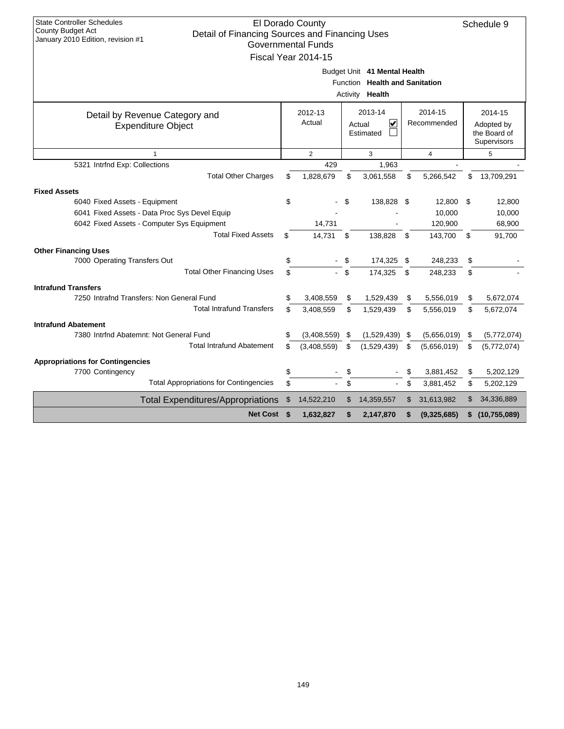| <b>State Controller Schedules</b><br>County Budget Act                              | El Dorado County          |                |                                |                   |     | Schedule 9   |
|-------------------------------------------------------------------------------------|---------------------------|----------------|--------------------------------|-------------------|-----|--------------|
| Detail of Financing Sources and Financing Uses<br>January 2010 Edition, revision #1 | <b>Governmental Funds</b> |                |                                |                   |     |              |
|                                                                                     | Fiscal Year 2014-15       |                |                                |                   |     |              |
|                                                                                     |                           |                |                                |                   |     |              |
|                                                                                     |                           |                | Budget Unit 41 Mental Health   |                   |     |              |
|                                                                                     |                           |                | Function Health and Sanitation |                   |     |              |
|                                                                                     |                           |                | Activity Health                |                   |     |              |
| Detail by Revenue Category and                                                      | 2012-13                   |                | 2013-14                        | 2014-15           |     | 2014-15      |
| <b>Expenditure Object</b>                                                           | Actual                    |                | ⊽<br>Actual                    | Recommended       |     | Adopted by   |
|                                                                                     |                           |                | Estimated                      |                   |     | the Board of |
|                                                                                     |                           |                |                                |                   |     | Supervisors  |
| $\mathbf{1}$                                                                        | $\overline{2}$            |                | 3                              | $\overline{4}$    |     | 5            |
| 5321 Intrfnd Exp: Collections                                                       | 429                       |                | 1,963                          |                   |     |              |
| <b>Total Other Charges</b>                                                          | \$<br>1,828,679           | \$             | 3,061,558                      | \$<br>5,266,542   | \$  | 13,709,291   |
| <b>Fixed Assets</b>                                                                 |                           |                |                                |                   |     |              |
| 6040 Fixed Assets - Equipment                                                       | \$                        | \$             | 138,828 \$                     | 12,800            | -\$ | 12,800       |
| 6041 Fixed Assets - Data Proc Sys Devel Equip                                       |                           |                |                                | 10,000            |     | 10,000       |
| 6042 Fixed Assets - Computer Sys Equipment                                          | 14,731                    |                |                                | 120,900           |     | 68,900       |
| <b>Total Fixed Assets</b>                                                           | \$<br>14,731              | \$             | 138,828                        | \$<br>143,700     | \$  | 91,700       |
| <b>Other Financing Uses</b>                                                         |                           |                |                                |                   |     |              |
| 7000 Operating Transfers Out                                                        | \$                        | \$             | 174,325                        | \$<br>248,233     | \$  |              |
| <b>Total Other Financing Uses</b>                                                   | \$                        | $\mathfrak{L}$ | 174,325                        | \$<br>248,233     | \$  |              |
| <b>Intrafund Transfers</b>                                                          |                           |                |                                |                   |     |              |
| 7250 Intrafnd Transfers: Non General Fund                                           | \$<br>3,408,559           | \$             | 1,529,439                      | \$<br>5,556,019   | \$  | 5,672,074    |
| <b>Total Intrafund Transfers</b>                                                    | \$<br>3,408,559           | \$             | 1,529,439                      | \$<br>5,556,019   | \$  | 5,672,074    |
| <b>Intrafund Abatement</b>                                                          |                           |                |                                |                   |     |              |
| 7380 Intrfnd Abatemnt: Not General Fund                                             | \$<br>(3,408,559)         | \$             | (1,529,439)                    | \$<br>(5,656,019) | \$  | (5,772,074)  |
| <b>Total Intrafund Abatement</b>                                                    | \$<br>(3,408,559)         | \$             | (1,529,439)                    | \$<br>(5,656,019) | \$  | (5,772,074)  |
| <b>Appropriations for Contingencies</b>                                             |                           |                |                                |                   |     |              |
| 7700 Contingency                                                                    | \$                        | \$             |                                | \$<br>3,881,452   | \$  | 5,202,129    |
| <b>Total Appropriations for Contingencies</b>                                       | \$                        | \$             |                                | \$<br>3,881,452   | \$  | 5,202,129    |
| <b>Total Expenditures/Appropriations</b>                                            | \$<br>14,522,210          | \$             | 14,359,557                     | \$<br>31,613,982  | \$  | 34,336,889   |
| Net Cost \$                                                                         | 1,632,827                 | \$             | 2,147,870                      | \$<br>(9,325,685) | \$  | (10,755,089) |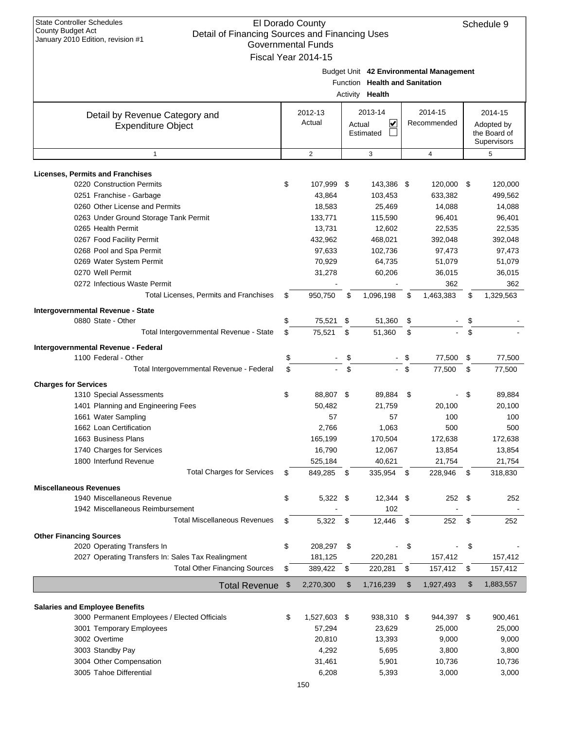| Detail Of Financing Obdress and Financing Oses<br>January 2010 Edition, revision #1 | Governmental Funds  |                                                   |        |                                         |                |              |
|-------------------------------------------------------------------------------------|---------------------|---------------------------------------------------|--------|-----------------------------------------|----------------|--------------|
|                                                                                     | Fiscal Year 2014-15 |                                                   |        |                                         |                |              |
|                                                                                     |                     | Function Health and Sanitation<br>Activity Health |        | Budget Unit 42 Environmental Management |                |              |
|                                                                                     | 2012-13             | 2013-14                                           |        | 2014-15                                 |                | 2014-15      |
| Detail by Revenue Category and<br><b>Expenditure Object</b>                         | Actual              | V<br>Actual                                       |        | Recommended                             |                | Adopted by   |
|                                                                                     |                     | Estimated                                         |        |                                         |                | the Board of |
| $\mathbf{1}$                                                                        | $\overline{2}$      | 3                                                 |        |                                         |                | Supervisors  |
|                                                                                     |                     |                                                   |        | 4                                       |                | 5            |
| <b>Licenses, Permits and Franchises</b>                                             |                     |                                                   |        |                                         |                |              |
| 0220 Construction Permits                                                           | \$<br>107,999 \$    | 143,386 \$                                        |        | 120,000 \$                              |                | 120,000      |
| 0251 Franchise - Garbage                                                            | 43,864              | 103,453                                           |        | 633,382                                 |                | 499,562      |
| 0260 Other License and Permits                                                      | 18,583              | 25,469                                            |        | 14,088                                  |                | 14,088       |
| 0263 Under Ground Storage Tank Permit                                               | 133,771             | 115,590                                           |        | 96,401                                  |                | 96,401       |
| 0265 Health Permit                                                                  | 13,731              | 12,602                                            |        | 22,535                                  |                | 22,535       |
| 0267 Food Facility Permit                                                           | 432,962             | 468,021                                           |        | 392,048                                 |                | 392,048      |
| 0268 Pool and Spa Permit                                                            | 97,633              | 102,736                                           |        | 97,473                                  |                | 97,473       |
| 0269 Water System Permit                                                            | 70,929              | 64,735                                            |        | 51,079                                  |                | 51,079       |
| 0270 Well Permit                                                                    | 31,278              | 60,206                                            |        | 36,015                                  |                | 36,015       |
| 0272 Infectious Waste Permit                                                        |                     |                                                   |        | 362                                     |                | 362          |
| Total Licenses, Permits and Franchises                                              | \$<br>950,750       | \$<br>1,096,198                                   | \$     | 1,463,383                               | \$             | 1,329,563    |
| Intergovernmental Revenue - State                                                   |                     |                                                   |        |                                         |                |              |
| 0880 State - Other                                                                  | \$<br>75,521        | \$<br>51,360                                      | \$     |                                         | \$             |              |
| Total Intergovernmental Revenue - State                                             | \$<br>75,521        | \$<br>51,360                                      | \$     |                                         | \$             |              |
| Intergovernmental Revenue - Federal                                                 |                     |                                                   |        |                                         |                |              |
| 1100 Federal - Other                                                                | \$                  | \$                                                | \$     | 77,500                                  | \$             | 77,500       |
| Total Intergovernmental Revenue - Federal                                           | \$                  | \$                                                | $-$ \$ | 77,500                                  | \$             | 77,500       |
| <b>Charges for Services</b>                                                         |                     |                                                   |        |                                         |                |              |
| 1310 Special Assessments                                                            | \$<br>88,807 \$     | 89,884                                            | \$     |                                         | \$             | 89,884       |
| 1401 Planning and Engineering Fees                                                  | 50,482              | 21,759                                            |        | 20,100                                  |                | 20,100       |
| 1661 Water Sampling                                                                 | 57                  | 57                                                |        | 100                                     |                | 100          |
| 1662 Loan Certification                                                             | 2,766               | 1,063                                             |        | 500                                     |                | 500          |
| 1663 Business Plans                                                                 | 165,199             | 170,504                                           |        | 172,638                                 |                | 172,638      |
| 1740 Charges for Services                                                           | 16,790              | 12,067                                            |        | 13,854                                  |                | 13,854       |
| 1800 Interfund Revenue                                                              | 525,184             | 40,621                                            |        | 21,754                                  |                | 21,754       |
| <b>Total Charges for Services</b>                                                   | \$<br>849,285       | \$<br>335,954                                     | -\$    | 228,946                                 | \$             | 318,830      |
| <b>Miscellaneous Revenues</b>                                                       |                     |                                                   |        |                                         |                |              |
| 1940 Miscellaneous Revenue                                                          | \$<br>5,322 \$      | 12,344 \$                                         |        | $252$ \$                                |                | 252          |
| 1942 Miscellaneous Reimbursement                                                    |                     | 102                                               |        |                                         |                |              |
| <b>Total Miscellaneous Revenues</b>                                                 | \$<br>5,322         | \$<br>12,446                                      | \$     | 252                                     | \$             | 252          |
|                                                                                     |                     |                                                   |        |                                         |                |              |
| <b>Other Financing Sources</b>                                                      |                     |                                                   |        |                                         |                |              |
| 2020 Operating Transfers In                                                         | \$<br>208,297       | \$                                                | \$     |                                         | \$             |              |
| 2027 Operating Transfers In: Sales Tax Realingment                                  | 181,125             | 220,281                                           |        | 157,412                                 |                | 157,412      |
| <b>Total Other Financing Sources</b>                                                | \$<br>389,422       | \$<br>220,281                                     | \$     | 157,412                                 | \$             | 157,412      |
| <b>Total Revenue</b>                                                                | \$<br>2,270,300     | \$<br>1,716,239                                   | \$     | 1,927,493                               | $\mathfrak{S}$ | 1,883,557    |
| <b>Salaries and Employee Benefits</b>                                               |                     |                                                   |        |                                         |                |              |
| 3000 Permanent Employees / Elected Officials                                        | \$<br>1,527,603 \$  | 938,310 \$                                        |        | 944,397 \$                              |                | 900,461      |
| 3001 Temporary Employees                                                            | 57,294              | 23,629                                            |        | 25,000                                  |                | 25,000       |
| 3002 Overtime                                                                       | 20,810              | 13,393                                            |        | 9,000                                   |                | 9,000        |
| 3003 Standby Pay                                                                    | 4,292               | 5,695                                             |        | 3,800                                   |                | 3,800        |
| 3004 Other Compensation                                                             | 31,461              | 5,901                                             |        | 10,736                                  |                | 10,736       |
| 3005 Tahoe Differential                                                             | 6,208               | 5,393                                             |        | 3,000                                   |                | 3,000        |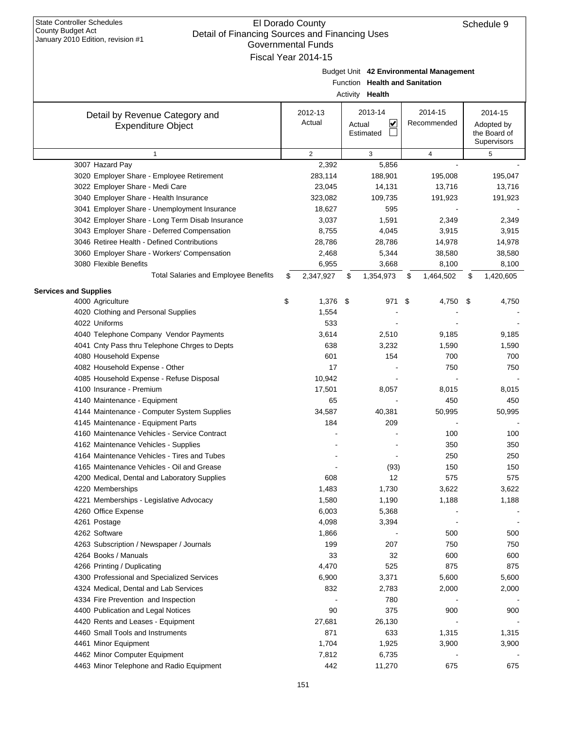| January 2010 Edition, revision #1<br>Governmental Funds |    |           |    |                                         |    |                |      |              |  |  |  |  |
|---------------------------------------------------------|----|-----------|----|-----------------------------------------|----|----------------|------|--------------|--|--|--|--|
| Fiscal Year 2014-15                                     |    |           |    |                                         |    |                |      |              |  |  |  |  |
|                                                         |    |           |    | Budget Unit 42 Environmental Management |    |                |      |              |  |  |  |  |
|                                                         |    |           |    | Function Health and Sanitation          |    |                |      |              |  |  |  |  |
|                                                         |    |           |    | Activity <b>Health</b>                  |    |                |      |              |  |  |  |  |
|                                                         |    |           |    |                                         |    |                |      |              |  |  |  |  |
| Detail by Revenue Category and                          |    | 2012-13   |    | 2013-14                                 |    | 2014-15        |      | 2014-15      |  |  |  |  |
| <b>Expenditure Object</b>                               |    | Actual    |    | ∣✔<br>Actual                            |    | Recommended    |      | Adopted by   |  |  |  |  |
|                                                         |    |           |    | Estimated                               |    |                |      | the Board of |  |  |  |  |
| $\mathbf{1}$                                            |    | 2         |    |                                         |    | $\overline{4}$ |      | Supervisors  |  |  |  |  |
| 3007 Hazard Pay                                         |    | 2,392     |    | 3<br>5,856                              |    |                |      | 5            |  |  |  |  |
| 3020 Employer Share - Employee Retirement               |    | 283,114   |    | 188,901                                 |    | 195,008        |      | 195,047      |  |  |  |  |
| 3022 Employer Share - Medi Care                         |    | 23,045    |    | 14,131                                  |    | 13,716         |      | 13,716       |  |  |  |  |
| 3040 Employer Share - Health Insurance                  |    | 323,082   |    | 109,735                                 |    | 191,923        |      | 191,923      |  |  |  |  |
| 3041 Employer Share - Unemployment Insurance            |    | 18,627    |    | 595                                     |    |                |      |              |  |  |  |  |
| 3042 Employer Share - Long Term Disab Insurance         |    | 3,037     |    | 1,591                                   |    | 2,349          |      | 2,349        |  |  |  |  |
| 3043 Employer Share - Deferred Compensation             |    | 8,755     |    | 4,045                                   |    | 3,915          |      | 3,915        |  |  |  |  |
| 3046 Retiree Health - Defined Contributions             |    | 28,786    |    | 28,786                                  |    | 14,978         |      | 14,978       |  |  |  |  |
| 3060 Employer Share - Workers' Compensation             |    | 2,468     |    | 5,344                                   |    | 38,580         |      | 38,580       |  |  |  |  |
| 3080 Flexible Benefits                                  |    | 6,955     |    | 3,668                                   |    | 8,100          |      | 8,100        |  |  |  |  |
| Total Salaries and Employee Benefits                    | \$ | 2,347,927 | \$ | 1,354,973                               | \$ | 1,464,502      | \$   | 1,420,605    |  |  |  |  |
|                                                         |    |           |    |                                         |    |                |      |              |  |  |  |  |
| <b>Services and Supplies</b>                            |    | 1,376     | \$ | 971 \$                                  |    | 4,750          | - \$ |              |  |  |  |  |
| 4000 Agriculture                                        | \$ | 1,554     |    |                                         |    |                |      | 4,750        |  |  |  |  |
| 4020 Clothing and Personal Supplies<br>4022 Uniforms    |    | 533       |    |                                         |    |                |      |              |  |  |  |  |
| 4040 Telephone Company Vendor Payments                  |    | 3,614     |    | 2,510                                   |    | 9,185          |      | 9,185        |  |  |  |  |
| 4041 Cnty Pass thru Telephone Chrges to Depts           |    | 638       |    | 3,232                                   |    | 1,590          |      | 1,590        |  |  |  |  |
| 4080 Household Expense                                  |    | 601       |    | 154                                     |    | 700            |      | 700          |  |  |  |  |
| 4082 Household Expense - Other                          |    | 17        |    |                                         |    | 750            |      | 750          |  |  |  |  |
| 4085 Household Expense - Refuse Disposal                |    | 10,942    |    |                                         |    |                |      |              |  |  |  |  |
| 4100 Insurance - Premium                                |    | 17,501    |    | 8,057                                   |    | 8,015          |      | 8,015        |  |  |  |  |
| 4140 Maintenance - Equipment                            |    | 65        |    |                                         |    | 450            |      | 450          |  |  |  |  |
| 4144 Maintenance - Computer System Supplies             |    | 34,587    |    | 40,381                                  |    | 50,995         |      | 50,995       |  |  |  |  |
| 4145 Maintenance - Equipment Parts                      |    | 184       |    | 209                                     |    |                |      |              |  |  |  |  |
| 4160 Maintenance Vehicles - Service Contract            |    |           |    |                                         |    | 100            |      | 100          |  |  |  |  |
| 4162 Maintenance Vehicles - Supplies                    |    |           |    |                                         |    | 350            |      | 350          |  |  |  |  |
| 4164 Maintenance Vehicles - Tires and Tubes             |    |           |    |                                         |    | 250            |      | 250          |  |  |  |  |
| 4165 Maintenance Vehicles - Oil and Grease              |    |           |    | (93)                                    |    | 150            |      | 150          |  |  |  |  |
| 4200 Medical, Dental and Laboratory Supplies            |    | 608       |    | 12                                      |    | 575            |      | 575          |  |  |  |  |
| 4220 Memberships                                        |    | 1,483     |    | 1,730                                   |    | 3,622          |      | 3,622        |  |  |  |  |
| 4221 Memberships - Legislative Advocacy                 |    | 1,580     |    | 1,190                                   |    | 1,188          |      | 1,188        |  |  |  |  |
| 4260 Office Expense                                     |    | 6,003     |    | 5,368                                   |    |                |      |              |  |  |  |  |
| 4261 Postage                                            |    | 4,098     |    | 3,394                                   |    |                |      |              |  |  |  |  |
| 4262 Software                                           |    | 1,866     |    |                                         |    | 500            |      | 500          |  |  |  |  |
| 4263 Subscription / Newspaper / Journals                |    | 199       |    | 207                                     |    | 750            |      | 750          |  |  |  |  |
| 4264 Books / Manuals                                    |    | 33        |    | 32                                      |    | 600            |      | 600          |  |  |  |  |
| 4266 Printing / Duplicating                             |    | 4,470     |    | 525                                     |    | 875            |      | 875          |  |  |  |  |
| 4300 Professional and Specialized Services              |    | 6,900     |    | 3,371                                   |    | 5,600          |      | 5,600        |  |  |  |  |
| 4324 Medical, Dental and Lab Services                   |    | 832       |    | 2,783                                   |    | 2,000          |      | 2,000        |  |  |  |  |
| 4334 Fire Prevention and Inspection                     |    |           |    | 780                                     |    |                |      |              |  |  |  |  |
| 4400 Publication and Legal Notices                      |    | 90        |    | 375                                     |    | 900            |      | 900          |  |  |  |  |
| 4420 Rents and Leases - Equipment                       |    | 27,681    |    | 26,130                                  |    |                |      |              |  |  |  |  |
| 4460 Small Tools and Instruments                        |    | 871       |    | 633                                     |    | 1,315          |      | 1,315        |  |  |  |  |
| 4461 Minor Equipment                                    |    | 1,704     |    | 1,925                                   |    | 3,900          |      | 3,900        |  |  |  |  |
| 4462 Minor Computer Equipment                           |    | 7,812     |    | 6,735                                   |    |                |      |              |  |  |  |  |
| 4463 Minor Telephone and Radio Equipment                |    | 442       |    | 11,270                                  |    | 675            |      | 675          |  |  |  |  |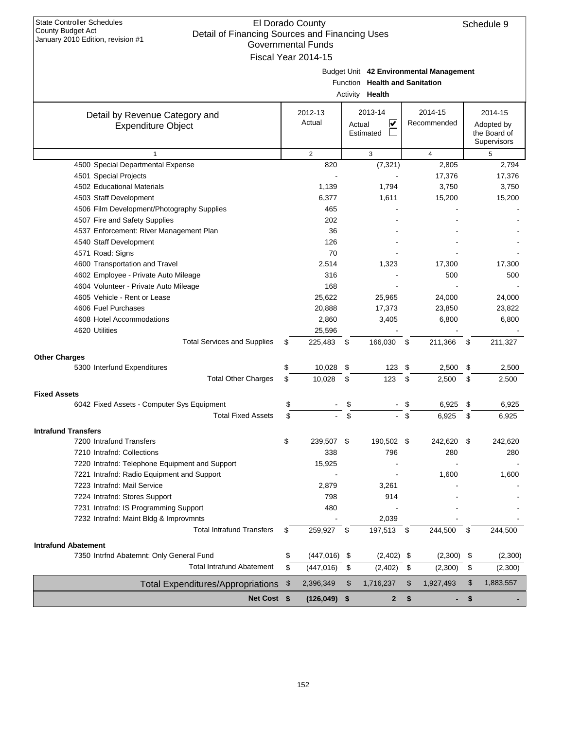| <b>State Controller Schedules</b><br><b>County Budget Act</b><br>Detail of Financing Sources and Financing Uses |     | El Dorado County          |                                         |                 | Schedule 9                  |
|-----------------------------------------------------------------------------------------------------------------|-----|---------------------------|-----------------------------------------|-----------------|-----------------------------|
| January 2010 Edition, revision #1                                                                               |     | <b>Governmental Funds</b> |                                         |                 |                             |
|                                                                                                                 |     | Fiscal Year 2014-15       |                                         |                 |                             |
|                                                                                                                 |     |                           | Budget Unit 42 Environmental Management |                 |                             |
|                                                                                                                 |     |                           | Function Health and Sanitation          |                 |                             |
|                                                                                                                 |     |                           | Activity <b>Health</b>                  |                 |                             |
| Detail by Revenue Category and                                                                                  |     | 2012-13                   | 2013-14                                 | 2014-15         | 2014-15                     |
| <b>Expenditure Object</b>                                                                                       |     | Actual                    | V<br>Actual                             | Recommended     | Adopted by                  |
|                                                                                                                 |     |                           | Estimated                               |                 | the Board of<br>Supervisors |
| $\mathbf{1}$                                                                                                    |     | 2                         | 3                                       | $\overline{4}$  | 5                           |
| 4500 Special Departmental Expense                                                                               |     | 820                       | (7, 321)                                | 2,805           | 2,794                       |
| 4501 Special Projects                                                                                           |     |                           |                                         | 17,376          | 17,376                      |
| 4502 Educational Materials                                                                                      |     | 1,139                     | 1,794                                   | 3,750           | 3,750                       |
| 4503 Staff Development                                                                                          |     | 6,377                     | 1,611                                   | 15,200          | 15,200                      |
| 4506 Film Development/Photography Supplies                                                                      |     | 465                       |                                         |                 |                             |
| 4507 Fire and Safety Supplies                                                                                   |     | 202                       |                                         |                 |                             |
| 4537 Enforcement: River Management Plan                                                                         |     | 36                        |                                         |                 |                             |
| 4540 Staff Development                                                                                          |     | 126                       |                                         |                 |                             |
| 4571 Road: Signs                                                                                                |     | 70                        |                                         |                 |                             |
| 4600 Transportation and Travel                                                                                  |     | 2,514                     | 1,323                                   | 17,300          | 17,300                      |
| 4602 Employee - Private Auto Mileage                                                                            |     | 316                       |                                         | 500             | 500                         |
| 4604 Volunteer - Private Auto Mileage                                                                           |     | 168                       |                                         |                 |                             |
| 4605 Vehicle - Rent or Lease                                                                                    |     | 25,622                    | 25,965                                  | 24,000          | 24,000                      |
| 4606 Fuel Purchases                                                                                             |     | 20,888                    | 17,373                                  | 23,850          | 23,822                      |
| 4608 Hotel Accommodations                                                                                       |     | 2,860                     | 3,405                                   | 6,800           | 6,800                       |
| 4620 Utilities                                                                                                  |     | 25,596                    |                                         |                 |                             |
| <b>Total Services and Supplies</b>                                                                              | \$. | 225,483                   | - \$<br>166,030                         | \$<br>211,366   | \$<br>211,327               |
| <b>Other Charges</b>                                                                                            |     |                           |                                         |                 |                             |
| 5300 Interfund Expenditures                                                                                     | \$  | 10,028                    | \$<br>123                               | \$<br>2,500     | \$<br>2,500                 |
| <b>Total Other Charges</b>                                                                                      | \$  | 10,028                    | \$<br>123                               | \$<br>2,500     | \$<br>2,500                 |
| <b>Fixed Assets</b>                                                                                             |     |                           |                                         |                 |                             |
| 6042 Fixed Assets - Computer Sys Equipment                                                                      | \$  |                           | \$                                      | \$<br>6,925     | \$<br>6,925                 |
| <b>Total Fixed Assets</b>                                                                                       | \$  |                           | \$                                      | \$<br>6,925     | \$<br>6,925                 |
| <b>Intrafund Transfers</b>                                                                                      |     |                           |                                         |                 |                             |
| 7200 Intrafund Transfers                                                                                        | \$  | 239,507 \$                | 190,502 \$                              | 242,620         | \$<br>242,620               |
| 7210 Intrafnd: Collections                                                                                      |     | 338                       | 796                                     | 280             | 280                         |
| 7220 Intrafnd: Telephone Equipment and Support                                                                  |     | 15,925                    |                                         |                 |                             |
| 7221 Intrafnd: Radio Equipment and Support                                                                      |     |                           |                                         | 1,600           | 1,600                       |
| 7223 Intrafnd: Mail Service                                                                                     |     | 2,879                     | 3,261                                   |                 |                             |
| 7224 Intrafnd: Stores Support                                                                                   |     | 798                       | 914                                     |                 |                             |
| 7231 Intrafnd: IS Programming Support                                                                           |     | 480                       |                                         |                 |                             |
| 7232 Intrafnd: Maint Bldg & Improvmnts                                                                          |     |                           | 2,039                                   |                 |                             |
| <b>Total Intrafund Transfers</b>                                                                                | \$  | 259,927                   | 197,513 \$<br>$\mathfrak s$             | 244,500         | \$<br>244,500               |
| <b>Intrafund Abatement</b>                                                                                      |     |                           |                                         |                 |                             |
| 7350 Intrfnd Abatemnt: Only General Fund                                                                        | \$  | (447, 016)                | \$<br>$(2,402)$ \$                      | (2,300)         | \$<br>(2,300)               |
| <b>Total Intrafund Abatement</b>                                                                                | \$  | (447, 016)                | \$<br>(2, 402)                          | \$<br>(2,300)   | \$<br>(2,300)               |
| <b>Total Expenditures/Appropriations</b>                                                                        | \$  | 2,396,349                 | \$<br>1,716,237                         | \$<br>1,927,493 | \$<br>1,883,557             |
| Net Cost \$                                                                                                     |     | $(126, 049)$ \$           | $\mathbf{2}$                            | \$<br>۰         | \$                          |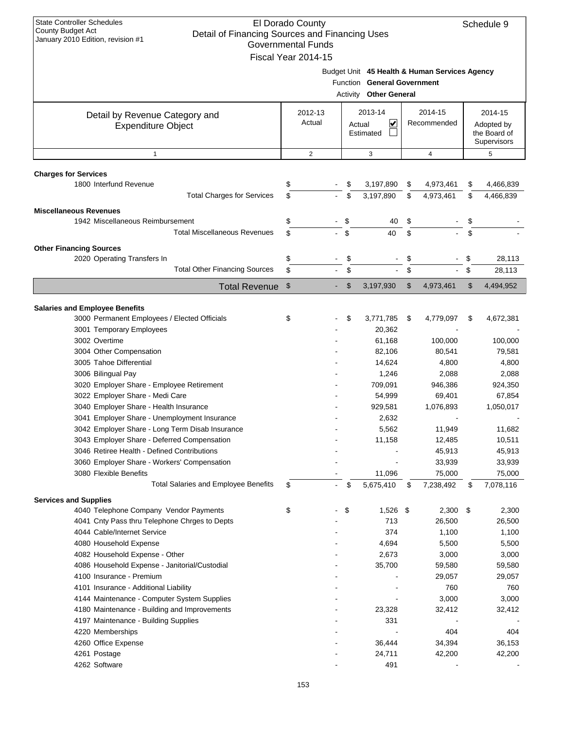| <b>State Controller Schedules</b><br>El Dorado County<br><b>County Budget Act</b><br>Detail of Financing Sources and Financing Uses<br>January 2010 Edition, revision #1 | <b>Governmental Funds</b><br>Fiscal Year 2014-15 |                           |                                                                                                        |    |                |      | Schedule 9 |  |  |  |  |  |                                           |
|--------------------------------------------------------------------------------------------------------------------------------------------------------------------------|--------------------------------------------------|---------------------------|--------------------------------------------------------------------------------------------------------|----|----------------|------|------------|--|--|--|--|--|-------------------------------------------|
|                                                                                                                                                                          |                                                  |                           | Budget Unit 45 Health & Human Services Agency<br>Function General Government<br>Activity Other General |    |                |      |            |  |  |  |  |  |                                           |
|                                                                                                                                                                          | 2012-13                                          |                           | 2013-14                                                                                                |    | 2014-15        |      | 2014-15    |  |  |  |  |  |                                           |
| Detail by Revenue Category and<br><b>Expenditure Object</b>                                                                                                              | Actual                                           |                           | ⊻<br>Actual<br>Estimated                                                                               |    | Recommended    |      |            |  |  |  |  |  | Adopted by<br>the Board of<br>Supervisors |
| $\mathbf{1}$                                                                                                                                                             | 2                                                |                           | 3                                                                                                      |    | $\overline{4}$ |      | 5          |  |  |  |  |  |                                           |
|                                                                                                                                                                          |                                                  |                           |                                                                                                        |    |                |      |            |  |  |  |  |  |                                           |
| <b>Charges for Services</b>                                                                                                                                              |                                                  |                           |                                                                                                        |    |                |      |            |  |  |  |  |  |                                           |
| 1800 Interfund Revenue                                                                                                                                                   | \$                                               | \$<br>\$                  | 3,197,890                                                                                              | \$ | 4,973,461      | \$   | 4,466,839  |  |  |  |  |  |                                           |
| <b>Total Charges for Services</b>                                                                                                                                        | \$                                               |                           | 3,197,890                                                                                              | \$ | 4,973,461      | \$   | 4,466,839  |  |  |  |  |  |                                           |
| <b>Miscellaneous Revenues</b>                                                                                                                                            |                                                  |                           |                                                                                                        |    |                |      |            |  |  |  |  |  |                                           |
| 1942 Miscellaneous Reimbursement                                                                                                                                         | \$                                               | \$                        | 40                                                                                                     | \$ |                | \$   |            |  |  |  |  |  |                                           |
| <b>Total Miscellaneous Revenues</b>                                                                                                                                      | \$                                               | \$<br>$\overline{a}$      | 40                                                                                                     | \$ |                | \$   |            |  |  |  |  |  |                                           |
| <b>Other Financing Sources</b>                                                                                                                                           |                                                  |                           |                                                                                                        |    |                |      |            |  |  |  |  |  |                                           |
| 2020 Operating Transfers In                                                                                                                                              | \$                                               | \$                        |                                                                                                        | \$ |                | \$   | 28,113     |  |  |  |  |  |                                           |
| <b>Total Other Financing Sources</b>                                                                                                                                     | \$                                               | \$                        |                                                                                                        | \$ |                | \$   | 28,113     |  |  |  |  |  |                                           |
| <b>Total Revenue</b>                                                                                                                                                     | \$                                               | $\boldsymbol{\mathsf{S}}$ | 3,197,930                                                                                              | \$ | 4,973,461      | \$   | 4,494,952  |  |  |  |  |  |                                           |
|                                                                                                                                                                          |                                                  |                           |                                                                                                        |    |                |      |            |  |  |  |  |  |                                           |
| <b>Salaries and Employee Benefits</b>                                                                                                                                    |                                                  |                           |                                                                                                        |    |                |      |            |  |  |  |  |  |                                           |
| 3000 Permanent Employees / Elected Officials                                                                                                                             | \$                                               | \$                        | 3,771,785                                                                                              | \$ | 4,779,097      | \$   | 4,672,381  |  |  |  |  |  |                                           |
| 3001 Temporary Employees                                                                                                                                                 |                                                  |                           | 20,362                                                                                                 |    |                |      |            |  |  |  |  |  |                                           |
| 3002 Overtime                                                                                                                                                            |                                                  |                           | 61,168                                                                                                 |    | 100,000        |      | 100,000    |  |  |  |  |  |                                           |
| 3004 Other Compensation                                                                                                                                                  |                                                  |                           | 82,106                                                                                                 |    | 80,541         |      | 79,581     |  |  |  |  |  |                                           |
| 3005 Tahoe Differential                                                                                                                                                  |                                                  |                           | 14,624                                                                                                 |    | 4,800          |      | 4,800      |  |  |  |  |  |                                           |
| 3006 Bilingual Pay                                                                                                                                                       |                                                  |                           | 1,246                                                                                                  |    | 2,088          |      | 2,088      |  |  |  |  |  |                                           |
| 3020 Employer Share - Employee Retirement                                                                                                                                |                                                  |                           | 709,091                                                                                                |    | 946,386        |      | 924,350    |  |  |  |  |  |                                           |
| 3022 Employer Share - Medi Care                                                                                                                                          |                                                  |                           | 54,999                                                                                                 |    | 69,401         |      | 67,854     |  |  |  |  |  |                                           |
| 3040 Employer Share - Health Insurance                                                                                                                                   |                                                  |                           | 929,581                                                                                                |    | 1,076,893      |      | 1,050,017  |  |  |  |  |  |                                           |
| 3041 Employer Share - Unemployment Insurance                                                                                                                             |                                                  |                           | 2,632                                                                                                  |    |                |      |            |  |  |  |  |  |                                           |
| 3042 Employer Share - Long Term Disab Insurance                                                                                                                          |                                                  |                           | 5,562                                                                                                  |    | 11,949         |      | 11,682     |  |  |  |  |  |                                           |
| 3043 Employer Share - Deferred Compensation                                                                                                                              |                                                  |                           | 11,158                                                                                                 |    | 12,485         |      | 10,511     |  |  |  |  |  |                                           |
| 3046 Retiree Health - Defined Contributions                                                                                                                              |                                                  |                           |                                                                                                        |    | 45,913         |      | 45,913     |  |  |  |  |  |                                           |
| 3060 Employer Share - Workers' Compensation                                                                                                                              |                                                  |                           |                                                                                                        |    | 33,939         |      | 33,939     |  |  |  |  |  |                                           |
| 3080 Flexible Benefits                                                                                                                                                   |                                                  |                           | 11,096                                                                                                 |    | 75,000         |      | 75,000     |  |  |  |  |  |                                           |
| <b>Total Salaries and Employee Benefits</b>                                                                                                                              | \$                                               | \$<br>$\blacksquare$      | 5,675,410                                                                                              | \$ | 7,238,492      | \$   | 7,078,116  |  |  |  |  |  |                                           |
| <b>Services and Supplies</b>                                                                                                                                             |                                                  |                           |                                                                                                        |    |                |      |            |  |  |  |  |  |                                           |
| 4040 Telephone Company Vendor Payments                                                                                                                                   | \$                                               | \$                        | 1,526 \$                                                                                               |    | 2,300          | - \$ | 2,300      |  |  |  |  |  |                                           |
| 4041 Cnty Pass thru Telephone Chrges to Depts                                                                                                                            |                                                  |                           | 713                                                                                                    |    | 26,500         |      | 26,500     |  |  |  |  |  |                                           |
| 4044 Cable/Internet Service                                                                                                                                              |                                                  |                           | 374                                                                                                    |    | 1,100          |      | 1,100      |  |  |  |  |  |                                           |
| 4080 Household Expense                                                                                                                                                   |                                                  |                           | 4,694                                                                                                  |    | 5,500          |      | 5,500      |  |  |  |  |  |                                           |
| 4082 Household Expense - Other                                                                                                                                           |                                                  |                           | 2,673                                                                                                  |    | 3,000          |      | 3,000      |  |  |  |  |  |                                           |
| 4086 Household Expense - Janitorial/Custodial                                                                                                                            |                                                  |                           | 35,700                                                                                                 |    | 59,580         |      | 59,580     |  |  |  |  |  |                                           |
| 4100 Insurance - Premium                                                                                                                                                 |                                                  |                           |                                                                                                        |    | 29,057         |      | 29,057     |  |  |  |  |  |                                           |
| 4101 Insurance - Additional Liability                                                                                                                                    |                                                  |                           |                                                                                                        |    | 760            |      | 760        |  |  |  |  |  |                                           |
| 4144 Maintenance - Computer System Supplies                                                                                                                              |                                                  |                           |                                                                                                        |    | 3,000          |      | 3,000      |  |  |  |  |  |                                           |
| 4180 Maintenance - Building and Improvements                                                                                                                             |                                                  |                           | 23,328                                                                                                 |    | 32,412         |      | 32,412     |  |  |  |  |  |                                           |
| 4197 Maintenance - Building Supplies                                                                                                                                     |                                                  |                           | 331                                                                                                    |    |                |      |            |  |  |  |  |  |                                           |
| 4220 Memberships                                                                                                                                                         |                                                  |                           |                                                                                                        |    | 404            |      | 404        |  |  |  |  |  |                                           |
| 4260 Office Expense                                                                                                                                                      |                                                  |                           | 36,444                                                                                                 |    | 34,394         |      | 36,153     |  |  |  |  |  |                                           |
| 4261 Postage                                                                                                                                                             |                                                  |                           | 24,711                                                                                                 |    | 42,200         |      | 42,200     |  |  |  |  |  |                                           |
| 4262 Software                                                                                                                                                            |                                                  |                           | 491                                                                                                    |    |                |      |            |  |  |  |  |  |                                           |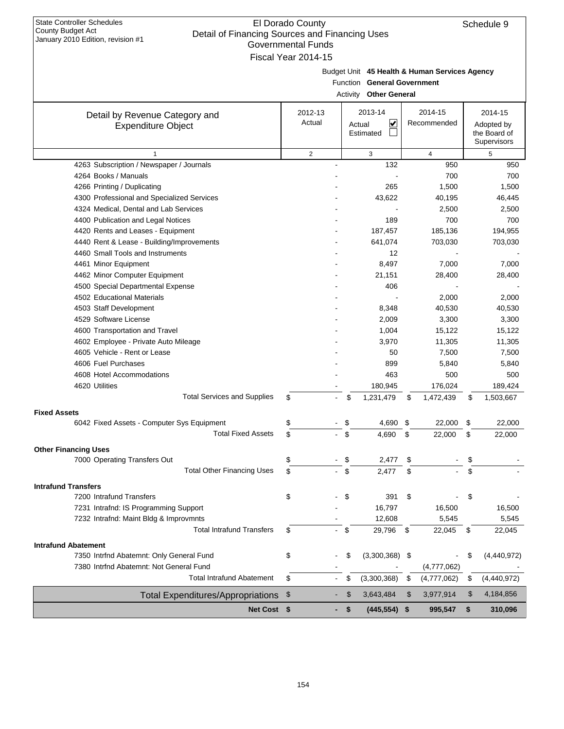| <b>State Controller Schedules</b>                                                                               | <b>El Dorado County</b> |      |                                               |                   | Schedule 9                  |
|-----------------------------------------------------------------------------------------------------------------|-------------------------|------|-----------------------------------------------|-------------------|-----------------------------|
| <b>County Budget Act</b><br>Detail of Financing Sources and Financing Uses<br>January 2010 Edition, revision #1 |                         |      |                                               |                   |                             |
|                                                                                                                 | Governmental Funds      |      |                                               |                   |                             |
|                                                                                                                 | Fiscal Year 2014-15     |      |                                               |                   |                             |
|                                                                                                                 |                         |      | Budget Unit 45 Health & Human Services Agency |                   |                             |
|                                                                                                                 |                         |      | Function General Government                   |                   |                             |
|                                                                                                                 |                         |      | Activity Other General                        |                   |                             |
| Detail by Revenue Category and                                                                                  | 2012-13                 |      | 2013-14                                       | 2014-15           | 2014-15                     |
| <b>Expenditure Object</b>                                                                                       | Actual                  |      | ∣✔<br>Actual                                  | Recommended       | Adopted by                  |
|                                                                                                                 |                         |      | Estimated                                     |                   | the Board of<br>Supervisors |
| $\mathbf{1}$                                                                                                    | 2                       |      | 3                                             | $\overline{4}$    | 5                           |
| 4263 Subscription / Newspaper / Journals                                                                        |                         |      | 132                                           | 950               | 950                         |
| 4264 Books / Manuals                                                                                            |                         |      |                                               | 700               | 700                         |
| 4266 Printing / Duplicating                                                                                     |                         |      | 265                                           | 1,500             | 1,500                       |
| 4300 Professional and Specialized Services                                                                      |                         |      | 43,622                                        | 40,195            | 46,445                      |
| 4324 Medical, Dental and Lab Services                                                                           |                         |      |                                               | 2,500             | 2,500                       |
| 4400 Publication and Legal Notices                                                                              |                         |      | 189                                           | 700               | 700                         |
| 4420 Rents and Leases - Equipment                                                                               |                         |      | 187,457                                       | 185,136           | 194,955                     |
| 4440 Rent & Lease - Building/Improvements                                                                       |                         |      | 641,074                                       | 703,030           | 703,030                     |
| 4460 Small Tools and Instruments                                                                                |                         |      | 12                                            |                   |                             |
| 4461 Minor Equipment                                                                                            |                         |      | 8,497                                         | 7,000             | 7,000                       |
| 4462 Minor Computer Equipment                                                                                   |                         |      | 21,151                                        | 28,400            | 28,400                      |
| 4500 Special Departmental Expense                                                                               |                         |      | 406                                           |                   |                             |
| 4502 Educational Materials                                                                                      |                         |      |                                               | 2,000             | 2,000                       |
| 4503 Staff Development                                                                                          |                         |      | 8,348                                         | 40,530            | 40,530                      |
| 4529 Software License                                                                                           |                         |      | 2,009                                         | 3,300             | 3,300                       |
| 4600 Transportation and Travel                                                                                  |                         |      | 1,004                                         | 15,122            | 15,122                      |
| 4602 Employee - Private Auto Mileage<br>4605 Vehicle - Rent or Lease                                            |                         |      | 3,970                                         | 11,305            | 11,305                      |
| 4606 Fuel Purchases                                                                                             |                         |      | 50                                            | 7,500             | 7,500                       |
| 4608 Hotel Accommodations                                                                                       |                         |      | 899<br>463                                    | 5,840<br>500      | 5,840<br>500                |
| 4620 Utilities                                                                                                  |                         |      | 180.945                                       | 176,024           | 189,424                     |
| <b>Total Services and Supplies</b>                                                                              | \$<br>$\blacksquare$    | \$   | 1,231,479                                     | \$<br>1,472,439   | \$<br>1,503,667             |
| <b>Fixed Assets</b>                                                                                             |                         |      |                                               |                   |                             |
| 6042 Fixed Assets - Computer Sys Equipment                                                                      | \$                      | - \$ | 4.690 \$                                      | 22.000            | \$<br>22,000                |
| <b>Total Fixed Assets</b>                                                                                       | \$                      | \$   | 4,690                                         | \$<br>22,000      | \$<br>22,000                |
| <b>Other Financing Uses</b>                                                                                     |                         |      |                                               |                   |                             |
| 7000 Operating Transfers Out                                                                                    | \$                      | \$   | 2,477                                         | \$                | \$                          |
| <b>Total Other Financing Uses</b>                                                                               | \$                      | \$   | 2,477                                         | \$                | \$                          |
|                                                                                                                 |                         |      |                                               |                   |                             |
| <b>Intrafund Transfers</b><br>7200 Intrafund Transfers                                                          |                         | \$   | 391                                           | \$                | \$                          |
| 7231 Intrafnd: IS Programming Support                                                                           | \$                      |      | 16,797                                        | 16,500            | 16,500                      |
| 7232 Intrafnd: Maint Bldg & Improvmnts                                                                          |                         |      | 12,608                                        | 5,545             | 5,545                       |
| <b>Total Intrafund Transfers</b>                                                                                | \$                      | \$   |                                               | \$                |                             |
|                                                                                                                 |                         |      | 29,796                                        | 22,045            | \$<br>22,045                |
| <b>Intrafund Abatement</b>                                                                                      |                         |      |                                               |                   |                             |
| 7350 Intrfnd Abatemnt: Only General Fund                                                                        | \$                      | \$   | $(3,300,368)$ \$                              |                   | \$<br>(4,440,972)           |
| 7380 Intrfnd Abatemnt: Not General Fund                                                                         |                         |      |                                               | (4,777,062)       |                             |
| <b>Total Intrafund Abatement</b>                                                                                | \$                      | \$   | (3,300,368)                                   | \$<br>(4,777,062) | \$<br>(4,440,972)           |
| <b>Total Expenditures/Appropriations</b>                                                                        | \$                      | \$   | 3,643,484                                     | \$<br>3,977,914   | \$<br>4,184,856             |
| Net Cost \$                                                                                                     |                         | - \$ | (445, 554)                                    | \$<br>995,547     | \$<br>310,096               |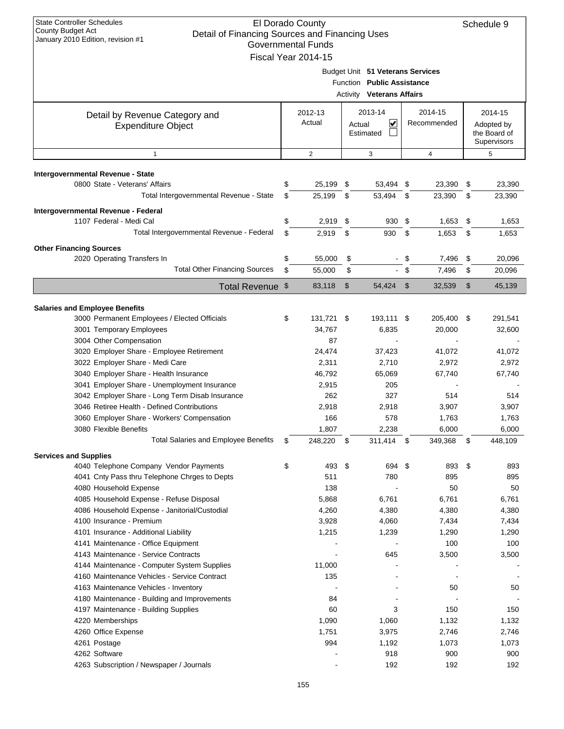| <b>State Controller Schedules</b><br><b>County Budget Act</b><br>Detail of Financing Sources and Financing Uses<br>January 2010 Edition, revision #1 | El Dorado County<br>Governmental Funds |        |                                                                                                    |      |                        | Schedule 9                                           |
|------------------------------------------------------------------------------------------------------------------------------------------------------|----------------------------------------|--------|----------------------------------------------------------------------------------------------------|------|------------------------|------------------------------------------------------|
|                                                                                                                                                      | Fiscal Year 2014-15                    |        | Budget Unit 51 Veterans Services<br>Function Public Assistance<br><b>Activity Veterans Affairs</b> |      |                        |                                                      |
| Detail by Revenue Category and<br><b>Expenditure Object</b>                                                                                          | 2012-13<br>Actual                      | Actual | 2013-14<br>⊻<br>Estimated                                                                          |      | 2014-15<br>Recommended | 2014-15<br>Adopted by<br>the Board of<br>Supervisors |
| $\mathbf{1}$                                                                                                                                         | 2                                      |        | 3                                                                                                  |      | $\overline{4}$         | 5                                                    |
| Intergovernmental Revenue - State                                                                                                                    |                                        |        |                                                                                                    |      |                        |                                                      |
| 0800 State - Veterans' Affairs                                                                                                                       | \$<br>25,199                           | \$     | 53,494 \$                                                                                          |      | 23,390                 | \$<br>23,390                                         |
| Total Intergovernmental Revenue - State                                                                                                              | \$<br>25,199                           | \$     | 53,494                                                                                             | \$   | 23,390                 | \$<br>23,390                                         |
| Intergovernmental Revenue - Federal                                                                                                                  |                                        |        |                                                                                                    |      |                        |                                                      |
| 1107 Federal - Medi Cal                                                                                                                              | \$<br>2,919                            | \$     | 930                                                                                                | -\$  | 1,653                  | \$<br>1,653                                          |
| Total Intergovernmental Revenue - Federal                                                                                                            | \$<br>2,919                            | \$     | 930                                                                                                | \$   | 1,653                  | \$<br>1,653                                          |
| <b>Other Financing Sources</b>                                                                                                                       |                                        |        |                                                                                                    |      |                        |                                                      |
| 2020 Operating Transfers In                                                                                                                          | \$<br>55,000                           | \$     |                                                                                                    | - \$ | 7,496                  | \$<br>20,096                                         |
| <b>Total Other Financing Sources</b>                                                                                                                 | \$<br>55,000                           | \$     | $\blacksquare$                                                                                     | \$   | 7,496                  | \$<br>20,096                                         |
| Total Revenue \$                                                                                                                                     | 83,118                                 | \$     | 54,424                                                                                             | \$   | 32,539                 | \$<br>45,139                                         |
|                                                                                                                                                      |                                        |        |                                                                                                    |      |                        |                                                      |
| <b>Salaries and Employee Benefits</b>                                                                                                                |                                        |        |                                                                                                    |      |                        |                                                      |
| 3000 Permanent Employees / Elected Officials                                                                                                         | \$<br>131,721 \$                       |        | 193,111 \$                                                                                         |      | 205,400                | \$<br>291,541                                        |
| 3001 Temporary Employees                                                                                                                             | 34,767                                 |        | 6,835                                                                                              |      | 20,000                 | 32,600                                               |
| 3004 Other Compensation                                                                                                                              | 87                                     |        |                                                                                                    |      |                        |                                                      |
| 3020 Employer Share - Employee Retirement                                                                                                            | 24,474                                 |        | 37,423                                                                                             |      | 41,072                 | 41,072                                               |
| 3022 Employer Share - Medi Care                                                                                                                      | 2,311                                  |        | 2,710                                                                                              |      | 2,972                  | 2,972                                                |
| 3040 Employer Share - Health Insurance                                                                                                               | 46,792                                 |        | 65,069                                                                                             |      | 67,740                 | 67,740                                               |
| 3041 Employer Share - Unemployment Insurance                                                                                                         | 2,915                                  |        | 205                                                                                                |      |                        |                                                      |
| 3042 Employer Share - Long Term Disab Insurance                                                                                                      | 262                                    |        | 327                                                                                                |      | 514                    | 514                                                  |
| 3046 Retiree Health - Defined Contributions                                                                                                          | 2,918                                  |        | 2,918                                                                                              |      | 3,907                  | 3,907                                                |
| 3060 Employer Share - Workers' Compensation                                                                                                          | 166                                    |        | 578                                                                                                |      | 1,763                  | 1,763                                                |
| 3080 Flexible Benefits                                                                                                                               | 1,807                                  |        | 2,238                                                                                              |      | 6,000                  | 6,000                                                |
| <b>Total Salaries and Employee Benefits</b>                                                                                                          | \$<br>248,220                          | \$     | 311,414                                                                                            | \$   | 349,368                | \$<br>448,109                                        |
| <b>Services and Supplies</b>                                                                                                                         |                                        |        |                                                                                                    |      |                        |                                                      |
| 4040 Telephone Company Vendor Payments                                                                                                               | \$<br>493                              | - \$   | 694 \$                                                                                             |      | 893                    | \$<br>893                                            |
| 4041 Cnty Pass thru Telephone Chrges to Depts                                                                                                        | 511                                    |        | 780                                                                                                |      | 895                    | 895                                                  |
| 4080 Household Expense                                                                                                                               | 138                                    |        |                                                                                                    |      | 50                     | 50                                                   |
| 4085 Household Expense - Refuse Disposal                                                                                                             | 5,868                                  |        | 6,761                                                                                              |      | 6,761                  | 6,761                                                |
| 4086 Household Expense - Janitorial/Custodial                                                                                                        | 4,260                                  |        | 4,380                                                                                              |      | 4,380                  | 4,380                                                |
| 4100 Insurance - Premium                                                                                                                             | 3,928                                  |        | 4,060                                                                                              |      | 7,434                  | 7,434                                                |
| 4101 Insurance - Additional Liability                                                                                                                | 1,215                                  |        | 1,239                                                                                              |      | 1,290                  | 1,290                                                |
| 4141 Maintenance - Office Equipment<br>4143 Maintenance - Service Contracts                                                                          |                                        |        |                                                                                                    |      | 100                    | 100                                                  |
|                                                                                                                                                      |                                        |        | 645                                                                                                |      | 3,500                  | 3,500                                                |
| 4144 Maintenance - Computer System Supplies<br>4160 Maintenance Vehicles - Service Contract                                                          | 11,000<br>135                          |        |                                                                                                    |      |                        |                                                      |
| 4163 Maintenance Vehicles - Inventory                                                                                                                |                                        |        |                                                                                                    |      | 50                     | 50                                                   |
| 4180 Maintenance - Building and Improvements                                                                                                         | 84                                     |        |                                                                                                    |      |                        |                                                      |
| 4197 Maintenance - Building Supplies                                                                                                                 | 60                                     |        | 3                                                                                                  |      | 150                    | 150                                                  |
| 4220 Memberships                                                                                                                                     | 1,090                                  |        | 1,060                                                                                              |      | 1,132                  | 1,132                                                |
| 4260 Office Expense                                                                                                                                  | 1,751                                  |        | 3,975                                                                                              |      | 2,746                  | 2,746                                                |
| 4261 Postage                                                                                                                                         | 994                                    |        | 1,192                                                                                              |      | 1,073                  | 1,073                                                |
| 4262 Software                                                                                                                                        |                                        |        | 918                                                                                                |      | 900                    | 900                                                  |
| 4263 Subscription / Newspaper / Journals                                                                                                             |                                        |        | 192                                                                                                |      | 192                    | 192                                                  |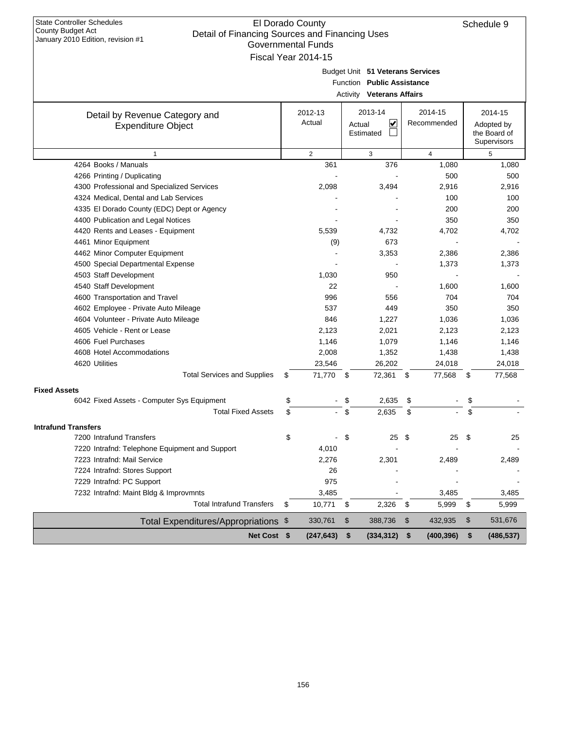| <b>State Controller Schedules</b><br><b>County Budget Act</b><br>Detail of Financing Sources and Financing Uses<br>January 2010 Edition, revision #1 | El Dorado County<br><b>Governmental Funds</b> |                                  |                          | Schedule 9                  |
|------------------------------------------------------------------------------------------------------------------------------------------------------|-----------------------------------------------|----------------------------------|--------------------------|-----------------------------|
|                                                                                                                                                      | Fiscal Year 2014-15                           |                                  |                          |                             |
|                                                                                                                                                      |                                               | Budget Unit 51 Veterans Services |                          |                             |
|                                                                                                                                                      |                                               | Function Public Assistance       |                          |                             |
|                                                                                                                                                      |                                               | <b>Activity Veterans Affairs</b> |                          |                             |
|                                                                                                                                                      |                                               |                                  |                          |                             |
| Detail by Revenue Category and                                                                                                                       | 2012-13                                       | 2013-14                          | 2014-15                  | 2014-15                     |
| <b>Expenditure Object</b>                                                                                                                            | Actual                                        | ⊻<br>Actual                      | Recommended              | Adopted by                  |
|                                                                                                                                                      |                                               | Estimated                        |                          | the Board of<br>Supervisors |
| $\mathbf{1}$                                                                                                                                         | 2                                             | 3                                | $\overline{4}$           | 5                           |
| 4264 Books / Manuals                                                                                                                                 | 361                                           | 376                              | 1,080                    | 1,080                       |
| 4266 Printing / Duplicating                                                                                                                          |                                               |                                  | 500                      | 500                         |
| 4300 Professional and Specialized Services                                                                                                           | 2,098                                         | 3,494                            | 2,916                    | 2,916                       |
| 4324 Medical, Dental and Lab Services                                                                                                                |                                               |                                  | 100                      | 100                         |
| 4335 El Dorado County (EDC) Dept or Agency                                                                                                           |                                               |                                  | 200                      | 200                         |
| 4400 Publication and Legal Notices                                                                                                                   |                                               |                                  | 350                      | 350                         |
| 4420 Rents and Leases - Equipment                                                                                                                    | 5,539                                         | 4,732                            | 4,702                    | 4,702                       |
| 4461 Minor Equipment                                                                                                                                 | (9)                                           | 673                              |                          |                             |
| 4462 Minor Computer Equipment                                                                                                                        |                                               | 3,353                            | 2,386                    | 2,386                       |
| 4500 Special Departmental Expense                                                                                                                    |                                               |                                  | 1,373                    | 1,373                       |
| 4503 Staff Development                                                                                                                               | 1,030                                         | 950                              |                          |                             |
| 4540 Staff Development                                                                                                                               | 22                                            |                                  | 1,600                    | 1,600                       |
| 4600 Transportation and Travel                                                                                                                       | 996                                           | 556                              | 704                      | 704                         |
| 4602 Employee - Private Auto Mileage                                                                                                                 | 537                                           | 449                              | 350                      | 350                         |
| 4604 Volunteer - Private Auto Mileage                                                                                                                | 846                                           | 1,227                            | 1,036                    | 1,036                       |
| 4605 Vehicle - Rent or Lease                                                                                                                         | 2,123                                         | 2,021                            | 2,123                    | 2,123                       |
| 4606 Fuel Purchases                                                                                                                                  | 1,146                                         | 1,079                            | 1,146                    | 1,146                       |
| 4608 Hotel Accommodations                                                                                                                            | 2,008                                         | 1,352                            | 1,438                    | 1,438                       |
| 4620 Utilities                                                                                                                                       | 23,546                                        | 26,202                           | 24,018                   | 24,018                      |
| <b>Total Services and Supplies</b>                                                                                                                   | \$<br>71,770                                  | 72,361<br>- \$                   | \$<br>77,568             | \$<br>77,568                |
| <b>Fixed Assets</b>                                                                                                                                  |                                               |                                  |                          |                             |
| 6042 Fixed Assets - Computer Sys Equipment                                                                                                           | \$                                            | 2,635<br>\$                      | \$                       | \$                          |
| <b>Total Fixed Assets</b>                                                                                                                            | \$                                            | \$<br>2,635                      | \$                       | \$                          |
| <b>Intrafund Transfers</b>                                                                                                                           |                                               |                                  |                          |                             |
| 7200 Intrafund Transfers                                                                                                                             | \$                                            | -\$<br>25                        | - \$<br>25               | \$<br>25                    |
| 7220 Intrafnd: Telephone Equipment and Support                                                                                                       | 4,010                                         |                                  |                          |                             |
| 7223 Intrafnd: Mail Service                                                                                                                          | 2,276                                         | 2,301                            | 2,489                    | 2,489                       |
| 7224 Intrafnd: Stores Support                                                                                                                        | 26                                            |                                  |                          |                             |
| 7229 Intrafnd: PC Support                                                                                                                            | 975                                           |                                  |                          |                             |
| 7232 Intrafnd: Maint Bldg & Improvmnts                                                                                                               | 3,485                                         |                                  | 3,485                    | 3,485                       |
| <b>Total Intrafund Transfers</b>                                                                                                                     | 10,771<br>\$                                  | \$<br>2,326                      | 5,999<br>\$              | \$<br>5,999                 |
| Total Expenditures/Appropriations \$                                                                                                                 | 330,761                                       | \$<br>388,736                    | $\sqrt[6]{3}$<br>432,935 | \$<br>531,676               |
| Net Cost \$                                                                                                                                          | (247, 643)                                    | \$<br>(334, 312)                 | (400, 396)<br>\$         | \$<br>(486, 537)            |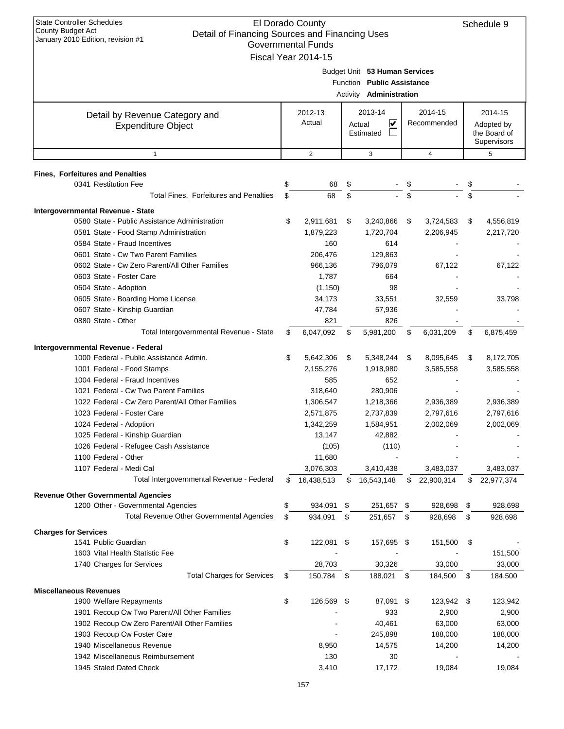| Budget Unit 53 Human Services<br>Function Public Assistance<br>Activity <b>Administration</b><br>2013-14<br>2014-15<br>2012-13<br>2014-15<br>Detail by Revenue Category and<br>Actual<br>V<br>Recommended<br>Actual<br>Adopted by<br><b>Expenditure Object</b><br>the Board of<br>Estimated<br>Supervisors<br>2<br>4<br>$\mathbf{1}$<br>3<br>5<br>Fines, Forfeitures and Penalties<br>0341 Restitution Fee<br>\$<br>\$<br>68<br>\$<br>Total Fines, Forfeitures and Penalties<br>\$<br>\$<br>68<br>Intergovernmental Revenue - State<br>0580 State - Public Assistance Administration<br>\$<br>2,911,681<br>\$<br>3,240,866<br>\$<br>3,724,583<br>\$<br>4,556,819<br>0581 State - Food Stamp Administration<br>1,879,223<br>1,720,704<br>2,206,945<br>2,217,720<br>0584 State - Fraud Incentives<br>160<br>614<br>0601 State - Cw Two Parent Families<br>206,476<br>129,863<br>0602 State - Cw Zero Parent/All Other Families<br>966.136<br>796,079<br>67,122<br>67,122<br>0603 State - Foster Care<br>1,787<br>664<br>(1, 150)<br>98<br>0604 State - Adoption<br>0605 State - Boarding Home License<br>34,173<br>33,798<br>33,551<br>32,559<br>0607 State - Kinship Guardian<br>47,784<br>57,936<br>0880 State - Other<br>821<br>826<br>Total Intergovernmental Revenue - State<br>6,047,092<br>5,981,200<br>6,031,209<br>6,875,459<br>S<br>\$<br>\$<br>\$<br>Intergovernmental Revenue - Federal<br>1000 Federal - Public Assistance Admin.<br>5,642,306<br>5,348,244<br>8,095,645<br>\$<br>\$<br>\$<br>\$<br>8,172,705<br>2,155,276<br>1001 Federal - Food Stamps<br>1,918,980<br>3,585,558<br>3,585,558<br>1004 Federal - Fraud Incentives<br>652<br>585<br>1021 Federal - Cw Two Parent Families<br>280,906<br>318,640<br>1022 Federal - Cw Zero Parent/All Other Families<br>1,306,547<br>1,218,366<br>2,936,389<br>2,936,389<br>1023 Federal - Foster Care<br>2,797,616<br>2,797,616<br>2,571,875<br>2,737,839<br>1,342,259<br>1,584,951<br>2,002,069<br>2,002,069<br>1024 Federal - Adoption<br>42,882<br>1025 Federal - Kinship Guardian<br>13,147<br>1026 Federal - Refugee Cash Assistance<br>(105)<br>(110)<br>1100 Federal - Other<br>11,680<br>3,076,303<br>3,483,037<br>3,483,037<br>1107 Federal - Medi Cal<br>3,410,438<br>Total Intergovernmental Revenue - Federal<br>16,438,513<br>\$<br>16,543,148<br>22,900,314<br>\$<br>22,977,374<br>\$<br>\$<br><b>Revenue Other Governmental Agencies</b><br>1200 Other - Governmental Agencies<br>\$<br>934,091<br>\$<br>251,657 \$<br>928,698<br>\$<br>928,698<br><b>Total Revenue Other Governmental Agencies</b><br>\$<br>\$<br>934,091<br>251,657<br>\$<br>928,698<br>\$<br>928,698<br><b>Charges for Services</b><br>\$<br>1541 Public Guardian<br>122,081 \$<br>157,695 \$<br>151,500<br>\$<br>1603 Vital Health Statistic Fee<br>151,500<br>28,703<br>30,326<br>33,000<br>1740 Charges for Services<br>33,000<br><b>Total Charges for Services</b><br>\$<br>150,784<br>$\mathfrak s$<br>188,021<br>$\mathfrak s$<br>\$<br>184,500<br>184,500<br><b>Miscellaneous Revenues</b><br>\$<br>87,091 \$<br>1900 Welfare Repayments<br>126,569 \$<br>123,942 \$<br>123,942<br>1901 Recoup Cw Two Parent/All Other Families<br>933<br>2,900<br>2,900<br>1902 Recoup Cw Zero Parent/All Other Families<br>40,461<br>63,000<br>63,000<br>1903 Recoup Cw Foster Care<br>245,898<br>188,000<br>188,000<br>1940 Miscellaneous Revenue<br>8,950<br>14,575<br>14,200<br>14,200<br>1942 Miscellaneous Reimbursement<br>130<br>30<br>1945 Staled Dated Check<br>19,084<br>3,410<br>17,172<br>19,084 | <b>State Controller Schedules</b><br><b>County Budget Act</b><br>Detail of Financing Sources and Financing Uses<br>January 2010 Edition, revision #1 | El Dorado County<br><b>Governmental Funds</b><br>Fiscal Year 2014-15 |  |  | Schedule 9 |
|----------------------------------------------------------------------------------------------------------------------------------------------------------------------------------------------------------------------------------------------------------------------------------------------------------------------------------------------------------------------------------------------------------------------------------------------------------------------------------------------------------------------------------------------------------------------------------------------------------------------------------------------------------------------------------------------------------------------------------------------------------------------------------------------------------------------------------------------------------------------------------------------------------------------------------------------------------------------------------------------------------------------------------------------------------------------------------------------------------------------------------------------------------------------------------------------------------------------------------------------------------------------------------------------------------------------------------------------------------------------------------------------------------------------------------------------------------------------------------------------------------------------------------------------------------------------------------------------------------------------------------------------------------------------------------------------------------------------------------------------------------------------------------------------------------------------------------------------------------------------------------------------------------------------------------------------------------------------------------------------------------------------------------------------------------------------------------------------------------------------------------------------------------------------------------------------------------------------------------------------------------------------------------------------------------------------------------------------------------------------------------------------------------------------------------------------------------------------------------------------------------------------------------------------------------------------------------------------------------------------------------------------------------------------------------------------------------------------------------------------------------------------------------------------------------------------------------------------------------------------------------------------------------------------------------------------------------------------------------------------------------------------------------------------------------------------------------------------------------------------------------------------------------------------------------------------------------------------------------------------------------------------------------------------------------------------------------------------------------------------------------------------------------------------------------------------------------------------------------------------------------------------------------------------------|------------------------------------------------------------------------------------------------------------------------------------------------------|----------------------------------------------------------------------|--|--|------------|
|                                                                                                                                                                                                                                                                                                                                                                                                                                                                                                                                                                                                                                                                                                                                                                                                                                                                                                                                                                                                                                                                                                                                                                                                                                                                                                                                                                                                                                                                                                                                                                                                                                                                                                                                                                                                                                                                                                                                                                                                                                                                                                                                                                                                                                                                                                                                                                                                                                                                                                                                                                                                                                                                                                                                                                                                                                                                                                                                                                                                                                                                                                                                                                                                                                                                                                                                                                                                                                                                                                                                                    |                                                                                                                                                      |                                                                      |  |  |            |
|                                                                                                                                                                                                                                                                                                                                                                                                                                                                                                                                                                                                                                                                                                                                                                                                                                                                                                                                                                                                                                                                                                                                                                                                                                                                                                                                                                                                                                                                                                                                                                                                                                                                                                                                                                                                                                                                                                                                                                                                                                                                                                                                                                                                                                                                                                                                                                                                                                                                                                                                                                                                                                                                                                                                                                                                                                                                                                                                                                                                                                                                                                                                                                                                                                                                                                                                                                                                                                                                                                                                                    |                                                                                                                                                      |                                                                      |  |  |            |
|                                                                                                                                                                                                                                                                                                                                                                                                                                                                                                                                                                                                                                                                                                                                                                                                                                                                                                                                                                                                                                                                                                                                                                                                                                                                                                                                                                                                                                                                                                                                                                                                                                                                                                                                                                                                                                                                                                                                                                                                                                                                                                                                                                                                                                                                                                                                                                                                                                                                                                                                                                                                                                                                                                                                                                                                                                                                                                                                                                                                                                                                                                                                                                                                                                                                                                                                                                                                                                                                                                                                                    |                                                                                                                                                      |                                                                      |  |  |            |
|                                                                                                                                                                                                                                                                                                                                                                                                                                                                                                                                                                                                                                                                                                                                                                                                                                                                                                                                                                                                                                                                                                                                                                                                                                                                                                                                                                                                                                                                                                                                                                                                                                                                                                                                                                                                                                                                                                                                                                                                                                                                                                                                                                                                                                                                                                                                                                                                                                                                                                                                                                                                                                                                                                                                                                                                                                                                                                                                                                                                                                                                                                                                                                                                                                                                                                                                                                                                                                                                                                                                                    |                                                                                                                                                      |                                                                      |  |  |            |
|                                                                                                                                                                                                                                                                                                                                                                                                                                                                                                                                                                                                                                                                                                                                                                                                                                                                                                                                                                                                                                                                                                                                                                                                                                                                                                                                                                                                                                                                                                                                                                                                                                                                                                                                                                                                                                                                                                                                                                                                                                                                                                                                                                                                                                                                                                                                                                                                                                                                                                                                                                                                                                                                                                                                                                                                                                                                                                                                                                                                                                                                                                                                                                                                                                                                                                                                                                                                                                                                                                                                                    |                                                                                                                                                      |                                                                      |  |  |            |
|                                                                                                                                                                                                                                                                                                                                                                                                                                                                                                                                                                                                                                                                                                                                                                                                                                                                                                                                                                                                                                                                                                                                                                                                                                                                                                                                                                                                                                                                                                                                                                                                                                                                                                                                                                                                                                                                                                                                                                                                                                                                                                                                                                                                                                                                                                                                                                                                                                                                                                                                                                                                                                                                                                                                                                                                                                                                                                                                                                                                                                                                                                                                                                                                                                                                                                                                                                                                                                                                                                                                                    |                                                                                                                                                      |                                                                      |  |  |            |
|                                                                                                                                                                                                                                                                                                                                                                                                                                                                                                                                                                                                                                                                                                                                                                                                                                                                                                                                                                                                                                                                                                                                                                                                                                                                                                                                                                                                                                                                                                                                                                                                                                                                                                                                                                                                                                                                                                                                                                                                                                                                                                                                                                                                                                                                                                                                                                                                                                                                                                                                                                                                                                                                                                                                                                                                                                                                                                                                                                                                                                                                                                                                                                                                                                                                                                                                                                                                                                                                                                                                                    |                                                                                                                                                      |                                                                      |  |  |            |
|                                                                                                                                                                                                                                                                                                                                                                                                                                                                                                                                                                                                                                                                                                                                                                                                                                                                                                                                                                                                                                                                                                                                                                                                                                                                                                                                                                                                                                                                                                                                                                                                                                                                                                                                                                                                                                                                                                                                                                                                                                                                                                                                                                                                                                                                                                                                                                                                                                                                                                                                                                                                                                                                                                                                                                                                                                                                                                                                                                                                                                                                                                                                                                                                                                                                                                                                                                                                                                                                                                                                                    |                                                                                                                                                      |                                                                      |  |  |            |
|                                                                                                                                                                                                                                                                                                                                                                                                                                                                                                                                                                                                                                                                                                                                                                                                                                                                                                                                                                                                                                                                                                                                                                                                                                                                                                                                                                                                                                                                                                                                                                                                                                                                                                                                                                                                                                                                                                                                                                                                                                                                                                                                                                                                                                                                                                                                                                                                                                                                                                                                                                                                                                                                                                                                                                                                                                                                                                                                                                                                                                                                                                                                                                                                                                                                                                                                                                                                                                                                                                                                                    |                                                                                                                                                      |                                                                      |  |  |            |
|                                                                                                                                                                                                                                                                                                                                                                                                                                                                                                                                                                                                                                                                                                                                                                                                                                                                                                                                                                                                                                                                                                                                                                                                                                                                                                                                                                                                                                                                                                                                                                                                                                                                                                                                                                                                                                                                                                                                                                                                                                                                                                                                                                                                                                                                                                                                                                                                                                                                                                                                                                                                                                                                                                                                                                                                                                                                                                                                                                                                                                                                                                                                                                                                                                                                                                                                                                                                                                                                                                                                                    |                                                                                                                                                      |                                                                      |  |  |            |
|                                                                                                                                                                                                                                                                                                                                                                                                                                                                                                                                                                                                                                                                                                                                                                                                                                                                                                                                                                                                                                                                                                                                                                                                                                                                                                                                                                                                                                                                                                                                                                                                                                                                                                                                                                                                                                                                                                                                                                                                                                                                                                                                                                                                                                                                                                                                                                                                                                                                                                                                                                                                                                                                                                                                                                                                                                                                                                                                                                                                                                                                                                                                                                                                                                                                                                                                                                                                                                                                                                                                                    |                                                                                                                                                      |                                                                      |  |  |            |
|                                                                                                                                                                                                                                                                                                                                                                                                                                                                                                                                                                                                                                                                                                                                                                                                                                                                                                                                                                                                                                                                                                                                                                                                                                                                                                                                                                                                                                                                                                                                                                                                                                                                                                                                                                                                                                                                                                                                                                                                                                                                                                                                                                                                                                                                                                                                                                                                                                                                                                                                                                                                                                                                                                                                                                                                                                                                                                                                                                                                                                                                                                                                                                                                                                                                                                                                                                                                                                                                                                                                                    |                                                                                                                                                      |                                                                      |  |  |            |
|                                                                                                                                                                                                                                                                                                                                                                                                                                                                                                                                                                                                                                                                                                                                                                                                                                                                                                                                                                                                                                                                                                                                                                                                                                                                                                                                                                                                                                                                                                                                                                                                                                                                                                                                                                                                                                                                                                                                                                                                                                                                                                                                                                                                                                                                                                                                                                                                                                                                                                                                                                                                                                                                                                                                                                                                                                                                                                                                                                                                                                                                                                                                                                                                                                                                                                                                                                                                                                                                                                                                                    |                                                                                                                                                      |                                                                      |  |  |            |
|                                                                                                                                                                                                                                                                                                                                                                                                                                                                                                                                                                                                                                                                                                                                                                                                                                                                                                                                                                                                                                                                                                                                                                                                                                                                                                                                                                                                                                                                                                                                                                                                                                                                                                                                                                                                                                                                                                                                                                                                                                                                                                                                                                                                                                                                                                                                                                                                                                                                                                                                                                                                                                                                                                                                                                                                                                                                                                                                                                                                                                                                                                                                                                                                                                                                                                                                                                                                                                                                                                                                                    |                                                                                                                                                      |                                                                      |  |  |            |
|                                                                                                                                                                                                                                                                                                                                                                                                                                                                                                                                                                                                                                                                                                                                                                                                                                                                                                                                                                                                                                                                                                                                                                                                                                                                                                                                                                                                                                                                                                                                                                                                                                                                                                                                                                                                                                                                                                                                                                                                                                                                                                                                                                                                                                                                                                                                                                                                                                                                                                                                                                                                                                                                                                                                                                                                                                                                                                                                                                                                                                                                                                                                                                                                                                                                                                                                                                                                                                                                                                                                                    |                                                                                                                                                      |                                                                      |  |  |            |
|                                                                                                                                                                                                                                                                                                                                                                                                                                                                                                                                                                                                                                                                                                                                                                                                                                                                                                                                                                                                                                                                                                                                                                                                                                                                                                                                                                                                                                                                                                                                                                                                                                                                                                                                                                                                                                                                                                                                                                                                                                                                                                                                                                                                                                                                                                                                                                                                                                                                                                                                                                                                                                                                                                                                                                                                                                                                                                                                                                                                                                                                                                                                                                                                                                                                                                                                                                                                                                                                                                                                                    |                                                                                                                                                      |                                                                      |  |  |            |
|                                                                                                                                                                                                                                                                                                                                                                                                                                                                                                                                                                                                                                                                                                                                                                                                                                                                                                                                                                                                                                                                                                                                                                                                                                                                                                                                                                                                                                                                                                                                                                                                                                                                                                                                                                                                                                                                                                                                                                                                                                                                                                                                                                                                                                                                                                                                                                                                                                                                                                                                                                                                                                                                                                                                                                                                                                                                                                                                                                                                                                                                                                                                                                                                                                                                                                                                                                                                                                                                                                                                                    |                                                                                                                                                      |                                                                      |  |  |            |
|                                                                                                                                                                                                                                                                                                                                                                                                                                                                                                                                                                                                                                                                                                                                                                                                                                                                                                                                                                                                                                                                                                                                                                                                                                                                                                                                                                                                                                                                                                                                                                                                                                                                                                                                                                                                                                                                                                                                                                                                                                                                                                                                                                                                                                                                                                                                                                                                                                                                                                                                                                                                                                                                                                                                                                                                                                                                                                                                                                                                                                                                                                                                                                                                                                                                                                                                                                                                                                                                                                                                                    |                                                                                                                                                      |                                                                      |  |  |            |
|                                                                                                                                                                                                                                                                                                                                                                                                                                                                                                                                                                                                                                                                                                                                                                                                                                                                                                                                                                                                                                                                                                                                                                                                                                                                                                                                                                                                                                                                                                                                                                                                                                                                                                                                                                                                                                                                                                                                                                                                                                                                                                                                                                                                                                                                                                                                                                                                                                                                                                                                                                                                                                                                                                                                                                                                                                                                                                                                                                                                                                                                                                                                                                                                                                                                                                                                                                                                                                                                                                                                                    |                                                                                                                                                      |                                                                      |  |  |            |
|                                                                                                                                                                                                                                                                                                                                                                                                                                                                                                                                                                                                                                                                                                                                                                                                                                                                                                                                                                                                                                                                                                                                                                                                                                                                                                                                                                                                                                                                                                                                                                                                                                                                                                                                                                                                                                                                                                                                                                                                                                                                                                                                                                                                                                                                                                                                                                                                                                                                                                                                                                                                                                                                                                                                                                                                                                                                                                                                                                                                                                                                                                                                                                                                                                                                                                                                                                                                                                                                                                                                                    |                                                                                                                                                      |                                                                      |  |  |            |
|                                                                                                                                                                                                                                                                                                                                                                                                                                                                                                                                                                                                                                                                                                                                                                                                                                                                                                                                                                                                                                                                                                                                                                                                                                                                                                                                                                                                                                                                                                                                                                                                                                                                                                                                                                                                                                                                                                                                                                                                                                                                                                                                                                                                                                                                                                                                                                                                                                                                                                                                                                                                                                                                                                                                                                                                                                                                                                                                                                                                                                                                                                                                                                                                                                                                                                                                                                                                                                                                                                                                                    |                                                                                                                                                      |                                                                      |  |  |            |
|                                                                                                                                                                                                                                                                                                                                                                                                                                                                                                                                                                                                                                                                                                                                                                                                                                                                                                                                                                                                                                                                                                                                                                                                                                                                                                                                                                                                                                                                                                                                                                                                                                                                                                                                                                                                                                                                                                                                                                                                                                                                                                                                                                                                                                                                                                                                                                                                                                                                                                                                                                                                                                                                                                                                                                                                                                                                                                                                                                                                                                                                                                                                                                                                                                                                                                                                                                                                                                                                                                                                                    |                                                                                                                                                      |                                                                      |  |  |            |
|                                                                                                                                                                                                                                                                                                                                                                                                                                                                                                                                                                                                                                                                                                                                                                                                                                                                                                                                                                                                                                                                                                                                                                                                                                                                                                                                                                                                                                                                                                                                                                                                                                                                                                                                                                                                                                                                                                                                                                                                                                                                                                                                                                                                                                                                                                                                                                                                                                                                                                                                                                                                                                                                                                                                                                                                                                                                                                                                                                                                                                                                                                                                                                                                                                                                                                                                                                                                                                                                                                                                                    |                                                                                                                                                      |                                                                      |  |  |            |
|                                                                                                                                                                                                                                                                                                                                                                                                                                                                                                                                                                                                                                                                                                                                                                                                                                                                                                                                                                                                                                                                                                                                                                                                                                                                                                                                                                                                                                                                                                                                                                                                                                                                                                                                                                                                                                                                                                                                                                                                                                                                                                                                                                                                                                                                                                                                                                                                                                                                                                                                                                                                                                                                                                                                                                                                                                                                                                                                                                                                                                                                                                                                                                                                                                                                                                                                                                                                                                                                                                                                                    |                                                                                                                                                      |                                                                      |  |  |            |
|                                                                                                                                                                                                                                                                                                                                                                                                                                                                                                                                                                                                                                                                                                                                                                                                                                                                                                                                                                                                                                                                                                                                                                                                                                                                                                                                                                                                                                                                                                                                                                                                                                                                                                                                                                                                                                                                                                                                                                                                                                                                                                                                                                                                                                                                                                                                                                                                                                                                                                                                                                                                                                                                                                                                                                                                                                                                                                                                                                                                                                                                                                                                                                                                                                                                                                                                                                                                                                                                                                                                                    |                                                                                                                                                      |                                                                      |  |  |            |
|                                                                                                                                                                                                                                                                                                                                                                                                                                                                                                                                                                                                                                                                                                                                                                                                                                                                                                                                                                                                                                                                                                                                                                                                                                                                                                                                                                                                                                                                                                                                                                                                                                                                                                                                                                                                                                                                                                                                                                                                                                                                                                                                                                                                                                                                                                                                                                                                                                                                                                                                                                                                                                                                                                                                                                                                                                                                                                                                                                                                                                                                                                                                                                                                                                                                                                                                                                                                                                                                                                                                                    |                                                                                                                                                      |                                                                      |  |  |            |
|                                                                                                                                                                                                                                                                                                                                                                                                                                                                                                                                                                                                                                                                                                                                                                                                                                                                                                                                                                                                                                                                                                                                                                                                                                                                                                                                                                                                                                                                                                                                                                                                                                                                                                                                                                                                                                                                                                                                                                                                                                                                                                                                                                                                                                                                                                                                                                                                                                                                                                                                                                                                                                                                                                                                                                                                                                                                                                                                                                                                                                                                                                                                                                                                                                                                                                                                                                                                                                                                                                                                                    |                                                                                                                                                      |                                                                      |  |  |            |
|                                                                                                                                                                                                                                                                                                                                                                                                                                                                                                                                                                                                                                                                                                                                                                                                                                                                                                                                                                                                                                                                                                                                                                                                                                                                                                                                                                                                                                                                                                                                                                                                                                                                                                                                                                                                                                                                                                                                                                                                                                                                                                                                                                                                                                                                                                                                                                                                                                                                                                                                                                                                                                                                                                                                                                                                                                                                                                                                                                                                                                                                                                                                                                                                                                                                                                                                                                                                                                                                                                                                                    |                                                                                                                                                      |                                                                      |  |  |            |
|                                                                                                                                                                                                                                                                                                                                                                                                                                                                                                                                                                                                                                                                                                                                                                                                                                                                                                                                                                                                                                                                                                                                                                                                                                                                                                                                                                                                                                                                                                                                                                                                                                                                                                                                                                                                                                                                                                                                                                                                                                                                                                                                                                                                                                                                                                                                                                                                                                                                                                                                                                                                                                                                                                                                                                                                                                                                                                                                                                                                                                                                                                                                                                                                                                                                                                                                                                                                                                                                                                                                                    |                                                                                                                                                      |                                                                      |  |  |            |
|                                                                                                                                                                                                                                                                                                                                                                                                                                                                                                                                                                                                                                                                                                                                                                                                                                                                                                                                                                                                                                                                                                                                                                                                                                                                                                                                                                                                                                                                                                                                                                                                                                                                                                                                                                                                                                                                                                                                                                                                                                                                                                                                                                                                                                                                                                                                                                                                                                                                                                                                                                                                                                                                                                                                                                                                                                                                                                                                                                                                                                                                                                                                                                                                                                                                                                                                                                                                                                                                                                                                                    |                                                                                                                                                      |                                                                      |  |  |            |
|                                                                                                                                                                                                                                                                                                                                                                                                                                                                                                                                                                                                                                                                                                                                                                                                                                                                                                                                                                                                                                                                                                                                                                                                                                                                                                                                                                                                                                                                                                                                                                                                                                                                                                                                                                                                                                                                                                                                                                                                                                                                                                                                                                                                                                                                                                                                                                                                                                                                                                                                                                                                                                                                                                                                                                                                                                                                                                                                                                                                                                                                                                                                                                                                                                                                                                                                                                                                                                                                                                                                                    |                                                                                                                                                      |                                                                      |  |  |            |
|                                                                                                                                                                                                                                                                                                                                                                                                                                                                                                                                                                                                                                                                                                                                                                                                                                                                                                                                                                                                                                                                                                                                                                                                                                                                                                                                                                                                                                                                                                                                                                                                                                                                                                                                                                                                                                                                                                                                                                                                                                                                                                                                                                                                                                                                                                                                                                                                                                                                                                                                                                                                                                                                                                                                                                                                                                                                                                                                                                                                                                                                                                                                                                                                                                                                                                                                                                                                                                                                                                                                                    |                                                                                                                                                      |                                                                      |  |  |            |
|                                                                                                                                                                                                                                                                                                                                                                                                                                                                                                                                                                                                                                                                                                                                                                                                                                                                                                                                                                                                                                                                                                                                                                                                                                                                                                                                                                                                                                                                                                                                                                                                                                                                                                                                                                                                                                                                                                                                                                                                                                                                                                                                                                                                                                                                                                                                                                                                                                                                                                                                                                                                                                                                                                                                                                                                                                                                                                                                                                                                                                                                                                                                                                                                                                                                                                                                                                                                                                                                                                                                                    |                                                                                                                                                      |                                                                      |  |  |            |
|                                                                                                                                                                                                                                                                                                                                                                                                                                                                                                                                                                                                                                                                                                                                                                                                                                                                                                                                                                                                                                                                                                                                                                                                                                                                                                                                                                                                                                                                                                                                                                                                                                                                                                                                                                                                                                                                                                                                                                                                                                                                                                                                                                                                                                                                                                                                                                                                                                                                                                                                                                                                                                                                                                                                                                                                                                                                                                                                                                                                                                                                                                                                                                                                                                                                                                                                                                                                                                                                                                                                                    |                                                                                                                                                      |                                                                      |  |  |            |
|                                                                                                                                                                                                                                                                                                                                                                                                                                                                                                                                                                                                                                                                                                                                                                                                                                                                                                                                                                                                                                                                                                                                                                                                                                                                                                                                                                                                                                                                                                                                                                                                                                                                                                                                                                                                                                                                                                                                                                                                                                                                                                                                                                                                                                                                                                                                                                                                                                                                                                                                                                                                                                                                                                                                                                                                                                                                                                                                                                                                                                                                                                                                                                                                                                                                                                                                                                                                                                                                                                                                                    |                                                                                                                                                      |                                                                      |  |  |            |
|                                                                                                                                                                                                                                                                                                                                                                                                                                                                                                                                                                                                                                                                                                                                                                                                                                                                                                                                                                                                                                                                                                                                                                                                                                                                                                                                                                                                                                                                                                                                                                                                                                                                                                                                                                                                                                                                                                                                                                                                                                                                                                                                                                                                                                                                                                                                                                                                                                                                                                                                                                                                                                                                                                                                                                                                                                                                                                                                                                                                                                                                                                                                                                                                                                                                                                                                                                                                                                                                                                                                                    |                                                                                                                                                      |                                                                      |  |  |            |
|                                                                                                                                                                                                                                                                                                                                                                                                                                                                                                                                                                                                                                                                                                                                                                                                                                                                                                                                                                                                                                                                                                                                                                                                                                                                                                                                                                                                                                                                                                                                                                                                                                                                                                                                                                                                                                                                                                                                                                                                                                                                                                                                                                                                                                                                                                                                                                                                                                                                                                                                                                                                                                                                                                                                                                                                                                                                                                                                                                                                                                                                                                                                                                                                                                                                                                                                                                                                                                                                                                                                                    |                                                                                                                                                      |                                                                      |  |  |            |
|                                                                                                                                                                                                                                                                                                                                                                                                                                                                                                                                                                                                                                                                                                                                                                                                                                                                                                                                                                                                                                                                                                                                                                                                                                                                                                                                                                                                                                                                                                                                                                                                                                                                                                                                                                                                                                                                                                                                                                                                                                                                                                                                                                                                                                                                                                                                                                                                                                                                                                                                                                                                                                                                                                                                                                                                                                                                                                                                                                                                                                                                                                                                                                                                                                                                                                                                                                                                                                                                                                                                                    |                                                                                                                                                      |                                                                      |  |  |            |
|                                                                                                                                                                                                                                                                                                                                                                                                                                                                                                                                                                                                                                                                                                                                                                                                                                                                                                                                                                                                                                                                                                                                                                                                                                                                                                                                                                                                                                                                                                                                                                                                                                                                                                                                                                                                                                                                                                                                                                                                                                                                                                                                                                                                                                                                                                                                                                                                                                                                                                                                                                                                                                                                                                                                                                                                                                                                                                                                                                                                                                                                                                                                                                                                                                                                                                                                                                                                                                                                                                                                                    |                                                                                                                                                      |                                                                      |  |  |            |
|                                                                                                                                                                                                                                                                                                                                                                                                                                                                                                                                                                                                                                                                                                                                                                                                                                                                                                                                                                                                                                                                                                                                                                                                                                                                                                                                                                                                                                                                                                                                                                                                                                                                                                                                                                                                                                                                                                                                                                                                                                                                                                                                                                                                                                                                                                                                                                                                                                                                                                                                                                                                                                                                                                                                                                                                                                                                                                                                                                                                                                                                                                                                                                                                                                                                                                                                                                                                                                                                                                                                                    |                                                                                                                                                      |                                                                      |  |  |            |
|                                                                                                                                                                                                                                                                                                                                                                                                                                                                                                                                                                                                                                                                                                                                                                                                                                                                                                                                                                                                                                                                                                                                                                                                                                                                                                                                                                                                                                                                                                                                                                                                                                                                                                                                                                                                                                                                                                                                                                                                                                                                                                                                                                                                                                                                                                                                                                                                                                                                                                                                                                                                                                                                                                                                                                                                                                                                                                                                                                                                                                                                                                                                                                                                                                                                                                                                                                                                                                                                                                                                                    |                                                                                                                                                      |                                                                      |  |  |            |
|                                                                                                                                                                                                                                                                                                                                                                                                                                                                                                                                                                                                                                                                                                                                                                                                                                                                                                                                                                                                                                                                                                                                                                                                                                                                                                                                                                                                                                                                                                                                                                                                                                                                                                                                                                                                                                                                                                                                                                                                                                                                                                                                                                                                                                                                                                                                                                                                                                                                                                                                                                                                                                                                                                                                                                                                                                                                                                                                                                                                                                                                                                                                                                                                                                                                                                                                                                                                                                                                                                                                                    |                                                                                                                                                      |                                                                      |  |  |            |
|                                                                                                                                                                                                                                                                                                                                                                                                                                                                                                                                                                                                                                                                                                                                                                                                                                                                                                                                                                                                                                                                                                                                                                                                                                                                                                                                                                                                                                                                                                                                                                                                                                                                                                                                                                                                                                                                                                                                                                                                                                                                                                                                                                                                                                                                                                                                                                                                                                                                                                                                                                                                                                                                                                                                                                                                                                                                                                                                                                                                                                                                                                                                                                                                                                                                                                                                                                                                                                                                                                                                                    |                                                                                                                                                      |                                                                      |  |  |            |
|                                                                                                                                                                                                                                                                                                                                                                                                                                                                                                                                                                                                                                                                                                                                                                                                                                                                                                                                                                                                                                                                                                                                                                                                                                                                                                                                                                                                                                                                                                                                                                                                                                                                                                                                                                                                                                                                                                                                                                                                                                                                                                                                                                                                                                                                                                                                                                                                                                                                                                                                                                                                                                                                                                                                                                                                                                                                                                                                                                                                                                                                                                                                                                                                                                                                                                                                                                                                                                                                                                                                                    |                                                                                                                                                      |                                                                      |  |  |            |
|                                                                                                                                                                                                                                                                                                                                                                                                                                                                                                                                                                                                                                                                                                                                                                                                                                                                                                                                                                                                                                                                                                                                                                                                                                                                                                                                                                                                                                                                                                                                                                                                                                                                                                                                                                                                                                                                                                                                                                                                                                                                                                                                                                                                                                                                                                                                                                                                                                                                                                                                                                                                                                                                                                                                                                                                                                                                                                                                                                                                                                                                                                                                                                                                                                                                                                                                                                                                                                                                                                                                                    |                                                                                                                                                      |                                                                      |  |  |            |
|                                                                                                                                                                                                                                                                                                                                                                                                                                                                                                                                                                                                                                                                                                                                                                                                                                                                                                                                                                                                                                                                                                                                                                                                                                                                                                                                                                                                                                                                                                                                                                                                                                                                                                                                                                                                                                                                                                                                                                                                                                                                                                                                                                                                                                                                                                                                                                                                                                                                                                                                                                                                                                                                                                                                                                                                                                                                                                                                                                                                                                                                                                                                                                                                                                                                                                                                                                                                                                                                                                                                                    |                                                                                                                                                      |                                                                      |  |  |            |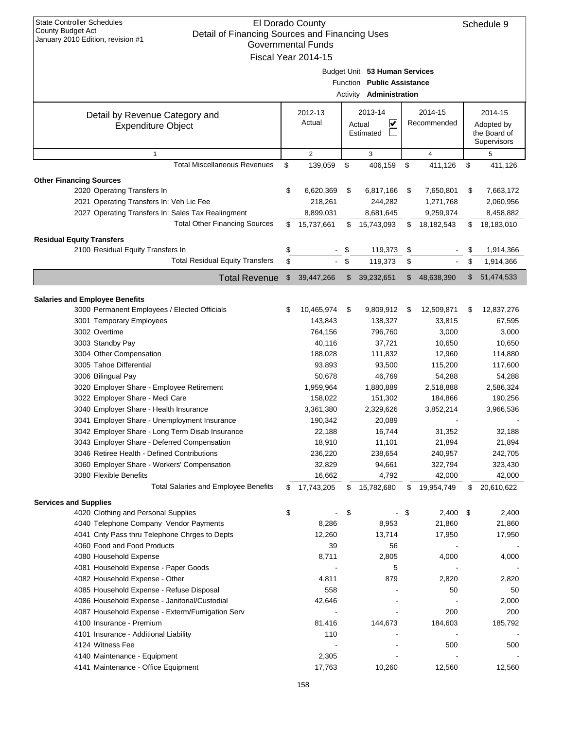| <b>State Controller Schedules</b>                                                                        | El Dorado County          |                                |                  |      | Schedule 9   |
|----------------------------------------------------------------------------------------------------------|---------------------------|--------------------------------|------------------|------|--------------|
| County Budget Act<br>Detail of Financing Sources and Financing Uses<br>January 2010 Edition, revision #1 |                           |                                |                  |      |              |
|                                                                                                          | <b>Governmental Funds</b> |                                |                  |      |              |
|                                                                                                          | Fiscal Year 2014-15       |                                |                  |      |              |
|                                                                                                          |                           | Budget Unit 53 Human Services  |                  |      |              |
|                                                                                                          |                           | Function Public Assistance     |                  |      |              |
|                                                                                                          |                           | Activity <b>Administration</b> |                  |      |              |
|                                                                                                          | 2012-13                   | 2013-14                        | 2014-15          |      | 2014-15      |
| Detail by Revenue Category and<br><b>Expenditure Object</b>                                              | Actual                    | ⊻<br>Actual                    | Recommended      |      | Adopted by   |
|                                                                                                          |                           | Estimated                      |                  |      | the Board of |
|                                                                                                          |                           |                                |                  |      | Supervisors  |
| $\mathbf{1}$                                                                                             | $\overline{2}$            | 3                              | $\overline{4}$   |      | 5            |
| <b>Total Miscellaneous Revenues</b>                                                                      | \$<br>139,059             | \$<br>406,159                  | \$<br>411,126    | \$   | 411,126      |
| <b>Other Financing Sources</b>                                                                           |                           |                                |                  |      |              |
| 2020 Operating Transfers In                                                                              | \$<br>6,620,369           | \$<br>6,817,166                | \$<br>7,650,801  | \$   | 7,663,172    |
| 2021 Operating Transfers In: Veh Lic Fee                                                                 | 218,261                   | 244,282                        | 1,271,768        |      | 2,060,956    |
| 2027 Operating Transfers In: Sales Tax Realingment                                                       | 8,899,031                 | 8,681,645                      | 9,259,974        |      | 8,458,882    |
| <b>Total Other Financing Sources</b>                                                                     | \$<br>15,737,661          | \$<br>15,743,093               | \$<br>18,182,543 | \$   | 18,183,010   |
| <b>Residual Equity Transfers</b>                                                                         |                           |                                |                  |      |              |
| 2100 Residual Equity Transfers In                                                                        | \$                        | \$<br>119,373                  | \$               | \$   | 1,914,366    |
| <b>Total Residual Equity Transfers</b>                                                                   | \$<br>$\blacksquare$      | \$<br>119,373                  | \$               | \$   | 1,914,366    |
| <b>Total Revenue</b>                                                                                     | \$<br>39,447,266          | \$<br>39,232,651               | \$<br>48,638,390 | \$   | 51,474,533   |
| <b>Salaries and Employee Benefits</b>                                                                    |                           |                                |                  |      |              |
| 3000 Permanent Employees / Elected Officials                                                             | \$<br>10,465,974          | \$<br>9,809,912                | \$<br>12,509,871 | \$   | 12,837,276   |
| 3001 Temporary Employees                                                                                 | 143,843                   | 138,327                        | 33,815           |      | 67,595       |
| 3002 Overtime                                                                                            | 764,156                   | 796,760                        | 3,000            |      | 3,000        |
| 3003 Standby Pay                                                                                         | 40,116                    | 37,721                         | 10,650           |      | 10,650       |
| 3004 Other Compensation                                                                                  | 188,028                   | 111,832                        | 12,960           |      | 114,880      |
| 3005 Tahoe Differential                                                                                  | 93,893                    | 93,500                         | 115,200          |      | 117,600      |
| 3006 Bilingual Pay                                                                                       | 50,678                    | 46,769                         | 54,288           |      | 54,288       |
| 3020 Employer Share - Employee Retirement                                                                | 1,959,964                 | 1,880,889                      | 2,518,888        |      | 2,586,324    |
| 3022 Employer Share - Medi Care                                                                          | 158,022                   | 151,302                        | 184,866          |      | 190,256      |
| 3040 Employer Share - Health Insurance                                                                   | 3,361,380                 | 2,329,626                      | 3,852,214        |      | 3,966,536    |
| 3041 Employer Share - Unemployment Insurance                                                             | 190,342                   | 20.089                         |                  |      |              |
| 3042 Employer Share - Long Term Disab Insurance                                                          | 22,188                    | 16,744                         | 31,352           |      | 32,188       |
| 3043 Employer Share - Deferred Compensation                                                              | 18,910                    | 11,101                         | 21,894           |      | 21,894       |
| 3046 Retiree Health - Defined Contributions                                                              | 236,220                   | 238,654                        | 240,957          |      | 242,705      |
| 3060 Employer Share - Workers' Compensation                                                              | 32,829                    | 94,661                         | 322,794          |      | 323,430      |
| 3080 Flexible Benefits                                                                                   | 16,662                    | 4,792                          | 42,000           |      | 42,000       |
| <b>Total Salaries and Employee Benefits</b>                                                              | \$<br>17,743,205          | \$<br>15,782,680               | \$<br>19,954,749 | \$   | 20,610,622   |
| <b>Services and Supplies</b>                                                                             |                           |                                |                  |      |              |
| 4020 Clothing and Personal Supplies                                                                      | \$                        | \$<br>$\blacksquare$           | \$<br>2,400      | - \$ | 2,400        |
| 4040 Telephone Company Vendor Payments                                                                   | 8,286                     | 8,953                          | 21,860           |      | 21,860       |
| 4041 Cnty Pass thru Telephone Chrges to Depts                                                            | 12,260                    | 13,714                         | 17,950           |      | 17,950       |
| 4060 Food and Food Products                                                                              | 39                        | 56                             |                  |      |              |
| 4080 Household Expense                                                                                   | 8,711                     | 2,805                          | 4,000            |      | 4,000        |
| 4081 Household Expense - Paper Goods                                                                     |                           | 5                              |                  |      |              |
| 4082 Household Expense - Other                                                                           | 4,811                     | 879                            | 2,820            |      | 2,820        |
| 4085 Household Expense - Refuse Disposal                                                                 | 558                       |                                | 50               |      | 50           |
| 4086 Household Expense - Janitorial/Custodial                                                            | 42,646                    |                                |                  |      | 2,000        |
| 4087 Household Expense - Exterm/Fumigation Serv                                                          |                           |                                | 200              |      | 200          |
| 4100 Insurance - Premium                                                                                 | 81,416                    | 144,673                        | 184,603          |      | 185,792      |
| 4101 Insurance - Additional Liability                                                                    | 110                       |                                |                  |      |              |
| 4124 Witness Fee                                                                                         |                           |                                | 500              |      | 500          |
| 4140 Maintenance - Equipment                                                                             | 2,305                     |                                |                  |      |              |
| 4141 Maintenance - Office Equipment                                                                      | 17,763                    | 10,260                         | 12,560           |      | 12,560       |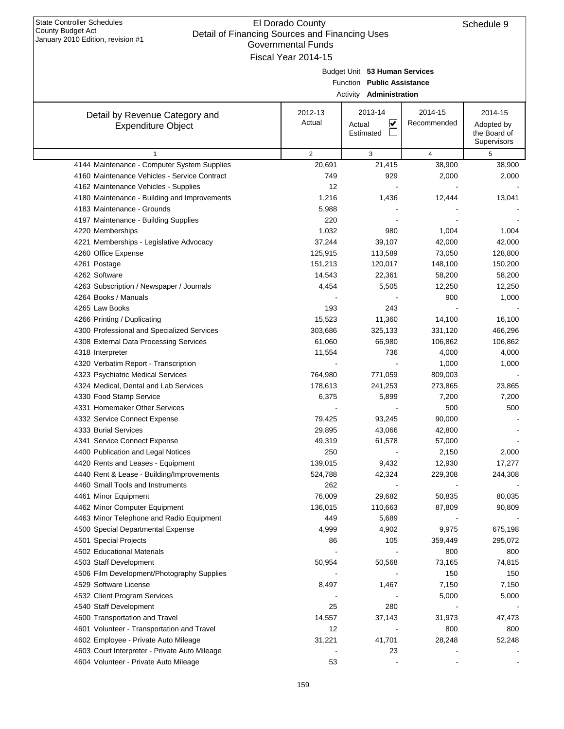| ianuary 2010 Edition, revision #1                           | <b>Governmental Funds</b> |                                |                |              |
|-------------------------------------------------------------|---------------------------|--------------------------------|----------------|--------------|
|                                                             | Fiscal Year 2014-15       |                                |                |              |
|                                                             |                           | Budget Unit 53 Human Services  |                |              |
|                                                             |                           | Function Public Assistance     |                |              |
|                                                             |                           | Activity <b>Administration</b> |                |              |
|                                                             | 2012-13                   | 2013-14                        | 2014-15        | 2014-15      |
| Detail by Revenue Category and<br><b>Expenditure Object</b> | Actual                    | V<br>Actual                    | Recommended    | Adopted by   |
|                                                             |                           | Estimated                      |                | the Board of |
|                                                             |                           |                                |                | Supervisors  |
| $\mathbf{1}$                                                | 2                         | 3                              | $\overline{4}$ | 5            |
| 4144 Maintenance - Computer System Supplies                 | 20,691                    | 21,415                         | 38,900         | 38,900       |
| 4160 Maintenance Vehicles - Service Contract                | 749                       | 929                            | 2,000          | 2,000        |
| 4162 Maintenance Vehicles - Supplies                        | 12                        |                                |                |              |
| 4180 Maintenance - Building and Improvements                | 1,216                     | 1,436                          | 12,444         | 13,041       |
| 4183 Maintenance - Grounds                                  | 5,988                     |                                |                |              |
| 4197 Maintenance - Building Supplies                        | 220                       |                                |                |              |
| 4220 Memberships                                            | 1,032                     | 980                            | 1,004          | 1,004        |
| 4221 Memberships - Legislative Advocacy                     | 37,244                    | 39,107                         | 42,000         | 42,000       |
| 4260 Office Expense                                         | 125,915                   | 113,589                        | 73,050         | 128,800      |
| 4261 Postage                                                | 151,213                   | 120,017                        | 148,100        | 150,200      |
| 4262 Software                                               | 14,543                    | 22,361                         | 58,200         | 58,200       |
| 4263 Subscription / Newspaper / Journals                    | 4,454                     | 5,505                          | 12,250         | 12,250       |
| 4264 Books / Manuals                                        |                           |                                | 900            | 1,000        |
| 4265 Law Books                                              | 193                       | 243                            |                |              |
| 4266 Printing / Duplicating                                 | 15,523                    | 11,360                         | 14,100         | 16,100       |
| 4300 Professional and Specialized Services                  | 303,686                   | 325,133                        | 331,120        | 466,296      |
| 4308 External Data Processing Services                      | 61,060                    | 66,980                         | 106,862        | 106,862      |
| 4318 Interpreter                                            | 11,554                    | 736                            | 4,000          | 4,000        |
| 4320 Verbatim Report - Transcription                        |                           |                                | 1,000          | 1,000        |
| 4323 Psychiatric Medical Services                           | 764,980                   | 771,059                        | 809,003        |              |
| 4324 Medical, Dental and Lab Services                       | 178,613                   | 241,253                        | 273,865        | 23,865       |
| 4330 Food Stamp Service                                     | 6,375                     | 5,899                          | 7,200          | 7,200        |
| 4331 Homemaker Other Services                               |                           |                                | 500            | 500          |
| 4332 Service Connect Expense                                | 79,425                    | 93,245                         | 90,000         |              |
| 4333 Burial Services                                        | 29,895                    | 43,066                         | 42,800         |              |
| 4341 Service Connect Expense                                | 49,319                    | 61,578                         | 57,000         |              |
| 4400 Publication and Legal Notices                          | 250                       |                                | 2,150          | 2,000        |
| 4420 Rents and Leases - Equipment                           | 139,015                   | 9,432                          | 12,930         | 17,277       |
| 4440 Rent & Lease - Building/Improvements                   | 524,788                   | 42,324                         | 229,308        | 244,308      |
| 4460 Small Tools and Instruments                            | 262                       |                                |                |              |
| 4461 Minor Equipment                                        | 76,009                    | 29,682                         | 50,835         | 80,035       |
| 4462 Minor Computer Equipment                               | 136,015                   | 110,663                        | 87,809         | 90,809       |
| 4463 Minor Telephone and Radio Equipment                    | 449                       | 5,689                          |                |              |
| 4500 Special Departmental Expense                           | 4,999                     | 4,902                          | 9,975          | 675,198      |
| 4501 Special Projects                                       | 86                        | 105                            | 359,449        | 295,072      |
| 4502 Educational Materials                                  |                           |                                | 800            | 800          |
| 4503 Staff Development                                      | 50,954                    | 50,568                         | 73,165         | 74,815       |
| 4506 Film Development/Photography Supplies                  |                           |                                | 150            | 150          |
| 4529 Software License                                       | 8,497                     | 1,467                          | 7,150          | 7,150        |
| 4532 Client Program Services                                |                           |                                | 5,000          | 5,000        |
| 4540 Staff Development                                      | 25                        | 280                            |                |              |
| 4600 Transportation and Travel                              | 14,557                    | 37,143                         | 31,973         | 47,473       |
| 4601 Volunteer - Transportation and Travel                  | 12                        |                                | 800            | 800          |
| 4602 Employee - Private Auto Mileage                        | 31,221                    | 41,701                         | 28,248         | 52,248       |
| 4603 Court Interpreter - Private Auto Mileage               |                           | 23                             |                |              |
| 4604 Volunteer - Private Auto Mileage                       | 53                        |                                |                |              |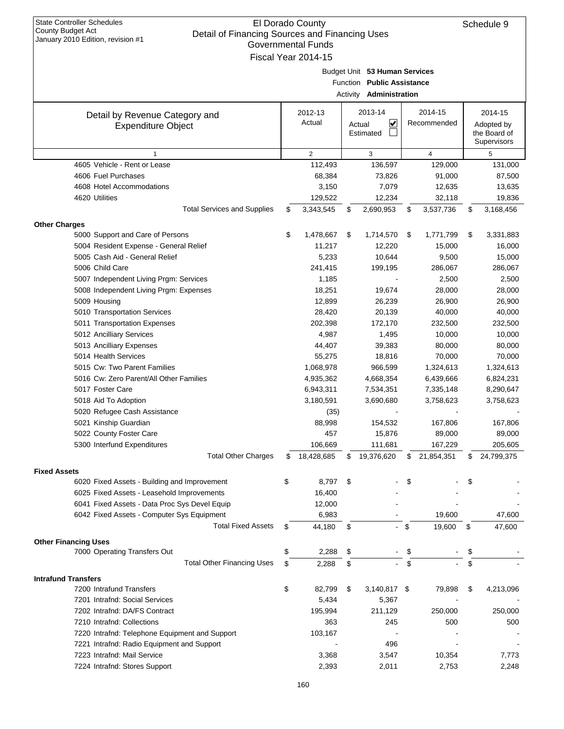| <b>State Controller Schedules</b><br>County Budget Act<br>Detail of Financing Sources and Financing Uses<br>January 2010 Edition, revision #1 | El Dorado County<br><b>Governmental Funds</b><br>Fiscal Year 2014-15 |        |                                                                                        |                        | Schedule 9                                           |
|-----------------------------------------------------------------------------------------------------------------------------------------------|----------------------------------------------------------------------|--------|----------------------------------------------------------------------------------------|------------------------|------------------------------------------------------|
|                                                                                                                                               |                                                                      |        | Budget Unit 53 Human Services<br>Function Public Assistance<br>Activity Administration |                        |                                                      |
| Detail by Revenue Category and<br><b>Expenditure Object</b>                                                                                   | 2012-13<br>Actual                                                    | Actual | 2013-14<br>⊻<br>Estimated                                                              | 2014-15<br>Recommended | 2014-15<br>Adopted by<br>the Board of<br>Supervisors |
| $\mathbf{1}$                                                                                                                                  | $\overline{2}$                                                       |        | 3                                                                                      | $\overline{4}$         | 5                                                    |
| 4605 Vehicle - Rent or Lease                                                                                                                  | 112,493                                                              |        | 136,597                                                                                | 129,000                | 131,000                                              |
| 4606 Fuel Purchases                                                                                                                           | 68,384                                                               |        | 73,826                                                                                 | 91,000                 | 87,500                                               |
| 4608 Hotel Accommodations                                                                                                                     | 3,150                                                                |        | 7,079                                                                                  | 12,635                 | 13,635                                               |
| 4620 Utilities                                                                                                                                | 129,522                                                              |        | 12,234                                                                                 | 32,118                 | 19,836                                               |
| <b>Total Services and Supplies</b>                                                                                                            | \$<br>3,343,545                                                      | \$     | 2,690,953                                                                              | \$<br>3,537,736        | \$<br>3,168,456                                      |
|                                                                                                                                               |                                                                      |        |                                                                                        |                        |                                                      |
| <b>Other Charges</b><br>5000 Support and Care of Persons                                                                                      | \$<br>1,478,667                                                      | \$     | 1,714,570                                                                              | \$<br>1,771,799        | \$<br>3,331,883                                      |
| 5004 Resident Expense - General Relief                                                                                                        | 11,217                                                               |        | 12,220                                                                                 | 15,000                 | 16,000                                               |
| 5005 Cash Aid - General Relief                                                                                                                | 5,233                                                                |        | 10,644                                                                                 | 9,500                  | 15,000                                               |
| 5006 Child Care                                                                                                                               | 241,415                                                              |        | 199,195                                                                                | 286,067                | 286,067                                              |
|                                                                                                                                               |                                                                      |        |                                                                                        |                        |                                                      |
| 5007 Independent Living Prgm: Services                                                                                                        | 1,185                                                                |        |                                                                                        | 2,500                  | 2,500                                                |
| 5008 Independent Living Prgm: Expenses                                                                                                        | 18,251                                                               |        | 19,674                                                                                 | 28,000                 | 28,000                                               |
| 5009 Housing                                                                                                                                  | 12,899                                                               |        | 26,239                                                                                 | 26,900                 | 26,900                                               |
| 5010 Transportation Services                                                                                                                  | 28,420                                                               |        | 20,139                                                                                 | 40,000                 | 40,000                                               |
| 5011 Transportation Expenses                                                                                                                  | 202,398                                                              |        | 172,170                                                                                | 232,500                | 232,500                                              |
| 5012 Ancilliary Services                                                                                                                      | 4,987                                                                |        | 1,495                                                                                  | 10,000                 | 10,000                                               |
| 5013 Ancilliary Expenses                                                                                                                      | 44,407                                                               |        | 39,383                                                                                 | 80,000                 | 80,000                                               |
| 5014 Health Services                                                                                                                          | 55,275                                                               |        | 18,816                                                                                 | 70,000                 | 70,000                                               |
| 5015 Cw: Two Parent Families                                                                                                                  | 1,068,978                                                            |        | 966,599                                                                                | 1,324,613              | 1,324,613                                            |
| 5016 Cw: Zero Parent/All Other Families                                                                                                       | 4,935,362                                                            |        | 4,668,354                                                                              | 6,439,666              | 6,824,231                                            |
| 5017 Foster Care                                                                                                                              | 6,943,311                                                            |        | 7,534,351                                                                              | 7,335,148              | 8,290,647                                            |
| 5018 Aid To Adoption                                                                                                                          | 3,180,591                                                            |        | 3,690,680                                                                              | 3,758,623              | 3,758,623                                            |
| 5020 Refugee Cash Assistance                                                                                                                  | (35)                                                                 |        |                                                                                        |                        |                                                      |
| 5021 Kinship Guardian                                                                                                                         | 88,998                                                               |        | 154,532                                                                                | 167,806                | 167,806                                              |
| 5022 County Foster Care                                                                                                                       | 457                                                                  |        | 15,876                                                                                 | 89,000                 | 89,000                                               |
| 5300 Interfund Expenditures                                                                                                                   | 106,669                                                              |        | 111,681                                                                                | 167,229                | 205,605                                              |
| <b>Total Other Charges</b>                                                                                                                    | \$<br>18,428,685                                                     | \$     | 19,376,620                                                                             | \$<br>21,854,351       | \$<br>24,799,375                                     |
|                                                                                                                                               |                                                                      |        |                                                                                        |                        |                                                      |
| <b>Fixed Assets</b>                                                                                                                           |                                                                      |        |                                                                                        |                        |                                                      |
| 6020 Fixed Assets - Building and Improvement                                                                                                  | \$<br>8,797                                                          | \$     |                                                                                        | \$                     | \$                                                   |
| 6025 Fixed Assets - Leasehold Improvements                                                                                                    | 16,400                                                               |        |                                                                                        |                        |                                                      |
| 6041 Fixed Assets - Data Proc Sys Devel Equip                                                                                                 | 12,000                                                               |        |                                                                                        |                        |                                                      |
| 6042 Fixed Assets - Computer Sys Equipment                                                                                                    | 6,983                                                                |        |                                                                                        | 19,600                 | 47,600                                               |
| <b>Total Fixed Assets</b>                                                                                                                     | \$<br>44,180                                                         | \$     |                                                                                        | \$<br>19,600           | \$<br>47,600                                         |
| <b>Other Financing Uses</b>                                                                                                                   |                                                                      |        |                                                                                        |                        |                                                      |
| 7000 Operating Transfers Out                                                                                                                  | \$<br>2,288                                                          | \$     |                                                                                        | \$                     |                                                      |
| <b>Total Other Financing Uses</b>                                                                                                             | \$<br>2,288                                                          | \$     |                                                                                        | \$                     | \$                                                   |
|                                                                                                                                               |                                                                      |        |                                                                                        |                        |                                                      |
| <b>Intrafund Transfers</b><br>7200 Intrafund Transfers                                                                                        | 82,799                                                               |        |                                                                                        |                        |                                                      |
|                                                                                                                                               | \$                                                                   | \$     | 3,140,817 \$                                                                           | 79,898                 | \$<br>4,213,096                                      |
| 7201 Intrafnd: Social Services                                                                                                                | 5,434                                                                |        | 5,367                                                                                  |                        |                                                      |
| 7202 Intrafnd: DA/FS Contract                                                                                                                 | 195,994                                                              |        | 211,129                                                                                | 250,000                | 250,000                                              |
| 7210 Intrafnd: Collections                                                                                                                    | 363                                                                  |        | 245                                                                                    | 500                    | 500                                                  |
| 7220 Intrafnd: Telephone Equipment and Support                                                                                                | 103,167                                                              |        |                                                                                        |                        |                                                      |
| 7221 Intrafnd: Radio Equipment and Support                                                                                                    |                                                                      |        | 496                                                                                    |                        |                                                      |
| 7223 Intrafnd: Mail Service                                                                                                                   | 3,368                                                                |        | 3,547                                                                                  | 10,354                 | 7,773                                                |
| 7224 Intrafnd: Stores Support                                                                                                                 | 2,393                                                                |        | 2,011                                                                                  | 2,753                  | 2,248                                                |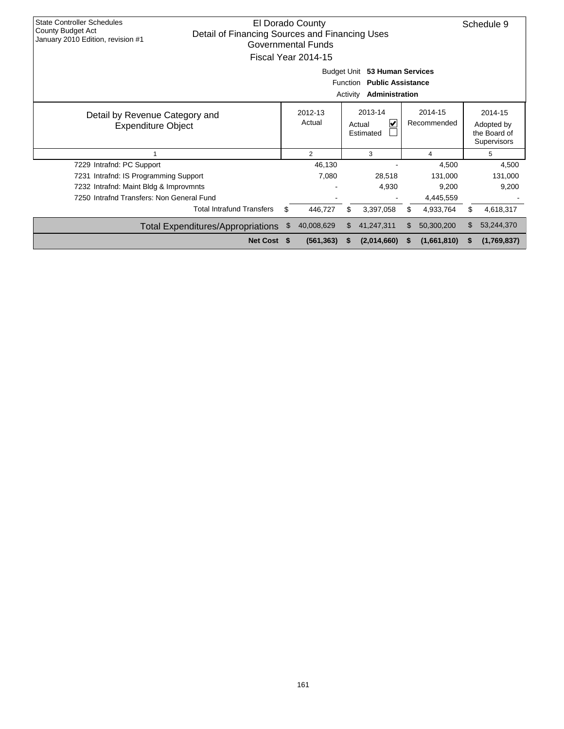| <b>State Controller Schedules</b><br>County Budget Act<br>January 2010 Edition, revision #1 | Detail of Financing Sources and Financing Uses | El Dorado County<br>Governmental Funds<br>Fiscal Year 2014-15 |                             |                                                                 |     |                        |    | Schedule 9                                           |
|---------------------------------------------------------------------------------------------|------------------------------------------------|---------------------------------------------------------------|-----------------------------|-----------------------------------------------------------------|-----|------------------------|----|------------------------------------------------------|
|                                                                                             |                                                | <b>Budget Unit</b>                                            | <b>Function</b><br>Activity | 53 Human Services<br><b>Public Assistance</b><br>Administration |     |                        |    |                                                      |
| Detail by Revenue Category and<br><b>Expenditure Object</b>                                 |                                                | 2012-13<br>Actual                                             |                             | 2013-14<br>V<br>Actual<br>Estimated                             |     | 2014-15<br>Recommended |    | 2014-15<br>Adopted by<br>the Board of<br>Supervisors |
|                                                                                             |                                                | $\overline{2}$                                                |                             | 3                                                               |     | 4                      |    | 5                                                    |
| 7229 Intrafnd: PC Support                                                                   |                                                | 46,130                                                        |                             |                                                                 |     | 4,500                  |    | 4,500                                                |
| 7231 Intrafnd: IS Programming Support                                                       |                                                | 7,080                                                         |                             | 28,518                                                          |     | 131,000                |    | 131,000                                              |
| 7232 Intrafnd: Maint Bldg & Improvmnts                                                      |                                                |                                                               |                             | 4,930                                                           |     | 9,200                  |    | 9,200                                                |
| 7250 Intrafnd Transfers: Non General Fund                                                   |                                                |                                                               |                             |                                                                 |     | 4,445,559              |    |                                                      |
|                                                                                             | <b>Total Intrafund Transfers</b>               | \$<br>446,727                                                 | \$                          | 3,397,058                                                       |     | 4,933,764              | \$ | 4,618,317                                            |
|                                                                                             | <b>Total Expenditures/Appropriations</b>       | \$<br>40,008,629                                              | \$                          | 41,247,311                                                      | \$. | 50,300,200             | \$ | 53,244,370                                           |
|                                                                                             | <b>Net Cost</b>                                | (561, 363)                                                    |                             | (2,014,660)                                                     | S   | (1,661,810)            | S  | (1,769,837)                                          |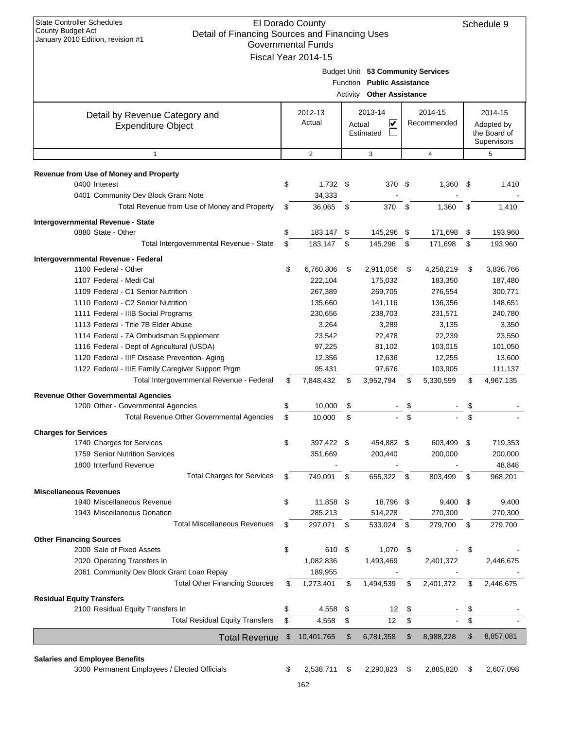|                                                             | Governmental Funds<br>Fiscal Year 2014-15 | Function      | Budget Unit 53 Community Services<br><b>Public Assistance</b> |      |                        |      |                                                      |
|-------------------------------------------------------------|-------------------------------------------|---------------|---------------------------------------------------------------|------|------------------------|------|------------------------------------------------------|
|                                                             |                                           |               | <b>Activity Other Assistance</b>                              |      |                        |      |                                                      |
| Detail by Revenue Category and<br><b>Expenditure Object</b> | 2012-13<br>Actual                         |               | 2013-14<br>⊻<br>Actual<br>Estimated                           |      | 2014-15<br>Recommended |      | 2014-15<br>Adopted by<br>the Board of<br>Supervisors |
| $\mathbf{1}$                                                | $\overline{2}$                            |               | 3                                                             |      | 4                      |      | 5                                                    |
| Revenue from Use of Money and Property<br>0400 Interest     | \$<br>$1,732$ \$                          |               | 370 \$                                                        |      | 1,360                  | - \$ | 1,410                                                |
| 0401 Community Dev Block Grant Note                         | 34,333                                    |               |                                                               |      |                        |      |                                                      |
| Total Revenue from Use of Money and Property                | \$<br>36,065                              | $\mathfrak s$ | 370                                                           | \$   | 1,360                  | \$   | 1,410                                                |
| Intergovernmental Revenue - State                           |                                           |               |                                                               |      |                        |      |                                                      |
| 0880 State - Other                                          | \$<br>183,147 \$                          |               | 145,296                                                       | - \$ | 171,698                | \$   | 193,960                                              |
| Total Intergovernmental Revenue - State                     | \$<br>183,147                             | \$            | 145,296                                                       | \$   | 171,698                | \$   | 193,960                                              |
| Intergovernmental Revenue - Federal                         |                                           |               |                                                               |      |                        |      |                                                      |
| 1100 Federal - Other                                        | \$<br>6,760,806                           | \$            | 2,911,056                                                     | \$   | 4,258,219              | \$   | 3,836,766                                            |
| 1107 Federal - Medi Cal                                     | 222,104                                   |               | 175,032                                                       |      | 183,350                |      | 187,480                                              |
| 1109 Federal - C1 Senior Nutrition                          | 267,389                                   |               | 269,705                                                       |      | 276,554                |      | 300,771                                              |
| 1110 Federal - C2 Senior Nutrition                          | 135,660                                   |               | 141,116                                                       |      | 136,356                |      | 148,651                                              |
| 1111 Federal - IIIB Social Programs                         | 230,656                                   |               | 238,703                                                       |      | 231,571                |      | 240,780                                              |
| 1113 Federal - Title 7B Elder Abuse                         | 3,264                                     |               | 3,289                                                         |      | 3,135                  |      | 3,350                                                |
| 1114 Federal - 7A Ombudsman Supplement                      | 23,542                                    |               | 22,478                                                        |      | 22,239                 |      | 23,550                                               |
| 1116 Federal - Dept of Agricultural (USDA)                  | 97,225                                    |               | 81,102                                                        |      | 103,015                |      | 101,050                                              |
| 1120 Federal - IIIF Disease Prevention- Aging               | 12,356                                    |               | 12,636                                                        |      | 12,255                 |      | 13,600                                               |
| 1122 Federal - IIIE Family Caregiver Support Prgm           | 95,431                                    |               | 97,676                                                        |      | 103,905                |      | 111,137                                              |
| Total Intergovernmental Revenue - Federal                   | \$<br>7,848,432                           | \$            | 3,952,794                                                     | \$   | 5,330,599              | \$   | 4,967,135                                            |
| <b>Revenue Other Governmental Agencies</b>                  |                                           |               |                                                               |      |                        |      |                                                      |
| 1200 Other - Governmental Agencies                          | \$<br>10,000                              | \$            |                                                               | \$   |                        | \$   |                                                      |
| Total Revenue Other Governmental Agencies                   | \$<br>10,000                              | \$            | ÷.                                                            | \$   |                        | \$   |                                                      |
| <b>Charges for Services</b>                                 |                                           |               |                                                               |      |                        |      |                                                      |
| 1740 Charges for Services                                   | \$<br>397,422 \$                          |               | 454,882 \$                                                    |      | 603,499                | \$   | 719,353                                              |
| 1759 Senior Nutrition Services                              | 351,669                                   |               | 200.440                                                       |      | 200.000                |      | 200,000                                              |
| 1800 Interfund Revenue                                      |                                           |               |                                                               |      |                        |      | 48,848                                               |
| <b>Total Charges for Services</b>                           | \$<br>749,091                             | -\$           | 655,322                                                       | \$   | 803,499                | \$   | 968,201                                              |
| <b>Miscellaneous Revenues</b>                               |                                           |               |                                                               |      |                        |      |                                                      |
| 1940 Miscellaneous Revenue                                  | \$<br>11,858 \$                           |               | 18,796 \$                                                     |      | $9,400$ \$             |      | 9,400                                                |
| 1943 Miscellaneous Donation                                 | 285,213                                   |               | 514,228                                                       |      | 270,300                |      | 270,300                                              |
| <b>Total Miscellaneous Revenues</b>                         | \$<br>297,071                             | \$            | 533,024 \$                                                    |      | 279,700                | \$   | 279,700                                              |
| <b>Other Financing Sources</b>                              |                                           |               |                                                               |      |                        |      |                                                      |
| 2000 Sale of Fixed Assets                                   | \$<br>610 \$                              |               | 1,070                                                         | - \$ |                        | \$   |                                                      |
| 2020 Operating Transfers In                                 | 1,082,836                                 |               | 1,493,469                                                     |      | 2,401,372              |      | 2,446,675                                            |
| 2061 Community Dev Block Grant Loan Repay                   | 189,955                                   |               |                                                               |      |                        |      |                                                      |
| <b>Total Other Financing Sources</b>                        | \$<br>1,273,401                           | \$            | 1,494,539                                                     | \$   | 2,401,372              | \$   | 2,446,675                                            |
| <b>Residual Equity Transfers</b>                            |                                           |               |                                                               |      |                        |      |                                                      |
| 2100 Residual Equity Transfers In                           | \$<br>4,558                               | \$            | 12                                                            | \$   |                        | \$   |                                                      |
| <b>Total Residual Equity Transfers</b>                      | \$<br>4,558                               | \$            | 12                                                            | \$   |                        | \$   |                                                      |
| <b>Total Revenue</b>                                        | \$<br>10,401,765                          | \$            | 6,781,358                                                     | \$   | 8,988,228              | \$   | 8,857,081                                            |
|                                                             |                                           |               |                                                               |      |                        |      |                                                      |
| <b>Salaries and Employee Benefits</b>                       |                                           |               |                                                               |      |                        |      |                                                      |
| 3000 Permanent Employees / Elected Officials                | \$<br>2,538,711                           | \$            | 2,290,823                                                     | \$   | 2,885,820              | \$   | 2,607,098                                            |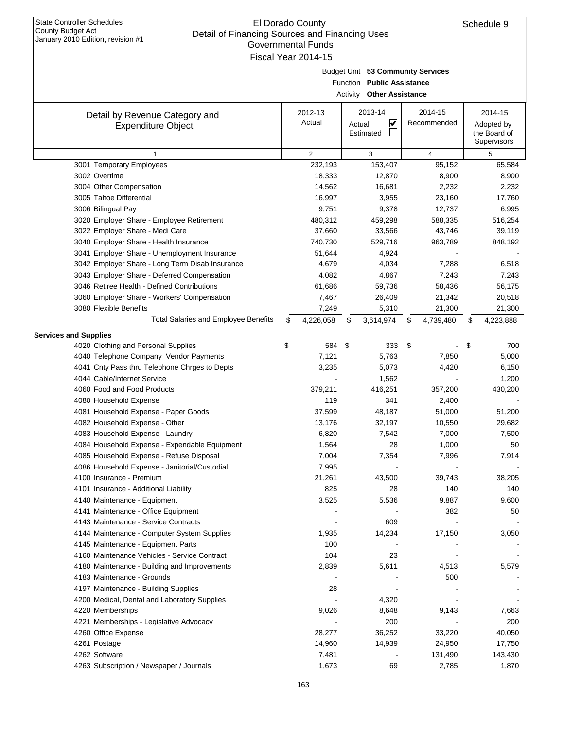| January 2010 Edition, revision #1                           | Governmental Funds  |                                   |                 |                 |
|-------------------------------------------------------------|---------------------|-----------------------------------|-----------------|-----------------|
|                                                             | Fiscal Year 2014-15 |                                   |                 |                 |
|                                                             |                     | Budget Unit 53 Community Services |                 |                 |
|                                                             |                     | Function Public Assistance        |                 |                 |
|                                                             |                     | <b>Activity Other Assistance</b>  |                 |                 |
|                                                             | 2012-13             | 2013-14                           | 2014-15         | 2014-15         |
| Detail by Revenue Category and<br><b>Expenditure Object</b> | Actual              | ⊻<br>Actual                       | Recommended     | Adopted by      |
|                                                             |                     | Estimated                         |                 | the Board of    |
|                                                             |                     |                                   |                 | Supervisors     |
| $\mathbf{1}$                                                | $\overline{2}$      | 3                                 | $\overline{4}$  | 5               |
| 3001 Temporary Employees                                    | 232,193             | 153,407                           | 95,152          | 65,584          |
| 3002 Overtime                                               | 18,333              | 12,870                            | 8,900           | 8,900           |
| 3004 Other Compensation                                     | 14,562              | 16,681                            | 2,232           | 2,232           |
| 3005 Tahoe Differential                                     | 16,997              | 3,955                             | 23,160          | 17,760          |
| 3006 Bilingual Pay                                          | 9,751               | 9,378                             | 12,737          | 6,995           |
| 3020 Employer Share - Employee Retirement                   | 480,312             | 459,298                           | 588,335         | 516,254         |
| 3022 Employer Share - Medi Care                             | 37,660              | 33,566                            | 43,746          | 39,119          |
| 3040 Employer Share - Health Insurance                      | 740,730             | 529,716                           | 963,789         | 848,192         |
| 3041 Employer Share - Unemployment Insurance                | 51,644              | 4,924                             |                 |                 |
| 3042 Employer Share - Long Term Disab Insurance             | 4,679               | 4,034                             | 7,288           | 6,518           |
| 3043 Employer Share - Deferred Compensation                 | 4,082               | 4,867                             | 7,243           | 7,243           |
| 3046 Retiree Health - Defined Contributions                 | 61,686              | 59,736                            | 58,436          | 56,175          |
| 3060 Employer Share - Workers' Compensation                 | 7,467               | 26,409                            | 21,342          | 20,518          |
| 3080 Flexible Benefits                                      | 7,249               | 5,310                             | 21,300          | 21,300          |
| <b>Total Salaries and Employee Benefits</b>                 | \$<br>4,226,058     | \$<br>3,614,974                   | \$<br>4,739,480 | \$<br>4,223,888 |
| <b>Services and Supplies</b>                                |                     |                                   |                 |                 |
| 4020 Clothing and Personal Supplies                         | \$<br>584 \$        | 333                               | \$              | \$<br>700       |
| 4040 Telephone Company Vendor Payments                      | 7,121               | 5,763                             | 7,850           | 5,000           |
| 4041 Cnty Pass thru Telephone Chrges to Depts               | 3,235               | 5,073                             | 4,420           | 6,150           |
| 4044 Cable/Internet Service                                 |                     | 1,562                             |                 | 1,200           |
| 4060 Food and Food Products                                 | 379,211             | 416,251                           | 357,200         | 430,200         |
| 4080 Household Expense                                      | 119                 | 341                               | 2,400           |                 |
| 4081 Household Expense - Paper Goods                        | 37,599              | 48,187                            | 51,000          | 51,200          |
| 4082 Household Expense - Other                              | 13,176              | 32,197                            | 10,550          | 29,682          |
| 4083 Household Expense - Laundry                            | 6,820               | 7,542                             | 7,000           | 7,500           |
| 4084 Household Expense - Expendable Equipment               | 1,564               | 28                                | 1,000           | 50              |
| 4085 Household Expense - Refuse Disposal                    | 7,004               | 7,354                             | 7,996           | 7,914           |
| 4086 Household Expense - Janitorial/Custodial               | 7,995               |                                   |                 |                 |
| 4100 Insurance - Premium                                    | 21,261              | 43,500                            | 39,743          | 38,205          |
| 4101 Insurance - Additional Liability                       | 825                 | 28                                | 140             | 140             |
| 4140 Maintenance - Equipment                                | 3,525               | 5,536                             | 9,887           | 9,600           |
| 4141 Maintenance - Office Equipment                         |                     |                                   | 382             | 50              |
| 4143 Maintenance - Service Contracts                        |                     | 609                               |                 |                 |
| 4144 Maintenance - Computer System Supplies                 | 1,935               | 14,234                            | 17,150          | 3,050           |
| 4145 Maintenance - Equipment Parts                          | 100                 |                                   |                 |                 |
| 4160 Maintenance Vehicles - Service Contract                | 104                 | 23                                |                 |                 |
| 4180 Maintenance - Building and Improvements                | 2,839               | 5,611                             | 4,513           | 5,579           |
| 4183 Maintenance - Grounds                                  |                     |                                   | 500             |                 |
| 4197 Maintenance - Building Supplies                        | 28                  |                                   |                 |                 |
| 4200 Medical, Dental and Laboratory Supplies                |                     | 4,320                             |                 |                 |
| 4220 Memberships                                            | 9,026               | 8,648                             | 9,143           | 7,663           |
| 4221 Memberships - Legislative Advocacy                     |                     | 200                               |                 | 200             |
| 4260 Office Expense                                         | 28,277              | 36,252                            | 33,220          | 40,050          |
| 4261 Postage                                                | 14,960              | 14,939                            | 24,950          | 17,750          |
| 4262 Software                                               | 7,481               |                                   | 131,490         | 143,430         |
| 4263 Subscription / Newspaper / Journals                    | 1,673               | 69                                | 2,785           | 1,870           |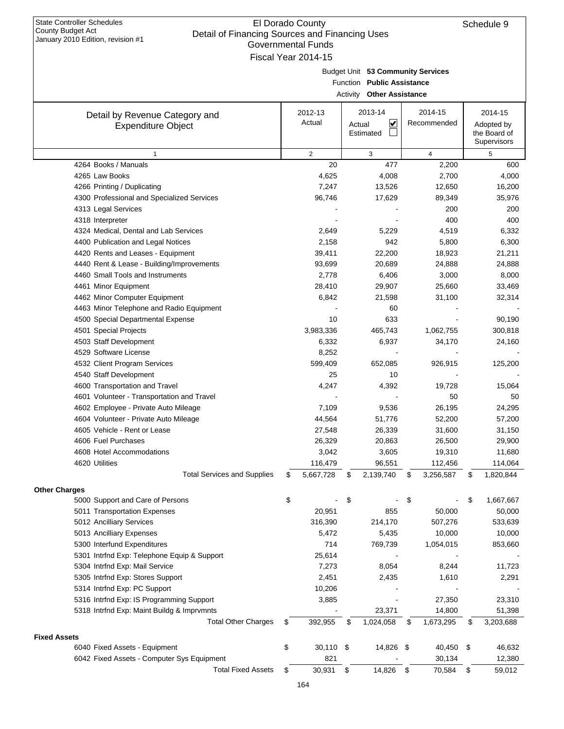| clair or i manoing Obdicco and i manoing Osco<br>January 2010 Edition, revision #1 | Governmental Funds  |                                                                 |      |             |      |                             |
|------------------------------------------------------------------------------------|---------------------|-----------------------------------------------------------------|------|-------------|------|-----------------------------|
|                                                                                    | Fiscal Year 2014-15 |                                                                 |      |             |      |                             |
|                                                                                    |                     | Budget Unit 53 Community Services<br>Function Public Assistance |      |             |      |                             |
|                                                                                    |                     | <b>Activity Other Assistance</b>                                |      |             |      |                             |
| Detail by Revenue Category and                                                     | 2012-13             | 2013-14                                                         |      | 2014-15     |      | 2014-15                     |
| <b>Expenditure Object</b>                                                          | Actual              | V<br>Actual                                                     |      | Recommended |      | Adopted by                  |
|                                                                                    |                     | Estimated                                                       |      |             |      | the Board of<br>Supervisors |
| $\mathbf{1}$                                                                       | 2                   | 3                                                               |      | 4           |      | 5                           |
| 4264 Books / Manuals                                                               | 20                  | 477                                                             |      | 2,200       |      | 600                         |
| 4265 Law Books                                                                     | 4,625               | 4,008                                                           |      | 2,700       |      | 4,000                       |
| 4266 Printing / Duplicating                                                        | 7,247               | 13,526                                                          |      | 12,650      |      | 16,200                      |
| 4300 Professional and Specialized Services                                         | 96,746              | 17,629                                                          |      | 89,349      |      | 35,976                      |
| 4313 Legal Services                                                                |                     |                                                                 |      | 200         |      | 200                         |
| 4318 Interpreter                                                                   |                     |                                                                 |      | 400         |      | 400                         |
| 4324 Medical, Dental and Lab Services                                              | 2,649               | 5,229                                                           |      | 4,519       |      | 6,332                       |
| 4400 Publication and Legal Notices                                                 | 2,158               | 942                                                             |      | 5,800       |      | 6,300                       |
| 4420 Rents and Leases - Equipment                                                  | 39,411              | 22,200                                                          |      | 18,923      |      | 21,211                      |
| 4440 Rent & Lease - Building/Improvements                                          | 93,699              | 20,689                                                          |      | 24,888      |      | 24,888                      |
| 4460 Small Tools and Instruments                                                   | 2,778               | 6,406                                                           |      | 3,000       |      | 8,000                       |
| 4461 Minor Equipment                                                               | 28,410              | 29,907                                                          |      | 25,660      |      | 33,469                      |
| 4462 Minor Computer Equipment                                                      | 6,842               | 21,598                                                          |      | 31,100      |      | 32,314                      |
| 4463 Minor Telephone and Radio Equipment                                           |                     | 60                                                              |      |             |      |                             |
| 4500 Special Departmental Expense                                                  | 10                  | 633                                                             |      |             |      | 90,190                      |
| 4501 Special Projects                                                              | 3,983,336           | 465,743                                                         |      | 1,062,755   |      | 300,818                     |
| 4503 Staff Development                                                             | 6,332               | 6,937                                                           |      | 34,170      |      | 24,160                      |
| 4529 Software License                                                              | 8,252               |                                                                 |      |             |      |                             |
| 4532 Client Program Services                                                       | 599,409             | 652,085                                                         |      | 926,915     |      | 125,200                     |
| 4540 Staff Development                                                             | 25                  | 10                                                              |      |             |      |                             |
| 4600 Transportation and Travel                                                     | 4,247               | 4,392                                                           |      | 19,728      |      | 15,064                      |
| 4601 Volunteer - Transportation and Travel                                         |                     |                                                                 |      | 50          |      | 50                          |
| 4602 Employee - Private Auto Mileage                                               | 7,109               | 9,536                                                           |      | 26,195      |      | 24,295                      |
| 4604 Volunteer - Private Auto Mileage                                              | 44,564              | 51,776                                                          |      | 52,200      |      | 57,200                      |
| 4605 Vehicle - Rent or Lease                                                       | 27,548              | 26,339                                                          |      | 31,600      |      | 31,150                      |
| 4606 Fuel Purchases                                                                | 26,329              | 20,863                                                          |      | 26,500      |      | 29,900                      |
| 4608 Hotel Accommodations                                                          | 3,042               | 3,605                                                           |      | 19,310      |      | 11,680                      |
| 4620 Utilities                                                                     | 116,479             | 96,551                                                          |      | 112,456     |      | 114,064                     |
| <b>Total Services and Supplies</b>                                                 | \$<br>5,667,728     | \$<br>2,139,740                                                 | \$   | 3,256,587   | \$   | 1,820,844                   |
| <b>Other Charges</b><br>5000 Support and Care of Persons                           | \$                  | \$                                                              | \$   |             | \$   | 1,667,667                   |
| 5011 Transportation Expenses                                                       | 20,951              | 855                                                             |      | 50,000      |      |                             |
| 5012 Ancilliary Services                                                           | 316,390             | 214,170                                                         |      | 507,276     |      | 50,000<br>533,639           |
| 5013 Ancilliary Expenses                                                           | 5,472               | 5,435                                                           |      | 10,000      |      | 10,000                      |
| 5300 Interfund Expenditures                                                        | 714                 | 769,739                                                         |      | 1,054,015   |      | 853,660                     |
| 5301 Intrfnd Exp: Telephone Equip & Support                                        | 25,614              |                                                                 |      |             |      |                             |
| 5304 Intrfnd Exp: Mail Service                                                     | 7,273               | 8,054                                                           |      | 8,244       |      | 11,723                      |
| 5305 Intrfnd Exp: Stores Support                                                   | 2,451               | 2,435                                                           |      | 1,610       |      | 2,291                       |
| 5314 Intrfnd Exp: PC Support                                                       | 10,206              |                                                                 |      |             |      |                             |
| 5316 Intrfnd Exp: IS Programming Support                                           | 3,885               |                                                                 |      | 27,350      |      | 23,310                      |
| 5318 Intrfnd Exp: Maint Buildg & Imprvmnts                                         |                     | 23,371                                                          |      | 14,800      |      | 51,398                      |
| <b>Total Other Charges</b>                                                         | \$<br>392,955       | \$<br>1,024,058                                                 | \$   | 1,673,295   | \$   | 3,203,688                   |
| <b>Fixed Assets</b>                                                                |                     |                                                                 |      |             |      |                             |
| 6040 Fixed Assets - Equipment                                                      | \$<br>30,110 \$     | 14,826 \$                                                       |      | 40,450      | -\$  | 46,632                      |
| 6042 Fixed Assets - Computer Sys Equipment                                         | 821                 |                                                                 |      | 30,134      |      | 12,380                      |
| <b>Total Fixed Assets</b>                                                          | \$<br>30,931        | \$<br>14,826                                                    | - \$ | 70,584      | - \$ | 59,012                      |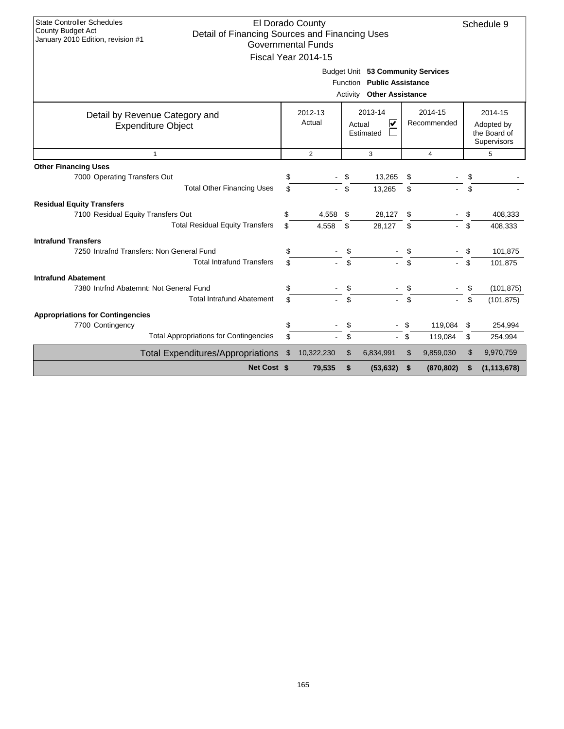| <b>State Controller Schedules</b><br>County Budget Act<br>Detail of Financing Sources and Financing Uses<br>January 2010 Edition, revision #1 |           | El Dorado County<br><b>Governmental Funds</b><br>Fiscal Year 2014-15 | Activity | Budget Unit 53 Community Services<br>Function Public Assistance<br><b>Other Assistance</b> |          |                        |          | Schedule 9                                           |
|-----------------------------------------------------------------------------------------------------------------------------------------------|-----------|----------------------------------------------------------------------|----------|--------------------------------------------------------------------------------------------|----------|------------------------|----------|------------------------------------------------------|
| Detail by Revenue Category and<br><b>Expenditure Object</b>                                                                                   |           | 2012-13<br>Actual                                                    |          | 2013-14<br>⊻<br>Actual<br>Estimated                                                        |          | 2014-15<br>Recommended |          | 2014-15<br>Adopted by<br>the Board of<br>Supervisors |
| $\mathbf{1}$                                                                                                                                  |           | $\overline{2}$                                                       |          | 3                                                                                          |          | 4                      |          | 5                                                    |
| <b>Other Financing Uses</b><br>7000 Operating Transfers Out<br><b>Total Other Financing Uses</b>                                              | \$<br>\$  |                                                                      | S<br>\$  | 13,265<br>13,265                                                                           | \$<br>\$ |                        | \$       |                                                      |
| <b>Residual Equity Transfers</b><br>7100 Residual Equity Transfers Out<br><b>Total Residual Equity Transfers</b>                              | \$<br>\$  | 4,558<br>4.558                                                       | S<br>\$  | 28,127<br>28,127                                                                           | \$<br>\$ |                        | \$<br>\$ | 408,333<br>408,333                                   |
| <b>Intrafund Transfers</b><br>7250 Intrafnd Transfers: Non General Fund<br><b>Total Intrafund Transfers</b>                                   | \$<br>\$  |                                                                      | \$       |                                                                                            | \$       |                        | \$<br>\$ | 101,875<br>101,875                                   |
| <b>Intrafund Abatement</b><br>7380 Intrfnd Abatemnt: Not General Fund<br><b>Total Intrafund Abatement</b>                                     | \$<br>\$. |                                                                      | \$<br>\$ |                                                                                            | \$       |                        | \$<br>\$ | (101, 875)<br>(101, 875)                             |
| <b>Appropriations for Contingencies</b><br>7700 Contingency<br><b>Total Appropriations for Contingencies</b>                                  | \$<br>\$  |                                                                      | \$<br>\$ |                                                                                            | \$<br>\$ | 119,084<br>119,084     | \$<br>\$ | 254,994<br>254,994                                   |
| <b>Total Expenditures/Appropriations</b>                                                                                                      | \$        | 10,322,230                                                           | \$       | 6,834,991                                                                                  | \$       | 9,859,030              | \$       | 9,970,759                                            |
| Net Cost \$                                                                                                                                   |           | 79,535                                                               | \$       | (53, 632)                                                                                  | \$       | (870, 802)             | \$.      | (1, 113, 678)                                        |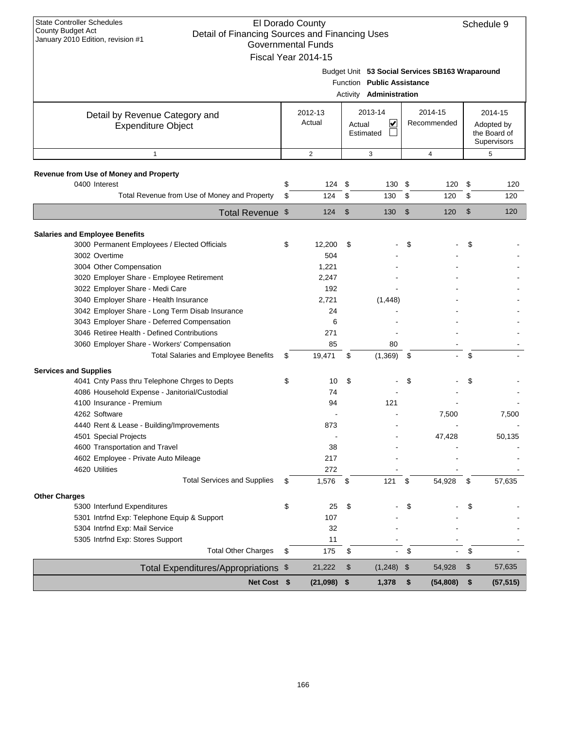| <b>State Controller Schedules</b><br><b>County Budget Act</b><br>Detail of Financing Sources and Financing Uses<br>January 2010 Edition, revision #1 | El Dorado County<br><b>Governmental Funds</b> |        |                                                              |               |                                                 |                        | Schedule 9                                           |
|------------------------------------------------------------------------------------------------------------------------------------------------------|-----------------------------------------------|--------|--------------------------------------------------------------|---------------|-------------------------------------------------|------------------------|------------------------------------------------------|
|                                                                                                                                                      | Fiscal Year 2014-15                           |        | Function Public Assistance<br>Activity <b>Administration</b> |               | Budget Unit 53 Social Services SB163 Wraparound |                        |                                                      |
| Detail by Revenue Category and<br><b>Expenditure Object</b>                                                                                          | 2012-13<br>Actual                             | Actual | 2013-14<br>V<br>Estimated                                    |               | 2014-15<br>Recommended                          |                        | 2014-15<br>Adopted by<br>the Board of<br>Supervisors |
| $\mathbf{1}$                                                                                                                                         | 2                                             |        | 3                                                            |               | 4                                               |                        | 5                                                    |
|                                                                                                                                                      |                                               |        |                                                              |               |                                                 |                        |                                                      |
| Revenue from Use of Money and Property<br>0400 Interest                                                                                              | \$<br>124                                     | - \$   | 130S                                                         |               | 120                                             | - \$                   | 120                                                  |
| Total Revenue from Use of Money and Property                                                                                                         | \$<br>124                                     | \$     | 130                                                          | \$            | 120                                             | \$                     | 120                                                  |
|                                                                                                                                                      |                                               |        |                                                              |               |                                                 |                        |                                                      |
| Total Revenue \$                                                                                                                                     | 124                                           | \$     | 130                                                          | $\frac{1}{2}$ | 120                                             | \$                     | 120                                                  |
| <b>Salaries and Employee Benefits</b>                                                                                                                |                                               |        |                                                              |               |                                                 |                        |                                                      |
| 3000 Permanent Employees / Elected Officials                                                                                                         | \$<br>12,200                                  | \$     |                                                              | \$            |                                                 | \$                     |                                                      |
| 3002 Overtime                                                                                                                                        | 504                                           |        |                                                              |               |                                                 |                        |                                                      |
| 3004 Other Compensation                                                                                                                              | 1,221                                         |        |                                                              |               |                                                 |                        |                                                      |
| 3020 Employer Share - Employee Retirement                                                                                                            | 2,247                                         |        |                                                              |               |                                                 |                        |                                                      |
| 3022 Employer Share - Medi Care                                                                                                                      | 192                                           |        |                                                              |               |                                                 |                        |                                                      |
| 3040 Employer Share - Health Insurance                                                                                                               | 2,721                                         |        | (1, 448)                                                     |               |                                                 |                        |                                                      |
| 3042 Employer Share - Long Term Disab Insurance                                                                                                      | 24                                            |        |                                                              |               |                                                 |                        |                                                      |
| 3043 Employer Share - Deferred Compensation                                                                                                          | 6                                             |        |                                                              |               |                                                 |                        |                                                      |
| 3046 Retiree Health - Defined Contributions                                                                                                          | 271                                           |        |                                                              |               |                                                 |                        |                                                      |
| 3060 Employer Share - Workers' Compensation                                                                                                          | 85                                            |        | 80                                                           |               |                                                 |                        |                                                      |
| Total Salaries and Employee Benefits                                                                                                                 | \$<br>19,471                                  | \$     | (1, 369)                                                     | -\$           |                                                 | \$                     |                                                      |
| <b>Services and Supplies</b>                                                                                                                         |                                               |        |                                                              |               |                                                 |                        |                                                      |
| 4041 Cnty Pass thru Telephone Chrges to Depts                                                                                                        | \$<br>10                                      | \$     |                                                              | \$            |                                                 | \$                     |                                                      |
| 4086 Household Expense - Janitorial/Custodial                                                                                                        | 74                                            |        |                                                              |               |                                                 |                        |                                                      |
| 4100 Insurance - Premium                                                                                                                             | 94                                            |        | 121                                                          |               |                                                 |                        |                                                      |
| 4262 Software                                                                                                                                        |                                               |        |                                                              |               | 7,500                                           |                        | 7,500                                                |
| 4440 Rent & Lease - Building/Improvements                                                                                                            | 873                                           |        |                                                              |               |                                                 |                        |                                                      |
| 4501 Special Projects                                                                                                                                |                                               |        |                                                              |               | 47,428                                          |                        | 50,135                                               |
| 4600 Transportation and Travel                                                                                                                       | 38                                            |        |                                                              |               |                                                 |                        |                                                      |
| 4602 Employee - Private Auto Mileage                                                                                                                 | 217                                           |        |                                                              |               |                                                 |                        |                                                      |
| 4620 Utilities<br><b>Total Services and Supplies</b>                                                                                                 | \$<br>272                                     |        |                                                              |               |                                                 |                        |                                                      |
|                                                                                                                                                      | 1,576                                         | - \$   | 121                                                          | \$            | 54,928                                          | \$                     | 57,635                                               |
| <b>Other Charges</b>                                                                                                                                 |                                               |        |                                                              |               |                                                 |                        |                                                      |
| 5300 Interfund Expenditures                                                                                                                          | \$<br>25                                      | \$     |                                                              | \$            |                                                 | \$                     |                                                      |
| 5301 Intrfnd Exp: Telephone Equip & Support                                                                                                          | 107<br>32                                     |        |                                                              |               |                                                 |                        |                                                      |
| 5304 Intrfnd Exp: Mail Service<br>5305 Intrfnd Exp: Stores Support                                                                                   | 11                                            |        |                                                              |               |                                                 |                        |                                                      |
| <b>Total Other Charges</b>                                                                                                                           | \$<br>175                                     | \$     |                                                              | \$            |                                                 | \$                     |                                                      |
|                                                                                                                                                      |                                               |        |                                                              |               |                                                 |                        |                                                      |
| Total Expenditures/Appropriations \$                                                                                                                 | 21,222                                        | \$     | $(1,248)$ \$                                                 |               | 54,928                                          | \$                     | 57,635                                               |
| Net Cost \$                                                                                                                                          | $(21,098)$ \$                                 |        | 1,378                                                        | \$            | (54, 808)                                       | $\boldsymbol{\hat{z}}$ | (57, 515)                                            |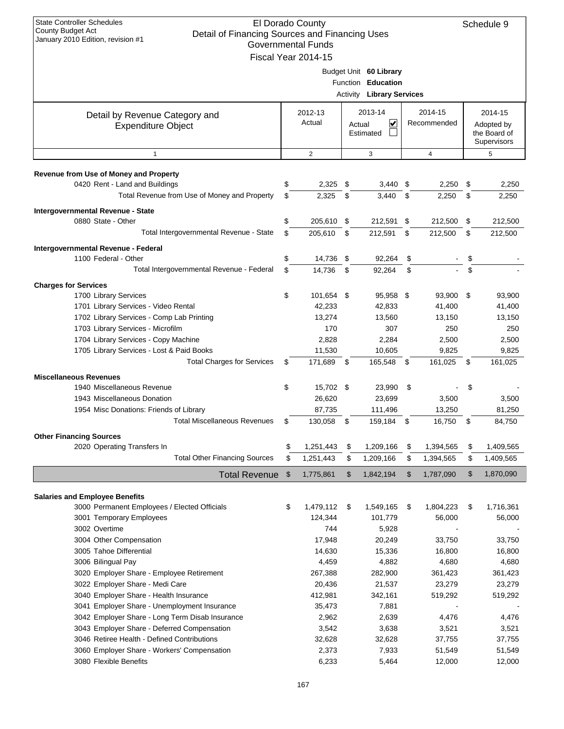| <b>State Controller Schedules</b> |
|-----------------------------------|
| County Budget Act                 |
| January 2010 Edition, revision #1 |

| Detail of Financing Sources and Financing Oses<br>January 2010 Edition, revision #1 |     | <b>Governmental Funds</b> |     |                                  |                  |                             |
|-------------------------------------------------------------------------------------|-----|---------------------------|-----|----------------------------------|------------------|-----------------------------|
|                                                                                     |     | Fiscal Year 2014-15       |     |                                  |                  |                             |
|                                                                                     |     |                           |     | Budget Unit 60 Library           |                  |                             |
|                                                                                     |     |                           |     | Function Education               |                  |                             |
|                                                                                     |     |                           |     | <b>Activity Library Services</b> |                  |                             |
| Detail by Revenue Category and                                                      |     | 2012-13                   |     | 2013-14                          | 2014-15          | 2014-15                     |
| <b>Expenditure Object</b>                                                           |     | Actual                    |     | ⊻<br>Actual                      | Recommended      | Adopted by                  |
|                                                                                     |     |                           |     | Estimated                        |                  | the Board of<br>Supervisors |
| $\mathbf{1}$                                                                        |     | $\overline{2}$            |     | 3                                | $\overline{4}$   | 5                           |
|                                                                                     |     |                           |     |                                  |                  |                             |
| Revenue from Use of Money and Property                                              |     |                           |     |                                  |                  |                             |
| 0420 Rent - Land and Buildings                                                      | \$  | 2,325                     | \$  | 3,440                            | \$<br>2,250      | \$<br>2,250                 |
| Total Revenue from Use of Money and Property                                        | \$  | 2,325                     | \$  | 3,440                            | \$<br>2,250      | \$<br>2,250                 |
| Intergovernmental Revenue - State                                                   |     |                           |     |                                  |                  |                             |
| 0880 State - Other                                                                  | \$  | 205,610 \$                |     | 212,591 \$                       | 212,500          | \$<br>212,500               |
| Total Intergovernmental Revenue - State                                             | \$  | 205,610                   | \$  | 212,591                          | \$<br>212,500    | \$<br>212,500               |
| Intergovernmental Revenue - Federal                                                 |     |                           |     |                                  |                  |                             |
| 1100 Federal - Other                                                                | \$  | 14,736                    | \$  | 92,264                           | \$               | \$                          |
| Total Intergovernmental Revenue - Federal                                           | \$  | 14,736                    | \$  | 92,264                           | \$               | \$                          |
|                                                                                     |     |                           |     |                                  |                  |                             |
| <b>Charges for Services</b>                                                         | \$  |                           |     | 95,958 \$                        |                  |                             |
| 1700 Library Services                                                               |     | 101,654 \$                |     | 42,833                           | 93,900 \$        | 93,900                      |
| 1701 Library Services - Video Rental<br>1702 Library Services - Comp Lab Printing   |     | 42,233<br>13,274          |     | 13,560                           | 41,400<br>13,150 | 41,400<br>13,150            |
| 1703 Library Services - Microfilm                                                   |     | 170                       |     | 307                              | 250              | 250                         |
| 1704 Library Services - Copy Machine                                                |     | 2,828                     |     | 2,284                            | 2,500            | 2,500                       |
| 1705 Library Services - Lost & Paid Books                                           |     | 11,530                    |     | 10,605                           | 9,825            | 9,825                       |
| <b>Total Charges for Services</b>                                                   | \$  | 171,689 \$                |     | 165,548 \$                       | 161,025          | \$<br>161,025               |
|                                                                                     |     |                           |     |                                  |                  |                             |
| <b>Miscellaneous Revenues</b>                                                       |     |                           |     |                                  |                  |                             |
| 1940 Miscellaneous Revenue                                                          | \$  | 15,702 \$                 |     | 23,990                           | \$               | \$                          |
| 1943 Miscellaneous Donation                                                         |     | 26,620                    |     | 23,699                           | 3,500            | 3,500                       |
| 1954 Misc Donations: Friends of Library                                             |     | 87,735                    |     | 111,496                          | 13,250           | 81,250                      |
| <b>Total Miscellaneous Revenues</b>                                                 | \$  | 130,058                   | -\$ | 159,184                          | \$<br>16,750     | \$<br>84,750                |
| <b>Other Financing Sources</b>                                                      |     |                           |     |                                  |                  |                             |
| 2020 Operating Transfers In                                                         | \$. | 1,251,443                 |     | 1,209,166                        | 1,394,565        | 1,409,565                   |
| <b>Total Other Financing Sources</b>                                                | \$  | 1,251,443                 | \$  | 1,209,166                        | \$<br>1,394,565  | \$<br>1,409,565             |
| <b>Total Revenue</b>                                                                | \$  | 1,775,861                 | \$  | 1,842,194                        | \$<br>1,787,090  | \$<br>1,870,090             |
| <b>Salaries and Employee Benefits</b>                                               |     |                           |     |                                  |                  |                             |
| 3000 Permanent Employees / Elected Officials                                        | \$  | 1,479,112                 | \$  | 1,549,165                        | \$<br>1,804,223  | \$<br>1,716,361             |
| 3001 Temporary Employees                                                            |     | 124,344                   |     | 101,779                          | 56,000           | 56,000                      |
| 3002 Overtime                                                                       |     | 744                       |     | 5,928                            |                  |                             |
| 3004 Other Compensation                                                             |     | 17,948                    |     | 20,249                           | 33,750           | 33,750                      |
| 3005 Tahoe Differential                                                             |     | 14,630                    |     | 15,336                           | 16,800           | 16,800                      |
| 3006 Bilingual Pay                                                                  |     | 4,459                     |     | 4,882                            | 4,680            | 4,680                       |
| 3020 Employer Share - Employee Retirement                                           |     | 267,388                   |     | 282,900                          | 361,423          | 361,423                     |
| 3022 Employer Share - Medi Care                                                     |     | 20,436                    |     | 21,537                           | 23,279           | 23,279                      |
| 3040 Employer Share - Health Insurance                                              |     | 412,981                   |     | 342,161                          | 519,292          | 519,292                     |
|                                                                                     |     |                           |     |                                  |                  |                             |
| 3041 Employer Share - Unemployment Insurance                                        |     | 35,473                    |     | 7,881                            |                  |                             |
| 3042 Employer Share - Long Term Disab Insurance                                     |     | 2,962                     |     | 2,639                            | 4,476            | 4,476                       |
| 3043 Employer Share - Deferred Compensation                                         |     | 3,542                     |     | 3,638                            | 3,521            | 3,521                       |
| 3046 Retiree Health - Defined Contributions                                         |     | 32,628                    |     | 32,628                           | 37,755           | 37,755                      |
| 3060 Employer Share - Workers' Compensation                                         |     | 2,373                     |     | 7,933                            | 51,549           | 51,549                      |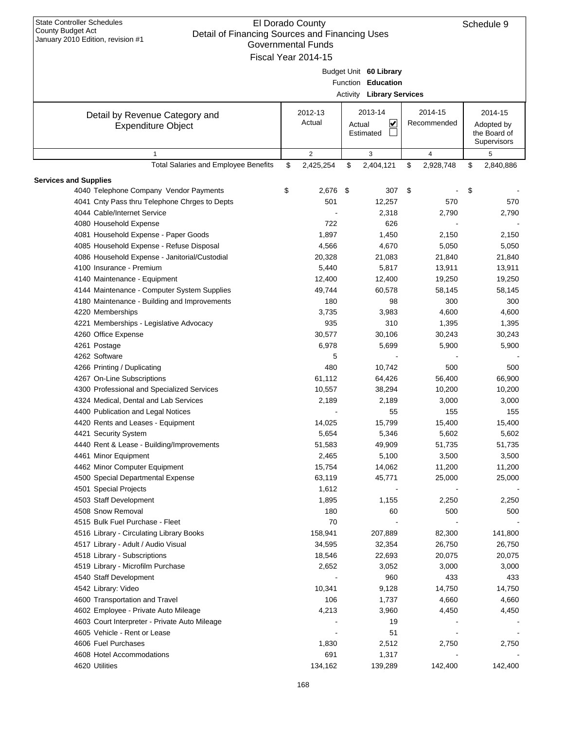| <b>State Controller Schedules</b><br><b>County Budget Act</b><br>Detail of Financing Sources and Financing Uses<br>January 2010 Edition, revision #1 | El Dorado County<br><b>Governmental Funds</b><br>Fiscal Year 2014-15 |        |                                              |             |           | Schedule 9                                |
|------------------------------------------------------------------------------------------------------------------------------------------------------|----------------------------------------------------------------------|--------|----------------------------------------------|-------------|-----------|-------------------------------------------|
|                                                                                                                                                      |                                                                      |        | Budget Unit 60 Library<br>Function Education |             |           |                                           |
|                                                                                                                                                      |                                                                      |        | <b>Activity Library Services</b>             |             |           |                                           |
|                                                                                                                                                      | 2012-13                                                              |        | 2013-14                                      | 2014-15     |           | 2014-15                                   |
| Detail by Revenue Category and<br><b>Expenditure Object</b>                                                                                          | Actual                                                               | Actual | $\overline{\mathbf{v}}$<br>Estimated         | Recommended |           | Adopted by<br>the Board of<br>Supervisors |
| $\mathbf{1}$                                                                                                                                         | 2                                                                    |        | 3                                            | 4           |           | 5                                         |
| <b>Total Salaries and Employee Benefits</b>                                                                                                          | \$<br>2,425,254                                                      | \$     | 2,404,121                                    | \$          | 2,928,748 | \$<br>2,840,886                           |
| <b>Services and Supplies</b>                                                                                                                         |                                                                      |        |                                              |             |           |                                           |
| 4040 Telephone Company Vendor Payments                                                                                                               | \$<br>2,676                                                          | \$     | 307                                          | \$          |           | \$                                        |
| 4041 Cnty Pass thru Telephone Chrges to Depts                                                                                                        | 501                                                                  |        | 12,257                                       |             | 570       | 570                                       |
| 4044 Cable/Internet Service                                                                                                                          |                                                                      |        | 2,318                                        |             | 2,790     | 2,790                                     |
| 4080 Household Expense                                                                                                                               | 722                                                                  |        | 626                                          |             |           |                                           |
| 4081 Household Expense - Paper Goods                                                                                                                 | 1,897                                                                |        | 1,450                                        |             | 2,150     | 2,150                                     |
| 4085 Household Expense - Refuse Disposal                                                                                                             | 4,566                                                                |        | 4,670                                        |             | 5,050     | 5,050                                     |
| 4086 Household Expense - Janitorial/Custodial                                                                                                        | 20,328                                                               |        | 21,083                                       |             | 21,840    | 21,840                                    |
| 4100 Insurance - Premium                                                                                                                             | 5,440                                                                |        | 5,817                                        |             | 13,911    | 13,911                                    |
| 4140 Maintenance - Equipment                                                                                                                         | 12,400                                                               |        | 12,400                                       |             | 19,250    | 19,250                                    |
| 4144 Maintenance - Computer System Supplies                                                                                                          | 49,744                                                               |        | 60,578                                       |             | 58,145    | 58,145                                    |
| 4180 Maintenance - Building and Improvements                                                                                                         | 180                                                                  |        | 98                                           |             | 300       | 300                                       |
| 4220 Memberships                                                                                                                                     | 3,735                                                                |        | 3,983                                        |             | 4,600     | 4,600                                     |
| 4221 Memberships - Legislative Advocacy                                                                                                              | 935                                                                  |        | 310                                          |             | 1,395     | 1,395                                     |
| 4260 Office Expense                                                                                                                                  | 30,577                                                               |        | 30,106                                       |             | 30,243    | 30,243                                    |
| 4261 Postage                                                                                                                                         | 6,978                                                                |        | 5,699                                        |             | 5,900     | 5,900                                     |
| 4262 Software                                                                                                                                        | 5                                                                    |        |                                              |             |           |                                           |
| 4266 Printing / Duplicating                                                                                                                          | 480                                                                  |        | 10,742                                       |             | 500       | 500                                       |
| 4267 On-Line Subscriptions                                                                                                                           | 61,112                                                               |        | 64,426                                       |             | 56,400    | 66,900                                    |
| 4300 Professional and Specialized Services                                                                                                           | 10,557                                                               |        | 38,294                                       |             | 10,200    | 10,200                                    |
| 4324 Medical, Dental and Lab Services                                                                                                                | 2,189                                                                |        | 2,189                                        |             | 3,000     | 3,000                                     |
| 4400 Publication and Legal Notices                                                                                                                   |                                                                      |        | 55                                           |             | 155       | 155                                       |
| 4420 Rents and Leases - Equipment                                                                                                                    | 14,025                                                               |        | 15,799                                       |             | 15,400    | 15,400                                    |
| 4421 Security System                                                                                                                                 | 5,654                                                                |        | 5,346                                        |             | 5,602     | 5,602                                     |
| 4440 Rent & Lease - Building/Improvements                                                                                                            | 51,583                                                               |        | 49,909                                       |             | 51,735    | 51,735                                    |
| 4461 Minor Equipment                                                                                                                                 | 2,465                                                                |        | 5,100                                        |             | 3,500     | 3,500                                     |
| 4462 Minor Computer Equipment                                                                                                                        | 15,754                                                               |        | 14,062                                       |             | 11,200    | 11,200                                    |
| 4500 Special Departmental Expense                                                                                                                    | 63,119                                                               |        | 45,771                                       |             | 25,000    | 25,000                                    |
| 4501 Special Projects                                                                                                                                | 1,612                                                                |        |                                              |             |           |                                           |
| 4503 Staff Development                                                                                                                               | 1,895                                                                |        | 1,155                                        |             | 2,250     | 2,250                                     |
| 4508 Snow Removal                                                                                                                                    | 180                                                                  |        | 60                                           |             | 500       | 500                                       |
| 4515 Bulk Fuel Purchase - Fleet                                                                                                                      | 70                                                                   |        |                                              |             |           |                                           |
| 4516 Library - Circulating Library Books                                                                                                             | 158,941                                                              |        | 207,889                                      |             | 82,300    | 141,800                                   |
| 4517 Library - Adult / Audio Visual                                                                                                                  | 34,595                                                               |        | 32,354                                       |             | 26,750    | 26,750                                    |
| 4518 Library - Subscriptions                                                                                                                         | 18,546                                                               |        | 22,693                                       |             | 20,075    | 20,075                                    |
| 4519 Library - Microfilm Purchase                                                                                                                    | 2,652                                                                |        | 3,052                                        |             | 3,000     | 3,000                                     |
| 4540 Staff Development                                                                                                                               |                                                                      |        | 960                                          |             | 433       | 433                                       |
| 4542 Library: Video                                                                                                                                  | 10,341                                                               |        | 9,128                                        |             | 14,750    | 14,750                                    |
| 4600 Transportation and Travel                                                                                                                       | 106                                                                  |        | 1,737                                        |             | 4,660     | 4,660                                     |
| 4602 Employee - Private Auto Mileage                                                                                                                 | 4,213                                                                |        | 3,960                                        |             | 4,450     | 4,450                                     |
| 4603 Court Interpreter - Private Auto Mileage                                                                                                        |                                                                      |        | 19                                           |             |           |                                           |
| 4605 Vehicle - Rent or Lease                                                                                                                         |                                                                      |        | 51                                           |             |           |                                           |
| 4606 Fuel Purchases                                                                                                                                  | 1,830                                                                |        |                                              |             | 2,750     | 2,750                                     |
|                                                                                                                                                      |                                                                      |        | 2,512                                        |             |           |                                           |
| 4608 Hotel Accommodations                                                                                                                            | 691                                                                  |        | 1,317                                        |             |           |                                           |
| 4620 Utilities                                                                                                                                       | 134,162                                                              |        | 139,289                                      |             | 142,400   | 142,400                                   |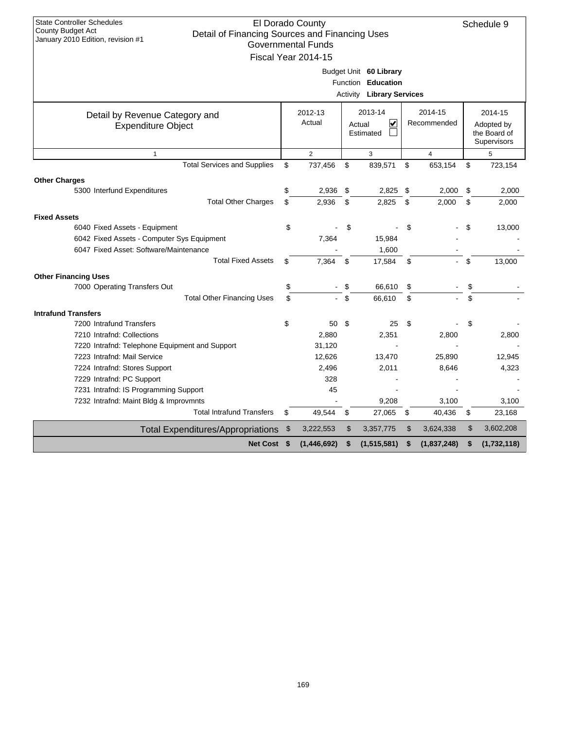| <b>State Controller Schedules</b><br>County Budget Act<br>Detail of Financing Sources and Financing Uses<br>January 2010 Edition, revision #1 | El Dorado County<br><b>Governmental Funds</b><br>Fiscal Year 2014-15 |                |                                                                                  |                        | Schedule 9                                           |
|-----------------------------------------------------------------------------------------------------------------------------------------------|----------------------------------------------------------------------|----------------|----------------------------------------------------------------------------------|------------------------|------------------------------------------------------|
|                                                                                                                                               |                                                                      |                | Budget Unit 60 Library<br>Function Education<br><b>Activity Library Services</b> |                        |                                                      |
| Detail by Revenue Category and<br><b>Expenditure Object</b>                                                                                   | 2012-13<br>Actual                                                    |                | 2013-14<br>$\overline{\mathbf{v}}$<br>Actual<br>Estimated                        | 2014-15<br>Recommended | 2014-15<br>Adopted by<br>the Board of<br>Supervisors |
| 1                                                                                                                                             | 2                                                                    |                | 3                                                                                | 4                      | 5                                                    |
| <b>Total Services and Supplies</b>                                                                                                            | \$<br>737,456                                                        | \$             | 839,571                                                                          | \$<br>653,154          | \$<br>723,154                                        |
| <b>Other Charges</b>                                                                                                                          |                                                                      |                |                                                                                  |                        |                                                      |
| 5300 Interfund Expenditures                                                                                                                   | \$<br>2,936                                                          | \$             | 2,825                                                                            | \$<br>2,000            | \$<br>2,000                                          |
| <b>Total Other Charges</b>                                                                                                                    | \$<br>2,936                                                          | \$             | 2,825                                                                            | \$<br>2,000            | \$<br>2,000                                          |
| <b>Fixed Assets</b>                                                                                                                           |                                                                      |                |                                                                                  |                        |                                                      |
| 6040 Fixed Assets - Equipment                                                                                                                 | \$                                                                   | \$             |                                                                                  | \$                     | \$<br>13,000                                         |
| 6042 Fixed Assets - Computer Sys Equipment                                                                                                    | 7,364                                                                |                | 15,984                                                                           |                        |                                                      |
| 6047 Fixed Asset: Software/Maintenance                                                                                                        |                                                                      |                | 1,600                                                                            |                        |                                                      |
| <b>Total Fixed Assets</b>                                                                                                                     | \$<br>7,364                                                          | \$             | 17,584                                                                           | \$                     | \$<br>13,000                                         |
| <b>Other Financing Uses</b>                                                                                                                   |                                                                      |                |                                                                                  |                        |                                                      |
| 7000 Operating Transfers Out                                                                                                                  | \$                                                                   | \$             | 66,610                                                                           | \$                     | \$                                                   |
| <b>Total Other Financing Uses</b>                                                                                                             | \$<br>$\sim$                                                         | $\mathfrak{L}$ | 66,610                                                                           | \$                     | \$                                                   |
| <b>Intrafund Transfers</b>                                                                                                                    |                                                                      |                |                                                                                  |                        |                                                      |
| 7200 Intrafund Transfers                                                                                                                      | \$<br>50                                                             | - \$           | 25                                                                               | \$                     | \$                                                   |
| 7210 Intrafnd: Collections                                                                                                                    | 2,880                                                                |                | 2,351                                                                            | 2,800                  | 2,800                                                |
| 7220 Intrafnd: Telephone Equipment and Support                                                                                                | 31,120                                                               |                |                                                                                  |                        |                                                      |
| 7223 Intrafnd: Mail Service                                                                                                                   | 12,626                                                               |                | 13,470                                                                           | 25,890                 | 12,945                                               |
| 7224 Intrafnd: Stores Support                                                                                                                 | 2,496                                                                |                | 2,011                                                                            | 8,646                  | 4,323                                                |
| 7229 Intrafnd: PC Support                                                                                                                     | 328                                                                  |                |                                                                                  |                        |                                                      |
| 7231 Intrafnd: IS Programming Support                                                                                                         | 45                                                                   |                |                                                                                  |                        |                                                      |
| 7232 Intrafnd: Maint Bldg & Improvmnts                                                                                                        |                                                                      |                | 9,208                                                                            | 3,100                  | 3,100                                                |
| <b>Total Intrafund Transfers</b>                                                                                                              | \$<br>49,544                                                         | \$             | 27,065                                                                           | \$<br>40,436           | \$<br>23,168                                         |
| <b>Total Expenditures/Appropriations</b>                                                                                                      | \$<br>3,222,553                                                      | \$             | 3,357,775                                                                        | \$<br>3,624,338        | \$<br>3,602,208                                      |
| Net Cost \$                                                                                                                                   | (1,446,692)                                                          | \$             | (1,515,581)                                                                      | \$<br>(1,837,248)      | \$<br>(1,732,118)                                    |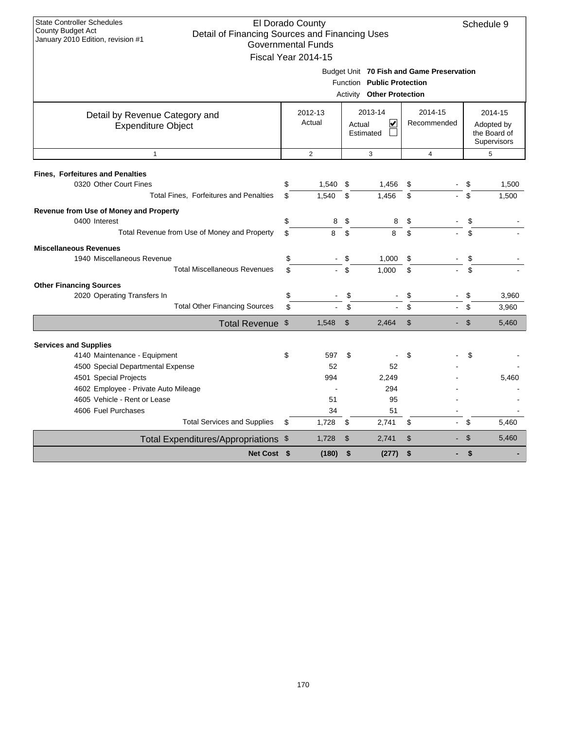| <b>State Controller Schedules</b><br>County Budget Act<br>Detail of Financing Sources and Financing Uses<br>January 2010 Edition, revision #1 |    | El Dorado County<br><b>Governmental Funds</b><br>Fiscal Year 2014-15 |                |                                                         |                                           |                | Schedule 9                                           |  |  |  |  |
|-----------------------------------------------------------------------------------------------------------------------------------------------|----|----------------------------------------------------------------------|----------------|---------------------------------------------------------|-------------------------------------------|----------------|------------------------------------------------------|--|--|--|--|
|                                                                                                                                               |    |                                                                      |                | Function Public Protection<br>Activity Other Protection | Budget Unit 70 Fish and Game Preservation |                |                                                      |  |  |  |  |
| Detail by Revenue Category and<br><b>Expenditure Object</b>                                                                                   |    | 2012-13<br>Actual                                                    |                | 2013-14<br>∣✔<br>Actual<br>Estimated                    | 2014-15<br>Recommended                    |                | 2014-15<br>Adopted by<br>the Board of<br>Supervisors |  |  |  |  |
| $\mathbf{1}$                                                                                                                                  |    | $\overline{2}$                                                       |                | 3                                                       | $\overline{4}$                            |                | 5                                                    |  |  |  |  |
| <b>Fines, Forfeitures and Penalties</b>                                                                                                       |    |                                                                      |                |                                                         |                                           |                |                                                      |  |  |  |  |
| 0320 Other Court Fines                                                                                                                        | \$ | 1,540                                                                | \$             | 1,456                                                   | \$                                        | \$             | 1,500                                                |  |  |  |  |
| Total Fines, Forfeitures and Penalties                                                                                                        | \$ | 1.540                                                                | \$             | 1.456                                                   | \$                                        | \$             | 1,500                                                |  |  |  |  |
| Revenue from Use of Money and Property                                                                                                        |    |                                                                      |                |                                                         |                                           |                |                                                      |  |  |  |  |
| 0400 Interest                                                                                                                                 | \$ | 8                                                                    | \$             | 8                                                       | \$                                        | \$             |                                                      |  |  |  |  |
| Total Revenue from Use of Money and Property                                                                                                  | \$ | 8                                                                    | \$             | 8                                                       | \$                                        | \$             |                                                      |  |  |  |  |
| <b>Miscellaneous Revenues</b>                                                                                                                 |    |                                                                      |                |                                                         |                                           |                |                                                      |  |  |  |  |
| 1940 Miscellaneous Revenue                                                                                                                    | \$ |                                                                      | \$             | 1,000                                                   | \$                                        | \$             |                                                      |  |  |  |  |
| <b>Total Miscellaneous Revenues</b>                                                                                                           | \$ |                                                                      | $\mathfrak{s}$ | 1.000                                                   | \$                                        | \$             |                                                      |  |  |  |  |
| <b>Other Financing Sources</b>                                                                                                                |    |                                                                      |                |                                                         |                                           |                |                                                      |  |  |  |  |
| 2020 Operating Transfers In                                                                                                                   | \$ |                                                                      | \$             |                                                         | \$                                        | \$             | 3,960                                                |  |  |  |  |
| <b>Total Other Financing Sources</b>                                                                                                          | \$ |                                                                      | \$             |                                                         | \$.                                       | \$             | 3.960                                                |  |  |  |  |
| Total Revenue \$                                                                                                                              |    | 1,548                                                                | $\mathfrak{S}$ | 2,464                                                   | $\mathfrak{S}$                            | $\mathfrak{S}$ | 5,460                                                |  |  |  |  |
| <b>Services and Supplies</b>                                                                                                                  |    |                                                                      |                |                                                         |                                           |                |                                                      |  |  |  |  |
| 4140 Maintenance - Equipment                                                                                                                  | \$ | 597                                                                  | \$             | $\overline{\phantom{a}}$                                | \$                                        | \$             |                                                      |  |  |  |  |
| 4500 Special Departmental Expense                                                                                                             |    | 52                                                                   |                | 52                                                      |                                           |                |                                                      |  |  |  |  |
| 4501 Special Projects                                                                                                                         |    | 994                                                                  |                | 2,249                                                   |                                           |                | 5,460                                                |  |  |  |  |
| 4602 Employee - Private Auto Mileage                                                                                                          |    |                                                                      |                | 294                                                     |                                           |                |                                                      |  |  |  |  |
| 4605 Vehicle - Rent or Lease                                                                                                                  |    | 51                                                                   |                | 95                                                      |                                           |                |                                                      |  |  |  |  |
| 4606 Fuel Purchases                                                                                                                           |    | 34                                                                   |                | 51                                                      |                                           |                |                                                      |  |  |  |  |
| <b>Total Services and Supplies</b>                                                                                                            | \$ | 1,728                                                                | \$             | 2,741                                                   | \$<br>$\sim$                              | \$             | 5,460                                                |  |  |  |  |
| Total Expenditures/Appropriations \$                                                                                                          |    | 1,728                                                                | $\mathsf{\$}$  | 2,741                                                   | \$                                        | $\mathcal{S}$  | 5,460                                                |  |  |  |  |
| Net Cost \$                                                                                                                                   |    | (180)                                                                | \$             | (277)                                                   | \$                                        | \$             |                                                      |  |  |  |  |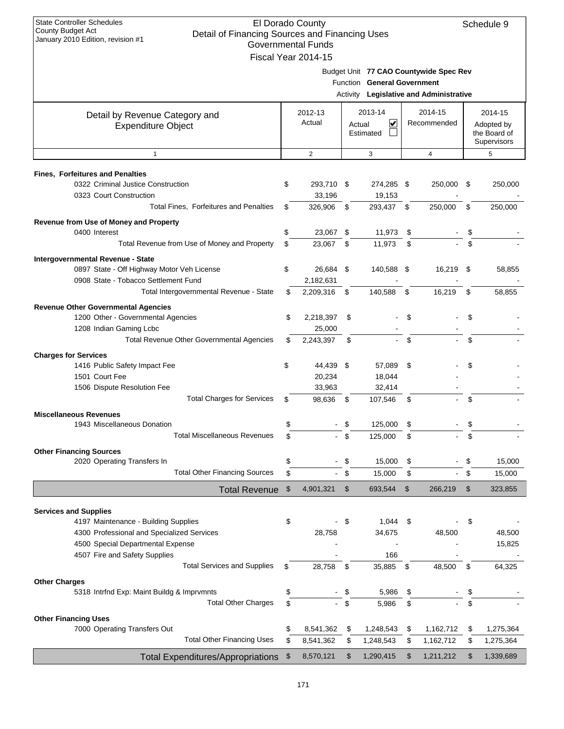| January 2010 Edition, revision #1                                    | <b>Governmental Funds</b> |               |                                                |               |                                         |               |                            |
|----------------------------------------------------------------------|---------------------------|---------------|------------------------------------------------|---------------|-----------------------------------------|---------------|----------------------------|
|                                                                      | Fiscal Year 2014-15       |               |                                                |               |                                         |               |                            |
|                                                                      |                           |               | Function General Government                    |               | Budget Unit 77 CAO Countywide Spec Rev  |               |                            |
|                                                                      |                           |               |                                                |               | Activity Legislative and Administrative |               |                            |
| Detail by Revenue Category and                                       | 2012-13                   |               | 2013-14                                        |               | 2014-15                                 |               | 2014-15                    |
| <b>Expenditure Object</b>                                            | Actual                    |               | $\overline{\mathbf{v}}$<br>Actual<br>Estimated |               | Recommended                             |               | Adopted by<br>the Board of |
|                                                                      |                           |               |                                                |               |                                         |               | Supervisors                |
| $\mathbf{1}$                                                         | 2                         |               | 3                                              |               | $\overline{4}$                          |               | 5                          |
| <b>Fines, Forfeitures and Penalties</b>                              |                           |               |                                                |               |                                         |               |                            |
| 0322 Criminal Justice Construction                                   | \$<br>293,710 \$          |               | 274,285 \$                                     |               | 250,000                                 | - \$          | 250,000                    |
| 0323 Court Construction                                              | 33,196                    |               | 19,153                                         |               |                                         |               |                            |
| Total Fines, Forfeitures and Penalties                               | \$<br>326,906             | \$            | 293,437 \$                                     |               | 250,000                                 | \$            | 250,000                    |
| Revenue from Use of Money and Property                               |                           |               |                                                |               |                                         |               |                            |
| 0400 Interest                                                        | \$<br>23,067 \$           |               | 11,973                                         | \$            |                                         | \$            |                            |
| Total Revenue from Use of Money and Property                         | \$<br>23.067              | \$            | 11,973                                         | \$            |                                         | \$            |                            |
| Intergovernmental Revenue - State                                    |                           |               |                                                |               |                                         |               |                            |
| 0897 State - Off Highway Motor Veh License                           | \$<br>26,684 \$           |               | 140,588 \$                                     |               | 16,219                                  | -\$           | 58,855                     |
| 0908 State - Tobacco Settlement Fund                                 | 2,182,631                 |               |                                                |               |                                         |               |                            |
| Total Intergovernmental Revenue - State                              | \$<br>2,209,316           | -\$           | 140,588 \$                                     |               | 16,219                                  | \$            | 58,855                     |
| <b>Revenue Other Governmental Agencies</b>                           |                           |               |                                                |               |                                         |               |                            |
| 1200 Other - Governmental Agencies                                   | \$<br>2,218,397           | \$            |                                                | \$            |                                         | \$            |                            |
| 1208 Indian Gaming Lcbc                                              | 25,000                    |               |                                                |               |                                         |               |                            |
| Total Revenue Other Governmental Agencies                            | \$<br>2,243,397           | \$            | ÷.                                             | \$            |                                         | \$            |                            |
| <b>Charges for Services</b>                                          |                           |               |                                                |               |                                         |               |                            |
| 1416 Public Safety Impact Fee                                        | \$<br>44,439 \$           |               | 57,089                                         | \$            |                                         | \$            |                            |
| 1501 Court Fee                                                       | 20,234                    |               | 18,044                                         |               |                                         |               |                            |
| 1506 Dispute Resolution Fee                                          | 33,963                    |               | 32,414                                         |               |                                         |               |                            |
| <b>Total Charges for Services</b>                                    | \$<br>98,636              | - \$          | 107,546                                        | \$            |                                         | \$            |                            |
| <b>Miscellaneous Revenues</b>                                        |                           |               |                                                |               |                                         |               |                            |
| 1943 Miscellaneous Donation                                          | \$                        | \$            | 125,000                                        | \$            |                                         | \$            |                            |
| <b>Total Miscellaneous Revenues</b>                                  | \$                        | \$            | 125,000                                        | \$            |                                         | \$            |                            |
| <b>Other Financing Sources</b>                                       |                           |               |                                                |               |                                         |               |                            |
| 2020 Operating Transfers In                                          | \$                        | \$            | 15,000                                         | \$            |                                         | \$            | 15,000                     |
| <b>Total Other Financing Sources</b>                                 | \$                        | \$            | 15,000                                         | \$            |                                         | \$            | 15,000                     |
| <b>Total Revenue</b>                                                 | \$<br>4,901,321           | $\frac{3}{2}$ | 693,544                                        | $\frac{1}{2}$ | 266,219                                 | $\sqrt[6]{3}$ | 323,855                    |
|                                                                      |                           |               |                                                |               |                                         |               |                            |
| <b>Services and Supplies</b><br>4197 Maintenance - Building Supplies | \$                        | \$            | 1,044                                          | \$            |                                         | \$            |                            |
| 4300 Professional and Specialized Services                           | 28,758                    |               | 34,675                                         |               | 48,500                                  |               | 48,500                     |
| 4500 Special Departmental Expense                                    |                           |               |                                                |               |                                         |               | 15,825                     |
| 4507 Fire and Safety Supplies                                        |                           |               | 166                                            |               |                                         |               |                            |
| <b>Total Services and Supplies</b>                                   | \$<br>28,758              | \$            | 35,885                                         | \$            | 48,500                                  | \$            | 64,325                     |
| <b>Other Charges</b>                                                 |                           |               |                                                |               |                                         |               |                            |
| 5318 Intrfnd Exp: Maint Buildg & Imprvmnts                           | \$                        | \$            | 5,986                                          | \$            |                                         | \$            |                            |
| <b>Total Other Charges</b>                                           | \$                        | \$            | 5,986                                          | \$            |                                         | \$            |                            |
| <b>Other Financing Uses</b>                                          |                           |               |                                                |               |                                         |               |                            |
| 7000 Operating Transfers Out                                         | \$<br>8,541,362           | \$            | 1,248,543                                      | \$            | 1,162,712                               | \$            | 1,275,364                  |
| <b>Total Other Financing Uses</b>                                    | \$<br>8,541,362           | \$            | 1,248,543                                      | \$            | 1,162,712                               | \$            | 1,275,364                  |
| <b>Total Expenditures/Appropriations</b>                             | \$<br>8,570,121           | \$            | 1,290,415                                      | \$            | 1,211,212                               | \$            | 1,339,689                  |
|                                                                      |                           |               |                                                |               |                                         |               |                            |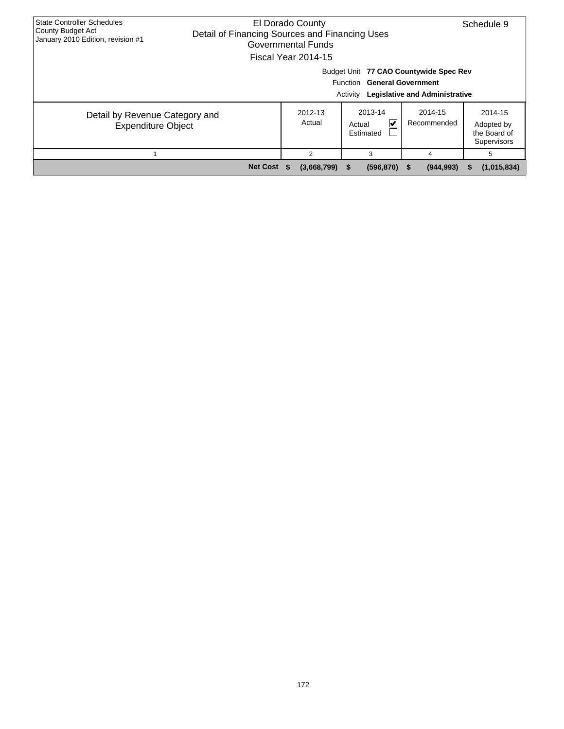| <b>State Controller Schedules</b><br>County Budget Act<br>January 2010 Edition, revision #1 | Detail of Financing Sources and Financing Uses | El Dorado County<br>Governmental Funds<br>Fiscal Year 2014-15 |                                         |                                                                                 | Schedule 9                                           |
|---------------------------------------------------------------------------------------------|------------------------------------------------|---------------------------------------------------------------|-----------------------------------------|---------------------------------------------------------------------------------|------------------------------------------------------|
|                                                                                             |                                                |                                                               | Function General Government<br>Activity | Budget Unit 77 CAO Countywide Spec Rev<br><b>Legislative and Administrative</b> |                                                      |
| Detail by Revenue Category and<br><b>Expenditure Object</b>                                 |                                                | 2012-13<br>Actual                                             | 2013-14<br>M<br>Actual<br>Estimated     | 2014-15<br>Recommended                                                          | 2014-15<br>Adopted by<br>the Board of<br>Supervisors |
|                                                                                             |                                                | $\overline{2}$                                                | 3                                       | 4                                                                               | 5                                                    |
|                                                                                             | <b>Net Cost</b>                                | (3,668,799)                                                   | (596, 870)<br>S.                        | (944, 993)<br>ъ                                                                 | (1,015,834)<br>æ                                     |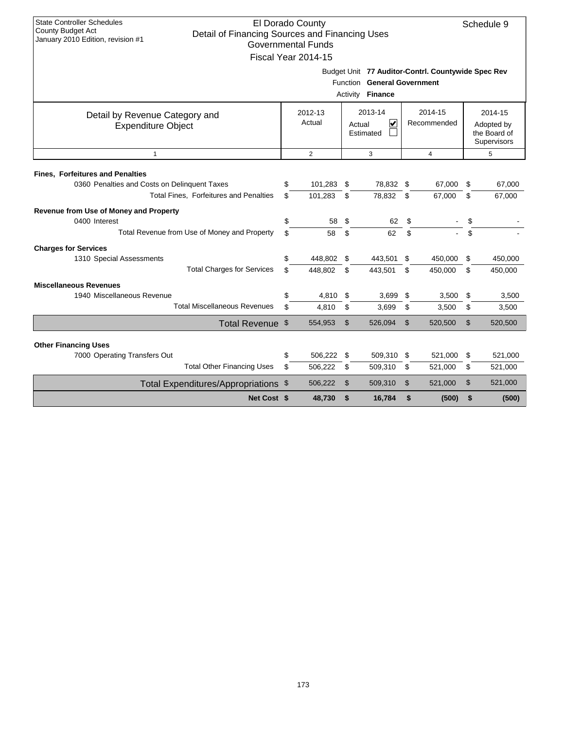| <b>State Controller Schedules</b><br>County Budget Act                              | El Dorado County          |                                                    |                |                | Schedule 9    |
|-------------------------------------------------------------------------------------|---------------------------|----------------------------------------------------|----------------|----------------|---------------|
| Detail of Financing Sources and Financing Uses<br>January 2010 Edition, revision #1 | <b>Governmental Funds</b> |                                                    |                |                |               |
|                                                                                     |                           |                                                    |                |                |               |
|                                                                                     | Fiscal Year 2014-15       |                                                    |                |                |               |
|                                                                                     |                           | Budget Unit 77 Auditor-Contrl. Countywide Spec Rev |                |                |               |
|                                                                                     |                           | Function General Government                        |                |                |               |
|                                                                                     |                           | Activity Finance                                   |                |                |               |
| Detail by Revenue Category and                                                      | 2012-13                   | 2013-14                                            |                | 2014-15        | 2014-15       |
| <b>Expenditure Object</b>                                                           | Recommended               | Adopted by                                         |                |                |               |
|                                                                                     |                           | Estimated                                          |                |                | the Board of  |
|                                                                                     |                           |                                                    |                |                | Supervisors   |
| $\mathbf{1}$                                                                        | 2                         | 3                                                  |                | $\overline{4}$ | 5             |
| <b>Fines, Forfeitures and Penalties</b>                                             |                           |                                                    |                |                |               |
| 0360 Penalties and Costs on Delinguent Taxes                                        | \$<br>101,283             | \$<br>78,832 \$                                    |                | 67,000         | \$<br>67,000  |
| Total Fines, Forfeitures and Penalties                                              | \$<br>101,283             | \$<br>78,832                                       | \$             | 67,000         | \$<br>67,000  |
| Revenue from Use of Money and Property                                              |                           |                                                    |                |                |               |
| 0400 Interest                                                                       | \$<br>58                  | \$<br>62                                           | \$             |                | \$            |
| Total Revenue from Use of Money and Property                                        | \$<br>58                  | \$<br>62                                           | \$             |                | \$            |
| <b>Charges for Services</b>                                                         |                           |                                                    |                |                |               |
| 1310 Special Assessments                                                            | \$<br>448,802 \$          | 443,501                                            | \$             | 450,000        | \$<br>450,000 |
| <b>Total Charges for Services</b>                                                   | \$<br>448,802             | \$<br>443,501                                      | \$             | 450,000        | \$<br>450,000 |
| <b>Miscellaneous Revenues</b>                                                       |                           |                                                    |                |                |               |
| 1940 Miscellaneous Revenue                                                          | \$<br>4,810               | \$<br>3,699                                        | \$             | 3,500          | \$<br>3,500   |
| <b>Total Miscellaneous Revenues</b>                                                 | \$<br>4,810               | \$<br>3,699                                        | \$             | 3,500          | \$<br>3,500   |
| Total Revenue \$                                                                    | 554,953                   | \$<br>526,094                                      | $\mathfrak{S}$ | 520,500        | \$<br>520,500 |
|                                                                                     |                           |                                                    |                |                |               |
| <b>Other Financing Uses</b><br>7000 Operating Transfers Out                         | \$<br>506,222             | \$<br>509,310                                      | \$             | 521,000        | \$<br>521,000 |
| <b>Total Other Financing Uses</b>                                                   | \$<br>506,222             | \$<br>509,310                                      | \$             | 521,000        | \$<br>521,000 |
| Total Expenditures/Appropriations \$                                                | 506,222                   | \$<br>509,310                                      | \$             | 521,000        | \$<br>521,000 |
|                                                                                     |                           |                                                    |                |                |               |
| Net Cost \$                                                                         | 48,730                    | \$<br>16,784                                       | \$             | (500)          | \$<br>(500)   |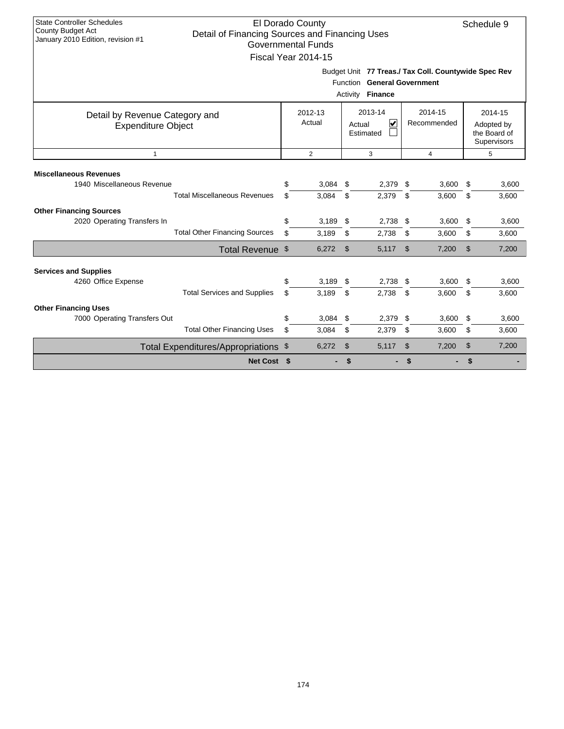| <b>State Controller Schedules</b><br>El Dorado County<br>Schedule 9                                             |    |                           |                |                             |                |                                                      |                |                             |  |  |  |  |
|-----------------------------------------------------------------------------------------------------------------|----|---------------------------|----------------|-----------------------------|----------------|------------------------------------------------------|----------------|-----------------------------|--|--|--|--|
| <b>County Budget Act</b><br>Detail of Financing Sources and Financing Uses<br>January 2010 Edition, revision #1 |    |                           |                |                             |                |                                                      |                |                             |  |  |  |  |
|                                                                                                                 |    | <b>Governmental Funds</b> |                |                             |                |                                                      |                |                             |  |  |  |  |
|                                                                                                                 |    | Fiscal Year 2014-15       |                |                             |                |                                                      |                |                             |  |  |  |  |
|                                                                                                                 |    |                           |                |                             |                | Budget Unit 77 Treas./ Tax Coll. Countywide Spec Rev |                |                             |  |  |  |  |
|                                                                                                                 |    |                           |                | Function General Government |                |                                                      |                |                             |  |  |  |  |
|                                                                                                                 |    |                           |                | Activity Finance            |                |                                                      |                |                             |  |  |  |  |
| Detail by Revenue Category and                                                                                  |    | 2012-13                   |                | 2013-14                     |                | 2014-15                                              |                | 2014-15                     |  |  |  |  |
| <b>Expenditure Object</b>                                                                                       |    | Actual                    |                | V<br>Actual                 |                | Recommended                                          |                | Adopted by                  |  |  |  |  |
|                                                                                                                 |    |                           |                | Estimated                   |                |                                                      |                | the Board of<br>Supervisors |  |  |  |  |
| $\mathbf{1}$                                                                                                    |    | $\overline{2}$            |                | 3                           |                | $\overline{4}$                                       |                | 5                           |  |  |  |  |
|                                                                                                                 |    |                           |                |                             |                |                                                      |                |                             |  |  |  |  |
| <b>Miscellaneous Revenues</b>                                                                                   |    |                           |                |                             |                |                                                      |                |                             |  |  |  |  |
| 1940 Miscellaneous Revenue                                                                                      | \$ | 3,084                     | \$             | 2,379 \$                    |                | 3,600                                                | -\$            | 3.600                       |  |  |  |  |
| <b>Total Miscellaneous Revenues</b>                                                                             | \$ | 3,084                     | \$             | 2,379                       | \$             | 3,600                                                | \$             | 3,600                       |  |  |  |  |
| <b>Other Financing Sources</b>                                                                                  |    |                           |                |                             |                |                                                      |                |                             |  |  |  |  |
| 2020 Operating Transfers In                                                                                     | \$ | 3,189                     | \$             | 2,738                       | \$             | 3,600                                                | \$             | 3,600                       |  |  |  |  |
| <b>Total Other Financing Sources</b>                                                                            | \$ | 3,189                     | \$             | 2,738                       | \$             | 3,600                                                | \$             | 3,600                       |  |  |  |  |
| Total Revenue \$                                                                                                |    | 6,272                     | \$             | 5,117                       | $\mathfrak{S}$ | 7,200                                                | \$             | 7,200                       |  |  |  |  |
|                                                                                                                 |    |                           |                |                             |                |                                                      |                |                             |  |  |  |  |
| <b>Services and Supplies</b><br>4260 Office Expense                                                             | \$ | 3,189                     | \$             | 2,738                       | \$             | 3,600                                                | \$             | 3,600                       |  |  |  |  |
| <b>Total Services and Supplies</b>                                                                              | \$ | 3,189                     | \$             | 2,738                       | \$             | 3,600                                                | \$             | 3,600                       |  |  |  |  |
|                                                                                                                 |    |                           |                |                             |                |                                                      |                |                             |  |  |  |  |
| <b>Other Financing Uses</b><br>7000 Operating Transfers Out                                                     | \$ | 3,084                     | \$             | 2,379                       | \$             | 3,600                                                | \$             | 3,600                       |  |  |  |  |
| <b>Total Other Financing Uses</b>                                                                               | \$ | 3,084                     | \$             | 2,379                       | \$             | 3,600                                                | \$             | 3,600                       |  |  |  |  |
|                                                                                                                 |    |                           |                |                             |                |                                                      |                |                             |  |  |  |  |
| Total Expenditures/Appropriations \$                                                                            |    | 6,272                     | $\mathfrak{S}$ | 5,117                       | $\mathfrak{F}$ | 7,200                                                | $\mathfrak{S}$ | 7,200                       |  |  |  |  |
| Net Cost \$                                                                                                     |    |                           | \$             |                             | \$             |                                                      | \$             |                             |  |  |  |  |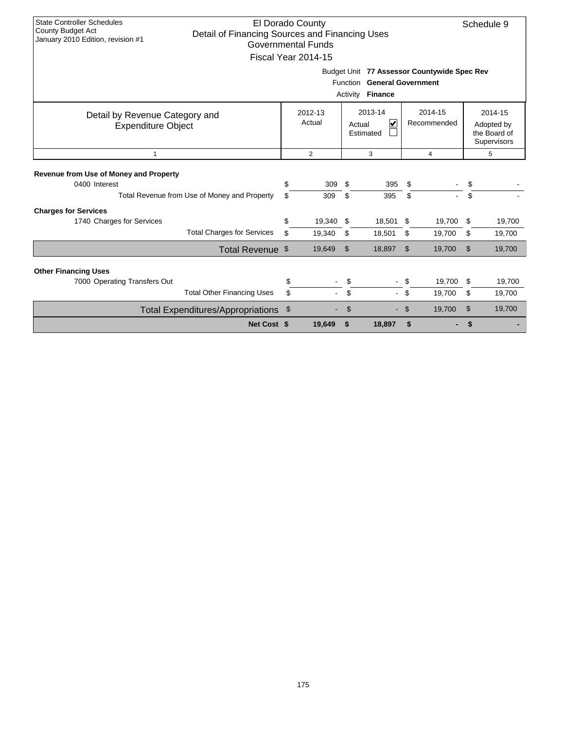| <b>State Controller Schedules</b><br>County Budget Act<br>Detail of Financing Sources and Financing Uses<br>January 2010 Edition, revision #1     |          | El Dorado County<br><b>Governmental Funds</b><br>Fiscal Year 2014-15 |          |                  |          |                  |          | Schedule 9       |  |  |  |  |
|---------------------------------------------------------------------------------------------------------------------------------------------------|----------|----------------------------------------------------------------------|----------|------------------|----------|------------------|----------|------------------|--|--|--|--|
| Budget Unit 77 Assessor Countywide Spec Rev<br>Function General Government<br>Activity<br><b>Finance</b>                                          |          |                                                                      |          |                  |          |                  |          |                  |  |  |  |  |
| 2013-14<br>2014-15<br>2012-13<br>Detail by Revenue Category and<br>Actual<br>V<br>Recommended<br>Actual<br><b>Expenditure Object</b><br>Estimated |          |                                                                      |          |                  |          |                  |          |                  |  |  |  |  |
| $\mathbf{1}$                                                                                                                                      |          | $\overline{2}$                                                       |          | 3                |          | $\overline{4}$   |          | 5                |  |  |  |  |
| Revenue from Use of Money and Property<br>0400 Interest<br>Total Revenue from Use of Money and Property                                           | \$<br>\$ | 309<br>309                                                           | \$<br>\$ | 395<br>395       | \$<br>\$ |                  | \$<br>\$ |                  |  |  |  |  |
| <b>Charges for Services</b><br>1740 Charges for Services<br><b>Total Charges for Services</b>                                                     | \$<br>\$ | 19,340 \$<br>19,340                                                  | \$       | 18,501<br>18,501 | \$<br>\$ | 19,700<br>19,700 | \$<br>\$ | 19,700<br>19,700 |  |  |  |  |
| Total Revenue \$                                                                                                                                  |          | 19,649                                                               | \$       | 18,897           | \$       | 19,700           | \$       | 19,700           |  |  |  |  |
| <b>Other Financing Uses</b><br>7000 Operating Transfers Out                                                                                       | \$       |                                                                      | \$       |                  | S.       | 19.700           | \$       | 19,700           |  |  |  |  |
| <b>Total Other Financing Uses</b>                                                                                                                 | \$       |                                                                      | \$       |                  | -\$      | 19.700           | \$       | 19,700           |  |  |  |  |
| Total Expenditures/Appropriations \$                                                                                                              |          |                                                                      | \$       |                  | \$       | 19,700           | \$       | 19,700           |  |  |  |  |
| Net Cost \$                                                                                                                                       |          | 19,649                                                               | \$       | 18,897           | \$       |                  | \$       |                  |  |  |  |  |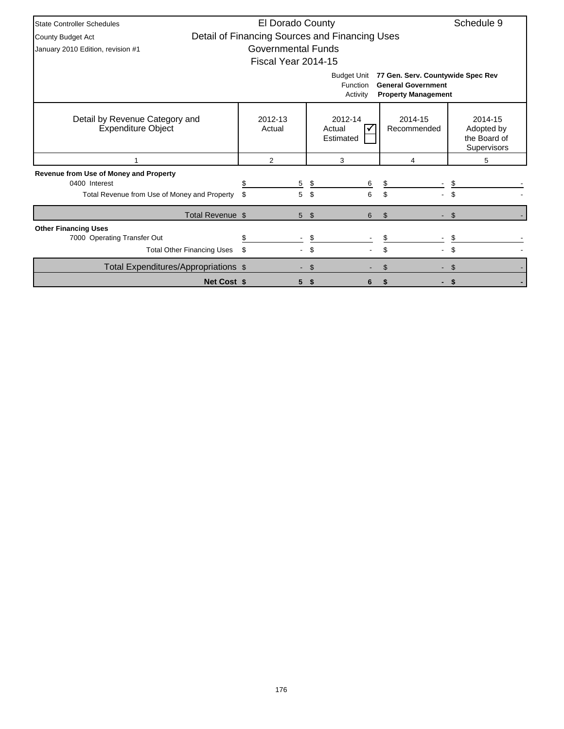| <b>State Controller Schedules</b>                                                                                                                 | El Dorado County          |                |                |                                                |                        | Schedule 9                                                  |  |  |  |  |  |  |
|---------------------------------------------------------------------------------------------------------------------------------------------------|---------------------------|----------------|----------------|------------------------------------------------|------------------------|-------------------------------------------------------------|--|--|--|--|--|--|
| <b>County Budget Act</b>                                                                                                                          |                           |                |                | Detail of Financing Sources and Financing Uses |                        |                                                             |  |  |  |  |  |  |
| January 2010 Edition, revision #1                                                                                                                 | <b>Governmental Funds</b> |                |                |                                                |                        |                                                             |  |  |  |  |  |  |
|                                                                                                                                                   | Fiscal Year 2014-15       |                |                |                                                |                        |                                                             |  |  |  |  |  |  |
| 77 Gen. Serv. Countywide Spec Rev<br><b>Budget Unit</b><br><b>Function</b><br><b>General Government</b><br><b>Property Management</b><br>Activity |                           |                |                |                                                |                        |                                                             |  |  |  |  |  |  |
| Detail by Revenue Category and<br><b>Expenditure Object</b>                                                                                       | 2012-13<br>Actual         |                |                | 2012-14<br>Actual<br>Estimated                 | 2014-15<br>Recommended | 2014-15<br>Adopted by<br>the Board of<br><b>Supervisors</b> |  |  |  |  |  |  |
|                                                                                                                                                   | $\overline{2}$            |                |                | 3                                              | 4                      | 5                                                           |  |  |  |  |  |  |
| Revenue from Use of Money and Property                                                                                                            |                           |                |                |                                                |                        |                                                             |  |  |  |  |  |  |
| 0400 Interest                                                                                                                                     | \$                        | 5              | \$             | 6                                              | \$                     |                                                             |  |  |  |  |  |  |
| Total Revenue from Use of Money and Property                                                                                                      | \$                        | 5              | \$             | 6                                              | \$.                    |                                                             |  |  |  |  |  |  |
| Total Revenue \$                                                                                                                                  |                           | 5 <sup>5</sup> | $\mathfrak{L}$ | 6                                              | $\mathfrak{S}$         | \$.                                                         |  |  |  |  |  |  |
| <b>Other Financing Uses</b>                                                                                                                       |                           |                |                |                                                |                        |                                                             |  |  |  |  |  |  |
| 7000 Operating Transfer Out                                                                                                                       | \$                        |                | \$             |                                                |                        |                                                             |  |  |  |  |  |  |
| <b>Total Other Financing Uses</b>                                                                                                                 | \$                        |                | \$             |                                                | \$.                    | \$                                                          |  |  |  |  |  |  |
| Total Expenditures/Appropriations \$                                                                                                              |                           |                | $\mathfrak{L}$ |                                                |                        |                                                             |  |  |  |  |  |  |
| <b>Net Cost \$</b>                                                                                                                                |                           | 5              | -S             | 6                                              |                        |                                                             |  |  |  |  |  |  |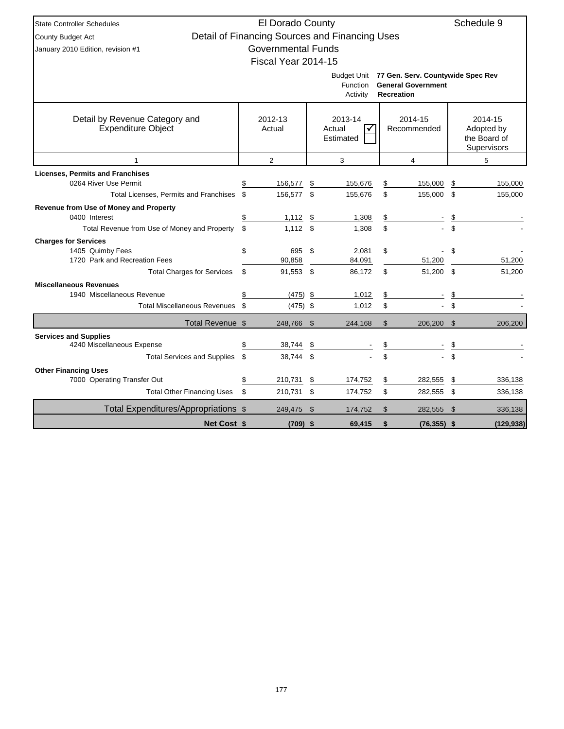| <b>State Controller Schedules</b>                           |     | El Dorado County          |      |                                                |                |                                               |          | Schedule 9            |
|-------------------------------------------------------------|-----|---------------------------|------|------------------------------------------------|----------------|-----------------------------------------------|----------|-----------------------|
| <b>County Budget Act</b>                                    |     |                           |      | Detail of Financing Sources and Financing Uses |                |                                               |          |                       |
| January 2010 Edition, revision #1                           |     | <b>Governmental Funds</b> |      |                                                |                |                                               |          |                       |
|                                                             |     | Fiscal Year 2014-15       |      |                                                |                |                                               |          |                       |
|                                                             |     |                           |      |                                                |                | Budget Unit 77 Gen. Serv. Countywide Spec Rev |          |                       |
|                                                             |     |                           |      | Function                                       |                | <b>General Government</b>                     |          |                       |
|                                                             |     |                           |      | Activity                                       |                | <b>Recreation</b>                             |          |                       |
|                                                             |     |                           |      |                                                |                |                                               |          |                       |
| Detail by Revenue Category and<br><b>Expenditure Object</b> |     | 2012-13<br>Actual         |      | 2013-14<br>Actual<br>√                         |                | 2014-15<br>Recommended                        |          | 2014-15<br>Adopted by |
|                                                             |     |                           |      | Estimated                                      |                |                                               |          | the Board of          |
|                                                             |     |                           |      |                                                |                |                                               |          | Supervisors           |
| 1                                                           |     | $\overline{2}$            |      | 3                                              |                | 4                                             |          | 5                     |
| <b>Licenses, Permits and Franchises</b>                     |     |                           |      |                                                |                |                                               |          |                       |
| 0264 River Use Permit                                       | \$  | 156,577                   | \$   | 155,676                                        | \$             | 155,000                                       | \$       | 155,000               |
| Total Licenses, Permits and Franchises \$                   |     | 156,577                   | \$   | 155,676                                        | \$             | 155,000                                       | \$       | 155,000               |
| Revenue from Use of Money and Property<br>0400 Interest     | \$  | 1,112                     | \$   | 1,308                                          | \$             |                                               | \$       |                       |
| Total Revenue from Use of Money and Property                | \$  | 1,112                     | \$   | 1,308                                          | \$             |                                               | \$       |                       |
| <b>Charges for Services</b>                                 |     |                           |      |                                                |                |                                               |          |                       |
| 1405 Quimby Fees                                            | \$  | 695                       | \$   | 2,081                                          | \$             |                                               | \$       |                       |
| 1720 Park and Recreation Fees                               |     | 90,858                    |      | 84,091                                         |                | 51,200                                        |          | 51,200                |
| <b>Total Charges for Services</b>                           | \$  | 91,553                    | \$   | 86,172                                         | \$             | 51,200 \$                                     |          | 51,200                |
| <b>Miscellaneous Revenues</b>                               |     |                           |      |                                                |                |                                               |          |                       |
| 1940 Miscellaneous Revenue                                  | \$  | (475)                     | \$   | 1,012                                          | \$             |                                               | \$       |                       |
| Total Miscellaneous Revenues \$                             |     | $(475)$ \$                |      | 1.012                                          | \$             |                                               | \$       |                       |
| Total Revenue \$                                            |     | 248,766                   | - \$ | 244,168                                        | $\mathfrak{S}$ | 206,200                                       | <b>S</b> | 206,200               |
| <b>Services and Supplies</b>                                |     |                           |      |                                                |                |                                               |          |                       |
| 4240 Miscellaneous Expense                                  | \$  | 38,744                    | \$   |                                                | \$             |                                               | \$       |                       |
| <b>Total Services and Supplies</b>                          | -\$ | 38,744                    | \$   |                                                | \$             |                                               | \$       |                       |
| <b>Other Financing Uses</b><br>7000 Operating Transfer Out  | \$  | 210,731                   | \$   | 174,752                                        | \$             | 282,555                                       | \$       | 336,138               |
| <b>Total Other Financing Uses</b>                           | \$  | 210,731                   | \$   | 174,752                                        | \$             | 282,555 \$                                    |          | 336,138               |
| Total Expenditures/Appropriations \$                        |     | 249,475                   | - \$ | 174,752                                        | \$             | 282,555                                       | - \$     | 336,138               |
| <b>Net Cost \$</b>                                          |     |                           |      |                                                | \$             |                                               |          |                       |
|                                                             |     | $(709)$ \$                |      | 69,415                                         |                | $(76, 355)$ \$                                |          | (129, 938)            |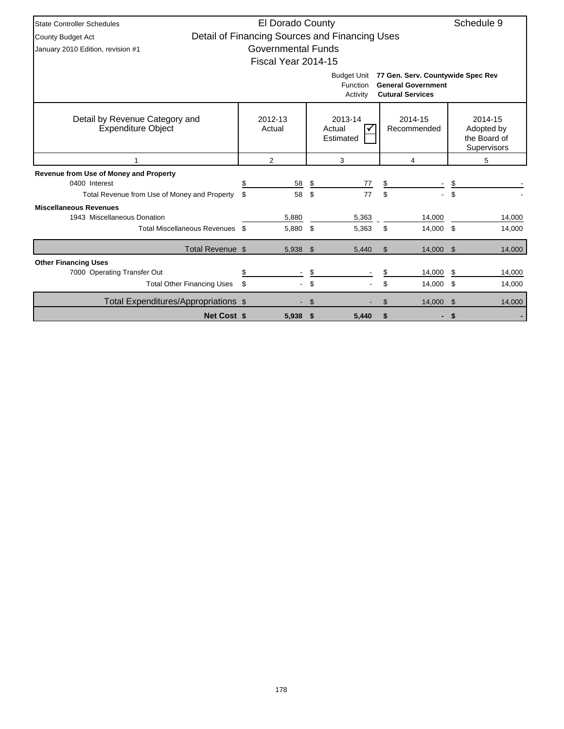| <b>State Controller Schedules</b>                           | El Dorado County          |     |                                                |    |                                                                                           |     | Schedule 9                                           |
|-------------------------------------------------------------|---------------------------|-----|------------------------------------------------|----|-------------------------------------------------------------------------------------------|-----|------------------------------------------------------|
| <b>County Budget Act</b>                                    |                           |     | Detail of Financing Sources and Financing Uses |    |                                                                                           |     |                                                      |
| January 2010 Edition, revision #1                           | <b>Governmental Funds</b> |     |                                                |    |                                                                                           |     |                                                      |
|                                                             | Fiscal Year 2014-15       |     |                                                |    |                                                                                           |     |                                                      |
|                                                             |                           |     | <b>Budget Unit</b><br>Function<br>Activity     |    | 77 Gen. Serv. Countywide Spec Rev<br><b>General Government</b><br><b>Cutural Services</b> |     |                                                      |
| Detail by Revenue Category and<br><b>Expenditure Object</b> | 2012-13<br>Actual         |     | 2013-14<br>Actual<br>Estimated                 |    | 2014-15<br>Recommended                                                                    |     | 2014-15<br>Adopted by<br>the Board of<br>Supervisors |
|                                                             | 2                         |     | 3<br>4                                         |    |                                                                                           |     | 5                                                    |
| Revenue from Use of Money and Property                      |                           |     |                                                |    |                                                                                           |     |                                                      |
| 0400 Interest                                               | \$<br>58                  | \$  | 77                                             | \$ |                                                                                           |     |                                                      |
| Total Revenue from Use of Money and Property                | \$<br>58                  | \$  | 77                                             | \$ |                                                                                           | \$  |                                                      |
| <b>Miscellaneous Revenues</b>                               |                           |     |                                                |    |                                                                                           |     |                                                      |
| 1943 Miscellaneous Donation                                 | 5.880                     |     | 5,363                                          |    | 14.000                                                                                    |     | 14,000                                               |
| Total Miscellaneous Revenues \$                             | 5,880                     | \$  | 5,363                                          | \$ | 14,000 \$                                                                                 |     | 14,000                                               |
| Total Revenue \$                                            | 5,938                     | \$  | 5,440                                          | \$ | 14,000                                                                                    | -\$ | 14,000                                               |
| <b>Other Financing Uses</b>                                 |                           |     |                                                |    |                                                                                           |     |                                                      |
| 7000 Operating Transfer Out                                 | \$                        | \$  |                                                |    | 14,000                                                                                    | \$  | 14,000                                               |
| <b>Total Other Financing Uses</b>                           | \$                        | \$  |                                                | \$ | 14,000                                                                                    | -\$ | 14,000                                               |
| Total Expenditures/Appropriations \$                        |                           | -\$ |                                                | \$ | 14,000 \$                                                                                 |     | 14,000                                               |
| <b>Net Cost \$</b>                                          | 5,938 \$                  |     | 5,440                                          | \$ |                                                                                           | \$  |                                                      |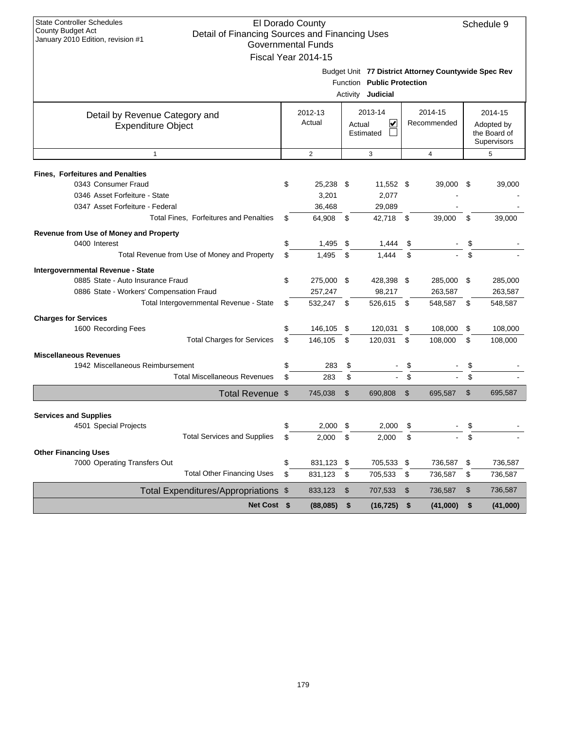|                                                             | Governmental Funds<br>Fiscal Year 2014-15 |                |                                                        |               |                                                      |    |                                           |
|-------------------------------------------------------------|-------------------------------------------|----------------|--------------------------------------------------------|---------------|------------------------------------------------------|----|-------------------------------------------|
|                                                             |                                           |                | Function Public Protection<br>Activity <b>Judicial</b> |               | Budget Unit 77 District Attorney Countywide Spec Rev |    |                                           |
| Detail by Revenue Category and                              | 2012-13                                   |                | 2013-14                                                | 2014-15       |                                                      |    | 2014-15                                   |
| <b>Expenditure Object</b>                                   | Actual                                    | Actual         | V<br>Estimated                                         |               | Recommended                                          |    | Adopted by<br>the Board of<br>Supervisors |
| $\mathbf{1}$                                                | $\overline{2}$                            |                | 3                                                      |               | $\overline{4}$                                       |    | 5                                         |
| <b>Fines, Forfeitures and Penalties</b>                     |                                           |                |                                                        |               |                                                      |    |                                           |
| 0343 Consumer Fraud                                         | \$<br>25,238                              | - \$           | 11,552 \$                                              |               | 39,000                                               | \$ | 39,000                                    |
| 0346 Asset Forfeiture - State                               | 3,201                                     |                | 2,077                                                  |               |                                                      |    |                                           |
| 0347 Asset Forfeiture - Federal                             | 36,468                                    |                | 29,089                                                 |               |                                                      |    |                                           |
| Total Fines, Forfeitures and Penalties                      | \$<br>64,908                              | \$             | 42,718                                                 | - \$          | 39,000                                               | \$ | 39,000                                    |
| Revenue from Use of Money and Property                      |                                           |                |                                                        |               |                                                      |    |                                           |
| 0400 Interest                                               | \$<br>1,495                               | \$             | 1,444                                                  | \$            |                                                      | \$ |                                           |
| Total Revenue from Use of Money and Property                | \$<br>1.495                               | \$             | 1.444                                                  | \$            |                                                      | \$ |                                           |
| Intergovernmental Revenue - State                           |                                           |                |                                                        |               |                                                      |    |                                           |
| 0885 State - Auto Insurance Fraud                           | \$<br>275,000 \$                          |                | 428,398 \$                                             |               | 285,000                                              | \$ | 285,000                                   |
| 0886 State - Workers' Compensation Fraud                    | 257,247                                   |                | 98,217                                                 |               | 263,587                                              |    | 263,587                                   |
| Total Intergovernmental Revenue - State                     | \$<br>532,247                             | - \$           | 526,615 \$                                             |               | 548,587                                              | \$ | 548,587                                   |
| <b>Charges for Services</b>                                 |                                           |                |                                                        |               |                                                      |    |                                           |
| 1600 Recording Fees                                         | \$<br>146,105                             | -\$            | 120,031                                                | \$            | 108,000                                              | \$ | 108,000                                   |
| <b>Total Charges for Services</b>                           | \$<br>146,105                             | \$             | 120,031                                                | \$            | 108,000                                              | \$ | 108,000                                   |
| <b>Miscellaneous Revenues</b>                               |                                           |                |                                                        |               |                                                      |    |                                           |
| 1942 Miscellaneous Reimbursement                            | \$<br>283                                 | \$             |                                                        | \$            |                                                      |    |                                           |
| <b>Total Miscellaneous Revenues</b>                         | \$<br>283                                 | \$             |                                                        | \$            |                                                      | \$ |                                           |
| Total Revenue \$                                            | 745,038                                   | $\mathfrak{S}$ | 690,808                                                | $\mathcal{S}$ | 695,587                                              | \$ | 695,587                                   |
|                                                             |                                           |                |                                                        |               |                                                      |    |                                           |
| <b>Services and Supplies</b><br>4501 Special Projects       | \$<br>2,000                               | \$             | 2,000                                                  | \$            |                                                      | \$ |                                           |
| <b>Total Services and Supplies</b>                          | \$<br>2,000                               | \$             | 2,000                                                  | \$            |                                                      | \$ |                                           |
|                                                             |                                           |                |                                                        |               |                                                      |    |                                           |
| <b>Other Financing Uses</b><br>7000 Operating Transfers Out | \$<br>831,123 \$                          |                | 705,533 \$                                             |               | 736,587                                              | \$ | 736,587                                   |
| <b>Total Other Financing Uses</b>                           | \$<br>831,123                             | \$             | 705,533                                                | \$            | 736,587                                              | \$ | 736,587                                   |
|                                                             |                                           |                |                                                        |               |                                                      |    |                                           |
| Total Expenditures/Appropriations \$                        | 833,123                                   | \$             | 707,533                                                | \$            | 736,587                                              | \$ | 736,587                                   |
| Net Cost \$                                                 | (88,085)                                  | \$             | (16, 725)                                              | \$            | (41,000)                                             | \$ | (41,000)                                  |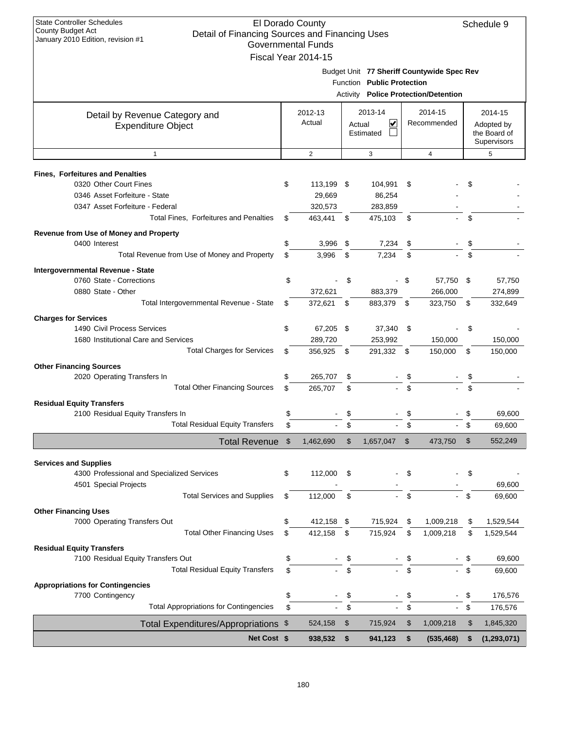| January 2010 Edition, revision #1             | Governmental Funds  |                    |                                                |             |                                            |    |               |  |                                           |
|-----------------------------------------------|---------------------|--------------------|------------------------------------------------|-------------|--------------------------------------------|----|---------------|--|-------------------------------------------|
|                                               | Fiscal Year 2014-15 |                    |                                                |             |                                            |    |               |  |                                           |
|                                               |                     |                    | Function Public Protection                     |             | Budget Unit 77 Sheriff Countywide Spec Rev |    |               |  |                                           |
|                                               |                     |                    |                                                |             | Activity Police Protection/Detention       |    |               |  |                                           |
| Detail by Revenue Category and                | 2012-13             |                    | 2013-14                                        |             | 2014-15                                    |    | 2014-15       |  |                                           |
| <b>Expenditure Object</b>                     | Actual              |                    | $\overline{\mathbf{v}}$<br>Actual<br>Estimated | Recommended |                                            |    |               |  | Adopted by<br>the Board of<br>Supervisors |
| $\mathbf{1}$                                  | 2                   |                    | 3                                              |             | $\overline{4}$                             |    | 5             |  |                                           |
| <b>Fines, Forfeitures and Penalties</b>       |                     |                    |                                                |             |                                            |    |               |  |                                           |
| 0320 Other Court Fines                        | \$<br>113,199 \$    |                    | 104,991                                        | \$          |                                            | \$ |               |  |                                           |
| 0346 Asset Forfeiture - State                 | 29,669              |                    | 86,254                                         |             |                                            |    |               |  |                                           |
| 0347 Asset Forfeiture - Federal               | 320,573             |                    | 283,859                                        |             |                                            |    |               |  |                                           |
| Total Fines, Forfeitures and Penalties        | \$<br>463,441       | \$                 | 475,103                                        | \$          |                                            | \$ |               |  |                                           |
| Revenue from Use of Money and Property        |                     |                    |                                                |             |                                            |    |               |  |                                           |
| 0400 Interest                                 | \$<br>3,996         | \$                 | 7,234                                          | \$          |                                            | \$ |               |  |                                           |
| Total Revenue from Use of Money and Property  | \$<br>3,996         | \$                 | 7,234                                          | \$          |                                            | \$ |               |  |                                           |
| Intergovernmental Revenue - State             |                     |                    |                                                |             |                                            |    |               |  |                                           |
| 0760 State - Corrections                      | \$                  | \$                 |                                                | -\$         | 57,750 \$                                  |    | 57,750        |  |                                           |
| 0880 State - Other                            | 372,621             |                    | 883,379                                        |             | 266,000                                    |    | 274,899       |  |                                           |
| Total Intergovernmental Revenue - State       | \$<br>372,621       | \$                 | 883,379                                        | -\$         | 323,750                                    | \$ | 332,649       |  |                                           |
| <b>Charges for Services</b>                   |                     |                    |                                                |             |                                            |    |               |  |                                           |
| 1490 Civil Process Services                   | \$<br>67,205 \$     |                    | 37,340                                         | -\$         |                                            | \$ |               |  |                                           |
| 1680 Institutional Care and Services          | 289,720             |                    | 253,992                                        |             | 150,000                                    |    | 150,000       |  |                                           |
| <b>Total Charges for Services</b>             | \$<br>356,925       | - \$               | 291,332 \$                                     |             | 150,000                                    | \$ | 150,000       |  |                                           |
| <b>Other Financing Sources</b>                |                     |                    |                                                |             |                                            |    |               |  |                                           |
| 2020 Operating Transfers In                   | \$<br>265,707       | \$                 |                                                |             |                                            |    |               |  |                                           |
| <b>Total Other Financing Sources</b>          | \$<br>265,707       | \$                 |                                                | \$          |                                            | \$ |               |  |                                           |
| <b>Residual Equity Transfers</b>              |                     |                    |                                                |             |                                            |    |               |  |                                           |
| 2100 Residual Equity Transfers In             | \$                  | \$                 |                                                | \$          |                                            | \$ | 69,600        |  |                                           |
| <b>Total Residual Equity Transfers</b>        | \$                  | \$                 |                                                | \$          |                                            | \$ | 69,600        |  |                                           |
| <b>Total Revenue</b>                          | \$<br>1,462,690     | \$                 | 1,657,047                                      | \$          | 473,750                                    | \$ | 552,249       |  |                                           |
| <b>Services and Supplies</b>                  |                     |                    |                                                |             |                                            |    |               |  |                                           |
| 4300 Professional and Specialized Services    | \$<br>112,000       | \$                 |                                                | \$          |                                            | \$ |               |  |                                           |
| 4501 Special Projects                         |                     |                    |                                                |             |                                            |    | 69,600        |  |                                           |
| <b>Total Services and Supplies</b>            | \$<br>112,000       | \$                 |                                                | \$          |                                            | \$ | 69,600        |  |                                           |
| <b>Other Financing Uses</b>                   |                     |                    |                                                |             |                                            |    |               |  |                                           |
| 7000 Operating Transfers Out                  | \$<br>412,158 \$    |                    | 715,924                                        | \$          | 1,009,218                                  | \$ | 1,529,544     |  |                                           |
| <b>Total Other Financing Uses</b>             | \$<br>412,158       | $\mathbf{\hat{s}}$ | 715,924                                        | \$          | 1,009,218                                  | \$ | 1,529,544     |  |                                           |
| <b>Residual Equity Transfers</b>              |                     |                    |                                                |             |                                            |    |               |  |                                           |
| 7100 Residual Equity Transfers Out            | \$                  | \$                 |                                                |             |                                            | \$ | 69,600        |  |                                           |
| <b>Total Residual Equity Transfers</b>        | \$                  | \$                 |                                                | \$          |                                            | \$ | 69,600        |  |                                           |
| <b>Appropriations for Contingencies</b>       |                     |                    |                                                |             |                                            |    |               |  |                                           |
| 7700 Contingency                              | \$                  | \$                 |                                                | \$          |                                            | \$ | 176,576       |  |                                           |
| <b>Total Appropriations for Contingencies</b> | \$                  | \$                 |                                                | \$          |                                            | \$ | 176,576       |  |                                           |
| Total Expenditures/Appropriations \$          | 524,158             | \$                 | 715,924                                        | \$          | 1,009,218                                  | \$ | 1,845,320     |  |                                           |
| Net Cost \$                                   | 938,532             | \$                 | 941,123                                        | \$          | (535, 468)                                 | S  | (1, 293, 071) |  |                                           |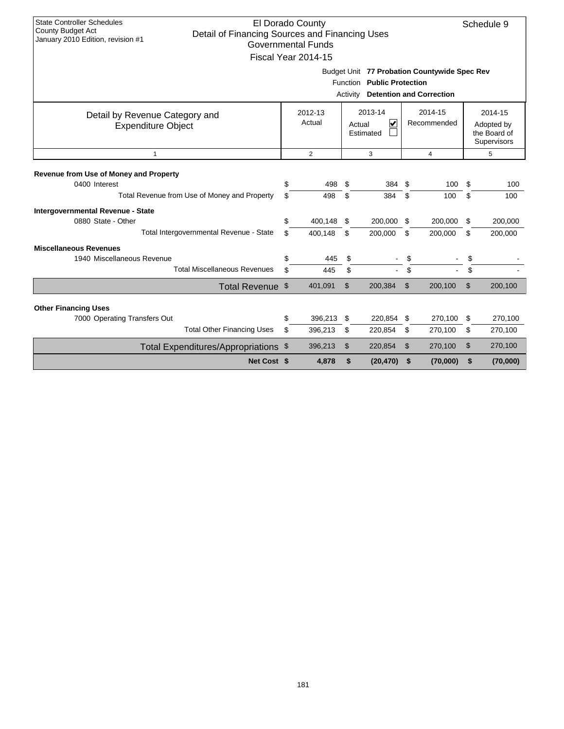| <b>State Controller Schedules</b><br><b>County Budget Act</b><br>Detail of Financing Sources and Financing Uses<br>January 2010 Edition, revision #1 |          | El Dorado County<br><b>Governmental Funds</b><br>Fiscal Year 2014-15 |          |                                                           |           |                                                                                 |          | Schedule 9                                           |
|------------------------------------------------------------------------------------------------------------------------------------------------------|----------|----------------------------------------------------------------------|----------|-----------------------------------------------------------|-----------|---------------------------------------------------------------------------------|----------|------------------------------------------------------|
|                                                                                                                                                      |          |                                                                      | Activity | Function Public Protection                                |           | Budget Unit 77 Probation Countywide Spec Rev<br><b>Detention and Correction</b> |          |                                                      |
| Detail by Revenue Category and<br><b>Expenditure Object</b>                                                                                          |          | 2012-13<br>Actual                                                    |          | 2013-14<br>$\overline{\mathbf{v}}$<br>Actual<br>Estimated |           | 2014-15<br>Recommended                                                          |          | 2014-15<br>Adopted by<br>the Board of<br>Supervisors |
| $\mathbf{1}$                                                                                                                                         |          | 2                                                                    |          | 3                                                         |           | $\overline{4}$                                                                  |          | 5                                                    |
| Revenue from Use of Money and Property<br>0400 Interest<br>Total Revenue from Use of Money and Property                                              | \$<br>\$ | 498<br>498                                                           | \$<br>\$ | 384<br>384                                                | \$<br>\$  | 100<br>100                                                                      | \$<br>\$ | 100<br>100                                           |
| Intergovernmental Revenue - State<br>0880 State - Other<br>Total Intergovernmental Revenue - State                                                   | \$<br>\$ | 400,148 \$<br>400,148                                                | \$       | 200,000<br>200,000                                        | \$.<br>\$ | 200.000<br>200,000                                                              | \$<br>\$ | 200,000<br>200,000                                   |
| <b>Miscellaneous Revenues</b><br>1940 Miscellaneous Revenue                                                                                          | \$       | 445                                                                  | \$       |                                                           | \$        |                                                                                 | \$       |                                                      |
| <b>Total Miscellaneous Revenues</b>                                                                                                                  | \$       | 445                                                                  | \$       |                                                           | \$        |                                                                                 | \$       |                                                      |
| Total Revenue \$                                                                                                                                     |          | 401,091                                                              | \$       | 200,384                                                   | \$        | 200,100                                                                         | \$       | 200,100                                              |
| <b>Other Financing Uses</b>                                                                                                                          |          |                                                                      |          |                                                           |           |                                                                                 |          |                                                      |
| 7000 Operating Transfers Out                                                                                                                         | \$       | 396,213 \$                                                           |          | 220,854                                                   | \$        | 270,100                                                                         | \$       | 270,100                                              |
| <b>Total Other Financing Uses</b>                                                                                                                    | \$       | 396,213                                                              | \$       | 220,854                                                   | \$        | 270,100                                                                         | \$       | 270,100                                              |
| Total Expenditures/Appropriations \$                                                                                                                 |          | 396,213                                                              | \$       | 220,854                                                   | \$        | 270,100                                                                         | \$       | 270,100                                              |
| Net Cost \$                                                                                                                                          |          | 4,878                                                                | \$       | (20, 470)                                                 | \$        | (70,000)                                                                        | \$       | (70,000)                                             |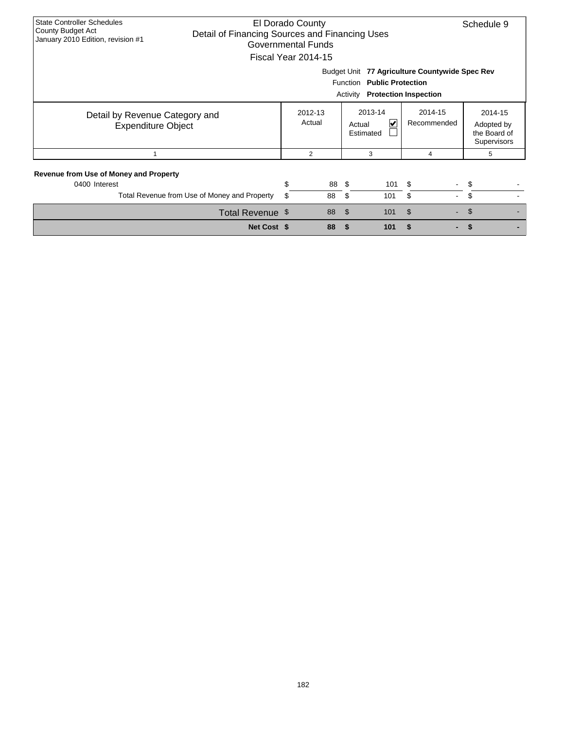| <b>State Controller Schedules</b><br>El Dorado County<br>County Budget Act<br>Detail of Financing Sources and Financing Uses<br>January 2010 Edition, revision #1<br>Governmental Funds<br>Fiscal Year 2014-15 |    |                   |                                |                            |                                                                                |                   |  |  |  |  |  |
|----------------------------------------------------------------------------------------------------------------------------------------------------------------------------------------------------------------|----|-------------------|--------------------------------|----------------------------|--------------------------------------------------------------------------------|-------------------|--|--|--|--|--|
|                                                                                                                                                                                                                |    |                   | Activity                       | Function Public Protection | Budget Unit 77 Agriculture Countywide Spec Rev<br><b>Protection Inspection</b> |                   |  |  |  |  |  |
| Detail by Revenue Category and<br><b>Expenditure Object</b>                                                                                                                                                    |    | 2012-13<br>Actual | 2013-14<br>Actual<br>Estimated | 2014-15<br>Recommended     | 2014-15<br>Adopted by<br>the Board of<br>Supervisors                           |                   |  |  |  |  |  |
|                                                                                                                                                                                                                |    | $\overline{2}$    |                                | 3                          | 4                                                                              | 5                 |  |  |  |  |  |
| Revenue from Use of Money and Property<br>0400 Interest                                                                                                                                                        | \$ | 88 \$             |                                | $101 \t{5}$                |                                                                                | -\$<br>$\sim 100$ |  |  |  |  |  |
| Total Revenue from Use of Money and Property                                                                                                                                                                   | \$ | 88                | \$                             | 101                        | \$<br>$\sim$                                                                   | \$                |  |  |  |  |  |
| Total Revenue \$                                                                                                                                                                                               |    | 88                | \$                             | 101                        | \$<br>۰.                                                                       | \$                |  |  |  |  |  |
| Net Cost \$                                                                                                                                                                                                    |    | 88                | \$                             | 101                        |                                                                                |                   |  |  |  |  |  |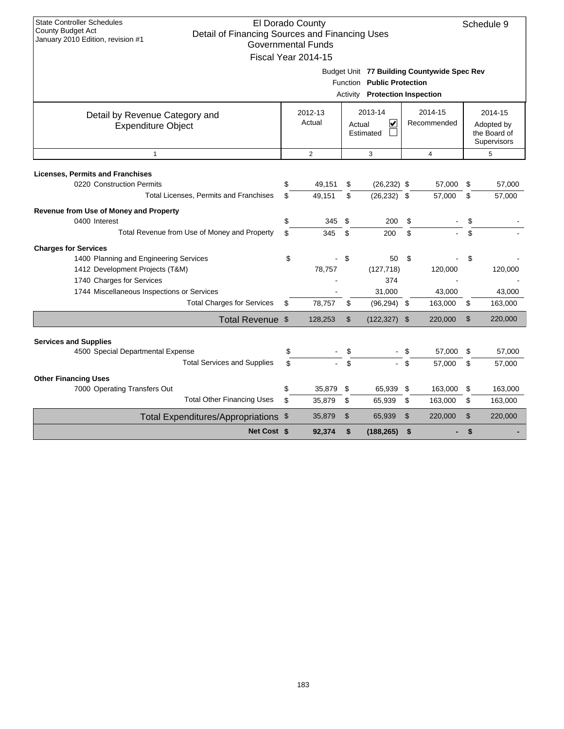| <b>State Controller Schedules</b><br><b>County Budget Act</b><br>Detail of Financing Sources and Financing Uses<br>January 2010 Edition, revision #1 |     | El Dorado County<br><b>Governmental Funds</b><br>Fiscal Year 2014-15 |                |                                                                     |                |                                             |                | Schedule 9                                                  |
|------------------------------------------------------------------------------------------------------------------------------------------------------|-----|----------------------------------------------------------------------|----------------|---------------------------------------------------------------------|----------------|---------------------------------------------|----------------|-------------------------------------------------------------|
|                                                                                                                                                      |     |                                                                      |                | Function Public Protection<br><b>Activity</b> Protection Inspection |                | Budget Unit 77 Building Countywide Spec Rev |                |                                                             |
| Detail by Revenue Category and<br><b>Expenditure Object</b>                                                                                          |     | 2012-13<br>Actual                                                    |                | 2013-14<br>V<br>Actual<br>Estimated                                 |                | 2014-15<br>Recommended                      |                | 2014-15<br>Adopted by<br>the Board of<br><b>Supervisors</b> |
| $\mathbf{1}$                                                                                                                                         |     | $\overline{2}$                                                       |                | 3                                                                   |                | $\overline{4}$                              |                | 5                                                           |
| <b>Licenses, Permits and Franchises</b><br>0220 Construction Permits                                                                                 | \$  | 49,151                                                               | \$             | $(26, 232)$ \$                                                      |                | 57,000                                      | \$             | 57,000                                                      |
| Total Licenses, Permits and Franchises                                                                                                               | \$  | 49,151                                                               | \$             | $(26, 232)$ \$                                                      |                | 57,000                                      | \$             | 57,000                                                      |
| Revenue from Use of Money and Property<br>0400 Interest                                                                                              | \$  | 345                                                                  | \$             | 200                                                                 |                |                                             |                |                                                             |
| Total Revenue from Use of Money and Property                                                                                                         | \$  | 345                                                                  | \$             | 200                                                                 | \$<br>\$       |                                             | \$<br>\$       |                                                             |
|                                                                                                                                                      |     |                                                                      |                |                                                                     |                |                                             |                |                                                             |
| <b>Charges for Services</b><br>1400 Planning and Engineering Services                                                                                | \$  |                                                                      | \$             | 50                                                                  | \$             |                                             |                |                                                             |
| 1412 Development Projects (T&M)                                                                                                                      |     | 78,757                                                               |                | (127, 718)                                                          |                | 120,000                                     |                | 120,000                                                     |
| 1740 Charges for Services                                                                                                                            |     |                                                                      |                | 374                                                                 |                |                                             |                |                                                             |
| 1744 Miscellaneous Inspections or Services                                                                                                           |     |                                                                      |                | 31,000                                                              |                | 43,000                                      |                | 43,000                                                      |
| <b>Total Charges for Services</b>                                                                                                                    | \$  | 78,757                                                               | \$             | $(96, 294)$ \$                                                      |                | 163,000                                     | \$             | 163,000                                                     |
| Total Revenue \$                                                                                                                                     |     | 128,253                                                              | $\mathfrak{S}$ | $(122, 327)$ \$                                                     |                | 220,000                                     | $\mathfrak{S}$ | 220,000                                                     |
| <b>Services and Supplies</b>                                                                                                                         |     |                                                                      |                |                                                                     |                |                                             |                |                                                             |
| 4500 Special Departmental Expense                                                                                                                    | \$  |                                                                      | \$             |                                                                     |                | 57,000                                      | \$             | 57,000                                                      |
| <b>Total Services and Supplies</b>                                                                                                                   | \$. |                                                                      | \$             | a.                                                                  | $\mathfrak{L}$ | 57,000                                      | \$             | 57,000                                                      |
| <b>Other Financing Uses</b>                                                                                                                          |     |                                                                      |                |                                                                     |                |                                             |                |                                                             |
| 7000 Operating Transfers Out                                                                                                                         | \$  | 35,879                                                               | \$             | 65,939                                                              | \$             | 163,000                                     | \$             | 163,000                                                     |
| <b>Total Other Financing Uses</b>                                                                                                                    | \$  | 35,879                                                               | \$             | 65,939                                                              | \$             | 163,000                                     | \$             | 163,000                                                     |
| Total Expenditures/Appropriations \$                                                                                                                 |     | 35,879                                                               | $\mathcal{S}$  | 65,939                                                              | $\mathfrak{S}$ | 220,000                                     | \$             | 220,000                                                     |
| Net Cost \$                                                                                                                                          |     | 92,374                                                               | \$             | (188, 265)                                                          | \$             |                                             | \$             |                                                             |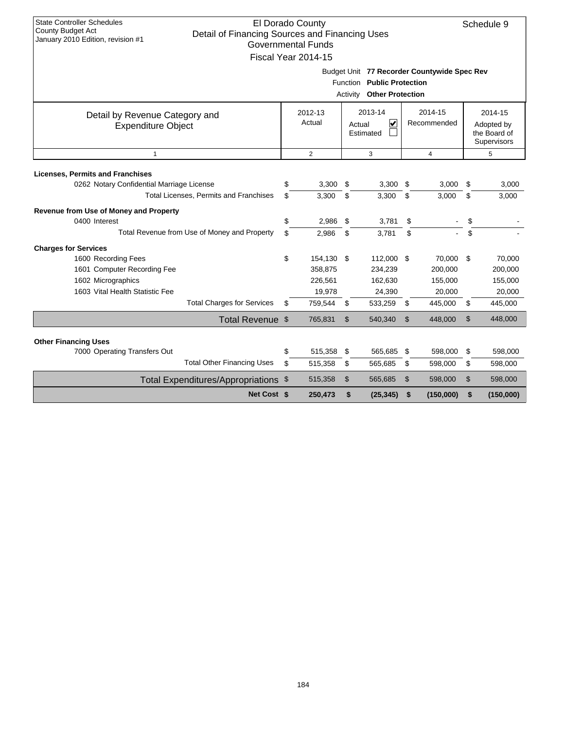| <b>State Controller Schedules</b><br><b>County Budget Act</b><br>Detail of Financing Sources and Financing Uses<br>January 2010 Edition, revision #1 |    | El Dorado County          |    |                          |    |                   |    | Schedule 9                                |  |
|------------------------------------------------------------------------------------------------------------------------------------------------------|----|---------------------------|----|--------------------------|----|-------------------|----|-------------------------------------------|--|
|                                                                                                                                                      |    | <b>Governmental Funds</b> |    |                          |    |                   |    |                                           |  |
|                                                                                                                                                      |    | Fiscal Year 2014-15       |    |                          |    |                   |    |                                           |  |
| Budget Unit 77 Recorder Countywide Spec Rev<br>Function Public Protection<br><b>Other Protection</b><br>Activity                                     |    |                           |    |                          |    |                   |    |                                           |  |
| Detail by Revenue Category and                                                                                                                       |    | 2012-13                   |    | 2013-14                  |    | 2014-15           |    | 2014-15                                   |  |
| <b>Expenditure Object</b>                                                                                                                            |    | Actual                    |    | V<br>Actual<br>Estimated |    | Recommended       |    | Adopted by<br>the Board of<br>Supervisors |  |
| $\mathbf{1}$                                                                                                                                         |    | $\overline{2}$            |    | 3                        |    | $\overline{4}$    |    | 5                                         |  |
|                                                                                                                                                      |    |                           |    |                          |    |                   |    |                                           |  |
| <b>Licenses, Permits and Franchises</b><br>0262 Notary Confidential Marriage License                                                                 | \$ | 3,300                     | \$ | 3,300                    | \$ | 3,000             | \$ | 3,000                                     |  |
| Total Licenses, Permits and Franchises                                                                                                               | \$ | 3,300                     | \$ | 3,300                    | \$ | 3,000             | \$ | 3,000                                     |  |
|                                                                                                                                                      |    |                           |    |                          |    |                   |    |                                           |  |
| Revenue from Use of Money and Property<br>0400 Interest                                                                                              | \$ | 2,986                     | \$ | 3,781                    | \$ |                   | \$ |                                           |  |
| Total Revenue from Use of Money and Property                                                                                                         | \$ | 2,986                     | \$ | 3,781                    | \$ |                   | \$ |                                           |  |
|                                                                                                                                                      |    |                           |    |                          |    |                   |    |                                           |  |
| <b>Charges for Services</b>                                                                                                                          |    |                           |    |                          |    |                   |    |                                           |  |
| 1600 Recording Fees                                                                                                                                  | \$ | 154.130 \$                |    | 112,000 \$               |    | 70.000 \$         |    | 70,000                                    |  |
| 1601 Computer Recording Fee                                                                                                                          |    | 358,875<br>226,561        |    | 234,239                  |    | 200,000           |    | 200,000                                   |  |
| 1602 Micrographics<br>1603 Vital Health Statistic Fee                                                                                                |    | 19,978                    |    | 162,630<br>24,390        |    | 155,000<br>20,000 |    | 155,000<br>20,000                         |  |
| <b>Total Charges for Services</b>                                                                                                                    | \$ | 759,544                   | \$ | 533,259                  | \$ | 445,000           | \$ | 445,000                                   |  |
|                                                                                                                                                      |    |                           |    |                          |    |                   |    |                                           |  |
| Total Revenue \$                                                                                                                                     |    | 765,831                   | \$ | 540,340                  | \$ | 448,000           | \$ | 448,000                                   |  |
|                                                                                                                                                      |    |                           |    |                          |    |                   |    |                                           |  |
| <b>Other Financing Uses</b><br>7000 Operating Transfers Out                                                                                          | \$ | 515,358                   | \$ | 565,685                  | \$ | 598,000           | \$ | 598,000                                   |  |
| <b>Total Other Financing Uses</b>                                                                                                                    | \$ | 515,358                   | \$ | 565,685                  | \$ | 598,000           | \$ | 598,000                                   |  |
| Total Expenditures/Appropriations \$                                                                                                                 |    | 515,358                   | \$ | 565,685                  | \$ | 598,000           | \$ | 598,000                                   |  |
| Net Cost \$                                                                                                                                          |    | 250,473                   | \$ | (25, 345)                | \$ | (150,000)         | \$ | (150,000)                                 |  |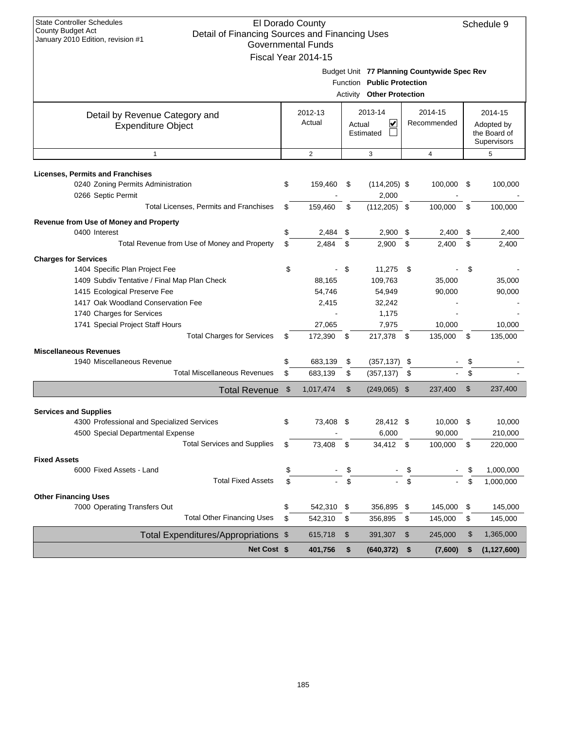| <b>State Controller Schedules</b><br>County Budget Act<br>Detail of Financing Sources and Financing Uses<br>January 2010 Edition, revision #1 |                                                                                                        | El Dorado County<br><b>Governmental Funds</b><br>Fiscal Year 2014-15 |    |                                     |      |                        |     | Schedule 9                                           |  |  |  |
|-----------------------------------------------------------------------------------------------------------------------------------------------|--------------------------------------------------------------------------------------------------------|----------------------------------------------------------------------|----|-------------------------------------|------|------------------------|-----|------------------------------------------------------|--|--|--|
|                                                                                                                                               | Budget Unit 77 Planning Countywide Spec Rev<br>Function Public Protection<br>Activity Other Protection |                                                                      |    |                                     |      |                        |     |                                                      |  |  |  |
| Detail by Revenue Category and<br><b>Expenditure Object</b>                                                                                   |                                                                                                        | 2012-13<br>Actual                                                    |    | 2013-14<br>V<br>Actual<br>Estimated |      | 2014-15<br>Recommended |     | 2014-15<br>Adopted by<br>the Board of<br>Supervisors |  |  |  |
| $\mathbf{1}$                                                                                                                                  |                                                                                                        | $\overline{2}$                                                       |    | 3                                   |      | 4                      |     | 5                                                    |  |  |  |
| <b>Licenses, Permits and Franchises</b><br>0240 Zoning Permits Administration<br>0266 Septic Permit                                           | \$                                                                                                     | 159,460                                                              | \$ | $(114, 205)$ \$<br>2,000            |      | 100,000                | -\$ | 100,000                                              |  |  |  |
| Total Licenses, Permits and Franchises                                                                                                        | \$                                                                                                     | 159,460                                                              | \$ | $(112, 205)$ \$                     |      | 100,000                | \$  | 100,000                                              |  |  |  |
| Revenue from Use of Money and Property                                                                                                        |                                                                                                        |                                                                      |    |                                     |      |                        |     |                                                      |  |  |  |
| 0400 Interest                                                                                                                                 | \$                                                                                                     | 2,484                                                                | \$ | 2,900                               | \$   | 2,400                  | \$  | 2,400                                                |  |  |  |
| Total Revenue from Use of Money and Property                                                                                                  | \$                                                                                                     | 2,484                                                                | \$ | 2,900                               | \$   | 2,400                  | \$  | 2,400                                                |  |  |  |
| <b>Charges for Services</b>                                                                                                                   |                                                                                                        |                                                                      |    |                                     |      |                        |     |                                                      |  |  |  |
| 1404 Specific Plan Project Fee                                                                                                                | \$                                                                                                     |                                                                      | \$ | 11,275                              | \$   |                        | \$  |                                                      |  |  |  |
| 1409 Subdiv Tentative / Final Map Plan Check                                                                                                  |                                                                                                        | 88,165                                                               |    | 109,763                             |      | 35,000                 |     | 35,000                                               |  |  |  |
| 1415 Ecological Preserve Fee                                                                                                                  |                                                                                                        | 54,746                                                               |    | 54,949                              |      | 90,000                 |     | 90,000                                               |  |  |  |
| 1417 Oak Woodland Conservation Fee                                                                                                            |                                                                                                        | 2,415                                                                |    | 32,242                              |      |                        |     |                                                      |  |  |  |
| 1740 Charges for Services                                                                                                                     |                                                                                                        |                                                                      |    | 1,175                               |      |                        |     |                                                      |  |  |  |
| 1741 Special Project Staff Hours                                                                                                              |                                                                                                        | 27,065                                                               |    | 7,975                               |      | 10,000                 |     | 10,000                                               |  |  |  |
| <b>Total Charges for Services</b>                                                                                                             | \$                                                                                                     | 172,390 \$                                                           |    | 217,378 \$                          |      | 135,000                | \$  | 135,000                                              |  |  |  |
| <b>Miscellaneous Revenues</b>                                                                                                                 |                                                                                                        |                                                                      |    |                                     |      |                        |     |                                                      |  |  |  |
| 1940 Miscellaneous Revenue                                                                                                                    | \$                                                                                                     | 683,139                                                              | \$ | (357, 137)                          | \$   |                        | \$  |                                                      |  |  |  |
| <b>Total Miscellaneous Revenues</b>                                                                                                           | \$                                                                                                     | 683,139                                                              | \$ | (357, 137)                          | \$   |                        | \$  |                                                      |  |  |  |
| <b>Total Revenue</b>                                                                                                                          | \$                                                                                                     | 1,017,474                                                            | \$ | $(249,065)$ \$                      |      | 237,400                | \$  | 237,400                                              |  |  |  |
|                                                                                                                                               |                                                                                                        |                                                                      |    |                                     |      |                        |     |                                                      |  |  |  |
| <b>Services and Supplies</b>                                                                                                                  |                                                                                                        |                                                                      |    |                                     |      |                        |     |                                                      |  |  |  |
| 4300 Professional and Specialized Services                                                                                                    | \$                                                                                                     | 73,408                                                               | \$ | 28,412                              | \$   | 10,000 \$              |     | 10,000                                               |  |  |  |
| 4500 Special Departmental Expense                                                                                                             |                                                                                                        |                                                                      |    | 6,000                               |      | 90,000                 |     | 210,000                                              |  |  |  |
| <b>Total Services and Supplies</b>                                                                                                            | \$                                                                                                     | 73,408                                                               | \$ | 34,412                              | - \$ | 100,000                | \$  | 220,000                                              |  |  |  |
| <b>Fixed Assets</b>                                                                                                                           |                                                                                                        |                                                                      |    |                                     |      |                        |     |                                                      |  |  |  |
| 6000 Fixed Assets - Land                                                                                                                      | \$                                                                                                     |                                                                      | \$ |                                     | \$   |                        | \$  | 1,000,000                                            |  |  |  |
| <b>Total Fixed Assets</b>                                                                                                                     | \$                                                                                                     |                                                                      | \$ |                                     | \$   |                        | \$  | 1,000,000                                            |  |  |  |
| <b>Other Financing Uses</b>                                                                                                                   |                                                                                                        |                                                                      |    |                                     |      |                        |     |                                                      |  |  |  |
| 7000 Operating Transfers Out                                                                                                                  | \$                                                                                                     | 542,310 \$                                                           |    | 356,895 \$                          |      | 145,000                | \$  | 145,000                                              |  |  |  |
| <b>Total Other Financing Uses</b>                                                                                                             | \$                                                                                                     | 542,310                                                              | \$ | 356,895                             | - \$ | 145,000                | \$  | 145,000                                              |  |  |  |
| Total Expenditures/Appropriations \$                                                                                                          |                                                                                                        | 615,718                                                              | \$ | 391,307                             | \$   | 245,000                | \$  | 1,365,000                                            |  |  |  |
| Net Cost \$                                                                                                                                   |                                                                                                        | 401,756                                                              | \$ | (640, 372)                          | \$   | (7,600)                | \$  | (1, 127, 600)                                        |  |  |  |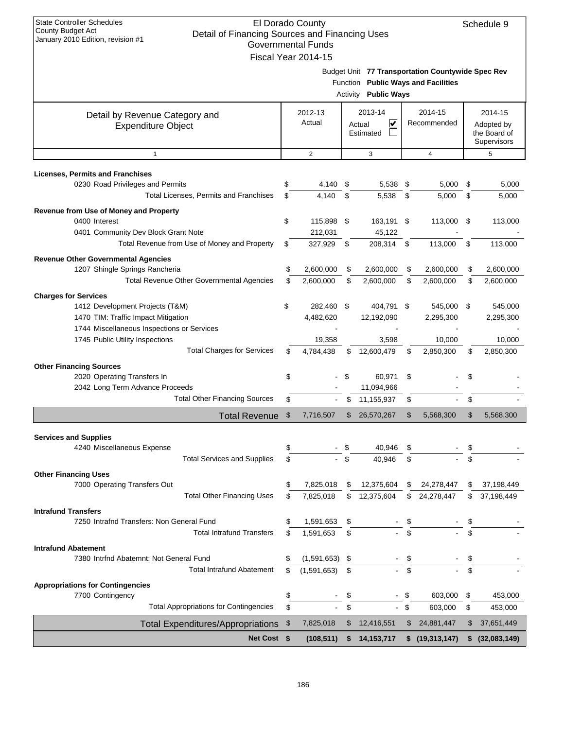| <b>State Controller Schedules</b> |
|-----------------------------------|
| County Budget Act                 |
| January 2010 Edition, revision #1 |

| Detail of Financing Obdress and Financing Oscs<br>January 2010 Edition, revision #1                                                                 |                | <b>Governmental Funds</b>  |            |                                     |          |                                                                                          |          |                                                             |
|-----------------------------------------------------------------------------------------------------------------------------------------------------|----------------|----------------------------|------------|-------------------------------------|----------|------------------------------------------------------------------------------------------|----------|-------------------------------------------------------------|
|                                                                                                                                                     |                | Fiscal Year 2014-15        | Activity   | <b>Public Ways</b>                  |          | Budget Unit 77 Transportation Countywide Spec Rev<br>Function Public Ways and Facilities |          |                                                             |
| Detail by Revenue Category and<br><b>Expenditure Object</b>                                                                                         |                | 2012-13<br>Actual          |            | 2013-14<br>V<br>Actual<br>Estimated |          | 2014-15<br>Recommended                                                                   |          | 2014-15<br>Adopted by<br>the Board of<br><b>Supervisors</b> |
| $\mathbf{1}$                                                                                                                                        |                | 2                          |            | 3                                   |          | 4                                                                                        |          | 5                                                           |
| <b>Licenses, Permits and Franchises</b><br>0230 Road Privileges and Permits                                                                         |                | 4,140                      | \$         | 5,538 \$                            |          | 5,000                                                                                    | \$       | 5,000                                                       |
| Total Licenses, Permits and Franchises                                                                                                              | \$             | 4,140                      | \$         | 5,538                               | \$       | 5,000                                                                                    | \$       | 5,000                                                       |
| Revenue from Use of Money and Property<br>0400 Interest<br>0401 Community Dev Block Grant Note                                                      | \$             | 115,898 \$<br>212,031      |            | 163,191 \$<br>45,122                |          | 113,000                                                                                  | - \$     | 113,000                                                     |
| Total Revenue from Use of Money and Property                                                                                                        | \$             | 327,929                    | - \$       | 208,314 \$                          |          | 113,000                                                                                  | \$       | 113,000                                                     |
| <b>Revenue Other Governmental Agencies</b><br>1207 Shingle Springs Rancheria<br>Total Revenue Other Governmental Agencies                           | \$<br>\$       | 2,600,000<br>2,600,000     | \$<br>\$   | 2,600,000<br>2,600,000              | \$<br>\$ | 2,600,000<br>2,600,000                                                                   | \$<br>\$ | 2,600,000<br>2,600,000                                      |
| <b>Charges for Services</b><br>1412 Development Projects (T&M)<br>1470 TIM: Traffic Impact Mitigation<br>1744 Miscellaneous Inspections or Services | \$             | 282,460 \$<br>4,482,620    |            | 404,791 \$<br>12,192,090            |          | 545,000 \$<br>2,295,300                                                                  |          | 545,000<br>2,295,300                                        |
| 1745 Public Utility Inspections<br><b>Total Charges for Services</b>                                                                                | \$             | 19,358<br>4,784,438        | \$         | 3,598<br>12,600,479                 | \$       | 10,000<br>2,850,300                                                                      | \$       | 10,000<br>2,850,300                                         |
| <b>Other Financing Sources</b><br>2020 Operating Transfers In<br>2042 Long Term Advance Proceeds<br><b>Total Other Financing Sources</b>            | \$<br>\$       | $\Box$                     | \$<br>\$   | 60,971<br>11,094,966<br>11,155,937  | \$<br>\$ |                                                                                          | \$<br>\$ |                                                             |
| <b>Total Revenue</b>                                                                                                                                | $\mathfrak{S}$ | 7,716,507                  | \$         | 26,570,267                          | \$       | 5,568,300                                                                                | \$       | 5,568,300                                                   |
|                                                                                                                                                     |                |                            |            |                                     |          |                                                                                          |          |                                                             |
| <b>Services and Supplies</b><br>4240 Miscellaneous Expense<br><b>Total Services and Supplies</b>                                                    | \$.<br>\$      |                            | £.<br>\$   | 40.946<br>40,946                    | \$       |                                                                                          |          |                                                             |
| <b>Other Financing Uses</b><br>7000 Operating Transfers Out                                                                                         | \$             | 7,825,018                  | \$         | 12,375,604                          | \$       | 24,278,447                                                                               |          | 37,198,449                                                  |
| <b>Total Other Financing Uses</b><br><b>Intrafund Transfers</b>                                                                                     | \$             | 7,825,018                  | \$         | 12,375,604                          | \$       | 24,278,447                                                                               | \$       | 37,198,449                                                  |
| 7250 Intrafnd Transfers: Non General Fund                                                                                                           | \$             | 1,591,653                  | \$         |                                     | \$       |                                                                                          | \$       |                                                             |
| <b>Total Intrafund Transfers</b>                                                                                                                    | \$             | 1,591,653                  | \$         |                                     | \$       |                                                                                          |          |                                                             |
| <b>Intrafund Abatement</b><br>7380 Intrfnd Abatemnt: Not General Fund<br><b>Total Intrafund Abatement</b>                                           | \$<br>\$       | (1,591,653)<br>(1,591,653) | - \$<br>\$ |                                     | \$       |                                                                                          | \$       |                                                             |
| <b>Appropriations for Contingencies</b>                                                                                                             |                |                            |            |                                     |          |                                                                                          |          |                                                             |
| 7700 Contingency<br><b>Total Appropriations for Contingencies</b>                                                                                   | \$<br>\$       |                            | \$<br>\$   |                                     | \$       | 603,000<br>603,000                                                                       | \$<br>\$ | 453,000<br>453,000                                          |
| <b>Total Expenditures/Appropriations</b>                                                                                                            | \$             | 7,825,018                  | \$         | 12,416,551                          | \$       | 24,881,447                                                                               | \$       | 37,651,449                                                  |
| Net Cost \$                                                                                                                                         |                | (108, 511)                 | S          | 14,153,717                          |          | $$$ (19,313,147)                                                                         |          | \$ (32,083,149)                                             |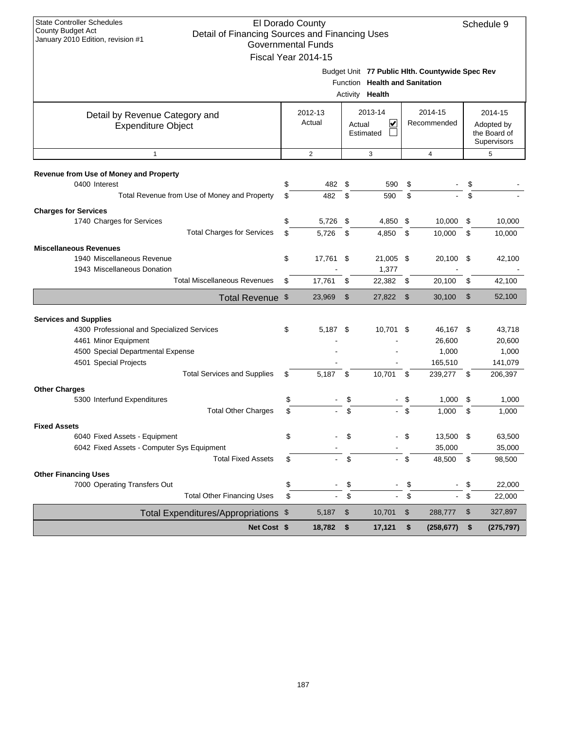| <b>State Controller Schedules</b><br>County Budget Act                              | El Dorado County          |               |                                |                |                                                 |     | Schedule 9                  |
|-------------------------------------------------------------------------------------|---------------------------|---------------|--------------------------------|----------------|-------------------------------------------------|-----|-----------------------------|
| Detail of Financing Sources and Financing Uses<br>January 2010 Edition, revision #1 |                           |               |                                |                |                                                 |     |                             |
|                                                                                     | <b>Governmental Funds</b> |               |                                |                |                                                 |     |                             |
|                                                                                     | Fiscal Year 2014-15       |               |                                |                |                                                 |     |                             |
|                                                                                     |                           |               |                                |                | Budget Unit 77 Public Hlth. Countywide Spec Rev |     |                             |
|                                                                                     |                           |               | Function Health and Sanitation |                |                                                 |     |                             |
|                                                                                     |                           |               | Activity <b>Health</b>         |                |                                                 |     |                             |
|                                                                                     |                           |               |                                |                |                                                 |     |                             |
| Detail by Revenue Category and                                                      | 2012-13                   |               | 2013-14                        |                | 2014-15                                         |     | 2014-15                     |
| <b>Expenditure Object</b>                                                           | Actual                    |               | V<br>Actual                    |                | Recommended                                     |     | Adopted by                  |
|                                                                                     |                           |               | Estimated                      |                |                                                 |     | the Board of<br>Supervisors |
| $\mathbf{1}$                                                                        | $\overline{2}$            |               | 3                              |                | 4                                               |     | 5                           |
|                                                                                     |                           |               |                                |                |                                                 |     |                             |
| Revenue from Use of Money and Property                                              |                           |               |                                |                |                                                 |     |                             |
| 0400 Interest                                                                       | \$<br>482                 | \$            | 590                            | \$             |                                                 | \$  |                             |
| Total Revenue from Use of Money and Property                                        | \$<br>482                 | \$            | 590                            | \$             |                                                 | \$  |                             |
|                                                                                     |                           |               |                                |                |                                                 |     |                             |
| <b>Charges for Services</b><br>1740 Charges for Services                            | \$<br>5,726               | \$            | 4,850                          | \$             | 10,000                                          | \$  | 10,000                      |
| <b>Total Charges for Services</b>                                                   | \$<br>5,726               | \$            | 4,850                          | - \$           | 10,000                                          | \$  | 10,000                      |
|                                                                                     |                           |               |                                |                |                                                 |     |                             |
| <b>Miscellaneous Revenues</b>                                                       |                           |               |                                |                |                                                 |     |                             |
| 1940 Miscellaneous Revenue                                                          | \$<br>17,761 \$           |               | 21,005 \$                      |                | 20,100                                          | -\$ | 42,100                      |
| 1943 Miscellaneous Donation                                                         |                           |               | 1,377                          |                |                                                 |     |                             |
| <b>Total Miscellaneous Revenues</b>                                                 | \$<br>17,761              | \$            | $22,382$ \$                    |                | 20,100                                          | \$  | 42,100                      |
| Total Revenue \$                                                                    | 23,969                    | $\mathcal{S}$ | 27,822                         | $\mathfrak{S}$ | 30,100                                          | \$  | 52,100                      |
| <b>Services and Supplies</b>                                                        |                           |               |                                |                |                                                 |     |                             |
| 4300 Professional and Specialized Services                                          | \$<br>$5,187$ \$          |               | 10,701                         | - \$           | 46,167                                          | \$  | 43,718                      |
| 4461 Minor Equipment                                                                |                           |               |                                |                | 26,600                                          |     | 20,600                      |
| 4500 Special Departmental Expense                                                   |                           |               |                                |                | 1,000                                           |     | 1,000                       |
| 4501 Special Projects                                                               |                           |               |                                |                | 165,510                                         |     | 141,079                     |
| <b>Total Services and Supplies</b>                                                  | \$<br>5,187               | \$            | 10,701                         | \$             | 239,277                                         | \$  | 206,397                     |
|                                                                                     |                           |               |                                |                |                                                 |     |                             |
| <b>Other Charges</b>                                                                |                           |               |                                |                |                                                 |     |                             |
| 5300 Interfund Expenditures                                                         | \$                        | \$            |                                |                | 1,000                                           | \$  | 1,000                       |
| <b>Total Other Charges</b>                                                          | \$                        | \$            |                                | \$             | 1,000                                           | \$  | 1,000                       |
| <b>Fixed Assets</b>                                                                 |                           |               |                                |                |                                                 |     |                             |
| 6040 Fixed Assets - Equipment                                                       | \$                        | \$            |                                | \$             | 13,500 \$                                       |     | 63,500                      |
| 6042 Fixed Assets - Computer Sys Equipment                                          |                           |               |                                |                | 35,000                                          |     | 35,000                      |
| <b>Total Fixed Assets</b>                                                           | \$                        | \$            |                                | $-$ \$         | 48,500                                          | \$  | 98,500                      |
| <b>Other Financing Uses</b>                                                         |                           |               |                                |                |                                                 |     |                             |
| 7000 Operating Transfers Out                                                        | \$                        | \$            |                                | \$             |                                                 | \$  | 22,000                      |
| <b>Total Other Financing Uses</b>                                                   | \$                        | \$            |                                | \$             |                                                 | \$  | 22,000                      |
| Total Expenditures/Appropriations \$                                                | 5,187                     | \$            | 10,701                         | $\frac{1}{2}$  | 288,777                                         | \$  | 327,897                     |
| Net Cost \$                                                                         | 18,782                    | $\sqrt{2}$    | 17,121                         | \$             | (258, 677)                                      | \$  | (275, 797)                  |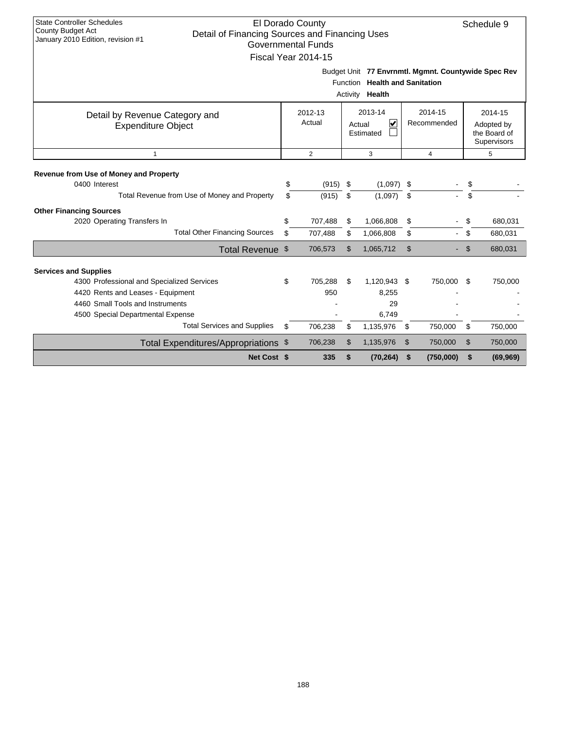| <b>State Controller Schedules</b><br>El Dorado County<br>Schedule 9<br><b>County Budget Act</b><br>Detail of Financing Sources and Financing Uses<br>January 2010 Edition, revision #1<br><b>Governmental Funds</b><br>Fiscal Year 2014-15 |    |                   |    |                                     |    |                        |    |                                                      |  |  |
|--------------------------------------------------------------------------------------------------------------------------------------------------------------------------------------------------------------------------------------------|----|-------------------|----|-------------------------------------|----|------------------------|----|------------------------------------------------------|--|--|
| Budget Unit 77 Envrnmtl. Mgmnt. Countywide Spec Rev<br>Function Health and Sanitation<br>Activity Health                                                                                                                                   |    |                   |    |                                     |    |                        |    |                                                      |  |  |
| Detail by Revenue Category and<br><b>Expenditure Object</b>                                                                                                                                                                                |    | 2012-13<br>Actual |    | 2013-14<br>V<br>Actual<br>Estimated |    | 2014-15<br>Recommended |    | 2014-15<br>Adopted by<br>the Board of<br>Supervisors |  |  |
| $\mathbf{1}$                                                                                                                                                                                                                               |    | $\overline{2}$    |    | 3                                   |    | $\overline{4}$         |    | 5                                                    |  |  |
| Revenue from Use of Money and Property<br>0400 Interest                                                                                                                                                                                    | \$ | $(915)$ \$        |    | (1,097)                             | \$ |                        | \$ |                                                      |  |  |
| Total Revenue from Use of Money and Property                                                                                                                                                                                               | \$ | (915)             | \$ | (1,097)                             | \$ |                        | \$ |                                                      |  |  |
|                                                                                                                                                                                                                                            |    |                   |    |                                     |    |                        |    |                                                      |  |  |
| <b>Other Financing Sources</b><br>2020 Operating Transfers In                                                                                                                                                                              | \$ | 707,488           | \$ | 1,066,808                           | \$ | $\blacksquare$         | \$ | 680,031                                              |  |  |
| <b>Total Other Financing Sources</b>                                                                                                                                                                                                       | \$ | 707,488           | \$ | 1,066,808                           | \$ | $\omega$ .             | \$ | 680,031                                              |  |  |
| Total Revenue \$                                                                                                                                                                                                                           |    | 706,573           | \$ | 1,065,712                           | \$ |                        | \$ | 680,031                                              |  |  |
| <b>Services and Supplies</b>                                                                                                                                                                                                               |    |                   |    |                                     |    |                        |    |                                                      |  |  |
| 4300 Professional and Specialized Services                                                                                                                                                                                                 | \$ | 705,288           | \$ | 1,120,943 \$                        |    | 750,000                | \$ | 750,000                                              |  |  |
| 4420 Rents and Leases - Equipment                                                                                                                                                                                                          |    | 950               |    | 8.255                               |    |                        |    |                                                      |  |  |
| 4460 Small Tools and Instruments                                                                                                                                                                                                           |    |                   |    | 29                                  |    |                        |    |                                                      |  |  |
| 4500 Special Departmental Expense                                                                                                                                                                                                          |    |                   |    | 6,749                               |    |                        |    |                                                      |  |  |
| <b>Total Services and Supplies</b>                                                                                                                                                                                                         | \$ | 706.238           | \$ | 1,135,976                           | \$ | 750,000                | \$ | 750,000                                              |  |  |
| Total Expenditures/Appropriations \$                                                                                                                                                                                                       |    | 706,238           | \$ | 1,135,976                           | \$ | 750,000                | \$ | 750,000                                              |  |  |
| Net Cost \$                                                                                                                                                                                                                                |    | 335               | \$ | (70, 264)                           | \$ | (750,000)              | \$ | (69, 969)                                            |  |  |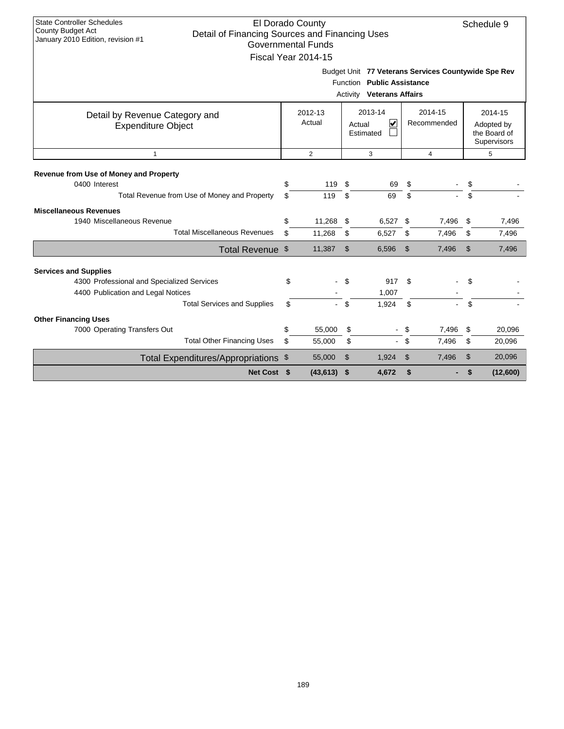| <b>State Controller Schedules</b><br><b>County Budget Act</b><br>Detail of Financing Sources and Financing Uses<br>January 2010 Edition, revision #1 |          | El Dorado County<br><b>Governmental Funds</b><br>Fiscal Year 2014-15 |                |                                       |                |                        |               | Schedule 9                                           |  |
|------------------------------------------------------------------------------------------------------------------------------------------------------|----------|----------------------------------------------------------------------|----------------|---------------------------------------|----------------|------------------------|---------------|------------------------------------------------------|--|
| Budget Unit 77 Veterans Services Countywide Spe Rev<br>Function Public Assistance<br><b>Activity Veterans Affairs</b>                                |          |                                                                      |                |                                       |                |                        |               |                                                      |  |
| Detail by Revenue Category and<br><b>Expenditure Object</b>                                                                                          |          | 2012-13<br>Actual                                                    |                | 2013-14<br>V<br>Actual<br>Estimated   |                | 2014-15<br>Recommended |               | 2014-15<br>Adopted by<br>the Board of<br>Supervisors |  |
| $\mathbf{1}$                                                                                                                                         |          | $\overline{2}$                                                       |                | 3                                     |                | $\overline{4}$         |               | 5                                                    |  |
| Revenue from Use of Money and Property<br>0400 Interest<br>Total Revenue from Use of Money and Property                                              | \$<br>\$ | 119<br>119                                                           | \$<br>\$       | 69<br>69                              | \$<br>\$       |                        | \$<br>\$      |                                                      |  |
| <b>Miscellaneous Revenues</b><br>1940 Miscellaneous Revenue<br><b>Total Miscellaneous Revenues</b>                                                   | \$<br>\$ | 11,268<br>11,268                                                     | \$<br>\$       | 6,527<br>6,527                        | \$<br>\$       | 7,496<br>7,496         | \$<br>\$      | 7,496<br>7,496                                       |  |
| Total Revenue \$                                                                                                                                     |          | 11,387                                                               | $\mathfrak{S}$ | 6,596                                 | $\mathfrak{S}$ | 7,496                  | $\mathsf{\$}$ | 7,496                                                |  |
| <b>Services and Supplies</b>                                                                                                                         |          |                                                                      |                |                                       |                |                        |               |                                                      |  |
| 4300 Professional and Specialized Services<br>4400 Publication and Legal Notices                                                                     | \$       |                                                                      | \$             | 917<br>1,007                          | \$             |                        | S             |                                                      |  |
| <b>Total Services and Supplies</b>                                                                                                                   | \$       |                                                                      | \$             | 1,924                                 | \$             |                        | \$            |                                                      |  |
| <b>Other Financing Uses</b>                                                                                                                          |          |                                                                      |                |                                       |                |                        |               |                                                      |  |
| 7000 Operating Transfers Out<br><b>Total Other Financing Uses</b>                                                                                    | \$<br>\$ | 55,000<br>55,000                                                     | \$<br>\$       | $\blacksquare$<br>$\mathcal{L}^{\pm}$ | \$<br>\$       | 7,496<br>7,496         | \$<br>\$      | 20,096<br>20,096                                     |  |
| Total Expenditures/Appropriations \$                                                                                                                 |          | 55,000                                                               | $\mathfrak{S}$ | 1,924                                 | $\mathfrak{S}$ | 7,496                  | \$            | 20,096                                               |  |
| Net Cost \$                                                                                                                                          |          | $(43, 613)$ \$                                                       |                | 4,672                                 | \$             |                        | \$            | (12,600)                                             |  |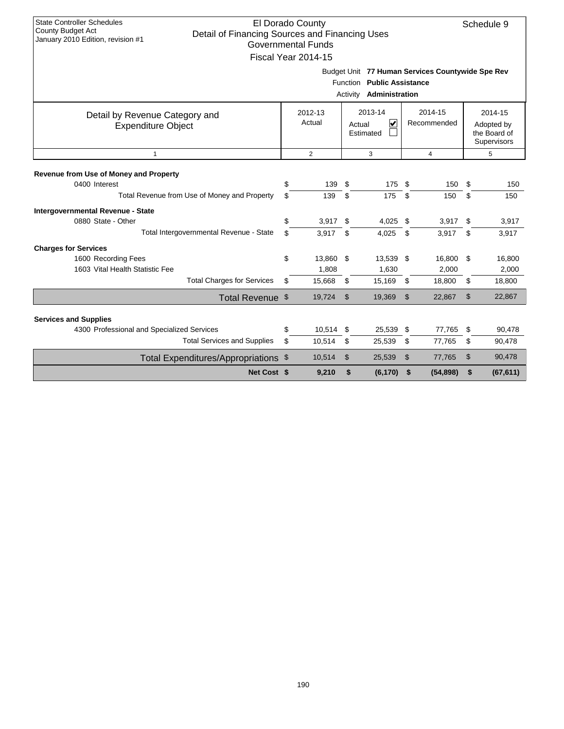| <b>State Controller Schedules</b>                                                                        | El Dorado County          |     |                                                  |               |                |      | Schedule 9                  |
|----------------------------------------------------------------------------------------------------------|---------------------------|-----|--------------------------------------------------|---------------|----------------|------|-----------------------------|
| County Budget Act<br>Detail of Financing Sources and Financing Uses<br>January 2010 Edition, revision #1 |                           |     |                                                  |               |                |      |                             |
|                                                                                                          | <b>Governmental Funds</b> |     |                                                  |               |                |      |                             |
|                                                                                                          | Fiscal Year 2014-15       |     |                                                  |               |                |      |                             |
|                                                                                                          |                           |     | Budget Unit 77 Human Services Countywide Spe Rev |               |                |      |                             |
|                                                                                                          |                           |     | Function Public Assistance                       |               |                |      |                             |
|                                                                                                          |                           |     | Activity <b>Administration</b>                   |               |                |      |                             |
|                                                                                                          |                           |     |                                                  |               |                |      |                             |
| Detail by Revenue Category and                                                                           | 2012-13                   |     | 2013-14                                          |               | 2014-15        |      | 2014-15                     |
| <b>Expenditure Object</b>                                                                                | Actual                    |     | $\overline{\mathbf{v}}$<br>Actual                |               | Recommended    |      | Adopted by                  |
|                                                                                                          |                           |     | Estimated                                        |               |                |      | the Board of<br>Supervisors |
|                                                                                                          |                           |     |                                                  |               |                |      |                             |
| $\mathbf{1}$                                                                                             | $\overline{2}$            |     | 3                                                |               | $\overline{4}$ |      | 5                           |
| Revenue from Use of Money and Property                                                                   |                           |     |                                                  |               |                |      |                             |
| 0400 Interest                                                                                            | \$<br>139                 | -\$ | 175                                              | \$            | 150            | - \$ | 150                         |
| Total Revenue from Use of Money and Property                                                             | \$<br>139                 | \$  | 175                                              | \$            | 150            | \$   | 150                         |
| Intergovernmental Revenue - State                                                                        |                           |     |                                                  |               |                |      |                             |
| 0880 State - Other                                                                                       | \$<br>3,917               | \$  | 4,025                                            | \$            | 3,917          | \$   | 3,917                       |
| Total Intergovernmental Revenue - State                                                                  | \$<br>3,917               | \$  | 4,025                                            | \$            | 3,917          | \$   | 3,917                       |
| <b>Charges for Services</b>                                                                              |                           |     |                                                  |               |                |      |                             |
| 1600 Recording Fees                                                                                      | \$<br>13,860 \$           |     | 13,539 \$                                        |               | 16,800         | -\$  | 16,800                      |
| 1603 Vital Health Statistic Fee                                                                          | 1,808                     |     | 1,630                                            |               | 2,000          |      | 2,000                       |
| <b>Total Charges for Services</b>                                                                        | \$<br>15,668              | \$  | 15,169 \$                                        |               | 18,800         | \$   | 18,800                      |
| Total Revenue \$                                                                                         | 19,724                    | \$  | 19,369                                           | $\mathsf{\$}$ | 22,867         | \$   | 22,867                      |
|                                                                                                          |                           |     |                                                  |               |                |      |                             |
| <b>Services and Supplies</b>                                                                             |                           |     |                                                  |               |                |      |                             |
| 4300 Professional and Specialized Services                                                               | \$<br>10,514              | S   | 25,539                                           | \$            | 77,765         | \$   | 90,478                      |
| <b>Total Services and Supplies</b>                                                                       | \$<br>10,514              | \$  | 25,539                                           | \$            | 77,765         | \$   | 90,478                      |
| Total Expenditures/Appropriations \$                                                                     | 10,514                    | \$  | 25,539                                           | \$            | 77,765         | \$   | 90,478                      |
| Net Cost \$                                                                                              | 9,210                     | \$  | (6, 170)                                         | \$            | (54, 898)      | \$   | (67, 611)                   |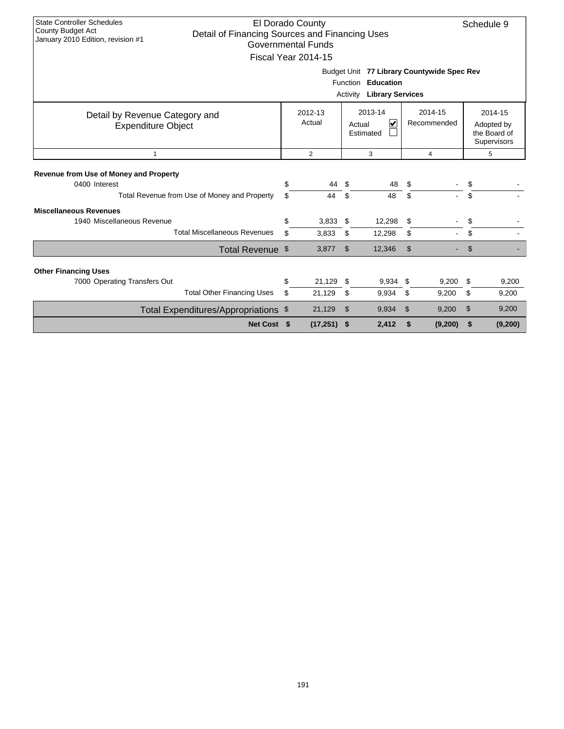| <b>State Controller Schedules</b><br>County Budget Act<br>Detail of Financing Sources and Financing Uses<br>January 2010 Edition, revision #1 |          | El Dorado County<br><b>Governmental Funds</b><br>Fiscal Year 2014-15 |                |                                               |                |                                            |          | Schedule 9                                           |
|-----------------------------------------------------------------------------------------------------------------------------------------------|----------|----------------------------------------------------------------------|----------------|-----------------------------------------------|----------------|--------------------------------------------|----------|------------------------------------------------------|
|                                                                                                                                               |          |                                                                      | Activity       | Function Education<br><b>Library Services</b> |                | Budget Unit 77 Library Countywide Spec Rev |          |                                                      |
| Detail by Revenue Category and<br><b>Expenditure Object</b>                                                                                   |          | 2012-13<br>Actual                                                    |                | 2013-14<br>⊻<br>Actual<br>Estimated           |                | 2014-15<br>Recommended                     |          | 2014-15<br>Adopted by<br>the Board of<br>Supervisors |
| $\mathbf{1}$                                                                                                                                  |          | 2                                                                    |                | 3                                             |                | $\overline{4}$                             |          | 5                                                    |
| Revenue from Use of Money and Property<br>0400 Interest<br>Total Revenue from Use of Money and Property                                       | \$<br>\$ | 44<br>44                                                             | \$<br>\$       | 48<br>48                                      | \$<br>\$       |                                            | \$<br>\$ |                                                      |
| <b>Miscellaneous Revenues</b><br>1940 Miscellaneous Revenue<br><b>Total Miscellaneous Revenues</b>                                            | \$<br>\$ | 3,833<br>3,833                                                       | S<br>\$        | 12,298<br>12,298                              | \$<br>\$       |                                            | \$<br>\$ |                                                      |
| Total Revenue \$                                                                                                                              |          | 3,877                                                                | \$             | 12,346                                        | $\mathfrak{S}$ |                                            | \$       |                                                      |
| <b>Other Financing Uses</b><br>7000 Operating Transfers Out                                                                                   | \$       | 21,129                                                               | \$             | $9,934$ \$                                    |                | 9,200                                      | \$       | 9,200                                                |
| <b>Total Other Financing Uses</b>                                                                                                             | \$       | 21,129                                                               | \$             | 9,934                                         | \$             | 9,200                                      | \$       | 9,200                                                |
| Total Expenditures/Appropriations \$                                                                                                          |          | 21,129                                                               | $\mathfrak{S}$ | 9,934                                         | $\mathfrak{F}$ | 9,200                                      | \$       | 9,200                                                |
| Net Cost \$                                                                                                                                   |          | $(17,251)$ \$                                                        |                | 2,412                                         | \$             | (9,200)                                    | \$       | (9, 200)                                             |

 $\mathbf{I}$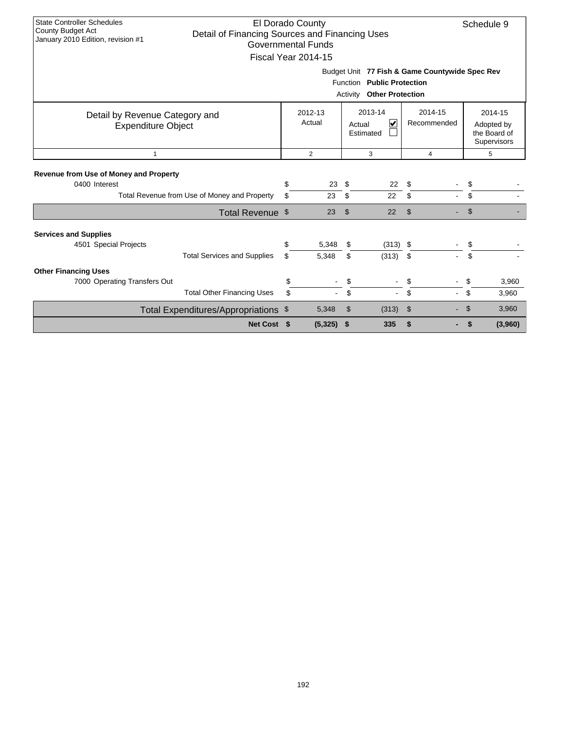| <b>State Controller Schedules</b><br>County Budget Act<br>January 2010 Edition, revision #1 | El Dorado County<br>Detail of Financing Sources and Financing Uses<br><b>Governmental Funds</b><br>Fiscal Year 2014-15 |          |                   |                |                                                       |                                                |                | Schedule 9                                           |
|---------------------------------------------------------------------------------------------|------------------------------------------------------------------------------------------------------------------------|----------|-------------------|----------------|-------------------------------------------------------|------------------------------------------------|----------------|------------------------------------------------------|
|                                                                                             |                                                                                                                        |          |                   | Activity       | Function Public Protection<br><b>Other Protection</b> | Budget Unit 77 Fish & Game Countywide Spec Rev |                |                                                      |
| Detail by Revenue Category and<br><b>Expenditure Object</b>                                 |                                                                                                                        |          | 2012-13<br>Actual | Actual         | 2013-14<br>∣✔<br>Estimated                            | 2014-15<br>Recommended                         |                | 2014-15<br>Adopted by<br>the Board of<br>Supervisors |
| $\mathbf{1}$                                                                                |                                                                                                                        |          | $\overline{2}$    |                | 3                                                     | 4                                              |                | 5                                                    |
| Revenue from Use of Money and Property<br>0400 Interest                                     | Total Revenue from Use of Money and Property                                                                           | \$<br>\$ | 23<br>23          | \$<br>\$       | 22<br>22                                              | \$<br>\$                                       | \$             |                                                      |
|                                                                                             | Total Revenue \$                                                                                                       |          | 23                | $\mathfrak{L}$ | 22                                                    | \$                                             | $\mathfrak{L}$ |                                                      |
| <b>Services and Supplies</b><br>4501 Special Projects                                       | <b>Total Services and Supplies</b>                                                                                     | \$<br>\$ | 5,348<br>5,348    | \$<br>\$       | $(313)$ \$<br>(313)                                   | \$                                             | \$<br>\$       |                                                      |
| <b>Other Financing Uses</b><br>7000 Operating Transfers Out                                 | <b>Total Other Financing Uses</b>                                                                                      | \$<br>\$ |                   | \$<br>\$       | $\blacksquare$<br>$\blacksquare$                      | S.<br>\$                                       | \$<br>\$       | 3,960<br>3,960                                       |
|                                                                                             | Total Expenditures/Appropriations \$                                                                                   |          | 5,348             | \$             | (313)                                                 | $\mathfrak{S}$                                 | \$             | 3,960                                                |
|                                                                                             | Net Cost \$                                                                                                            |          | $(5,325)$ \$      |                | 335                                                   | \$                                             | \$             | (3,960)                                              |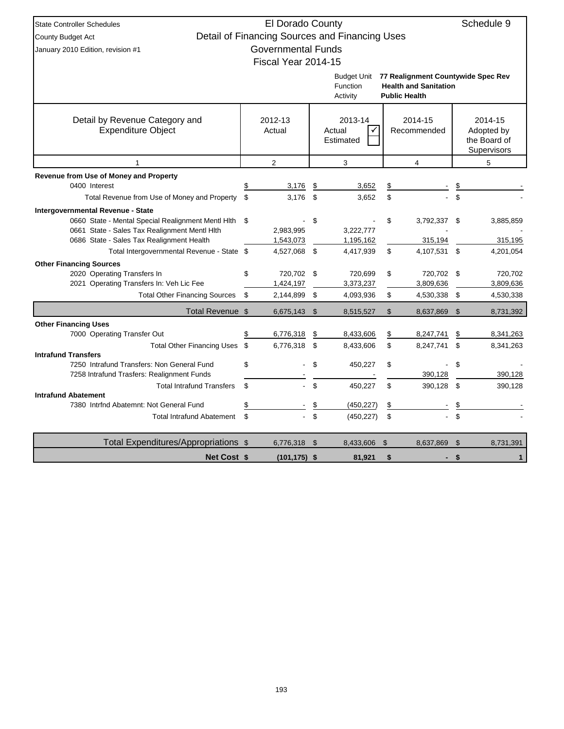| El Dorado County<br>Schedule 9<br><b>State Controller Schedules</b>                                                    |          |                           |    |                                                |          |                                                                                            |                     |                                                      |  |  |  |  |
|------------------------------------------------------------------------------------------------------------------------|----------|---------------------------|----|------------------------------------------------|----------|--------------------------------------------------------------------------------------------|---------------------|------------------------------------------------------|--|--|--|--|
| County Budget Act                                                                                                      |          |                           |    | Detail of Financing Sources and Financing Uses |          |                                                                                            |                     |                                                      |  |  |  |  |
| January 2010 Edition, revision #1                                                                                      |          | <b>Governmental Funds</b> |    |                                                |          |                                                                                            |                     |                                                      |  |  |  |  |
|                                                                                                                        |          | Fiscal Year 2014-15       |    |                                                |          |                                                                                            |                     |                                                      |  |  |  |  |
|                                                                                                                        |          |                           |    | Budget Unit<br>Function<br>Activity            |          | 77 Realignment Countywide Spec Rev<br><b>Health and Sanitation</b><br><b>Public Health</b> |                     |                                                      |  |  |  |  |
| Detail by Revenue Category and<br><b>Expenditure Object</b>                                                            |          | 2012-13<br>Actual         |    | 2013-14<br>Actual<br>$\checkmark$<br>Estimated |          | 2014-15<br>Recommended                                                                     |                     | 2014-15<br>Adopted by<br>the Board of<br>Supervisors |  |  |  |  |
| 1                                                                                                                      |          | $\overline{2}$            |    | 3                                              |          | $\overline{4}$                                                                             |                     | 5                                                    |  |  |  |  |
| <b>Revenue from Use of Money and Property</b><br>0400 Interest<br>Total Revenue from Use of Money and Property         | \$<br>\$ | 3,176<br>$3,176$ \$       | \$ | 3,652<br>3,652                                 | \$<br>\$ |                                                                                            | $\frac{1}{2}$<br>\$ |                                                      |  |  |  |  |
| Intergovernmental Revenue - State                                                                                      |          |                           |    |                                                |          |                                                                                            |                     |                                                      |  |  |  |  |
| 0660 State - Mental Special Realignment Mentl Hlth<br>0661 State - Sales Tax Realignment Mentl Hlth                    | \$       | 2,983,995                 | \$ | 3,222,777                                      | \$       | 3,792,337                                                                                  | \$                  | 3,885,859                                            |  |  |  |  |
| 0686 State - Sales Tax Realignment Health<br>Total Intergovernmental Revenue - State \$                                |          | 1,543,073<br>4,527,068 \$ |    | 1,195,162<br>4,417,939                         | \$       | 315,194<br>4,107,531 \$                                                                    |                     | 315,195<br>4,201,054                                 |  |  |  |  |
|                                                                                                                        |          |                           |    |                                                |          |                                                                                            |                     |                                                      |  |  |  |  |
| <b>Other Financing Sources</b><br>2020 Operating Transfers In<br>2021 Operating Transfers In: Veh Lic Fee              | \$       | 720,702 \$<br>1,424,197   |    | 720,699<br>3,373,237                           | \$       | 720,702<br>3,809,636                                                                       | \$                  | 720,702<br>3,809,636                                 |  |  |  |  |
| <b>Total Other Financing Sources</b>                                                                                   | \$       | 2,144,899 \$              |    | 4,093,936                                      | \$       | 4,530,338                                                                                  | \$                  | 4,530,338                                            |  |  |  |  |
| Total Revenue \$                                                                                                       |          | 6,675,143 \$              |    | 8,515,527                                      | \$       | 8,637,869                                                                                  | \$                  | 8,731,392                                            |  |  |  |  |
| <b>Other Financing Uses</b>                                                                                            |          |                           |    |                                                |          |                                                                                            |                     |                                                      |  |  |  |  |
| 7000 Operating Transfer Out                                                                                            | \$       | 6,776,318                 | \$ | 8,433,606                                      | \$       | 8,247,741                                                                                  | \$                  | 8,341,263                                            |  |  |  |  |
| Total Other Financing Uses \$                                                                                          |          | 6,776,318 \$              |    | 8,433,606                                      | \$       | 8,247,741 \$                                                                               |                     | 8,341,263                                            |  |  |  |  |
| <b>Intrafund Transfers</b><br>7250 Intrafund Transfers: Non General Fund<br>7258 Intrafund Trasfers: Realignment Funds | \$       |                           | \$ | 450,227                                        | \$       | 390,128                                                                                    | \$                  | 390,128                                              |  |  |  |  |
| <b>Total Intrafund Transfers</b>                                                                                       | \$       |                           | \$ | 450.227                                        | \$       | 390,128                                                                                    | \$                  | 390,128                                              |  |  |  |  |
| <b>Intrafund Abatement</b>                                                                                             |          |                           |    |                                                |          |                                                                                            |                     |                                                      |  |  |  |  |
| 7380 Intrfnd Abatemnt: Not General Fund                                                                                | \$       |                           | \$ | (450, 227)                                     | \$       |                                                                                            | \$                  |                                                      |  |  |  |  |
| <b>Total Intrafund Abatement</b>                                                                                       | \$       |                           | \$ | (450, 227)                                     | \$       |                                                                                            | \$                  |                                                      |  |  |  |  |
| Total Expenditures/Appropriations \$                                                                                   |          | 6,776,318 \$              |    | 8,433,606                                      | \$       | 8,637,869                                                                                  | \$                  | 8,731,391                                            |  |  |  |  |
| <b>Net Cost \$</b>                                                                                                     |          | $(101, 175)$ \$           |    | 81,921                                         | \$       |                                                                                            | \$                  | $\mathbf{1}$                                         |  |  |  |  |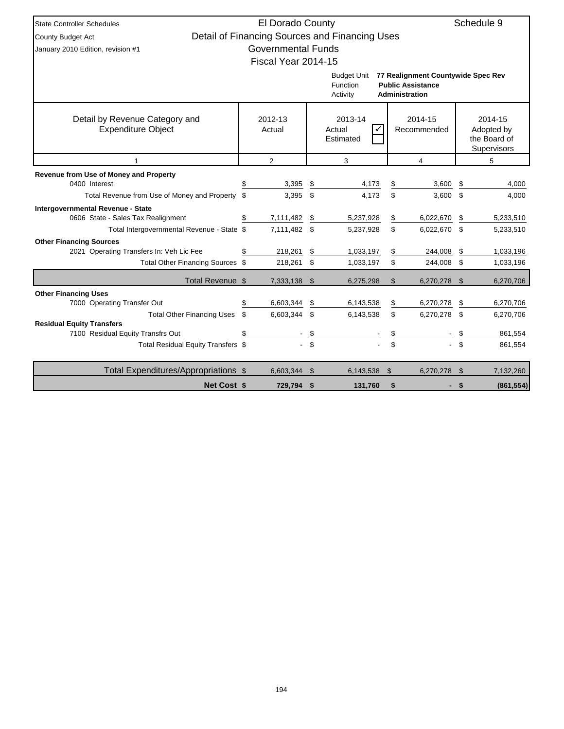| <b>State Controller Schedules</b>                                                                          | El Dorado County          |                    |                                                |                |                                                                                         | Schedule 9         |                                                      |  |
|------------------------------------------------------------------------------------------------------------|---------------------------|--------------------|------------------------------------------------|----------------|-----------------------------------------------------------------------------------------|--------------------|------------------------------------------------------|--|
| <b>County Budget Act</b>                                                                                   |                           |                    | Detail of Financing Sources and Financing Uses |                |                                                                                         |                    |                                                      |  |
| January 2010 Edition, revision #1                                                                          | <b>Governmental Funds</b> |                    |                                                |                |                                                                                         |                    |                                                      |  |
|                                                                                                            | Fiscal Year 2014-15       |                    |                                                |                |                                                                                         |                    |                                                      |  |
|                                                                                                            |                           |                    | <b>Budget Unit</b><br>Function<br>Activity     |                | 77 Realignment Countywide Spec Rev<br><b>Public Assistance</b><br><b>Administration</b> |                    |                                                      |  |
| Detail by Revenue Category and<br><b>Expenditure Object</b>                                                | 2012-13<br>Actual         |                    | 2013-14<br>Actual<br>Estimated                 |                | 2014-15<br>Recommended                                                                  |                    | 2014-15<br>Adopted by<br>the Board of<br>Supervisors |  |
| 1                                                                                                          | $\overline{2}$            |                    | 3                                              |                | 4                                                                                       |                    | 5                                                    |  |
| Revenue from Use of Money and Property<br>0400 Interest<br>Total Revenue from Use of Money and Property \$ | 3.395<br>3,395            | \$<br>$\mathbf{s}$ | 4,173<br>4.173                                 | \$<br>\$       | 3,600<br>3,600                                                                          | S<br>\$            | 4,000<br>4,000                                       |  |
|                                                                                                            |                           |                    |                                                |                |                                                                                         |                    |                                                      |  |
| Intergovernmental Revenue - State<br>0606 State - Sales Tax Realignment                                    | \$<br>7,111,482           | \$                 | 5,237,928                                      | \$             | 6,022,670                                                                               | \$                 | 5,233,510                                            |  |
| Total Intergovernmental Revenue - State \$                                                                 | 7,111,482 \$              |                    | 5,237,928                                      | \$             | 6,022,670                                                                               | - \$               | 5,233,510                                            |  |
| <b>Other Financing Sources</b><br>2021 Operating Transfers In: Veh Lic Fee                                 | 218,261                   | \$                 | 1,033,197                                      | \$             | 244,008                                                                                 | \$                 | 1,033,196                                            |  |
| Total Other Financing Sources \$                                                                           | 218,261                   | \$                 | 1,033,197                                      | \$             | 244,008                                                                                 | \$                 | 1,033,196                                            |  |
| Total Revenue \$                                                                                           | 7,333,138 \$              |                    | 6,275,298                                      | $\mathfrak{L}$ | 6,270,278 \$                                                                            |                    | 6,270,706                                            |  |
| <b>Other Financing Uses</b>                                                                                |                           |                    |                                                |                |                                                                                         |                    |                                                      |  |
| 7000 Operating Transfer Out                                                                                | \$<br>6,603,344           | \$                 | 6,143,538                                      | \$             | 6,270,278                                                                               | \$                 | 6,270,706                                            |  |
| Total Other Financing Uses \$<br><b>Residual Equity Transfers</b>                                          | 6,603,344 \$              |                    | 6,143,538                                      | \$             | 6,270,278 \$                                                                            |                    | 6,270,706                                            |  |
| 7100 Residual Equity Transfrs Out                                                                          | \$                        | \$                 |                                                |                |                                                                                         |                    | 861,554                                              |  |
| Total Residual Equity Transfers \$                                                                         |                           | $\mathbf S$        |                                                | \$             |                                                                                         | $\mathbf{\hat{s}}$ | 861,554                                              |  |
| Total Expenditures/Appropriations \$                                                                       | 6,603,344                 | -\$                | 6,143,538                                      | -\$            | 6,270,278                                                                               |                    | 7,132,260                                            |  |
| <b>Net Cost \$</b>                                                                                         | 729,794 \$                |                    | 131,760                                        | \$             |                                                                                         | \$                 | (861, 554)                                           |  |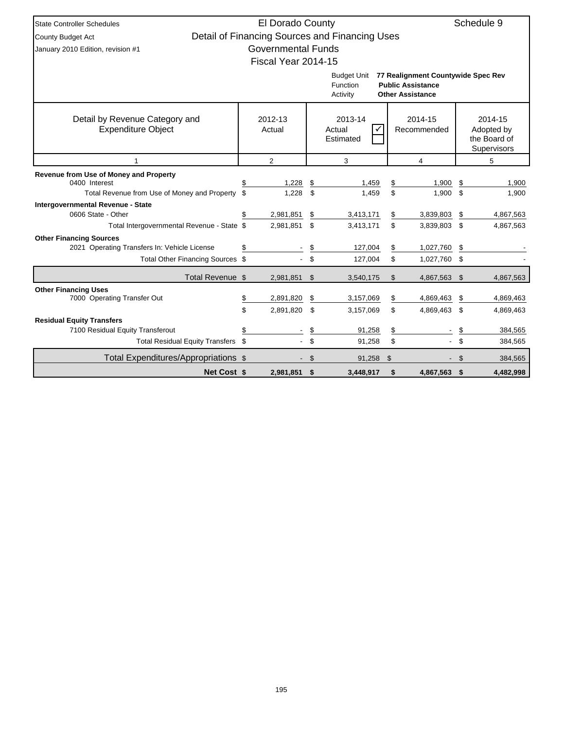| <b>State Controller Schedules</b>                                                                       |          | El Dorado County          |                     |                                                   |                     |                                                                                           |          | Schedule 9                                           |
|---------------------------------------------------------------------------------------------------------|----------|---------------------------|---------------------|---------------------------------------------------|---------------------|-------------------------------------------------------------------------------------------|----------|------------------------------------------------------|
| <b>County Budget Act</b>                                                                                |          |                           |                     | Detail of Financing Sources and Financing Uses    |                     |                                                                                           |          |                                                      |
| January 2010 Edition, revision #1                                                                       |          | <b>Governmental Funds</b> |                     |                                                   |                     |                                                                                           |          |                                                      |
|                                                                                                         |          | Fiscal Year 2014-15       |                     |                                                   |                     |                                                                                           |          |                                                      |
|                                                                                                         |          |                           |                     | <b>Budget Unit</b><br><b>Function</b><br>Activity |                     | 77 Realignment Countywide Spec Rev<br><b>Public Assistance</b><br><b>Other Assistance</b> |          |                                                      |
| Detail by Revenue Category and<br><b>Expenditure Object</b>                                             |          | 2012-13<br>Actual         |                     | 2013-14<br>Actual<br>Estimated                    |                     | 2014-15<br>Recommended                                                                    |          | 2014-15<br>Adopted by<br>the Board of<br>Supervisors |
| 1                                                                                                       |          | 2                         |                     | 3                                                 | 4                   |                                                                                           | 5        |                                                      |
| Revenue from Use of Money and Property<br>0400 Interest<br>Total Revenue from Use of Money and Property | \$<br>\$ | 1,228<br>1.228            | $\frac{1}{2}$<br>\$ | 1,459<br>1,459                                    | $\frac{1}{2}$<br>\$ | 1,900<br>1,900                                                                            | \$<br>\$ | 1,900<br>1,900                                       |
| Intergovernmental Revenue - State<br>0606 State - Other                                                 | \$       | 2,981,851                 | \$                  | 3,413,171                                         | \$                  | 3,839,803                                                                                 | \$       | 4,867,563                                            |
| Total Intergovernmental Revenue - State \$                                                              |          | 2,981,851 \$              |                     | 3,413,171                                         | \$                  | 3,839,803                                                                                 | \$       | 4,867,563                                            |
| <b>Other Financing Sources</b><br>2021 Operating Transfers In: Vehicle License                          | \$       |                           | \$                  | 127,004                                           | \$                  | 1,027,760                                                                                 | \$       |                                                      |
| Total Other Financing Sources \$                                                                        |          |                           | \$                  | 127,004                                           | \$                  | 1,027,760                                                                                 | \$       |                                                      |
| Total Revenue \$                                                                                        |          | 2,981,851 \$              |                     | 3,540,175                                         | \$                  | 4,867,563                                                                                 | \$       | 4,867,563                                            |
| <b>Other Financing Uses</b><br>7000 Operating Transfer Out                                              | \$       | 2,891,820                 | \$                  | 3,157,069                                         | \$                  | 4,869,463                                                                                 | \$       | 4,869,463                                            |
|                                                                                                         | \$       | 2,891,820                 | -\$                 | 3,157,069                                         | \$                  | 4,869,463                                                                                 | -\$      | 4,869,463                                            |
| <b>Residual Equity Transfers</b><br>7100 Residual Equity Transferout                                    | \$       |                           | \$                  | 91,258                                            | \$                  |                                                                                           | \$       | 384,565                                              |
| Total Residual Equity Transfers \$                                                                      |          |                           | \$                  | 91,258                                            | \$                  |                                                                                           | \$       | 384,565                                              |
| Total Expenditures/Appropriations \$                                                                    |          |                           | $\mathfrak{S}$      | 91.258                                            | $\mathfrak{s}$      |                                                                                           | \$       | 384,565                                              |
| <b>Net Cost \$</b>                                                                                      |          | 2,981,851 \$              |                     | 3,448,917                                         | \$                  | 4,867,563 \$                                                                              |          | 4,482,998                                            |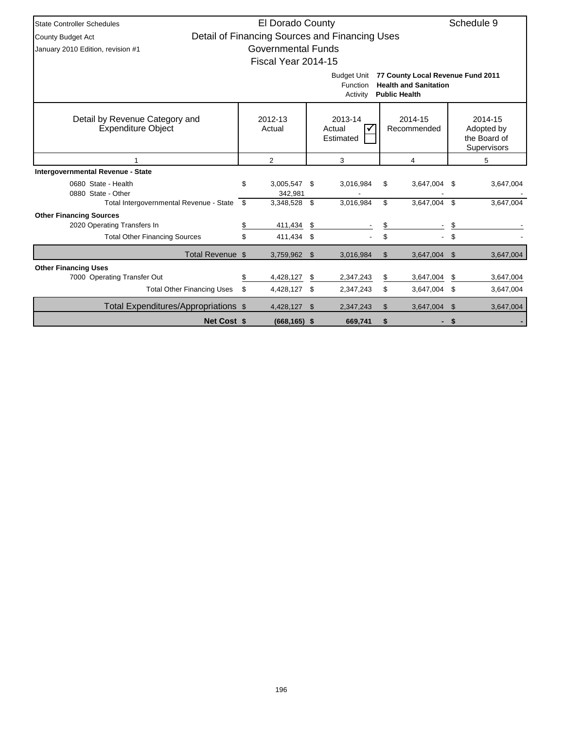| <b>State Controller Schedules</b>                             |                               | El Dorado County          |          |                                                |    |                                                                                           |              | Schedule 9                                           |  |  |
|---------------------------------------------------------------|-------------------------------|---------------------------|----------|------------------------------------------------|----|-------------------------------------------------------------------------------------------|--------------|------------------------------------------------------|--|--|
| County Budget Act                                             |                               |                           |          | Detail of Financing Sources and Financing Uses |    |                                                                                           |              |                                                      |  |  |
| January 2010 Edition, revision #1                             |                               | <b>Governmental Funds</b> |          |                                                |    |                                                                                           |              |                                                      |  |  |
|                                                               |                               | Fiscal Year 2014-15       |          |                                                |    |                                                                                           |              |                                                      |  |  |
|                                                               |                               |                           |          | <b>Budget Unit</b><br>Function<br>Activity     |    | 77 County Local Revenue Fund 2011<br><b>Health and Sanitation</b><br><b>Public Health</b> |              |                                                      |  |  |
| Detail by Revenue Category and<br><b>Expenditure Object</b>   |                               | 2012-13<br>Actual         |          | 2013-14<br>Actual<br>Estimated                 |    | 2014-15<br>Recommended                                                                    |              | 2014-15<br>Adopted by<br>the Board of<br>Supervisors |  |  |
|                                                               | 2<br>3<br>$\overline{4}$<br>5 |                           |          |                                                |    |                                                                                           |              |                                                      |  |  |
| Intergovernmental Revenue - State                             |                               |                           |          |                                                |    |                                                                                           |              |                                                      |  |  |
| 0680 State - Health<br>0880 State - Other                     | \$                            | 3,005,547 \$<br>342,981   |          | 3,016,984                                      | \$ | 3,647,004                                                                                 | -\$          | 3,647,004                                            |  |  |
| Total Intergovernmental Revenue - State \$                    |                               | 3,348,528                 | \$       | 3,016,984                                      | \$ | 3.647.004                                                                                 | \$           | 3,647,004                                            |  |  |
| <b>Other Financing Sources</b><br>2020 Operating Transfers In |                               | 411,434                   |          |                                                |    |                                                                                           |              |                                                      |  |  |
|                                                               | \$<br>\$                      | 411,434                   | \$<br>\$ |                                                | \$ |                                                                                           | S            |                                                      |  |  |
| <b>Total Other Financing Sources</b>                          |                               |                           |          |                                                |    |                                                                                           | \$           |                                                      |  |  |
| Total Revenue \$                                              |                               | 3,759,962 \$              |          | 3,016,984                                      | \$ | 3,647,004                                                                                 | $\mathsf{s}$ | 3,647,004                                            |  |  |
| <b>Other Financing Uses</b>                                   |                               |                           |          |                                                |    |                                                                                           |              |                                                      |  |  |
| 7000 Operating Transfer Out                                   | \$                            | 4,428,127                 | \$       | 2,347,243                                      | \$ | 3,647,004                                                                                 | \$           | 3,647,004                                            |  |  |
| <b>Total Other Financing Uses</b>                             | \$                            | 4,428,127                 | \$       | 2,347,243                                      | \$ | 3,647,004                                                                                 | - \$         | 3,647,004                                            |  |  |
| Total Expenditures/Appropriations \$                          |                               | 4,428,127                 | -\$      | 2,347,243                                      | \$ | 3,647,004                                                                                 | -\$          | 3,647,004                                            |  |  |
| <b>Net Cost \$</b>                                            |                               | $(668, 165)$ \$           |          | 669,741                                        | \$ |                                                                                           | - \$         |                                                      |  |  |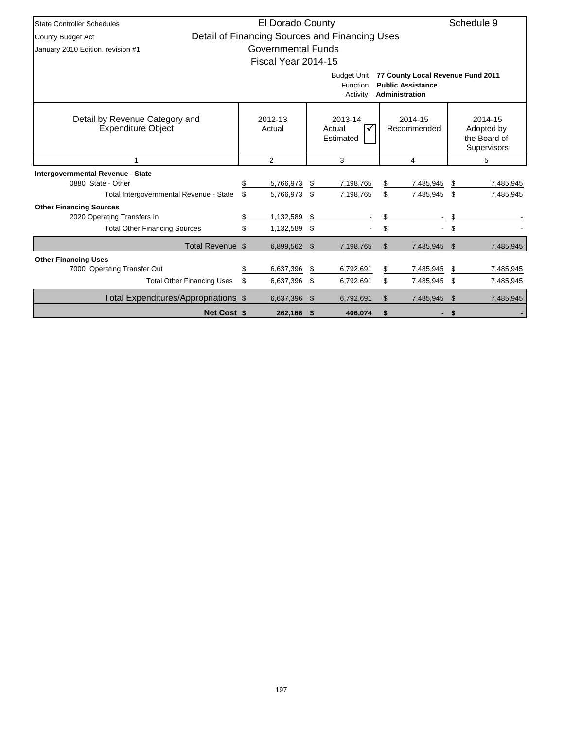| <b>State Controller Schedules</b>                           | El Dorado County    |    |                                                |                                                                                 |      | Schedule 9                                           |
|-------------------------------------------------------------|---------------------|----|------------------------------------------------|---------------------------------------------------------------------------------|------|------------------------------------------------------|
| County Budget Act                                           |                     |    | Detail of Financing Sources and Financing Uses |                                                                                 |      |                                                      |
| January 2010 Edition, revision #1                           | Governmental Funds  |    |                                                |                                                                                 |      |                                                      |
|                                                             | Fiscal Year 2014-15 |    |                                                |                                                                                 |      |                                                      |
|                                                             |                     |    | <b>Budget Unit</b><br>Function<br>Activity     | 77 County Local Revenue Fund 2011<br><b>Public Assistance</b><br>Administration |      |                                                      |
| Detail by Revenue Category and<br><b>Expenditure Object</b> | 2012-13<br>Actual   |    | 2013-14<br>Actual<br>Estimated                 | 2014-15<br>Recommended                                                          |      | 2014-15<br>Adopted by<br>the Board of<br>Supervisors |
|                                                             | 2                   |    | 5                                              |                                                                                 |      |                                                      |
| <b>Intergovernmental Revenue - State</b>                    |                     |    |                                                |                                                                                 |      |                                                      |
| 0880 State - Other                                          | \$<br>5,766,973     | S. | 7,198,765                                      | \$<br>7,485,945                                                                 | - \$ | 7,485,945                                            |
| Total Intergovernmental Revenue - State                     | \$<br>5,766,973     | \$ | 7,198,765                                      | \$<br>7,485,945 \$                                                              |      | 7,485,945                                            |
| <b>Other Financing Sources</b>                              |                     |    |                                                |                                                                                 |      |                                                      |
| 2020 Operating Transfers In                                 | \$<br>1,132,589     | \$ |                                                | \$                                                                              | S    |                                                      |
| <b>Total Other Financing Sources</b>                        | \$<br>1,132,589     | \$ |                                                | \$                                                                              | \$   |                                                      |
| Total Revenue \$                                            | 6,899,562           | \$ | 7,198,765                                      | \$<br>7,485,945                                                                 | - \$ | 7,485,945                                            |
| <b>Other Financing Uses</b>                                 |                     |    |                                                |                                                                                 |      |                                                      |
| 7000 Operating Transfer Out                                 | \$<br>6,637,396     | \$ | 6,792,691                                      | \$<br>7,485,945                                                                 | \$   | 7,485,945                                            |
| <b>Total Other Financing Uses</b>                           | \$<br>6,637,396     | \$ | 6,792,691                                      | \$<br>7,485,945                                                                 | - \$ | 7,485,945                                            |
| Total Expenditures/Appropriations \$                        | 6,637,396           | \$ | 6,792,691                                      | \$<br>7,485,945                                                                 | - \$ | 7,485,945                                            |
| <b>Net Cost \$</b>                                          | 262,166 \$          |    | 406,074                                        | \$                                                                              | - \$ |                                                      |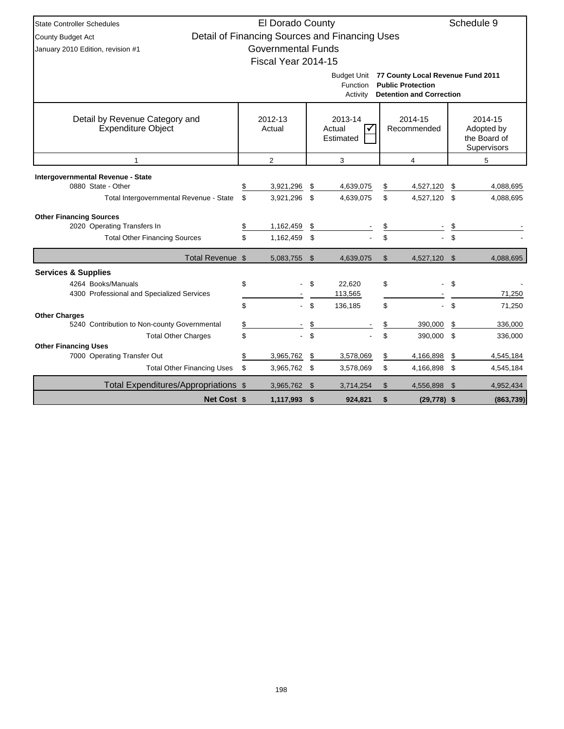| <b>State Controller Schedules</b>                                                                  |                                                                                    | El Dorado County          |                         |                                                |                |                                                                                                  |                | Schedule 9             |  |  |  |  |  |
|----------------------------------------------------------------------------------------------------|------------------------------------------------------------------------------------|---------------------------|-------------------------|------------------------------------------------|----------------|--------------------------------------------------------------------------------------------------|----------------|------------------------|--|--|--|--|--|
| County Budget Act                                                                                  |                                                                                    |                           |                         | Detail of Financing Sources and Financing Uses |                |                                                                                                  |                |                        |  |  |  |  |  |
| January 2010 Edition, revision #1                                                                  |                                                                                    | <b>Governmental Funds</b> |                         |                                                |                |                                                                                                  |                |                        |  |  |  |  |  |
|                                                                                                    |                                                                                    | Fiscal Year 2014-15       |                         |                                                |                |                                                                                                  |                |                        |  |  |  |  |  |
|                                                                                                    |                                                                                    |                           |                         | Budget Unit<br>Function<br>Activity            |                | 77 County Local Revenue Fund 2011<br><b>Public Protection</b><br><b>Detention and Correction</b> |                |                        |  |  |  |  |  |
| Detail by Revenue Category and<br><b>Expenditure Object</b>                                        | 2012-13<br>2013-14<br>2014-15<br>Recommended<br>Actual<br>Actual<br>√<br>Estimated |                           |                         |                                                |                |                                                                                                  |                |                        |  |  |  |  |  |
| $\overline{2}$<br>3<br>$\overline{4}$<br>5<br>1                                                    |                                                                                    |                           |                         |                                                |                |                                                                                                  |                |                        |  |  |  |  |  |
| Intergovernmental Revenue - State<br>0880 State - Other<br>Total Intergovernmental Revenue - State | \$<br>\$                                                                           | 3,921,296<br>3,921,296    | \$<br>\$                | 4,639,075<br>4,639,075                         | \$<br>\$       | 4,527,120<br>4,527,120                                                                           | \$<br>\$.      | 4,088,695<br>4,088,695 |  |  |  |  |  |
|                                                                                                    |                                                                                    |                           |                         |                                                |                |                                                                                                  |                |                        |  |  |  |  |  |
| <b>Other Financing Sources</b><br>2020 Operating Transfers In                                      | \$                                                                                 | 1,162,459                 | \$                      |                                                | \$             |                                                                                                  | \$             |                        |  |  |  |  |  |
| <b>Total Other Financing Sources</b>                                                               | \$                                                                                 | 1,162,459                 | \$                      |                                                | \$             |                                                                                                  | \$             |                        |  |  |  |  |  |
| Total Revenue \$                                                                                   |                                                                                    | 5,083,755                 | $\mathbf{\mathfrak{S}}$ | 4,639,075                                      | $\mathfrak{L}$ | 4,527,120                                                                                        | $\mathfrak{L}$ | 4,088,695              |  |  |  |  |  |
| <b>Services &amp; Supplies</b>                                                                     |                                                                                    |                           |                         |                                                |                |                                                                                                  |                |                        |  |  |  |  |  |
| 4264 Books/Manuals<br>4300 Professional and Specialized Services                                   | \$                                                                                 |                           | \$                      | 22,620<br>113,565                              | \$             |                                                                                                  | \$             | 71,250                 |  |  |  |  |  |
|                                                                                                    | \$                                                                                 |                           | \$                      | 136,185                                        | \$             |                                                                                                  | \$             | 71,250                 |  |  |  |  |  |
| <b>Other Charges</b><br>5240 Contribution to Non-county Governmental                               | \$                                                                                 |                           | \$                      |                                                | \$             | 390,000                                                                                          | \$             | 336,000                |  |  |  |  |  |
| <b>Total Other Charges</b>                                                                         | \$                                                                                 | $\mathcal{L}^{\pm}$       | \$                      |                                                | \$             | 390,000                                                                                          | \$             | 336,000                |  |  |  |  |  |
| <b>Other Financing Uses</b>                                                                        |                                                                                    |                           |                         |                                                |                |                                                                                                  |                |                        |  |  |  |  |  |
| 7000 Operating Transfer Out                                                                        | \$                                                                                 | 3,965,762                 | \$                      | 3,578,069                                      | \$             | 4,166,898                                                                                        | \$             | 4,545,184              |  |  |  |  |  |
| <b>Total Other Financing Uses</b>                                                                  | \$                                                                                 | 3,965,762 \$              |                         | 3,578,069                                      | \$             | 4,166,898 \$                                                                                     |                | 4,545,184              |  |  |  |  |  |
| Total Expenditures/Appropriations \$                                                               |                                                                                    | 3,965,762                 | \$                      | 3,714,254                                      | \$             | 4,556,898                                                                                        | \$             | 4,952,434              |  |  |  |  |  |
| <b>Net Cost \$</b>                                                                                 |                                                                                    | 1,117,993                 | \$                      | 924,821                                        | \$             | $(29, 778)$ \$                                                                                   |                | (863, 739)             |  |  |  |  |  |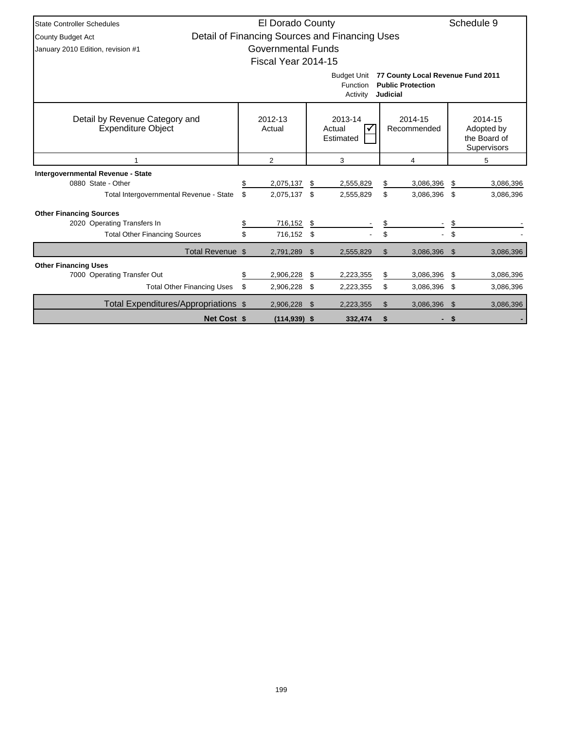| <b>State Controller Schedules</b>                             |                          | El Dorado County          |     |                                                |    |                                                                           |      | Schedule 9                                           |  |
|---------------------------------------------------------------|--------------------------|---------------------------|-----|------------------------------------------------|----|---------------------------------------------------------------------------|------|------------------------------------------------------|--|
| <b>County Budget Act</b>                                      |                          |                           |     | Detail of Financing Sources and Financing Uses |    |                                                                           |      |                                                      |  |
| January 2010 Edition, revision #1                             |                          | <b>Governmental Funds</b> |     |                                                |    |                                                                           |      |                                                      |  |
|                                                               |                          | Fiscal Year 2014-15       |     |                                                |    |                                                                           |      |                                                      |  |
|                                                               |                          |                           |     | <b>Budget Unit</b><br>Function<br>Activity     |    | 77 County Local Revenue Fund 2011<br><b>Public Protection</b><br>Judicial |      |                                                      |  |
| Detail by Revenue Category and<br>Expenditure Object          |                          | 2012-13<br>Actual         |     | 2013-14<br>Actual<br>Estimated                 |    | 2014-15<br>Recommended                                                    |      | 2014-15<br>Adopted by<br>the Board of<br>Supervisors |  |
|                                                               | $\overline{2}$<br>3<br>4 |                           |     |                                                |    |                                                                           |      |                                                      |  |
| Intergovernmental Revenue - State<br>0880 State - Other       | \$                       | 2,075,137                 | \$  | 2,555,829                                      | \$ | 3,086,396                                                                 | \$   | 3,086,396                                            |  |
| Total Intergovernmental Revenue - State                       | \$                       | 2,075,137                 | \$. | 2,555,829                                      | \$ | 3,086,396                                                                 | - \$ | 3,086,396                                            |  |
| <b>Other Financing Sources</b><br>2020 Operating Transfers In | \$                       | 716,152                   | \$  |                                                | \$ |                                                                           | \$   |                                                      |  |
| <b>Total Other Financing Sources</b>                          | \$                       | 716,152                   | \$  |                                                | \$ |                                                                           | \$   |                                                      |  |
| Total Revenue \$                                              |                          | 2,791,289                 | \$  | 2,555,829                                      | \$ | 3,086,396                                                                 | \$   | 3,086,396                                            |  |
| <b>Other Financing Uses</b>                                   |                          |                           |     |                                                |    |                                                                           |      |                                                      |  |
| 7000 Operating Transfer Out                                   | \$                       | 2,906,228                 | \$  | 2,223,355                                      | \$ | 3,086,396                                                                 | \$   | 3,086,396                                            |  |
| <b>Total Other Financing Uses</b>                             | \$                       | 2,906,228                 | \$  | 2,223,355                                      | \$ | 3,086,396                                                                 | -\$  | 3,086,396                                            |  |
| Total Expenditures/Appropriations \$                          |                          | 2,906,228                 | \$  | 2,223,355                                      | \$ | 3,086,396                                                                 | -\$  | 3,086,396                                            |  |
| <b>Net Cost \$</b>                                            |                          | $(114, 939)$ \$           |     | 332,474                                        | \$ |                                                                           | - \$ |                                                      |  |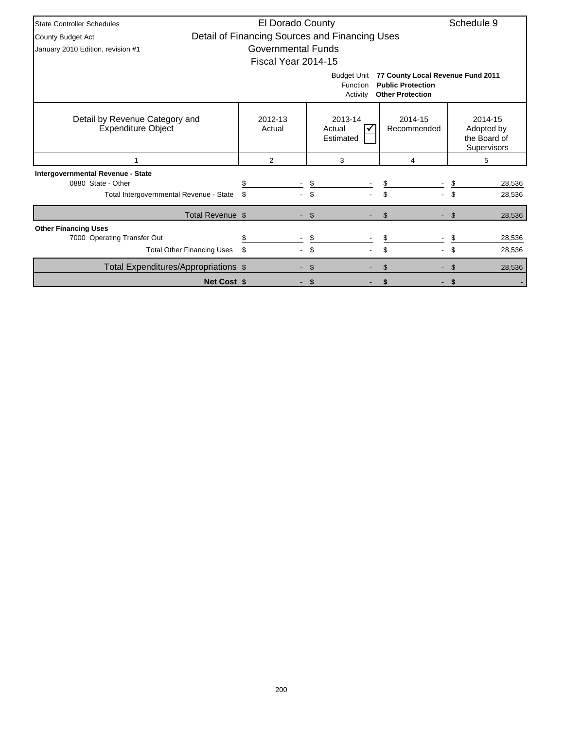| <b>State Controller Schedules</b>                           | El Dorado County          |                                                |                                                                                          | Schedule 9                                           |
|-------------------------------------------------------------|---------------------------|------------------------------------------------|------------------------------------------------------------------------------------------|------------------------------------------------------|
| <b>County Budget Act</b>                                    |                           | Detail of Financing Sources and Financing Uses |                                                                                          |                                                      |
| January 2010 Edition, revision #1                           | <b>Governmental Funds</b> |                                                |                                                                                          |                                                      |
|                                                             | Fiscal Year 2014-15       |                                                |                                                                                          |                                                      |
|                                                             |                           | <b>Budget Unit</b><br>Function<br>Activity     | 77 County Local Revenue Fund 2011<br><b>Public Protection</b><br><b>Other Protection</b> |                                                      |
| Detail by Revenue Category and<br><b>Expenditure Object</b> | 2012-13<br>Actual         | 2013-14<br>Actual<br>Estimated                 | 2014-15<br>Recommended                                                                   | 2014-15<br>Adopted by<br>the Board of<br>Supervisors |
|                                                             | 2                         | 3                                              | 4                                                                                        | 5                                                    |
| Intergovernmental Revenue - State                           |                           |                                                |                                                                                          |                                                      |
| 0880 State - Other                                          |                           | \$                                             |                                                                                          | 28,536                                               |
| Total Intergovernmental Revenue - State                     | \$                        | \$.                                            | \$.                                                                                      | \$.<br>28,536                                        |
| Total Revenue \$                                            |                           | - \$                                           | \$                                                                                       | 28,536<br>\$.                                        |
| <b>Other Financing Uses</b>                                 |                           |                                                |                                                                                          |                                                      |
| 7000 Operating Transfer Out                                 | \$                        | \$                                             |                                                                                          | 28,536                                               |
| <b>Total Other Financing Uses</b>                           | \$                        | \$                                             | \$                                                                                       | \$<br>28,536                                         |
| Total Expenditures/Appropriations \$                        |                           | - \$                                           | \$                                                                                       | 28,536                                               |
| <b>Net Cost \$</b>                                          |                           | - \$                                           |                                                                                          | - \$                                                 |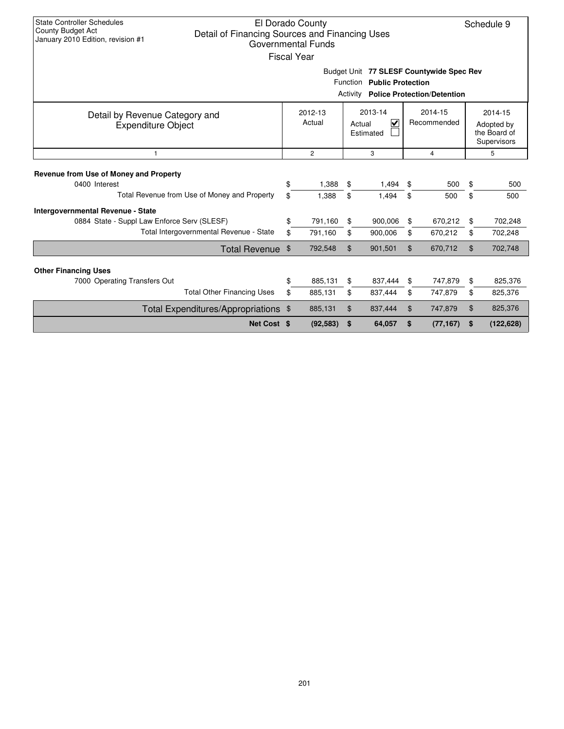| <b>State Controller Schedules</b><br><b>County Budget Act</b><br>Detail of Financing Sources and Financing Uses<br>January 2010 Edition, revision #1 |          | El Dorado County<br><b>Governmental Funds</b><br><b>Fiscal Year</b> |          |                                     |          |                        |                | Schedule 9                                           |  |  |  |
|------------------------------------------------------------------------------------------------------------------------------------------------------|----------|---------------------------------------------------------------------|----------|-------------------------------------|----------|------------------------|----------------|------------------------------------------------------|--|--|--|
| Budget Unit 77 SLESF Countywide Spec Rev<br>Function Public Protection<br><b>Activity Police Protection/Detention</b>                                |          |                                                                     |          |                                     |          |                        |                |                                                      |  |  |  |
| Detail by Revenue Category and<br><b>Expenditure Object</b>                                                                                          |          | 2012-13<br>Actual                                                   |          | 2013-14<br>⊻<br>Actual<br>Estimated |          | 2014-15<br>Recommended |                | 2014-15<br>Adopted by<br>the Board of<br>Supervisors |  |  |  |
| $\mathbf{1}$                                                                                                                                         |          | $\overline{c}$                                                      |          | 3                                   |          | 4                      |                | 5                                                    |  |  |  |
| Revenue from Use of Money and Property<br>0400 Interest<br>Total Revenue from Use of Money and Property                                              | \$<br>\$ | 1,388<br>1,388                                                      | \$<br>\$ | 1,494<br>1,494                      | \$<br>\$ | 500<br>500             | \$<br>\$       | 500<br>500                                           |  |  |  |
| <b>Intergovernmental Revenue - State</b><br>0884 State - Suppl Law Enforce Serv (SLESF)<br>Total Intergovernmental Revenue - State                   | \$<br>\$ | 791,160<br>791,160                                                  | \$<br>\$ | 900,006<br>900,006                  | \$<br>\$ | 670,212<br>670,212     | \$<br>\$       | 702,248<br>702,248                                   |  |  |  |
| Total Revenue \$                                                                                                                                     |          | 792,548                                                             | \$       | 901,501                             | \$       | 670,712                | \$             | 702,748                                              |  |  |  |
| <b>Other Financing Uses</b><br>7000 Operating Transfers Out<br><b>Total Other Financing Uses</b>                                                     | \$<br>\$ | 885.131<br>885,131                                                  | \$<br>\$ | 837,444<br>837,444                  | \$<br>\$ | 747,879<br>747,879     | \$<br>\$       | 825,376<br>825,376                                   |  |  |  |
| Total Expenditures/Appropriations \$                                                                                                                 |          | 885,131                                                             | \$       | 837,444                             | \$       | 747,879                | $\mathfrak{F}$ | 825,376                                              |  |  |  |
| Net Cost \$                                                                                                                                          |          | (92, 583)                                                           | \$       | 64,057                              | \$       | (77, 167)              | \$             | (122, 628)                                           |  |  |  |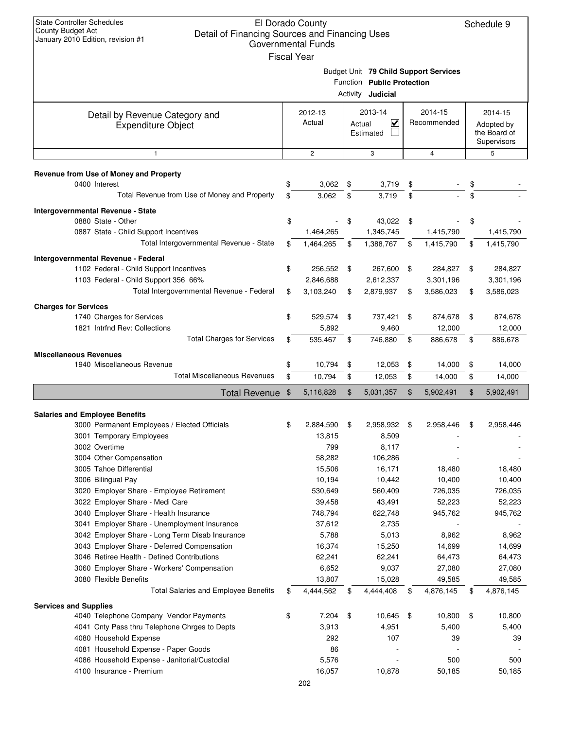| <b>State Controller Schedules</b><br><b>County Budget Act</b><br>Detail of Financing Sources and Financing Uses<br>January 2010 Edition, revision #1 |     | El Dorado County<br><b>Governmental Funds</b><br><b>Fiscal Year</b> |                                                                                                 |      |                        | Schedule 9                                           |
|------------------------------------------------------------------------------------------------------------------------------------------------------|-----|---------------------------------------------------------------------|-------------------------------------------------------------------------------------------------|------|------------------------|------------------------------------------------------|
|                                                                                                                                                      |     |                                                                     | Budget Unit 79 Child Support Services<br>Function Public Protection<br>Activity <b>Judicial</b> |      |                        |                                                      |
| Detail by Revenue Category and<br><b>Expenditure Object</b>                                                                                          |     | 2012-13<br>Actual                                                   | 2013-14<br>$\checkmark$<br>Actual<br>Estimated                                                  |      | 2014-15<br>Recommended | 2014-15<br>Adopted by<br>the Board of<br>Supervisors |
| $\mathbf{1}$                                                                                                                                         |     | $\overline{2}$                                                      | 3                                                                                               |      | $\overline{4}$         | 5                                                    |
| Revenue from Use of Money and Property                                                                                                               |     |                                                                     |                                                                                                 |      |                        |                                                      |
| 0400 Interest                                                                                                                                        | \$  | 3,062                                                               | \$<br>3,719                                                                                     | \$   |                        | \$                                                   |
| Total Revenue from Use of Money and Property                                                                                                         | \$  | 3,062                                                               | \$<br>3,719                                                                                     | \$   |                        | \$                                                   |
| Intergovernmental Revenue - State<br>0880 State - Other                                                                                              | \$  |                                                                     | \$<br>43,022                                                                                    | - \$ |                        | \$                                                   |
| 0887 State - Child Support Incentives                                                                                                                |     | 1,464,265                                                           | 1,345,745                                                                                       |      | 1,415,790              | 1,415,790                                            |
| Total Intergovernmental Revenue - State                                                                                                              | \$  | 1,464,265                                                           | \$<br>1,388,767                                                                                 | \$   | 1,415,790              | \$<br>1,415,790                                      |
| Intergovernmental Revenue - Federal                                                                                                                  |     |                                                                     |                                                                                                 |      |                        |                                                      |
| 1102 Federal - Child Support Incentives                                                                                                              | \$  | 256,552                                                             | \$<br>267,600                                                                                   | \$   | 284,827                | \$<br>284,827                                        |
| 1103 Federal - Child Support 356 66%                                                                                                                 |     | 2,846,688                                                           | 2,612,337                                                                                       |      | 3,301,196              | 3,301,196                                            |
| Total Intergovernmental Revenue - Federal                                                                                                            | \$  | 3,103,240                                                           | \$<br>2,879,937                                                                                 | \$   | 3,586,023              | \$<br>3,586,023                                      |
| <b>Charges for Services</b>                                                                                                                          |     |                                                                     |                                                                                                 |      |                        |                                                      |
| 1740 Charges for Services<br>1821 Intrfnd Rev: Collections                                                                                           | \$  | 529,574<br>5,892                                                    | \$<br>737,421<br>9,460                                                                          | \$   | 874,678<br>12,000      | \$<br>874,678<br>12,000                              |
| <b>Total Charges for Services</b>                                                                                                                    | \$  | 535,467                                                             | \$<br>746,880                                                                                   | \$   | 886,678                | \$<br>886,678                                        |
| <b>Miscellaneous Revenues</b>                                                                                                                        |     |                                                                     |                                                                                                 |      |                        |                                                      |
| 1940 Miscellaneous Revenue                                                                                                                           | \$  | 10,794                                                              | \$<br>12,053                                                                                    | \$   | 14,000                 | \$<br>14,000                                         |
| <b>Total Miscellaneous Revenues</b>                                                                                                                  | \$  | 10,794                                                              | \$<br>12,053                                                                                    | \$   | 14,000                 | \$<br>14,000                                         |
| <b>Total Revenue</b>                                                                                                                                 | \$  | 5,116,828                                                           | \$<br>5,031,357                                                                                 | \$   | 5,902,491              | \$<br>5,902,491                                      |
| <b>Salaries and Employee Benefits</b>                                                                                                                |     |                                                                     |                                                                                                 |      |                        |                                                      |
| 3000 Permanent Employees / Elected Officials                                                                                                         | \$. | 2,884,590                                                           | 2,958,932                                                                                       |      | 2,958,446              | 2,958,446                                            |
| 3001 Temporary Employees                                                                                                                             |     | 13,815                                                              | 8,509                                                                                           |      |                        |                                                      |
| 3002 Overtime                                                                                                                                        |     | 799                                                                 | 8,117                                                                                           |      |                        |                                                      |
| 3004 Other Compensation                                                                                                                              |     | 58,282                                                              | 106,286                                                                                         |      |                        |                                                      |
| 3005 Tahoe Differential                                                                                                                              |     | 15,506                                                              | 16,171<br>10,442                                                                                |      | 18,480                 | 18,480                                               |
| 3006 Bilingual Pay<br>3020 Employer Share - Employee Retirement                                                                                      |     | 10,194<br>530,649                                                   | 560,409                                                                                         |      | 10,400<br>726,035      | 10,400<br>726,035                                    |
| 3022 Employer Share - Medi Care                                                                                                                      |     | 39,458                                                              | 43,491                                                                                          |      | 52,223                 | 52,223                                               |
| 3040 Employer Share - Health Insurance                                                                                                               |     | 748,794                                                             | 622,748                                                                                         |      | 945,762                | 945,762                                              |
| 3041 Employer Share - Unemployment Insurance                                                                                                         |     | 37,612                                                              | 2,735                                                                                           |      |                        |                                                      |
| 3042 Employer Share - Long Term Disab Insurance                                                                                                      |     | 5,788                                                               | 5,013                                                                                           |      | 8,962                  | 8,962                                                |
| 3043 Employer Share - Deferred Compensation                                                                                                          |     | 16,374                                                              | 15,250                                                                                          |      | 14,699                 | 14,699                                               |
| 3046 Retiree Health - Defined Contributions                                                                                                          |     | 62,241                                                              | 62,241                                                                                          |      | 64,473                 | 64,473                                               |
| 3060 Employer Share - Workers' Compensation<br>3080 Flexible Benefits                                                                                |     | 6,652<br>13,807                                                     | 9,037<br>15,028                                                                                 |      | 27,080<br>49,585       | 27,080<br>49,585                                     |
| <b>Total Salaries and Employee Benefits</b>                                                                                                          | \$  | 4,444,562                                                           | \$<br>4,444,408                                                                                 | \$   | 4,876,145              | \$<br>4,876,145                                      |
| <b>Services and Supplies</b>                                                                                                                         |     |                                                                     |                                                                                                 |      |                        |                                                      |
| 4040 Telephone Company Vendor Payments                                                                                                               | \$  | 7,204                                                               | \$<br>10,645                                                                                    | -\$  | 10,800                 | \$<br>10,800                                         |
| 4041 Cnty Pass thru Telephone Chrges to Depts                                                                                                        |     | 3,913                                                               | 4,951                                                                                           |      | 5,400                  | 5,400                                                |
| 4080 Household Expense                                                                                                                               |     | 292                                                                 | 107                                                                                             |      | 39                     | 39                                                   |
| 4081 Household Expense - Paper Goods                                                                                                                 |     | 86                                                                  |                                                                                                 |      |                        |                                                      |
| 4086 Household Expense - Janitorial/Custodial                                                                                                        |     | 5,576                                                               |                                                                                                 |      | 500                    | 500                                                  |
| 4100 Insurance - Premium                                                                                                                             |     | 16,057                                                              | 10,878                                                                                          |      | 50,185                 | 50,185                                               |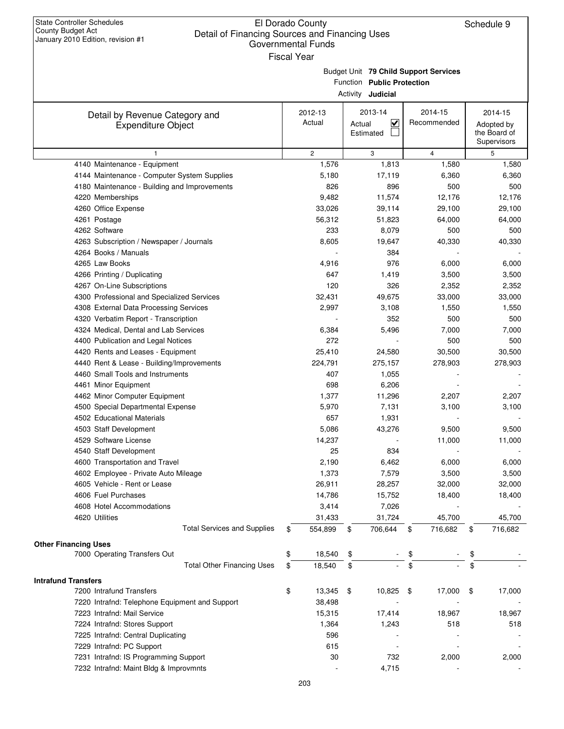| Budget Unit 79 Child Support Services |  |
|---------------------------------------|--|
|                                       |  |

Function **Public Protection**

| tivitv: | .ludicial |  |
|---------|-----------|--|
|         |           |  |

|                                                             | Activity <b>Judicial</b> |                                                           |                        |                                                      |  |  |
|-------------------------------------------------------------|--------------------------|-----------------------------------------------------------|------------------------|------------------------------------------------------|--|--|
| Detail by Revenue Category and<br><b>Expenditure Object</b> | 2012-13<br>Actual        | 2013-14<br>$\overline{\mathbf{v}}$<br>Actual<br>Estimated | 2014-15<br>Recommended | 2014-15<br>Adopted by<br>the Board of<br>Supervisors |  |  |
| 1                                                           | $\overline{c}$           | 3                                                         | 4                      | 5                                                    |  |  |
| 4140 Maintenance - Equipment                                | 1,576                    | 1,813                                                     | 1,580                  | 1,580                                                |  |  |
| 4144 Maintenance - Computer System Supplies                 | 5,180                    | 17,119                                                    | 6,360                  | 6,360                                                |  |  |
| 4180 Maintenance - Building and Improvements                | 826                      | 896                                                       | 500                    | 500                                                  |  |  |
| 4220 Memberships                                            | 9,482                    | 11,574                                                    | 12,176                 | 12,176                                               |  |  |
| 4260 Office Expense                                         | 33,026                   | 39,114                                                    | 29,100                 | 29,100                                               |  |  |
| 4261 Postage                                                | 56,312                   | 51,823                                                    | 64,000                 | 64,000                                               |  |  |
| 4262 Software                                               | 233                      | 8,079                                                     | 500                    | 500                                                  |  |  |
|                                                             |                          |                                                           |                        |                                                      |  |  |
| 4263 Subscription / Newspaper / Journals                    | 8,605                    | 19,647                                                    | 40,330                 | 40,330                                               |  |  |
| 4264 Books / Manuals                                        |                          | 384                                                       |                        |                                                      |  |  |
| 4265 Law Books                                              | 4,916                    | 976                                                       | 6,000                  | 6,000                                                |  |  |
| 4266 Printing / Duplicating                                 | 647                      | 1,419                                                     | 3,500                  | 3,500                                                |  |  |
| 4267 On-Line Subscriptions                                  | 120                      | 326                                                       | 2,352                  | 2,352                                                |  |  |
| 4300 Professional and Specialized Services                  | 32,431                   | 49,675                                                    | 33,000                 | 33,000                                               |  |  |
| 4308 External Data Processing Services                      | 2,997                    | 3,108                                                     | 1,550                  | 1,550                                                |  |  |
| 4320 Verbatim Report - Transcription                        |                          | 352                                                       | 500                    | 500                                                  |  |  |
| 4324 Medical, Dental and Lab Services                       | 6,384                    | 5,496                                                     | 7,000                  | 7,000                                                |  |  |
| 4400 Publication and Legal Notices                          | 272                      |                                                           | 500                    | 500                                                  |  |  |
| 4420 Rents and Leases - Equipment                           | 25,410                   | 24,580                                                    | 30,500                 | 30,500                                               |  |  |
| 4440 Rent & Lease - Building/Improvements                   | 224,791                  | 275,157                                                   | 278,903                | 278,903                                              |  |  |
| 4460 Small Tools and Instruments                            | 407                      | 1,055                                                     |                        |                                                      |  |  |
| 4461 Minor Equipment                                        | 698                      | 6,206                                                     |                        |                                                      |  |  |
| 4462 Minor Computer Equipment                               | 1,377                    | 11,296                                                    | 2,207                  | 2,207                                                |  |  |
| 4500 Special Departmental Expense                           | 5,970                    | 7,131                                                     | 3,100                  | 3,100                                                |  |  |
| 4502 Educational Materials                                  | 657                      | 1,931                                                     |                        |                                                      |  |  |
| 4503 Staff Development                                      | 5,086                    | 43,276                                                    | 9,500                  | 9,500                                                |  |  |
| 4529 Software License                                       | 14,237                   |                                                           | 11,000                 | 11,000                                               |  |  |
| 4540 Staff Development                                      | 25                       | 834                                                       |                        |                                                      |  |  |
| 4600 Transportation and Travel                              | 2,190                    | 6,462                                                     | 6,000                  | 6,000                                                |  |  |
| 4602 Employee - Private Auto Mileage                        | 1,373                    | 7,579                                                     | 3,500                  | 3,500                                                |  |  |
| 4605 Vehicle - Rent or Lease                                | 26,911                   | 28,257                                                    | 32,000                 | 32,000                                               |  |  |
| 4606 Fuel Purchases                                         | 14,786                   | 15,752                                                    | 18,400                 | 18,400                                               |  |  |
| 4608 Hotel Accommodations                                   | 3,414                    | 7,026                                                     |                        |                                                      |  |  |
| 4620 Utilities                                              | 31,433                   | 31,724                                                    | 45,700                 | 45,700                                               |  |  |
| <b>Total Services and Supplies</b>                          | 554,899<br>\$            | 706,644<br>\$                                             | 716,682<br>\$          | 716,682<br>\$                                        |  |  |
| <b>Other Financing Uses</b>                                 |                          |                                                           |                        |                                                      |  |  |
| 7000 Operating Transfers Out                                | \$<br>18,540             | \$                                                        | \$                     |                                                      |  |  |
| <b>Total Other Financing Uses</b>                           | \$<br>18,540             | \$                                                        | \$                     | \$                                                   |  |  |
|                                                             |                          |                                                           |                        |                                                      |  |  |
| <b>Intrafund Transfers</b>                                  |                          |                                                           |                        |                                                      |  |  |
| 7200 Intrafund Transfers                                    | \$<br>13,345             | 10,825<br>\$                                              | 17,000<br>\$           | 17,000<br>\$                                         |  |  |
| 7220 Intrafnd: Telephone Equipment and Support              | 38,498                   |                                                           |                        |                                                      |  |  |
| 7223 Intrafnd: Mail Service                                 | 15,315                   | 17,414                                                    | 18,967                 | 18,967                                               |  |  |
| 7224 Intrafnd: Stores Support                               | 1,364                    | 1,243                                                     | 518                    | 518                                                  |  |  |
| 7225 Intrafnd: Central Duplicating                          | 596                      |                                                           |                        |                                                      |  |  |
| 7229 Intrafnd: PC Support                                   | 615                      |                                                           |                        |                                                      |  |  |
| 7231 Intrafnd: IS Programming Support                       | 30                       | 732                                                       | 2,000                  | 2,000                                                |  |  |
| 7232 Intrafnd: Maint Bldg & Improvmnts                      |                          | 4,715                                                     |                        |                                                      |  |  |